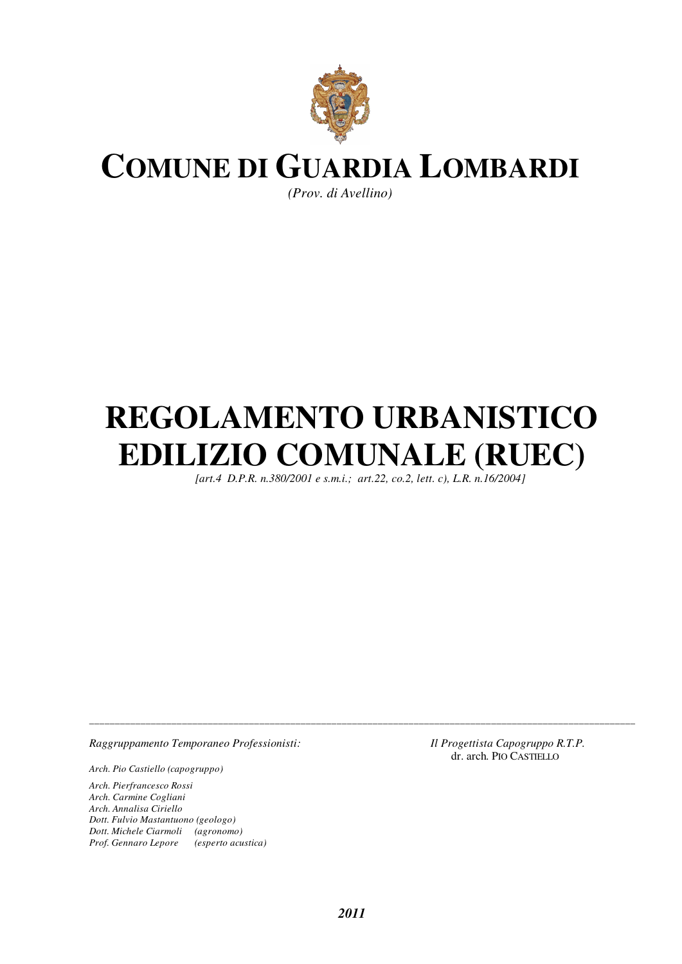

# **COMUNE DI GUARDIA LOMBARDI**

*(Prov. di Avellino)* 

# **REGOLAMENTO URBANISTICO EDILIZIO COMUNALE (RUEC)**

 *[art.4 D.P.R. n.380/2001 e s.m.i.; art.22, co.2, lett. c), L.R. n.16/2004]* 

*Raggruppamento Temporaneo Professionisti: Il Progettista Capogruppo R.T.P.* 

*Arch. Pio Castiello (capogruppo)* 

*Arch. Pierfrancesco Rossi Arch. Carmine Cogliani Arch. Annalisa Ciriello Dott. Fulvio Mastantuono (geologo) Dott. Michele Ciarmoli (agronomo) Prof. Gennaro Lepore (esperto acustica)*  dr. arch. PIO CASTIELLO

*\_\_\_\_\_\_\_\_\_\_\_\_\_\_\_\_\_\_\_\_\_\_\_\_\_\_\_\_\_\_\_\_\_\_\_\_\_\_\_\_\_\_\_\_\_\_\_\_\_\_\_\_\_\_\_\_\_\_\_\_\_\_\_\_\_\_\_\_\_\_\_\_\_\_\_\_\_\_\_\_\_\_\_\_\_\_\_\_\_\_\_\_\_\_\_\_\_\_\_\_\_\_\_\_\_\_*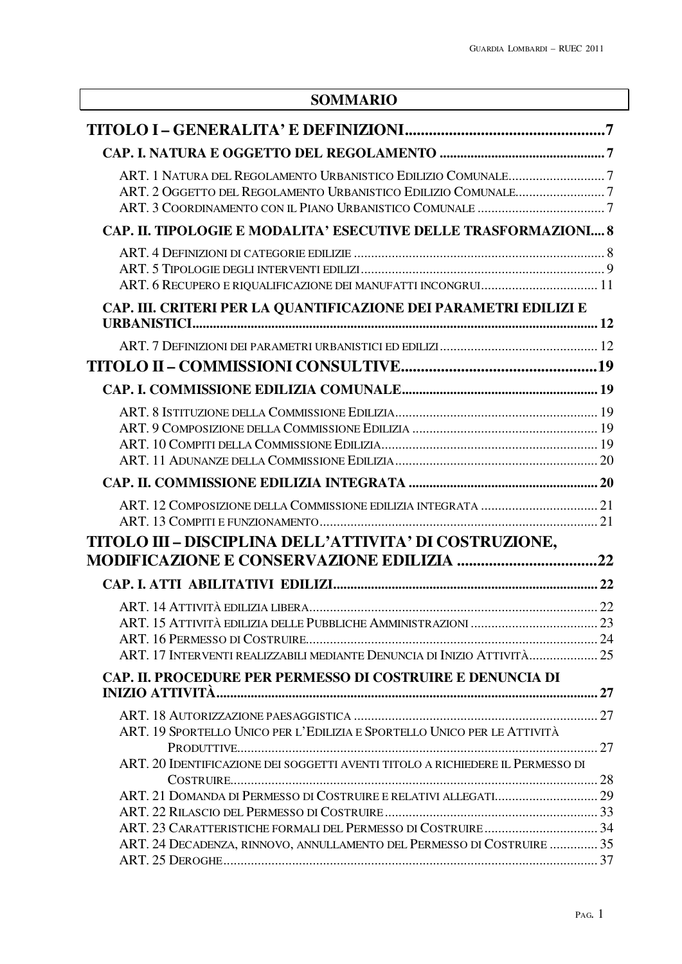# **SOMMARIO**

| ART. 2 OGGETTO DEL REGOLAMENTO URBANISTICO EDILIZIO COMUNALE7                  |  |
|--------------------------------------------------------------------------------|--|
|                                                                                |  |
| CAP. II. TIPOLOGIE E MODALITA' ESECUTIVE DELLE TRASFORMAZIONI 8                |  |
|                                                                                |  |
|                                                                                |  |
| ART. 6 RECUPERO E RIQUALIFICAZIONE DEI MANUFATTI INCONGRUI 11                  |  |
| CAP. III. CRITERI PER LA QUANTIFICAZIONE DEI PARAMETRI EDILIZI E               |  |
|                                                                                |  |
|                                                                                |  |
|                                                                                |  |
|                                                                                |  |
|                                                                                |  |
|                                                                                |  |
|                                                                                |  |
|                                                                                |  |
|                                                                                |  |
|                                                                                |  |
|                                                                                |  |
| TITOLO III - DISCIPLINA DELL'ATTIVITA' DI COSTRUZIONE,                         |  |
|                                                                                |  |
|                                                                                |  |
|                                                                                |  |
|                                                                                |  |
|                                                                                |  |
| ART. 17 INTERVENTI REALIZZABILI MEDIANTE DENUNCIA DI INIZIO ATTIVITÀ           |  |
| CAP. II. PROCEDURE PER PERMESSO DI COSTRUIRE E DENUNCIA DI                     |  |
|                                                                                |  |
|                                                                                |  |
| ART. 19 SPORTELLO UNICO PER L'EDILIZIA E SPORTELLO UNICO PER LE ATTIVITÀ       |  |
|                                                                                |  |
| ART. 20 IDENTIFICAZIONE DEI SOGGETTI AVENTI TITOLO A RICHIEDERE IL PERMESSO DI |  |
|                                                                                |  |
|                                                                                |  |
|                                                                                |  |
| ART. 24 DECADENZA, RINNOVO, ANNULLAMENTO DEL PERMESSO DI COSTRUIRE  35         |  |
|                                                                                |  |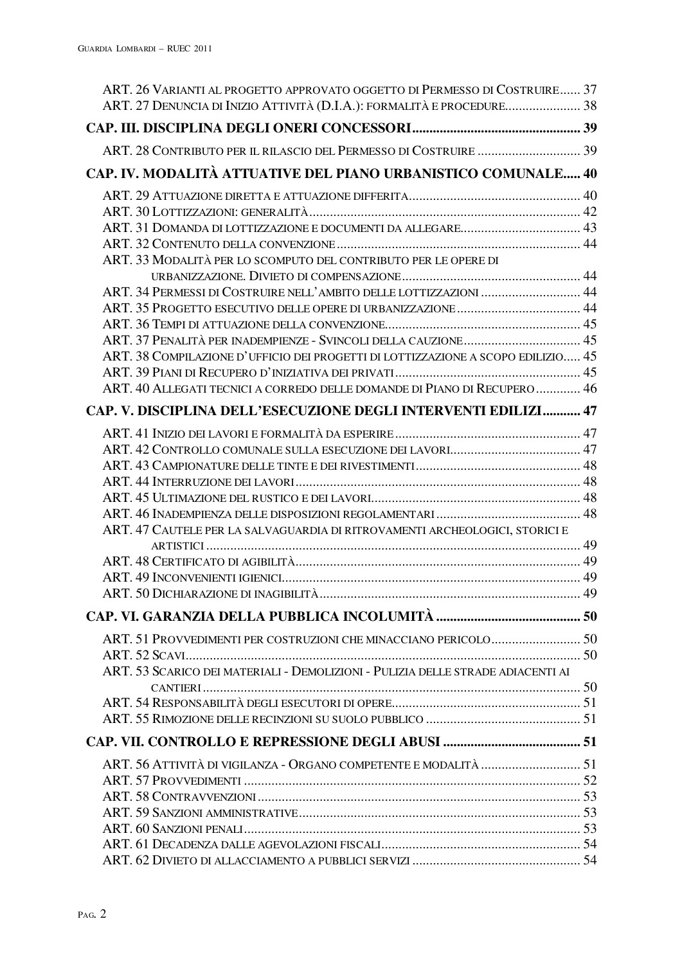| ART. 26 VARIANTI AL PROGETTO APPROVATO OGGETTO DI PERMESSO DI COSTRUIRE 37<br>ART. 27 DENUNCIA DI INIZIO ATTIVITÀ (D.I.A.): FORMALITÀ E PROCEDURE 38 |  |
|------------------------------------------------------------------------------------------------------------------------------------------------------|--|
|                                                                                                                                                      |  |
| ART. 28 CONTRIBUTO PER IL RILASCIO DEL PERMESSO DI COSTRUIRE  39                                                                                     |  |
|                                                                                                                                                      |  |
| CAP. IV. MODALITÀ ATTUATIVE DEL PIANO URBANISTICO COMUNALE 40                                                                                        |  |
|                                                                                                                                                      |  |
|                                                                                                                                                      |  |
|                                                                                                                                                      |  |
|                                                                                                                                                      |  |
| ART. 33 MODALITÀ PER LO SCOMPUTO DEL CONTRIBUTO PER LE OPERE DI                                                                                      |  |
|                                                                                                                                                      |  |
| ART. 34 PERMESSI DI COSTRUIRE NELL'AMBITO DELLE LOTTIZZAZIONI  44                                                                                    |  |
|                                                                                                                                                      |  |
|                                                                                                                                                      |  |
| ART. 37 PENALITÀ PER INADEMPIENZE - SVINCOLI DELLA CAUZIONE 45                                                                                       |  |
| ART. 38 COMPILAZIONE D'UFFICIO DEI PROGETTI DI LOTTIZZAZIONE A SCOPO EDILIZIO 45                                                                     |  |
|                                                                                                                                                      |  |
| ART. 40 ALLEGATI TECNICI A CORREDO DELLE DOMANDE DI PIANO DI RECUPERO  46                                                                            |  |
| CAP. V. DISCIPLINA DELL'ESECUZIONE DEGLI INTERVENTI EDILIZI 47                                                                                       |  |
|                                                                                                                                                      |  |
|                                                                                                                                                      |  |
|                                                                                                                                                      |  |
|                                                                                                                                                      |  |
|                                                                                                                                                      |  |
|                                                                                                                                                      |  |
| ART. 47 CAUTELE PER LA SALVAGUARDIA DI RITROVAMENTI ARCHEOLOGICI, STORICI E                                                                          |  |
|                                                                                                                                                      |  |
|                                                                                                                                                      |  |
|                                                                                                                                                      |  |
|                                                                                                                                                      |  |
|                                                                                                                                                      |  |
| ART. 51 PROVVEDIMENTI PER COSTRUZIONI CHE MINACCIANO PERICOLO 50                                                                                     |  |
|                                                                                                                                                      |  |
| ART. 53 SCARICO DEI MATERIALI - DEMOLIZIONI - PULIZIA DELLE STRADE ADIACENTI AI                                                                      |  |
|                                                                                                                                                      |  |
|                                                                                                                                                      |  |
|                                                                                                                                                      |  |
|                                                                                                                                                      |  |
| ART. 56 ATTIVITÀ DI VIGILANZA - ORGANO COMPETENTE E MODALITÀ  51                                                                                     |  |
|                                                                                                                                                      |  |
|                                                                                                                                                      |  |
|                                                                                                                                                      |  |
|                                                                                                                                                      |  |
|                                                                                                                                                      |  |
|                                                                                                                                                      |  |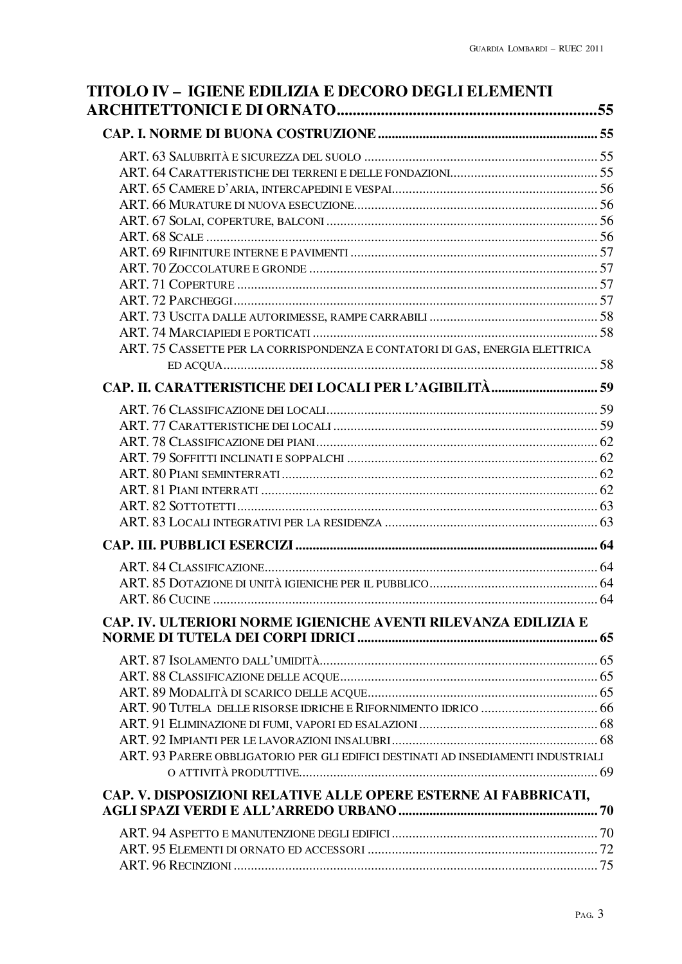| ART. 75 CASSETTE PER LA CORRISPONDENZA E CONTATORI DI GAS, ENERGIA ELETTRICA      |  |
|-----------------------------------------------------------------------------------|--|
|                                                                                   |  |
|                                                                                   |  |
|                                                                                   |  |
|                                                                                   |  |
|                                                                                   |  |
|                                                                                   |  |
|                                                                                   |  |
|                                                                                   |  |
|                                                                                   |  |
|                                                                                   |  |
|                                                                                   |  |
|                                                                                   |  |
|                                                                                   |  |
|                                                                                   |  |
|                                                                                   |  |
| CAP. IV. ULTERIORI NORME IGIENICHE AVENTI RILEVANZA EDILIZIA E                    |  |
|                                                                                   |  |
|                                                                                   |  |
|                                                                                   |  |
|                                                                                   |  |
|                                                                                   |  |
|                                                                                   |  |
| ART. 93 PARERE OBBLIGATORIO PER GLI EDIFICI DESTINATI AD INSEDIAMENTI INDUSTRIALI |  |
|                                                                                   |  |
| CAP. V. DISPOSIZIONI RELATIVE ALLE OPERE ESTERNE AI FABBRICATI,                   |  |
|                                                                                   |  |
|                                                                                   |  |
|                                                                                   |  |
|                                                                                   |  |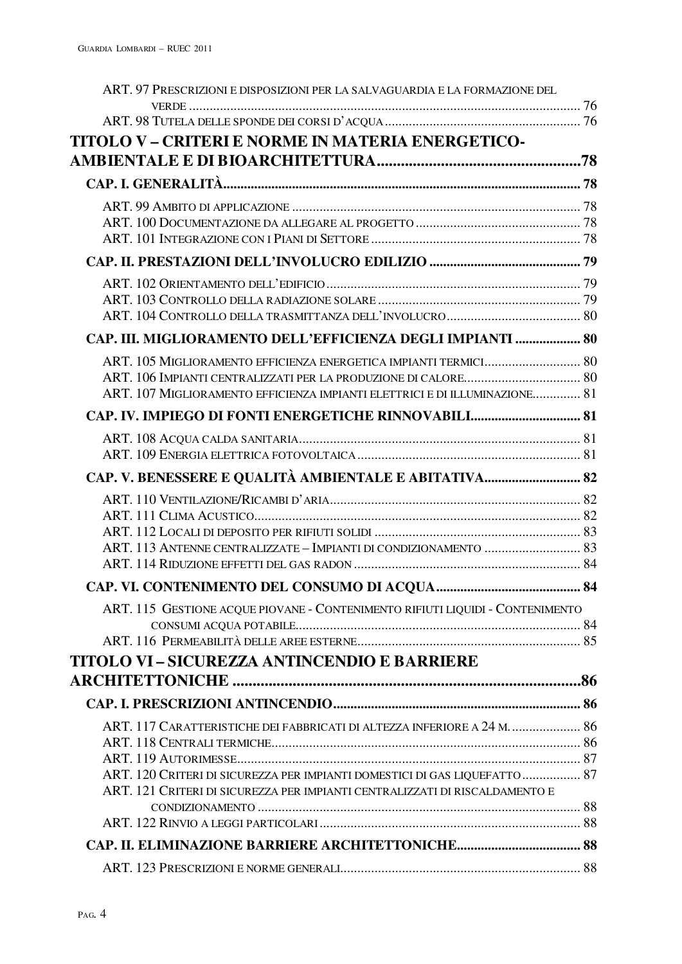| ART. 97 PRESCRIZIONI E DISPOSIZIONI PER LA SALVAGUARDIA E LA FORMAZIONE DEL                                                                               |  |
|-----------------------------------------------------------------------------------------------------------------------------------------------------------|--|
|                                                                                                                                                           |  |
| TITOLO V – CRITERI E NORME IN MATERIA ENERGETICO-                                                                                                         |  |
|                                                                                                                                                           |  |
|                                                                                                                                                           |  |
|                                                                                                                                                           |  |
|                                                                                                                                                           |  |
|                                                                                                                                                           |  |
|                                                                                                                                                           |  |
|                                                                                                                                                           |  |
|                                                                                                                                                           |  |
|                                                                                                                                                           |  |
| CAP. III. MIGLIORAMENTO DELL'EFFICIENZA DEGLI IMPIANTI  80                                                                                                |  |
|                                                                                                                                                           |  |
|                                                                                                                                                           |  |
| ART. 107 MIGLIORAMENTO EFFICIENZA IMPIANTI ELETTRICI E DI ILLUMINAZIONE 81                                                                                |  |
| CAP. IV. IMPIEGO DI FONTI ENERGETICHE RINNOVABILI 81                                                                                                      |  |
|                                                                                                                                                           |  |
|                                                                                                                                                           |  |
| CAP. V. BENESSERE E QUALITÀ AMBIENTALE E ABITATIVA 82                                                                                                     |  |
|                                                                                                                                                           |  |
|                                                                                                                                                           |  |
|                                                                                                                                                           |  |
|                                                                                                                                                           |  |
|                                                                                                                                                           |  |
| ART. 115 GESTIONE ACQUE PIOVANE - CONTENIMENTO RIFIUTI LIQUIDI - CONTENIMENTO                                                                             |  |
|                                                                                                                                                           |  |
|                                                                                                                                                           |  |
| <b>TITOLO VI - SICUREZZA ANTINCENDIO E BARRIERE</b>                                                                                                       |  |
|                                                                                                                                                           |  |
|                                                                                                                                                           |  |
| ART. 117 CARATTERISTICHE DEI FABBRICATI DI ALTEZZA INFERIORE A 24 M.  86                                                                                  |  |
|                                                                                                                                                           |  |
|                                                                                                                                                           |  |
| ART. 120 CRITERI DI SICUREZZA PER IMPIANTI DOMESTICI DI GAS LIQUEFATTO  87<br>ART. 121 CRITERI DI SICUREZZA PER IMPIANTI CENTRALIZZATI DI RISCALDAMENTO E |  |
|                                                                                                                                                           |  |
|                                                                                                                                                           |  |
|                                                                                                                                                           |  |
|                                                                                                                                                           |  |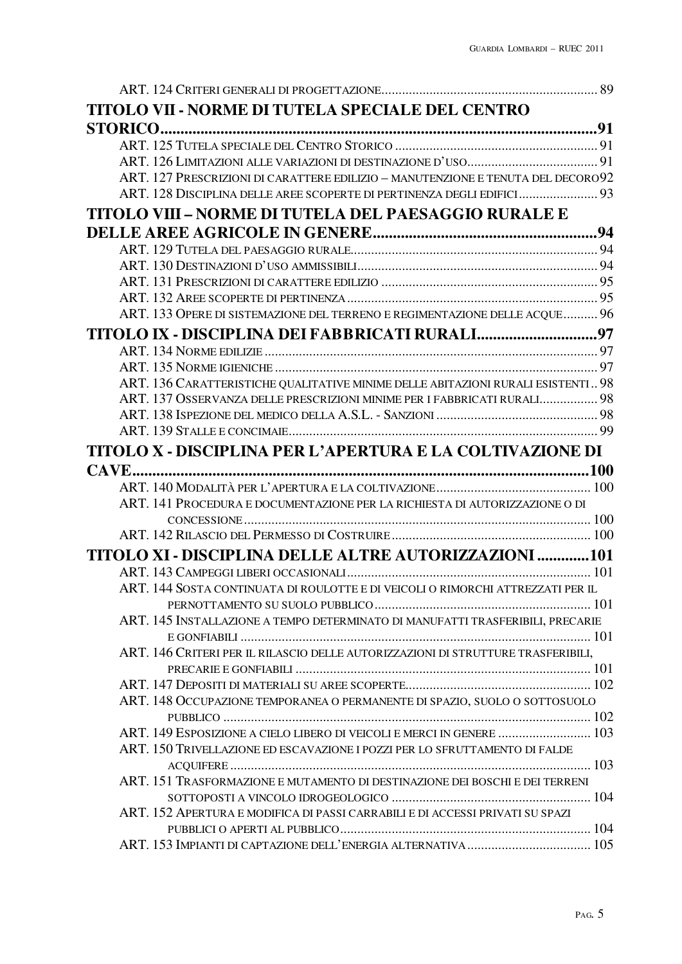| TITOLO VII - NORME DI TUTELA SPECIALE DEL CENTRO                                 |  |
|----------------------------------------------------------------------------------|--|
|                                                                                  |  |
|                                                                                  |  |
|                                                                                  |  |
| ART. 127 PRESCRIZIONI DI CARATTERE EDILIZIO - MANUTENZIONE E TENUTA DEL DECORO92 |  |
| ART. 128 DISCIPLINA DELLE AREE SCOPERTE DI PERTINENZA DEGLI EDIFICI 93           |  |
| TITOLO VIII – NORME DI TUTELA DEL PAESAGGIO RURALE E                             |  |
|                                                                                  |  |
|                                                                                  |  |
|                                                                                  |  |
|                                                                                  |  |
|                                                                                  |  |
| ART. 133 OPERE DI SISTEMAZIONE DEL TERRENO E REGIMENTAZIONE DELLE ACQUE 96       |  |
| TITOLO IX - DISCIPLINA DEI FABBRICATI RURALI97                                   |  |
|                                                                                  |  |
|                                                                                  |  |
| ART. 136 CARATTERISTICHE QUALITATIVE MINIME DELLE ABITAZIONI RURALI ESISTENTI 98 |  |
| ART. 137 OSSERVANZA DELLE PRESCRIZIONI MINIME PER I FABBRICATI RURALI 98         |  |
|                                                                                  |  |
|                                                                                  |  |
| TITOLO X - DISCIPLINA PER L'APERTURA E LA COLTIVAZIONE DI                        |  |
|                                                                                  |  |
|                                                                                  |  |
| ART. 141 PROCEDURA E DOCUMENTAZIONE PER LA RICHIESTA DI AUTORIZZAZIONE O DI      |  |
|                                                                                  |  |
|                                                                                  |  |
| TITOLO XI - DISCIPLINA DELLE ALTRE AUTORIZZAZIONI 101                            |  |
|                                                                                  |  |
| ART. 144 SOSTA CONTINUATA DI ROULOTTE E DI VEICOLI O RIMORCHI ATTREZZATI PER IL  |  |
|                                                                                  |  |
| ART. 145 INSTALLAZIONE A TEMPO DETERMINATO DI MANUFATTI TRASFERIBILI, PRECARIE   |  |
|                                                                                  |  |
| ART. 146 CRITERI PER IL RILASCIO DELLE AUTORIZZAZIONI DI STRUTTURE TRASFERIBILI, |  |
|                                                                                  |  |
|                                                                                  |  |
| ART. 148 OCCUPAZIONE TEMPORANEA O PERMANENTE DI SPAZIO, SUOLO O SOTTOSUOLO       |  |
|                                                                                  |  |
| ART. 149 ESPOSIZIONE A CIELO LIBERO DI VEICOLI E MERCI IN GENERE  103            |  |
| ART. 150 TRIVELLAZIONE ED ESCAVAZIONE I POZZI PER LO SFRUTTAMENTO DI FALDE       |  |
|                                                                                  |  |
| ART. 151 TRASFORMAZIONE E MUTAMENTO DI DESTINAZIONE DEI BOSCHI E DEI TERRENI     |  |
|                                                                                  |  |
| ART. 152 APERTURA E MODIFICA DI PASSI CARRABILI E DI ACCESSI PRIVATI SU SPAZI    |  |
|                                                                                  |  |
|                                                                                  |  |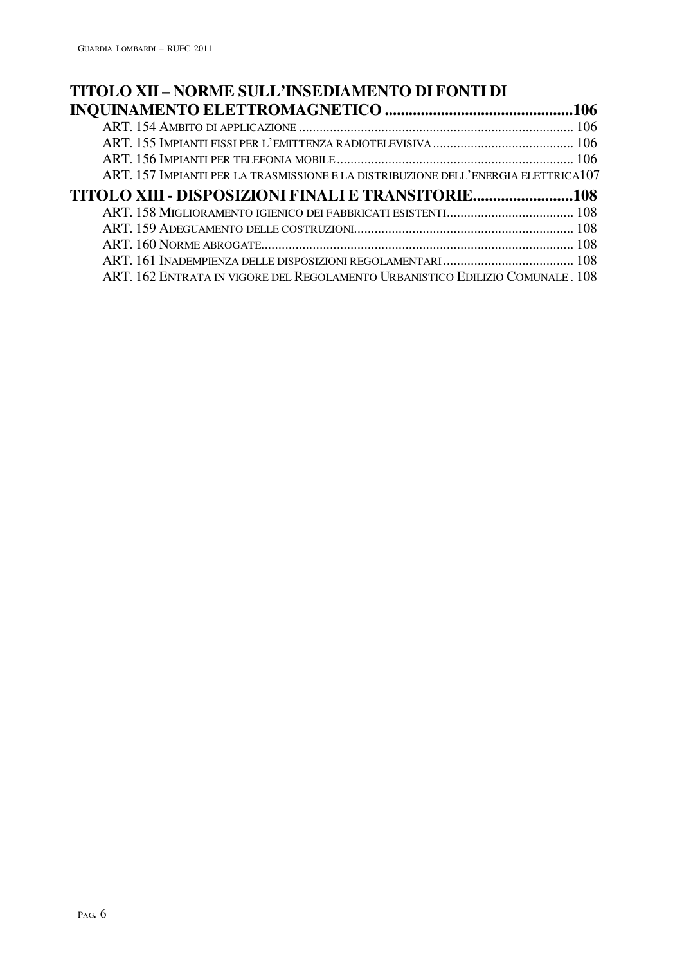| TITOLO XII - NORME SULL'INSEDIAMENTO DI FONTI DI                                   |  |
|------------------------------------------------------------------------------------|--|
|                                                                                    |  |
|                                                                                    |  |
|                                                                                    |  |
|                                                                                    |  |
| ART. 157 IMPIANTI PER LA TRASMISSIONE E LA DISTRIBUZIONE DELL'ENERGIA ELETTRICA107 |  |
|                                                                                    |  |
|                                                                                    |  |
|                                                                                    |  |
|                                                                                    |  |
|                                                                                    |  |
| ART. 162 ENTRATA IN VIGORE DEL REGOLAMENTO URBANISTICO EDILIZIO COMUNALE. 108      |  |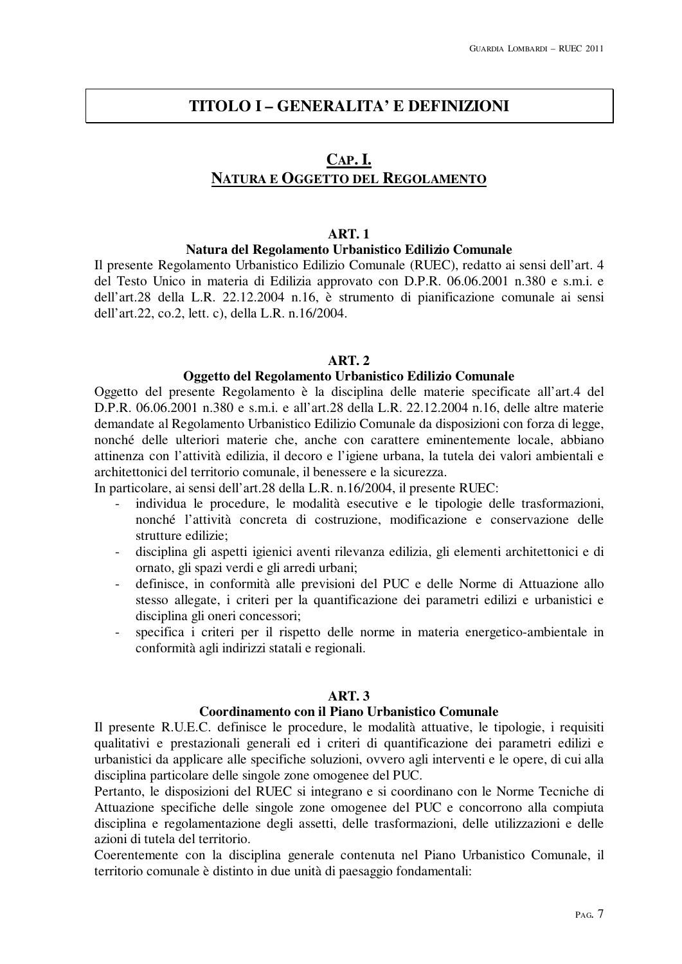# **TITOLO I – GENERALITA' E DEFINIZIONI**

# **CAP. I. NATURA E OGGETTO DEL REGOLAMENTO**

#### **ART. 1**

#### **Natura del Regolamento Urbanistico Edilizio Comunale**

Il presente Regolamento Urbanistico Edilizio Comunale (RUEC), redatto ai sensi dell'art. 4 del Testo Unico in materia di Edilizia approvato con D.P.R. 06.06.2001 n.380 e s.m.i. e dell'art.28 della L.R. 22.12.2004 n.16, è strumento di pianificazione comunale ai sensi dell'art.22, co.2, lett. c), della L.R. n.16/2004.

#### **ART. 2**

## **Oggetto del Regolamento Urbanistico Edilizio Comunale**

Oggetto del presente Regolamento è la disciplina delle materie specificate all'art.4 del D.P.R. 06.06.2001 n.380 e s.m.i. e all'art.28 della L.R. 22.12.2004 n.16, delle altre materie demandate al Regolamento Urbanistico Edilizio Comunale da disposizioni con forza di legge, nonché delle ulteriori materie che, anche con carattere eminentemente locale, abbiano attinenza con l'attività edilizia, il decoro e l'igiene urbana, la tutela dei valori ambientali e architettonici del territorio comunale, il benessere e la sicurezza.

In particolare, ai sensi dell'art.28 della L.R. n.16/2004, il presente RUEC:

- individua le procedure, le modalità esecutive e le tipologie delle trasformazioni, nonché l'attività concreta di costruzione, modificazione e conservazione delle strutture edilizie;
- disciplina gli aspetti igienici aventi rilevanza edilizia, gli elementi architettonici e di ornato, gli spazi verdi e gli arredi urbani;
- definisce, in conformità alle previsioni del PUC e delle Norme di Attuazione allo stesso allegate, i criteri per la quantificazione dei parametri edilizi e urbanistici e disciplina gli oneri concessori;
- specifica i criteri per il rispetto delle norme in materia energetico-ambientale in conformità agli indirizzi statali e regionali.

#### **ART. 3**

#### **Coordinamento con il Piano Urbanistico Comunale**

Il presente R.U.E.C. definisce le procedure, le modalità attuative, le tipologie, i requisiti qualitativi e prestazionali generali ed i criteri di quantificazione dei parametri edilizi e urbanistici da applicare alle specifiche soluzioni, ovvero agli interventi e le opere, di cui alla disciplina particolare delle singole zone omogenee del PUC.

Pertanto, le disposizioni del RUEC si integrano e si coordinano con le Norme Tecniche di Attuazione specifiche delle singole zone omogenee del PUC e concorrono alla compiuta disciplina e regolamentazione degli assetti, delle trasformazioni, delle utilizzazioni e delle azioni di tutela del territorio.

Coerentemente con la disciplina generale contenuta nel Piano Urbanistico Comunale, il territorio comunale è distinto in due unità di paesaggio fondamentali: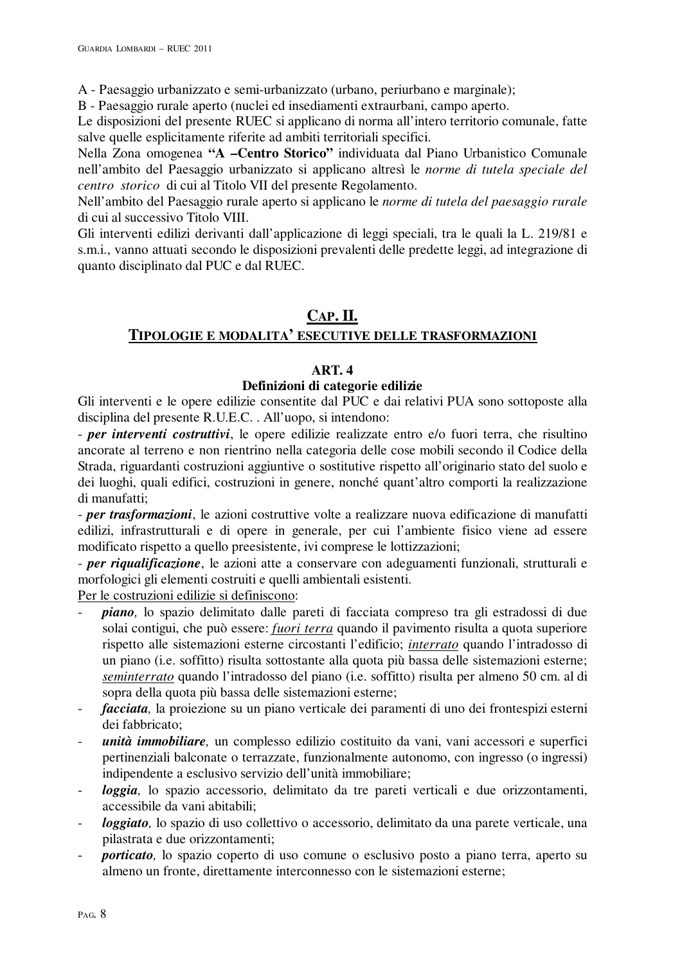A - Paesaggio urbanizzato e semi-urbanizzato (urbano, periurbano e marginale);

B - Paesaggio rurale aperto (nuclei ed insediamenti extraurbani, campo aperto.

Le disposizioni del presente RUEC si applicano di norma all'intero territorio comunale, fatte salve quelle esplicitamente riferite ad ambiti territoriali specifici.

Nella Zona omogenea **"A –Centro Storico"** individuata dal Piano Urbanistico Comunale nell'ambito del Paesaggio urbanizzato si applicano altresì le *norme di tutela speciale del centro storico* di cui al Titolo VII del presente Regolamento.

Nell'ambito del Paesaggio rurale aperto si applicano le *norme di tutela del paesaggio rurale*  di cui al successivo Titolo VIII.

Gli interventi edilizi derivanti dall'applicazione di leggi speciali, tra le quali la L. 219/81 e s.m.i., vanno attuati secondo le disposizioni prevalenti delle predette leggi, ad integrazione di quanto disciplinato dal PUC e dal RUEC.

# **CAP. II.**

# **TIPOLOGIE E MODALITA' ESECUTIVE DELLE TRASFORMAZIONI**

# **ART. 4**

# **Definizioni di categorie edilizie**

Gli interventi e le opere edilizie consentite dal PUC e dai relativi PUA sono sottoposte alla disciplina del presente R.U.E.C. . All'uopo, si intendono:

- *per interventi costruttivi*, le opere edilizie realizzate entro e/o fuori terra, che risultino ancorate al terreno e non rientrino nella categoria delle cose mobili secondo il Codice della Strada, riguardanti costruzioni aggiuntive o sostitutive rispetto all'originario stato del suolo e dei luoghi, quali edifici, costruzioni in genere, nonché quant'altro comporti la realizzazione di manufatti;

- *per trasformazioni*, le azioni costruttive volte a realizzare nuova edificazione di manufatti edilizi, infrastrutturali e di opere in generale, per cui l'ambiente fisico viene ad essere modificato rispetto a quello preesistente, ivi comprese le lottizzazioni;

- *per riqualificazione*, le azioni atte a conservare con adeguamenti funzionali, strutturali e morfologici gli elementi costruiti e quelli ambientali esistenti.

Per le costruzioni edilizie si definiscono:

- *piano,* lo spazio delimitato dalle pareti di facciata compreso tra gli estradossi di due solai contigui, che può essere: *fuori terra* quando il pavimento risulta a quota superiore rispetto alle sistemazioni esterne circostanti l'edificio; *interrato* quando l'intradosso di un piano (i.e. soffitto) risulta sottostante alla quota più bassa delle sistemazioni esterne; *seminterrato* quando l'intradosso del piano (i.e. soffitto) risulta per almeno 50 cm. al di sopra della quota più bassa delle sistemazioni esterne;
- *facciata,* la proiezione su un piano verticale dei paramenti di uno dei frontespizi esterni dei fabbricato;
- *unità immobiliare*, un complesso edilizio costituito da vani, vani accessori e superfici pertinenziali balconate o terrazzate, funzionalmente autonomo, con ingresso (o ingressi) indipendente a esclusivo servizio dell'unità immobiliare;
- *loggia,* lo spazio accessorio, delimitato da tre pareti verticali e due orizzontamenti, accessibile da vani abitabili;
- *loggiato,* lo spazio di uso collettivo o accessorio, delimitato da una parete verticale, una pilastrata e due orizzontamenti;
- *porticato,* lo spazio coperto di uso comune o esclusivo posto a piano terra, aperto su almeno un fronte, direttamente interconnesso con le sistemazioni esterne;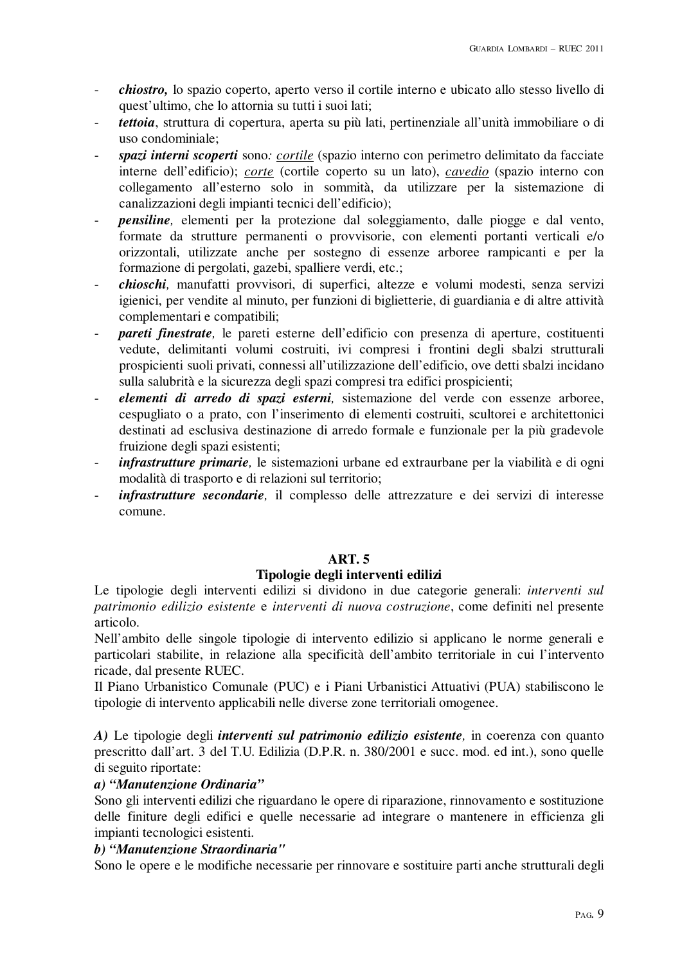- *chiostro,* lo spazio coperto, aperto verso il cortile interno e ubicato allo stesso livello di quest'ultimo, che lo attornia su tutti i suoi lati;
- *tettoia*, struttura di copertura, aperta su più lati, pertinenziale all'unità immobiliare o di uso condominiale;
- *spazi interni scoperti* sono*: cortile* (spazio interno con perimetro delimitato da facciate interne dell'edificio); *corte* (cortile coperto su un lato), *cavedio* (spazio interno con collegamento all'esterno solo in sommità, da utilizzare per la sistemazione di canalizzazioni degli impianti tecnici dell'edificio);
- *pensiline,* elementi per la protezione dal soleggiamento, dalle piogge e dal vento, formate da strutture permanenti o provvisorie, con elementi portanti verticali e/o orizzontali, utilizzate anche per sostegno di essenze arboree rampicanti e per la formazione di pergolati, gazebi, spalliere verdi, etc.;
- *chioschi,* manufatti provvisori, di superfici, altezze e volumi modesti, senza servizi igienici, per vendite al minuto, per funzioni di biglietterie, di guardiania e di altre attività complementari e compatibili;
- *pareti finestrate,* le pareti esterne dell'edificio con presenza di aperture, costituenti vedute, delimitanti volumi costruiti, ivi compresi i frontini degli sbalzi strutturali prospicienti suoli privati, connessi all'utilizzazione dell'edificio, ove detti sbalzi incidano sulla salubrità e la sicurezza degli spazi compresi tra edifici prospicienti;
- *elementi di arredo di spazi esterni,* sistemazione del verde con essenze arboree, cespugliato o a prato, con l'inserimento di elementi costruiti, scultorei e architettonici destinati ad esclusiva destinazione di arredo formale e funzionale per la più gradevole fruizione degli spazi esistenti;
- *infrastrutture primarie,* le sistemazioni urbane ed extraurbane per la viabilità e di ogni modalità di trasporto e di relazioni sul territorio;
- infrastrutture secondarie, il complesso delle attrezzature e dei servizi di interesse comune.

## **ART. 5**

## **Tipologie degli interventi edilizi**

Le tipologie degli interventi edilizi si dividono in due categorie generali: *interventi sul patrimonio edilizio esistente* e *interventi di nuova costruzione*, come definiti nel presente articolo.

Nell'ambito delle singole tipologie di intervento edilizio si applicano le norme generali e particolari stabilite, in relazione alla specificità dell'ambito territoriale in cui l'intervento ricade, dal presente RUEC.

Il Piano Urbanistico Comunale (PUC) e i Piani Urbanistici Attuativi (PUA) stabiliscono le tipologie di intervento applicabili nelle diverse zone territoriali omogenee.

*A)* Le tipologie degli *interventi sul patrimonio edilizio esistente,* in coerenza con quanto prescritto dall'art. 3 del T.U. Edilizia (D.P.R. n. 380/2001 e succ. mod. ed int.), sono quelle di seguito riportate:

# *a) "Manutenzione Ordinaria"*

Sono gli interventi edilizi che riguardano le opere di riparazione, rinnovamento e sostituzione delle finiture degli edifici e quelle necessarie ad integrare o mantenere in efficienza gli impianti tecnologici esistenti.

# *b) "Manutenzione Straordinaria"*

Sono le opere e le modifiche necessarie per rinnovare e sostituire parti anche strutturali degli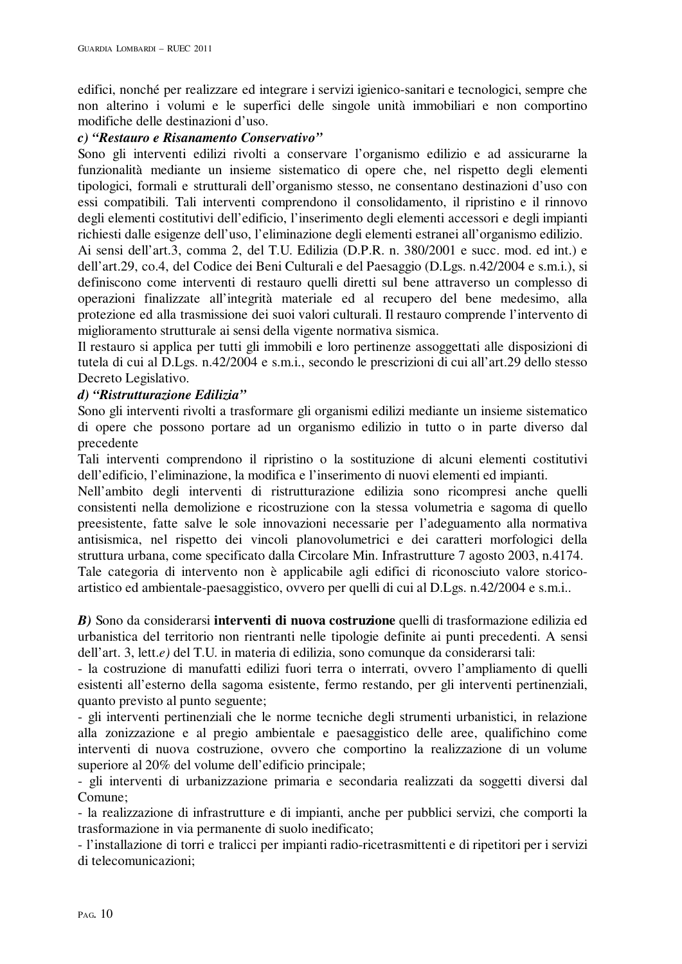edifici, nonché per realizzare ed integrare i servizi igienico-sanitari e tecnologici, sempre che non alterino i volumi e le superfici delle singole unità immobiliari e non comportino modifiche delle destinazioni d'uso.

## *c) "Restauro e Risanamento Conservativo"*

Sono gli interventi edilizi rivolti a conservare l'organismo edilizio e ad assicurarne la funzionalità mediante un insieme sistematico di opere che, nel rispetto degli elementi tipologici, formali e strutturali dell'organismo stesso, ne consentano destinazioni d'uso con essi compatibili. Tali interventi comprendono il consolidamento, il ripristino e il rinnovo degli elementi costitutivi dell'edificio, l'inserimento degli elementi accessori e degli impianti richiesti dalle esigenze dell'uso, l'eliminazione degli elementi estranei all'organismo edilizio.

Ai sensi dell'art.3, comma 2, del T.U. Edilizia (D.P.R. n. 380/2001 e succ. mod. ed int.) e dell'art.29, co.4, del Codice dei Beni Culturali e del Paesaggio (D.Lgs. n.42/2004 e s.m.i.), si definiscono come interventi di restauro quelli diretti sul bene attraverso un complesso di operazioni finalizzate all'integrità materiale ed al recupero del bene medesimo, alla protezione ed alla trasmissione dei suoi valori culturali. Il restauro comprende l'intervento di miglioramento strutturale ai sensi della vigente normativa sismica.

Il restauro si applica per tutti gli immobili e loro pertinenze assoggettati alle disposizioni di tutela di cui al D.Lgs. n.42/2004 e s.m.i., secondo le prescrizioni di cui all'art.29 dello stesso Decreto Legislativo.

# *d) "Ristrutturazione Edilizia"*

Sono gli interventi rivolti a trasformare gli organismi edilizi mediante un insieme sistematico di opere che possono portare ad un organismo edilizio in tutto o in parte diverso dal precedente

Tali interventi comprendono il ripristino o la sostituzione di alcuni elementi costitutivi dell'edificio, l'eliminazione, la modifica e l'inserimento di nuovi elementi ed impianti.

Nell'ambito degli interventi di ristrutturazione edilizia sono ricompresi anche quelli consistenti nella demolizione e ricostruzione con la stessa volumetria e sagoma di quello preesistente, fatte salve le sole innovazioni necessarie per l'adeguamento alla normativa antisismica, nel rispetto dei vincoli planovolumetrici e dei caratteri morfologici della struttura urbana, come specificato dalla Circolare Min. Infrastrutture 7 agosto 2003, n.4174. Tale categoria di intervento non è applicabile agli edifici di riconosciuto valore storicoartistico ed ambientale-paesaggistico, ovvero per quelli di cui al D.Lgs. n.42/2004 e s.m.i..

*B)* Sono da considerarsi **interventi di nuova costruzione** quelli di trasformazione edilizia ed urbanistica del territorio non rientranti nelle tipologie definite ai punti precedenti. A sensi dell'art. 3, lett.*e)* del T.U. in materia di edilizia, sono comunque da considerarsi tali:

- la costruzione di manufatti edilizi fuori terra o interrati, ovvero l'ampliamento di quelli esistenti all'esterno della sagoma esistente, fermo restando, per gli interventi pertinenziali, quanto previsto al punto seguente;

- gli interventi pertinenziali che le norme tecniche degli strumenti urbanistici, in relazione alla zonizzazione e al pregio ambientale e paesaggistico delle aree, qualifichino come interventi di nuova costruzione, ovvero che comportino la realizzazione di un volume superiore al 20% del volume dell'edificio principale;

- gli interventi di urbanizzazione primaria e secondaria realizzati da soggetti diversi dal Comune;

- la realizzazione di infrastrutture e di impianti, anche per pubblici servizi, che comporti la trasformazione in via permanente di suolo inedificato;

- l'installazione di torri e tralicci per impianti radio-ricetrasmittenti e di ripetitori per i servizi di telecomunicazioni;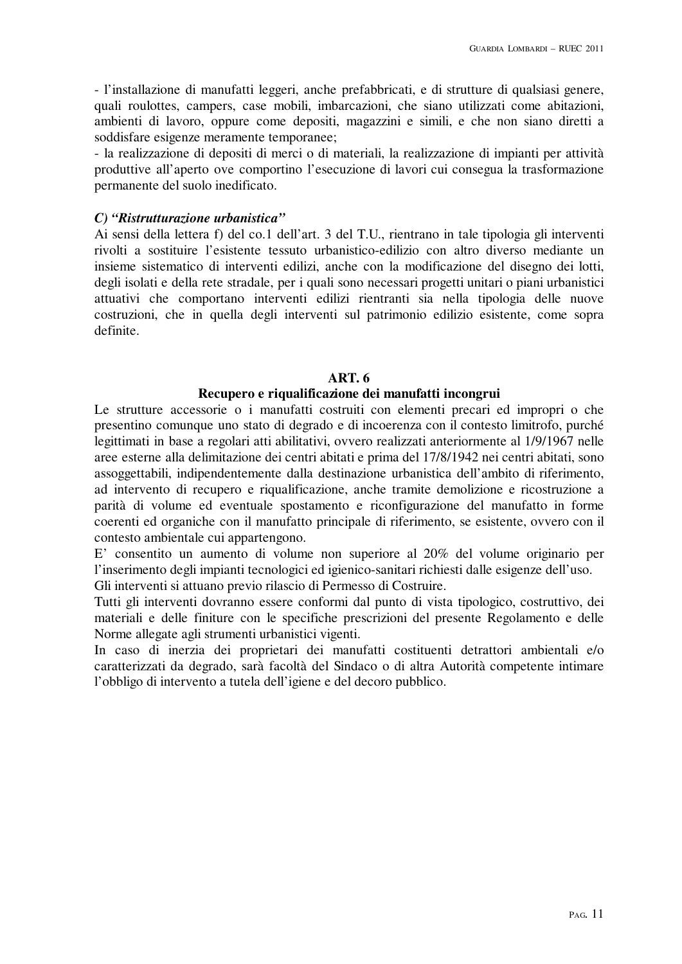- l'installazione di manufatti leggeri, anche prefabbricati, e di strutture di qualsiasi genere, quali roulottes, campers, case mobili, imbarcazioni, che siano utilizzati come abitazioni, ambienti di lavoro, oppure come depositi, magazzini e simili, e che non siano diretti a soddisfare esigenze meramente temporanee;

- la realizzazione di depositi di merci o di materiali, la realizzazione di impianti per attività produttive all'aperto ove comportino l'esecuzione di lavori cui consegua la trasformazione permanente del suolo inedificato.

# *C) "Ristrutturazione urbanistica"*

Ai sensi della lettera f) del co.1 dell'art. 3 del T.U., rientrano in tale tipologia gli interventi rivolti a sostituire l'esistente tessuto urbanistico-edilizio con altro diverso mediante un insieme sistematico di interventi edilizi, anche con la modificazione del disegno dei lotti, degli isolati e della rete stradale, per i quali sono necessari progetti unitari o piani urbanistici attuativi che comportano interventi edilizi rientranti sia nella tipologia delle nuove costruzioni, che in quella degli interventi sul patrimonio edilizio esistente, come sopra definite.

## **ART. 6**

## **Recupero e riqualificazione dei manufatti incongrui**

Le strutture accessorie o i manufatti costruiti con elementi precari ed impropri o che presentino comunque uno stato di degrado e di incoerenza con il contesto limitrofo, purché legittimati in base a regolari atti abilitativi, ovvero realizzati anteriormente al 1/9/1967 nelle aree esterne alla delimitazione dei centri abitati e prima del 17/8/1942 nei centri abitati, sono assoggettabili, indipendentemente dalla destinazione urbanistica dell'ambito di riferimento, ad intervento di recupero e riqualificazione, anche tramite demolizione e ricostruzione a parità di volume ed eventuale spostamento e riconfigurazione del manufatto in forme coerenti ed organiche con il manufatto principale di riferimento, se esistente, ovvero con il contesto ambientale cui appartengono.

E' consentito un aumento di volume non superiore al 20% del volume originario per l'inserimento degli impianti tecnologici ed igienico-sanitari richiesti dalle esigenze dell'uso.

Gli interventi si attuano previo rilascio di Permesso di Costruire.

Tutti gli interventi dovranno essere conformi dal punto di vista tipologico, costruttivo, dei materiali e delle finiture con le specifiche prescrizioni del presente Regolamento e delle Norme allegate agli strumenti urbanistici vigenti.

In caso di inerzia dei proprietari dei manufatti costituenti detrattori ambientali e/o caratterizzati da degrado, sarà facoltà del Sindaco o di altra Autorità competente intimare l'obbligo di intervento a tutela dell'igiene e del decoro pubblico.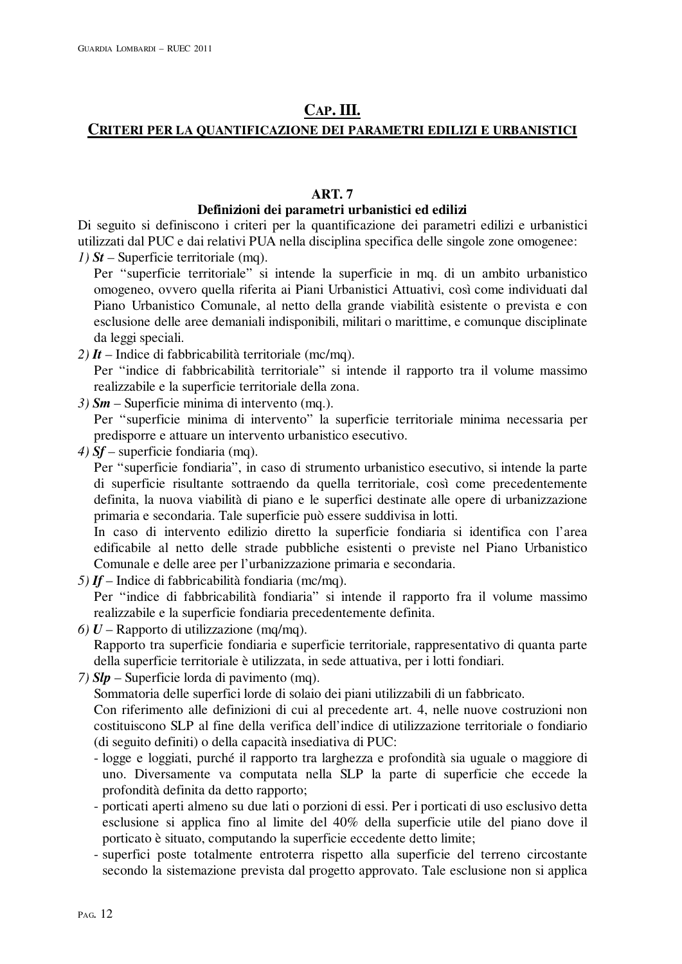# **CAP. III.**

# **CRITERI PER LA QUANTIFICAZIONE DEI PARAMETRI EDILIZI E URBANISTICI**

# **ART. 7**

# **Definizioni dei parametri urbanistici ed edilizi**

Di seguito si definiscono i criteri per la quantificazione dei parametri edilizi e urbanistici utilizzati dal PUC e dai relativi PUA nella disciplina specifica delle singole zone omogenee:

*1) St –* Superficie territoriale (mq).

Per "superficie territoriale" si intende la superficie in mq. di un ambito urbanistico omogeneo, ovvero quella riferita ai Piani Urbanistici Attuativi, così come individuati dal Piano Urbanistico Comunale, al netto della grande viabilità esistente o prevista e con esclusione delle aree demaniali indisponibili, militari o marittime, e comunque disciplinate da leggi speciali.

*2) It* – Indice di fabbricabilità territoriale (mc/mq).

Per "indice di fabbricabilità territoriale" si intende il rapporto tra il volume massimo realizzabile e la superficie territoriale della zona.

*3) Sm* – Superficie minima di intervento (mq.).

Per "superficie minima di intervento" la superficie territoriale minima necessaria per predisporre e attuare un intervento urbanistico esecutivo.

*4) Sf –* superficie fondiaria (mq).

Per "superficie fondiaria", in caso di strumento urbanistico esecutivo, si intende la parte di superficie risultante sottraendo da quella territoriale, così come precedentemente definita, la nuova viabilità di piano e le superfici destinate alle opere di urbanizzazione primaria e secondaria. Tale superficie può essere suddivisa in lotti.

In caso di intervento edilizio diretto la superficie fondiaria si identifica con l'area edificabile al netto delle strade pubbliche esistenti o previste nel Piano Urbanistico Comunale e delle aree per l'urbanizzazione primaria e secondaria.

- *5) If*  Indice di fabbricabilità fondiaria (mc/mq). Per "indice di fabbricabilità fondiaria" si intende il rapporto fra il volume massimo realizzabile e la superficie fondiaria precedentemente definita.
- *6) U* Rapporto di utilizzazione (mq/mq). Rapporto tra superficie fondiaria e superficie territoriale, rappresentativo di quanta parte della superficie territoriale è utilizzata, in sede attuativa, per i lotti fondiari.
- *7) Slp* Superficie lorda di pavimento (mq). Sommatoria delle superfici lorde di solaio dei piani utilizzabili di un fabbricato. Con riferimento alle definizioni di cui al precedente art. 4, nelle nuove costruzioni non costituiscono SLP al fine della verifica dell'indice di utilizzazione territoriale o fondiario (di seguito definiti) o della capacità insediativa di PUC:
	- logge e loggiati, purché il rapporto tra larghezza e profondità sia uguale o maggiore di uno. Diversamente va computata nella SLP la parte di superficie che eccede la profondità definita da detto rapporto;
	- porticati aperti almeno su due lati o porzioni di essi. Per i porticati di uso esclusivo detta esclusione si applica fino al limite del 40% della superficie utile del piano dove il porticato è situato, computando la superficie eccedente detto limite;
	- superfici poste totalmente entroterra rispetto alla superficie del terreno circostante secondo la sistemazione prevista dal progetto approvato. Tale esclusione non si applica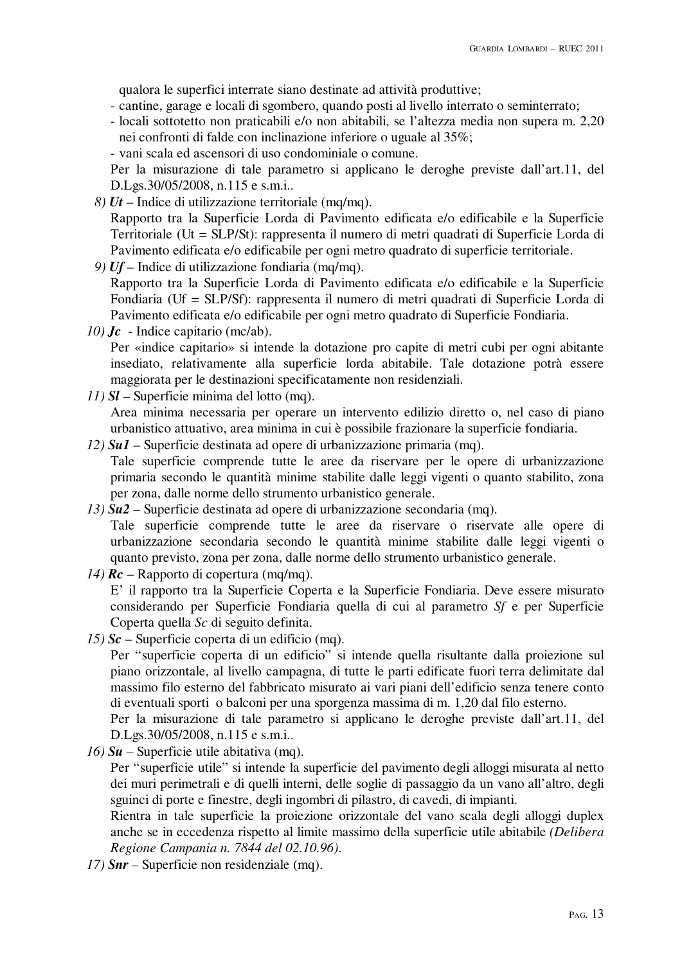qualora le superfici interrate siano destinate ad attività produttive;

- cantine, garage e locali di sgombero, quando posti al livello interrato o seminterrato;
- locali sottotetto non praticabili e/o non abitabili, se l'altezza media non supera m. 2,20 nei confronti di falde con inclinazione inferiore o uguale al 35%;
- vani scala ed ascensori di uso condominiale o comune.

Per la misurazione di tale parametro si applicano le deroghe previste dall'art.11, del D.Lgs.30/05/2008, n.115 e s.m.i..

- *8) Ut* Indice di utilizzazione territoriale (mq/mq). Rapporto tra la Superficie Lorda di Pavimento edificata e/o edificabile e la Superficie Territoriale (Ut = SLP/St): rappresenta il numero di metri quadrati di Superficie Lorda di Pavimento edificata e/o edificabile per ogni metro quadrato di superficie territoriale.
- *9) Uf*  Indice di utilizzazione fondiaria (mq/mq). Rapporto tra la Superficie Lorda di Pavimento edificata e/o edificabile e la Superficie Fondiaria (Uf = SLP/Sf): rappresenta il numero di metri quadrati di Superficie Lorda di Pavimento edificata e/o edificabile per ogni metro quadrato di Superficie Fondiaria.
- *10) Jc* Indice capitario (mc/ab).

Per «indice capitario» si intende la dotazione pro capite di metri cubi per ogni abitante insediato, relativamente alla superficie lorda abitabile. Tale dotazione potrà essere maggiorata per le destinazioni specificatamente non residenziali.

- *11) Sl –* Superficie minima del lotto (mq). Area minima necessaria per operare un intervento edilizio diretto o, nel caso di piano urbanistico attuativo, area minima in cui è possibile frazionare la superficie fondiaria.
- *12) Su1* Superficie destinata ad opere di urbanizzazione primaria (mq). Tale superficie comprende tutte le aree da riservare per le opere di urbanizzazione primaria secondo le quantità minime stabilite dalle leggi vigenti o quanto stabilito, zona per zona, dalle norme dello strumento urbanistico generale.
- *13) Su2 –* Superficie destinata ad opere di urbanizzazione secondaria (mq). Tale superficie comprende tutte le aree da riservare o riservate alle opere di urbanizzazione secondaria secondo le quantità minime stabilite dalle leggi vigenti o quanto previsto, zona per zona, dalle norme dello strumento urbanistico generale.
- *14) Rc* Rapporto di copertura (mq/mq). E' il rapporto tra la Superficie Coperta e la Superficie Fondiaria. Deve essere misurato considerando per Superficie Fondiaria quella di cui al parametro *Sf* e per Superficie Coperta quella *Sc* di seguito definita.
- *15) Sc* Superficie coperta di un edificio (mq).

Per "superficie coperta di un edificio" si intende quella risultante dalla proiezione sul piano orizzontale, al livello campagna, di tutte le parti edificate fuori terra delimitate dal massimo filo esterno del fabbricato misurato ai vari piani dell'edificio senza tenere conto di eventuali sporti o balconi per una sporgenza massima di m. 1,20 dal filo esterno.

Per la misurazione di tale parametro si applicano le deroghe previste dall'art.11, del D.Lgs.30/05/2008, n.115 e s.m.i..

*16) Su –* Superficie utile abitativa (mq).

Per "superficie utile" si intende la superficie del pavimento degli alloggi misurata al netto dei muri perimetrali e di quelli interni, delle soglie di passaggio da un vano all'altro, degli sguinci di porte e finestre, degli ingombri di pilastro, di cavedi, di impianti.

Rientra in tale superficie la proiezione orizzontale del vano scala degli alloggi duplex anche se in eccedenza rispetto al limite massimo della superficie utile abitabile *(Delibera Regione Campania n. 7844 del 02.10.96)*.

*17) Snr –* Superficie non residenziale (mq).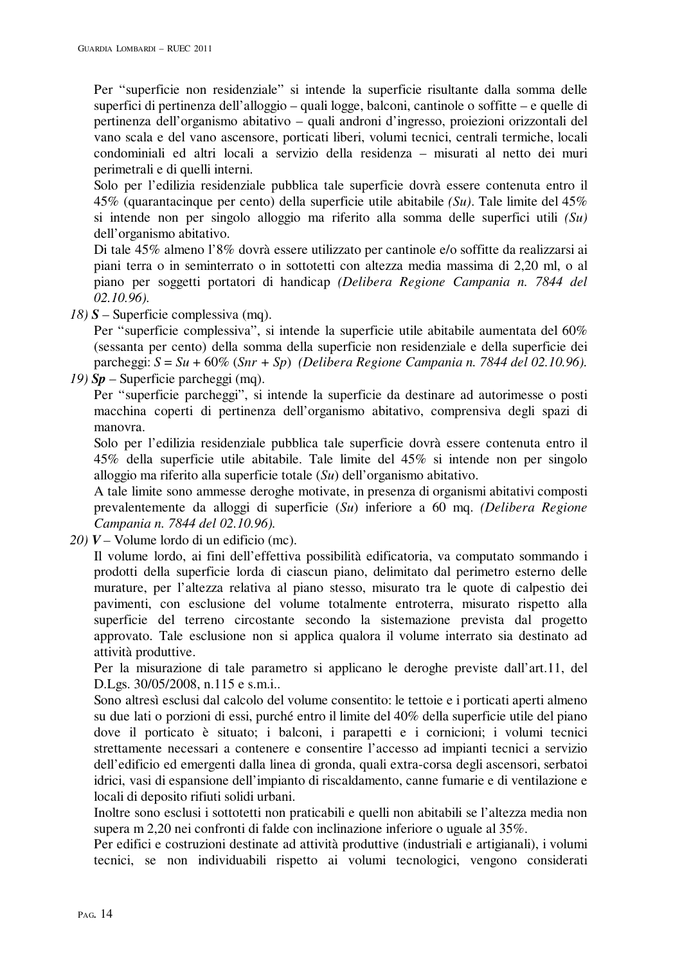Per "superficie non residenziale" si intende la superficie risultante dalla somma delle superfici di pertinenza dell'alloggio – quali logge, balconi, cantinole o soffitte – e quelle di pertinenza dell'organismo abitativo – quali androni d'ingresso, proiezioni orizzontali del vano scala e del vano ascensore, porticati liberi, volumi tecnici, centrali termiche, locali condominiali ed altri locali a servizio della residenza – misurati al netto dei muri perimetrali e di quelli interni.

Solo per l'edilizia residenziale pubblica tale superficie dovrà essere contenuta entro il 45% (quarantacinque per cento) della superficie utile abitabile *(Su)*. Tale limite del 45% si intende non per singolo alloggio ma riferito alla somma delle superfici utili *(Su)* dell'organismo abitativo.

Di tale 45% almeno l'8% dovrà essere utilizzato per cantinole e/o soffitte da realizzarsi ai piani terra o in seminterrato o in sottotetti con altezza media massima di 2,20 ml, o al piano per soggetti portatori di handicap *(Delibera Regione Campania n. 7844 del 02.10.96).*

*18) S* – Superficie complessiva (mq).

Per "superficie complessiva", si intende la superficie utile abitabile aumentata del 60% (sessanta per cento) della somma della superficie non residenziale e della superficie dei parcheggi: *S* = *Su* + 60% (*Snr + Sp*) *(Delibera Regione Campania n. 7844 del 02.10.96).*

*19) Sp* – Superficie parcheggi (mq).

Per "superficie parcheggi", si intende la superficie da destinare ad autorimesse o posti macchina coperti di pertinenza dell'organismo abitativo, comprensiva degli spazi di manovra.

Solo per l'edilizia residenziale pubblica tale superficie dovrà essere contenuta entro il 45% della superficie utile abitabile. Tale limite del 45% si intende non per singolo alloggio ma riferito alla superficie totale (*Su*) dell'organismo abitativo.

A tale limite sono ammesse deroghe motivate, in presenza di organismi abitativi composti prevalentemente da alloggi di superficie (*Su*) inferiore a 60 mq. *(Delibera Regione Campania n. 7844 del 02.10.96).*

*20) V –* Volume lordo di un edificio (mc).

Il volume lordo, ai fini dell'effettiva possibilità edificatoria, va computato sommando i prodotti della superficie lorda di ciascun piano, delimitato dal perimetro esterno delle murature, per l'altezza relativa al piano stesso, misurato tra le quote di calpestio dei pavimenti, con esclusione del volume totalmente entroterra, misurato rispetto alla superficie del terreno circostante secondo la sistemazione prevista dal progetto approvato. Tale esclusione non si applica qualora il volume interrato sia destinato ad attività produttive.

Per la misurazione di tale parametro si applicano le deroghe previste dall'art.11, del D.Lgs. 30/05/2008, n.115 e s.m.i..

Sono altresì esclusi dal calcolo del volume consentito: le tettoie e i porticati aperti almeno su due lati o porzioni di essi, purché entro il limite del 40% della superficie utile del piano dove il porticato è situato; i balconi, i parapetti e i cornicioni; i volumi tecnici strettamente necessari a contenere e consentire l'accesso ad impianti tecnici a servizio dell'edificio ed emergenti dalla linea di gronda, quali extra-corsa degli ascensori, serbatoi idrici, vasi di espansione dell'impianto di riscaldamento, canne fumarie e di ventilazione e locali di deposito rifiuti solidi urbani.

Inoltre sono esclusi i sottotetti non praticabili e quelli non abitabili se l'altezza media non supera m 2,20 nei confronti di falde con inclinazione inferiore o uguale al 35%.

Per edifici e costruzioni destinate ad attività produttive (industriali e artigianali), i volumi tecnici, se non individuabili rispetto ai volumi tecnologici, vengono considerati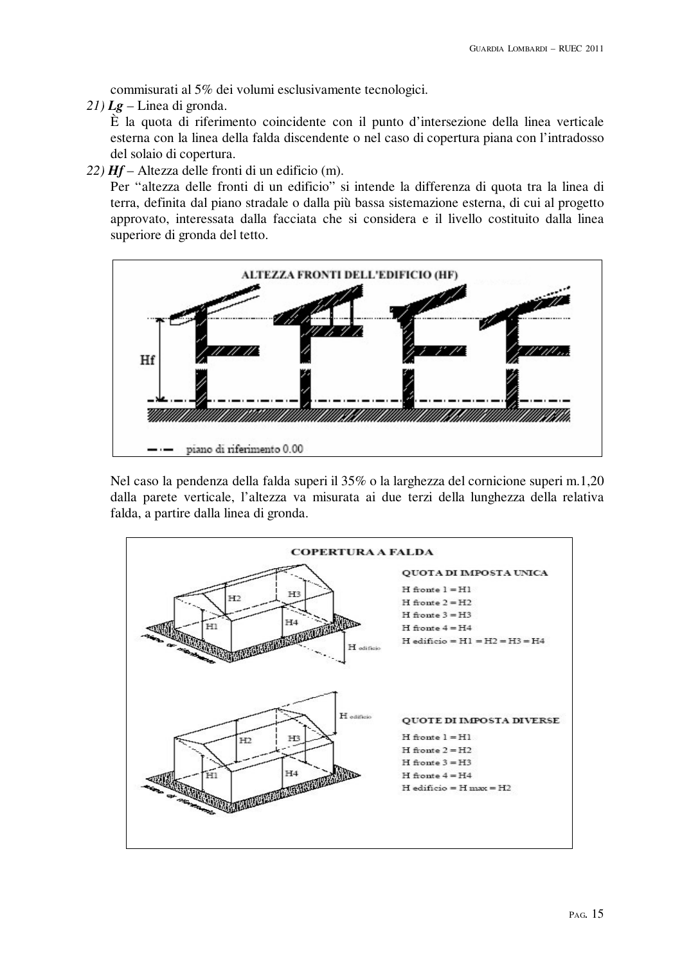commisurati al 5% dei volumi esclusivamente tecnologici.

*21) Lg* – Linea di gronda.

È la quota di riferimento coincidente con il punto d'intersezione della linea verticale esterna con la linea della falda discendente o nel caso di copertura piana con l'intradosso del solaio di copertura.

*22) Hf* – Altezza delle fronti di un edificio (m).

Per "altezza delle fronti di un edificio" si intende la differenza di quota tra la linea di terra, definita dal piano stradale o dalla più bassa sistemazione esterna, di cui al progetto approvato, interessata dalla facciata che si considera e il livello costituito dalla linea superiore di gronda del tetto.



Nel caso la pendenza della falda superi il 35% o la larghezza del cornicione superi m.1,20 dalla parete verticale, l'altezza va misurata ai due terzi della lunghezza della relativa falda, a partire dalla linea di gronda.

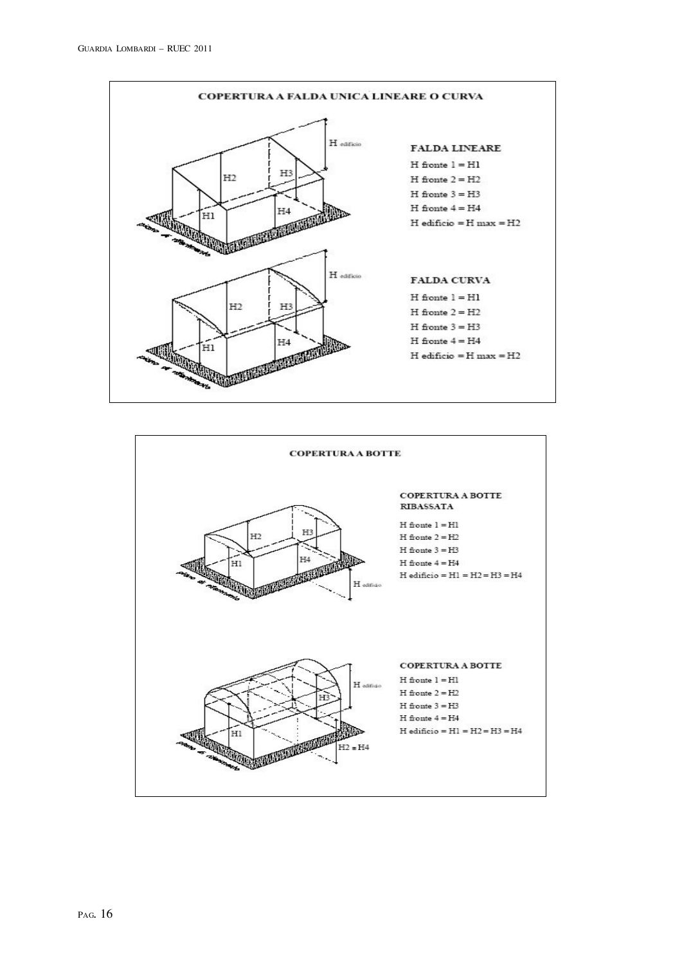

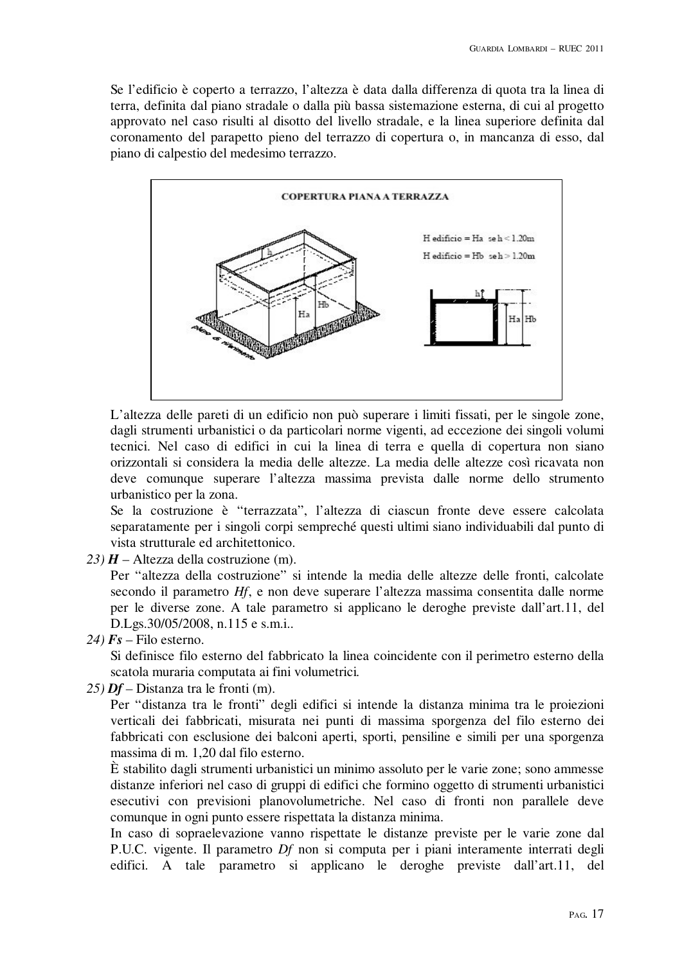Se l'edificio è coperto a terrazzo, l'altezza è data dalla differenza di quota tra la linea di terra, definita dal piano stradale o dalla più bassa sistemazione esterna, di cui al progetto approvato nel caso risulti al disotto del livello stradale, e la linea superiore definita dal coronamento del parapetto pieno del terrazzo di copertura o, in mancanza di esso, dal piano di calpestio del medesimo terrazzo.



L'altezza delle pareti di un edificio non può superare i limiti fissati, per le singole zone, dagli strumenti urbanistici o da particolari norme vigenti, ad eccezione dei singoli volumi tecnici. Nel caso di edifici in cui la linea di terra e quella di copertura non siano orizzontali si considera la media delle altezze. La media delle altezze così ricavata non deve comunque superare l'altezza massima prevista dalle norme dello strumento urbanistico per la zona.

Se la costruzione è "terrazzata", l'altezza di ciascun fronte deve essere calcolata separatamente per i singoli corpi sempreché questi ultimi siano individuabili dal punto di vista strutturale ed architettonico.

23)  $H$  – Altezza della costruzione (m).

Per "altezza della costruzione" si intende la media delle altezze delle fronti, calcolate secondo il parametro *Hf*, e non deve superare l'altezza massima consentita dalle norme per le diverse zone. A tale parametro si applicano le deroghe previste dall'art.11, del D.Lgs.30/05/2008, n.115 e s.m.i..

 $24$  *Fs* – Filo esterno.

Si definisce filo esterno del fabbricato la linea coincidente con il perimetro esterno della scatola muraria computata ai fini volumetrici*.* 

*25) Df –* Distanza tra le fronti (m).

Per "distanza tra le fronti" degli edifici si intende la distanza minima tra le proiezioni verticali dei fabbricati, misurata nei punti di massima sporgenza del filo esterno dei fabbricati con esclusione dei balconi aperti, sporti, pensiline e simili per una sporgenza massima di m. 1,20 dal filo esterno.

È stabilito dagli strumenti urbanistici un minimo assoluto per le varie zone; sono ammesse distanze inferiori nel caso di gruppi di edifici che formino oggetto di strumenti urbanistici esecutivi con previsioni planovolumetriche. Nel caso di fronti non parallele deve comunque in ogni punto essere rispettata la distanza minima.

In caso di sopraelevazione vanno rispettate le distanze previste per le varie zone dal P.U.C. vigente. Il parametro *Df* non si computa per i piani interamente interrati degli edifici. A tale parametro si applicano le deroghe previste dall'art.11, del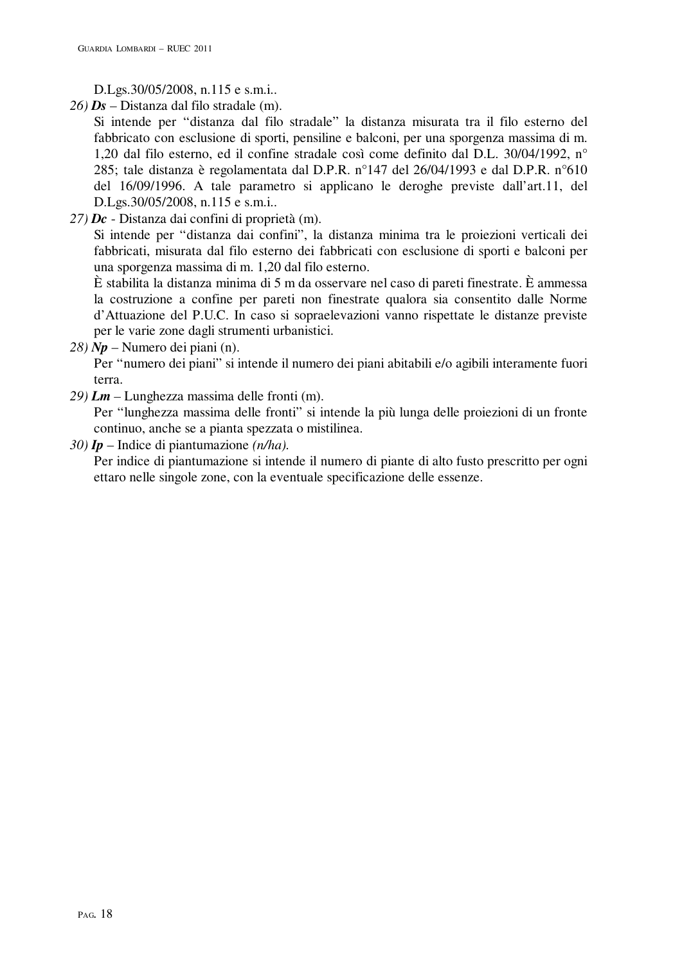D.Lgs.30/05/2008, n.115 e s.m.i..

*26) Ds* – Distanza dal filo stradale (m).

Si intende per "distanza dal filo stradale" la distanza misurata tra il filo esterno del fabbricato con esclusione di sporti, pensiline e balconi, per una sporgenza massima di m. 1,20 dal filo esterno, ed il confine stradale così come definito dal D.L. 30/04/1992, n° 285; tale distanza è regolamentata dal D.P.R. n°147 del 26/04/1993 e dal D.P.R. n°610 del 16/09/1996. A tale parametro si applicano le deroghe previste dall'art.11, del D.Lgs.30/05/2008, n.115 e s.m.i..

*27) Dc* - Distanza dai confini di proprietà (m).

Si intende per "distanza dai confini", la distanza minima tra le proiezioni verticali dei fabbricati, misurata dal filo esterno dei fabbricati con esclusione di sporti e balconi per una sporgenza massima di m. 1,20 dal filo esterno.

È stabilita la distanza minima di 5 m da osservare nel caso di pareti finestrate. È ammessa la costruzione a confine per pareti non finestrate qualora sia consentito dalle Norme d'Attuazione del P.U.C. In caso si sopraelevazioni vanno rispettate le distanze previste per le varie zone dagli strumenti urbanistici.

*28) Np* – Numero dei piani (n).

Per "numero dei piani" si intende il numero dei piani abitabili e/o agibili interamente fuori terra.

*29) Lm –* Lunghezza massima delle fronti (m).

Per "lunghezza massima delle fronti" si intende la più lunga delle proiezioni di un fronte continuo, anche se a pianta spezzata o mistilinea.

*30) Ip* – Indice di piantumazione *(n/ha).* 

Per indice di piantumazione si intende il numero di piante di alto fusto prescritto per ogni ettaro nelle singole zone, con la eventuale specificazione delle essenze.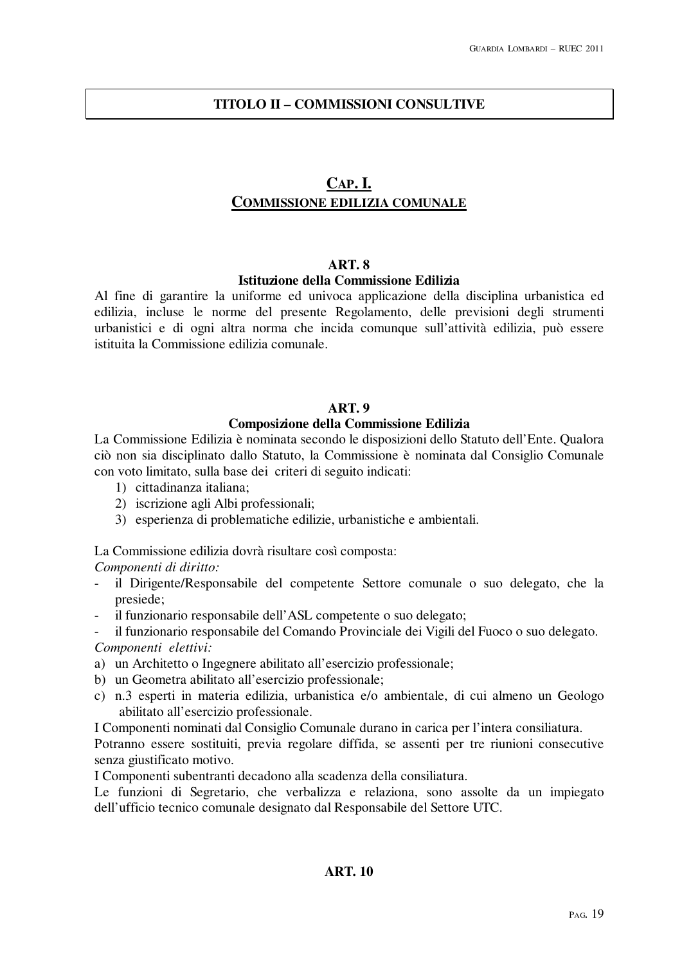# **TITOLO II – COMMISSIONI CONSULTIVE**

# **CAP. I. COMMISSIONE EDILIZIA COMUNALE**

#### **ART. 8**

#### **Istituzione della Commissione Edilizia**

Al fine di garantire la uniforme ed univoca applicazione della disciplina urbanistica ed edilizia, incluse le norme del presente Regolamento, delle previsioni degli strumenti urbanistici e di ogni altra norma che incida comunque sull'attività edilizia, può essere istituita la Commissione edilizia comunale.

#### **ART. 9**

# **Composizione della Commissione Edilizia**

La Commissione Edilizia è nominata secondo le disposizioni dello Statuto dell'Ente. Qualora ciò non sia disciplinato dallo Statuto, la Commissione è nominata dal Consiglio Comunale con voto limitato, sulla base dei criteri di seguito indicati:

- 1) cittadinanza italiana;
- 2) iscrizione agli Albi professionali;
- 3) esperienza di problematiche edilizie, urbanistiche e ambientali.

La Commissione edilizia dovrà risultare così composta:

*Componenti di diritto:* 

- il Dirigente/Responsabile del competente Settore comunale o suo delegato, che la presiede;
- il funzionario responsabile dell'ASL competente o suo delegato;

- il funzionario responsabile del Comando Provinciale dei Vigili del Fuoco o suo delegato. *Componenti elettivi:* 

- a) un Architetto o Ingegnere abilitato all'esercizio professionale;
- b) un Geometra abilitato all'esercizio professionale;
- c) n.3 esperti in materia edilizia, urbanistica e/o ambientale, di cui almeno un Geologo abilitato all'esercizio professionale.

I Componenti nominati dal Consiglio Comunale durano in carica per l'intera consiliatura.

Potranno essere sostituiti, previa regolare diffida, se assenti per tre riunioni consecutive senza giustificato motivo.

I Componenti subentranti decadono alla scadenza della consiliatura.

Le funzioni di Segretario, che verbalizza e relaziona, sono assolte da un impiegato dell'ufficio tecnico comunale designato dal Responsabile del Settore UTC.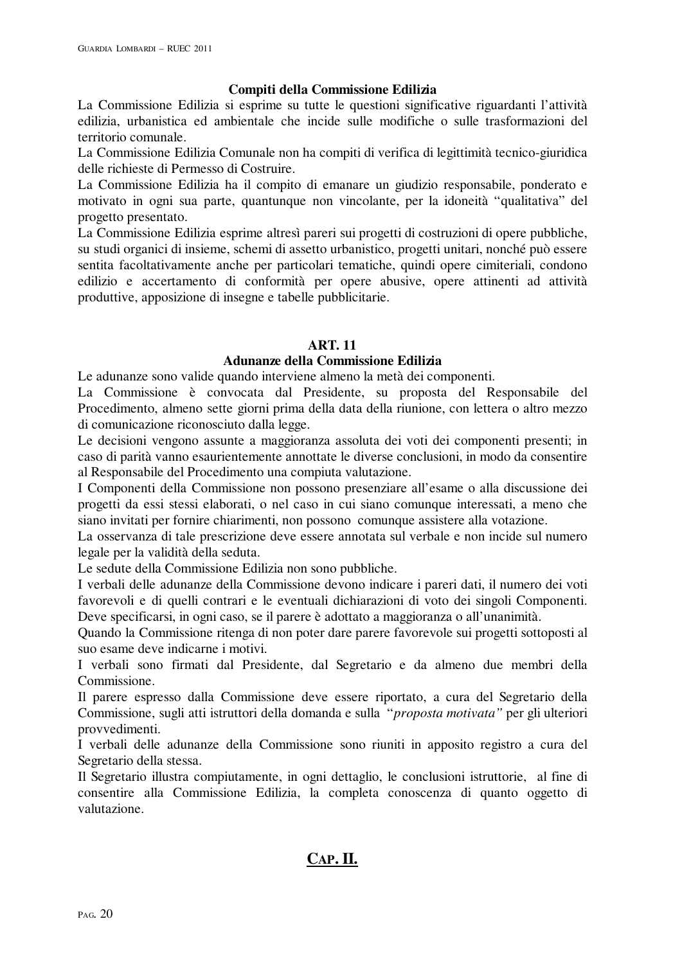## **Compiti della Commissione Edilizia**

La Commissione Edilizia si esprime su tutte le questioni significative riguardanti l'attività edilizia, urbanistica ed ambientale che incide sulle modifiche o sulle trasformazioni del territorio comunale.

La Commissione Edilizia Comunale non ha compiti di verifica di legittimità tecnico-giuridica delle richieste di Permesso di Costruire.

La Commissione Edilizia ha il compito di emanare un giudizio responsabile, ponderato e motivato in ogni sua parte, quantunque non vincolante, per la idoneità "qualitativa" del progetto presentato.

La Commissione Edilizia esprime altresì pareri sui progetti di costruzioni di opere pubbliche, su studi organici di insieme, schemi di assetto urbanistico, progetti unitari, nonché può essere sentita facoltativamente anche per particolari tematiche, quindi opere cimiteriali, condono edilizio e accertamento di conformità per opere abusive, opere attinenti ad attività produttive, apposizione di insegne e tabelle pubblicitarie.

# **ART. 11**

# **Adunanze della Commissione Edilizia**

Le adunanze sono valide quando interviene almeno la metà dei componenti. La Commissione è convocata dal Presidente, su proposta del Responsabile del Procedimento, almeno sette giorni prima della data della riunione, con lettera o altro mezzo

di comunicazione riconosciuto dalla legge.

Le decisioni vengono assunte a maggioranza assoluta dei voti dei componenti presenti; in caso di parità vanno esaurientemente annottate le diverse conclusioni, in modo da consentire al Responsabile del Procedimento una compiuta valutazione.

I Componenti della Commissione non possono presenziare all'esame o alla discussione dei progetti da essi stessi elaborati, o nel caso in cui siano comunque interessati, a meno che siano invitati per fornire chiarimenti, non possono comunque assistere alla votazione.

La osservanza di tale prescrizione deve essere annotata sul verbale e non incide sul numero legale per la validità della seduta.

Le sedute della Commissione Edilizia non sono pubbliche.

I verbali delle adunanze della Commissione devono indicare i pareri dati, il numero dei voti favorevoli e di quelli contrari e le eventuali dichiarazioni di voto dei singoli Componenti. Deve specificarsi, in ogni caso, se il parere è adottato a maggioranza o all'unanimità.

Quando la Commissione ritenga di non poter dare parere favorevole sui progetti sottoposti al suo esame deve indicarne i motivi.

I verbali sono firmati dal Presidente, dal Segretario e da almeno due membri della Commissione.

Il parere espresso dalla Commissione deve essere riportato, a cura del Segretario della Commissione, sugli atti istruttori della domanda e sulla "*proposta motivata"* per gli ulteriori provvedimenti.

I verbali delle adunanze della Commissione sono riuniti in apposito registro a cura del Segretario della stessa.

Il Segretario illustra compiutamente, in ogni dettaglio, le conclusioni istruttorie, al fine di consentire alla Commissione Edilizia, la completa conoscenza di quanto oggetto di valutazione.

# **CAP. II.**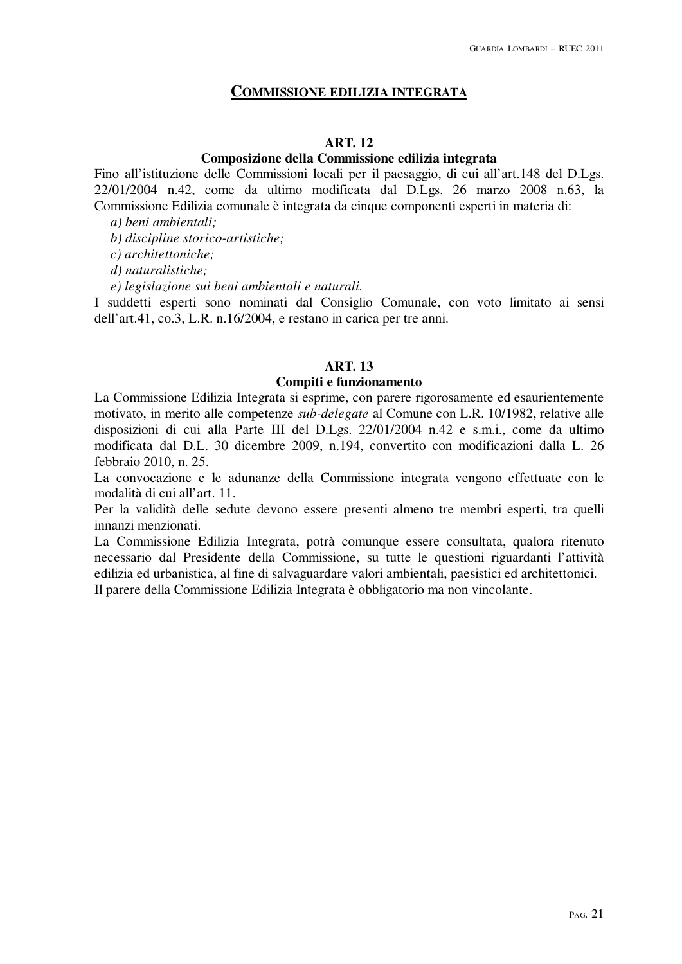# **COMMISSIONE EDILIZIA INTEGRATA**

#### **ART. 12**

# **Composizione della Commissione edilizia integrata**

Fino all'istituzione delle Commissioni locali per il paesaggio, di cui all'art.148 del D.Lgs. 22/01/2004 n.42, come da ultimo modificata dal D.Lgs. 26 marzo 2008 n.63, la Commissione Edilizia comunale è integrata da cinque componenti esperti in materia di:

*a) beni ambientali;* 

*b) discipline storico-artistiche;* 

*c) architettoniche;* 

*d) naturalistiche;* 

*e) legislazione sui beni ambientali e naturali.* 

I suddetti esperti sono nominati dal Consiglio Comunale, con voto limitato ai sensi dell'art.41, co.3, L.R. n.16/2004, e restano in carica per tre anni.

## **ART. 13**

## **Compiti e funzionamento**

La Commissione Edilizia Integrata si esprime, con parere rigorosamente ed esaurientemente motivato, in merito alle competenze *sub-delegate* al Comune con L.R. 10/1982, relative alle disposizioni di cui alla Parte III del D.Lgs. 22/01/2004 n.42 e s.m.i., come da ultimo modificata dal D.L. 30 dicembre 2009, n.194, convertito con modificazioni dalla L. 26 febbraio 2010, n. 25.

La convocazione e le adunanze della Commissione integrata vengono effettuate con le modalità di cui all'art. 11.

Per la validità delle sedute devono essere presenti almeno tre membri esperti, tra quelli innanzi menzionati.

La Commissione Edilizia Integrata, potrà comunque essere consultata, qualora ritenuto necessario dal Presidente della Commissione, su tutte le questioni riguardanti l'attività edilizia ed urbanistica, al fine di salvaguardare valori ambientali, paesistici ed architettonici. Il parere della Commissione Edilizia Integrata è obbligatorio ma non vincolante.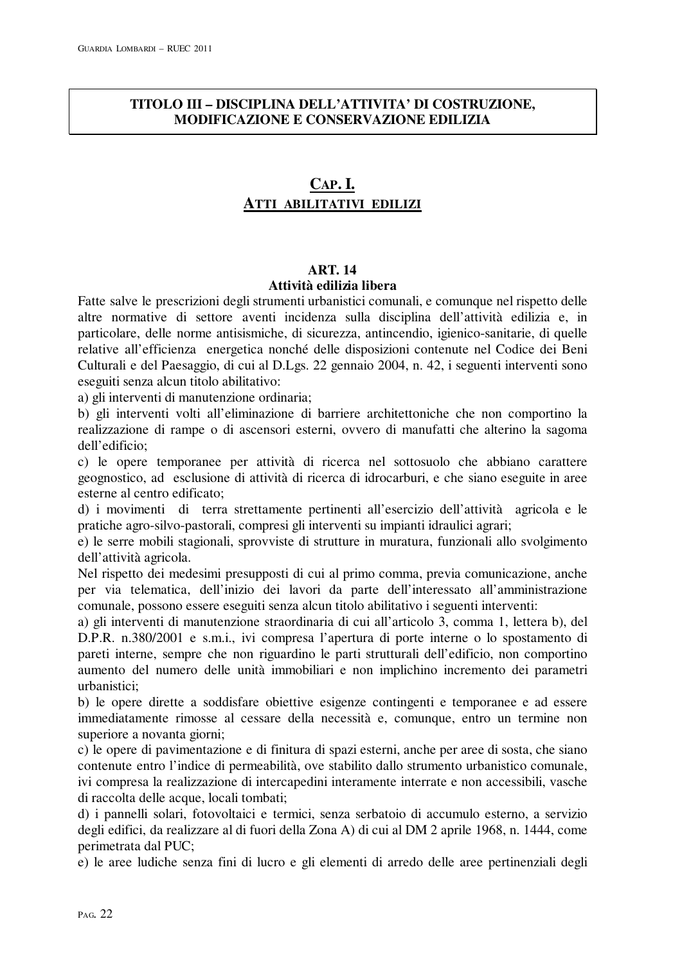# **TITOLO III – DISCIPLINA DELL'ATTIVITA' DI COSTRUZIONE, MODIFICAZIONE E CONSERVAZIONE EDILIZIA**

# **CAP. I. ATTI ABILITATIVI EDILIZI**

# **ART. 14 Attività edilizia libera**

Fatte salve le prescrizioni degli strumenti urbanistici comunali, e comunque nel rispetto delle altre normative di settore aventi incidenza sulla disciplina dell'attività edilizia e, in particolare, delle norme antisismiche, di sicurezza, antincendio, igienico-sanitarie, di quelle relative all'efficienza energetica nonché delle disposizioni contenute nel Codice dei Beni Culturali e del Paesaggio, di cui al D.Lgs. 22 gennaio 2004, n. 42, i seguenti interventi sono eseguiti senza alcun titolo abilitativo:

a) gli interventi di manutenzione ordinaria;

b) gli interventi volti all'eliminazione di barriere architettoniche che non comportino la realizzazione di rampe o di ascensori esterni, ovvero di manufatti che alterino la sagoma dell'edificio;

c) le opere temporanee per attività di ricerca nel sottosuolo che abbiano carattere geognostico, ad esclusione di attività di ricerca di idrocarburi, e che siano eseguite in aree esterne al centro edificato;

d) i movimenti di terra strettamente pertinenti all'esercizio dell'attività agricola e le pratiche agro-silvo-pastorali, compresi gli interventi su impianti idraulici agrari;

e) le serre mobili stagionali, sprovviste di strutture in muratura, funzionali allo svolgimento dell'attività agricola.

Nel rispetto dei medesimi presupposti di cui al primo comma, previa comunicazione, anche per via telematica, dell'inizio dei lavori da parte dell'interessato all'amministrazione comunale, possono essere eseguiti senza alcun titolo abilitativo i seguenti interventi:

a) gli interventi di manutenzione straordinaria di cui all'articolo 3, comma 1, lettera b), del D.P.R. n.380/2001 e s.m.i., ivi compresa l'apertura di porte interne o lo spostamento di pareti interne, sempre che non riguardino le parti strutturali dell'edificio, non comportino aumento del numero delle unità immobiliari e non implichino incremento dei parametri urbanistici;

b) le opere dirette a soddisfare obiettive esigenze contingenti e temporanee e ad essere immediatamente rimosse al cessare della necessità e, comunque, entro un termine non superiore a novanta giorni;

c) le opere di pavimentazione e di finitura di spazi esterni, anche per aree di sosta, che siano contenute entro l'indice di permeabilità, ove stabilito dallo strumento urbanistico comunale, ivi compresa la realizzazione di intercapedini interamente interrate e non accessibili, vasche di raccolta delle acque, locali tombati;

d) i pannelli solari, fotovoltaici e termici, senza serbatoio di accumulo esterno, a servizio degli edifici, da realizzare al di fuori della Zona A) di cui al DM 2 aprile 1968, n. 1444, come perimetrata dal PUC;

e) le aree ludiche senza fini di lucro e gli elementi di arredo delle aree pertinenziali degli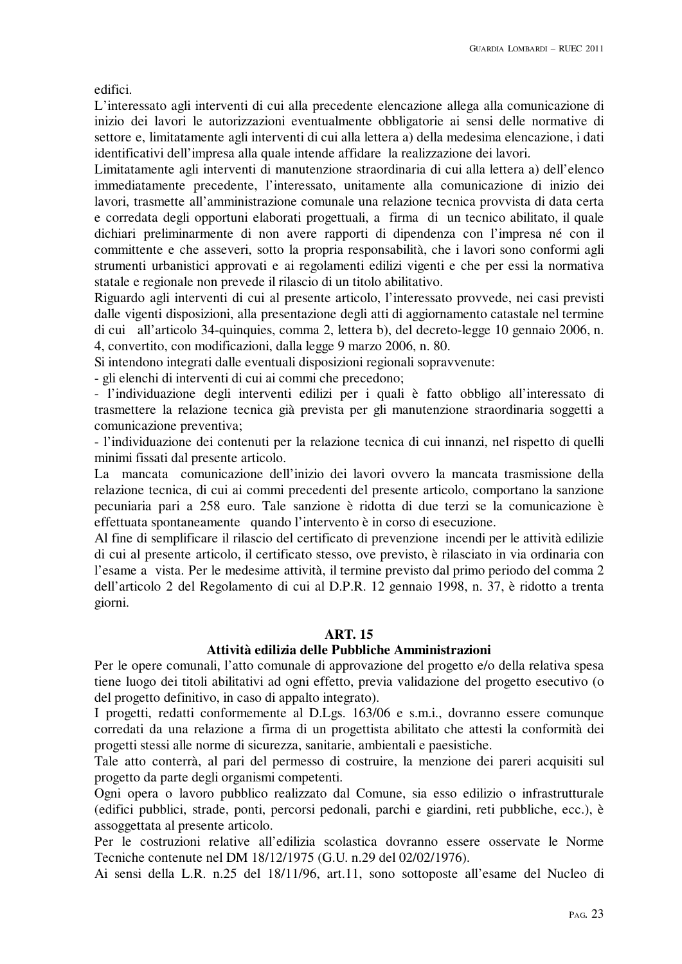edifici.

L'interessato agli interventi di cui alla precedente elencazione allega alla comunicazione di inizio dei lavori le autorizzazioni eventualmente obbligatorie ai sensi delle normative di settore e, limitatamente agli interventi di cui alla lettera a) della medesima elencazione, i dati identificativi dell'impresa alla quale intende affidare la realizzazione dei lavori.

Limitatamente agli interventi di manutenzione straordinaria di cui alla lettera a) dell'elenco immediatamente precedente, l'interessato, unitamente alla comunicazione di inizio dei lavori, trasmette all'amministrazione comunale una relazione tecnica provvista di data certa e corredata degli opportuni elaborati progettuali, a firma di un tecnico abilitato, il quale dichiari preliminarmente di non avere rapporti di dipendenza con l'impresa né con il committente e che asseveri, sotto la propria responsabilità, che i lavori sono conformi agli strumenti urbanistici approvati e ai regolamenti edilizi vigenti e che per essi la normativa statale e regionale non prevede il rilascio di un titolo abilitativo.

Riguardo agli interventi di cui al presente articolo, l'interessato provvede, nei casi previsti dalle vigenti disposizioni, alla presentazione degli atti di aggiornamento catastale nel termine di cui all'articolo 34-quinquies, comma 2, lettera b), del decreto-legge 10 gennaio 2006, n. 4, convertito, con modificazioni, dalla legge 9 marzo 2006, n. 80.

Si intendono integrati dalle eventuali disposizioni regionali sopravvenute:

- gli elenchi di interventi di cui ai commi che precedono;

- l'individuazione degli interventi edilizi per i quali è fatto obbligo all'interessato di trasmettere la relazione tecnica già prevista per gli manutenzione straordinaria soggetti a comunicazione preventiva;

- l'individuazione dei contenuti per la relazione tecnica di cui innanzi, nel rispetto di quelli minimi fissati dal presente articolo.

La mancata comunicazione dell'inizio dei lavori ovvero la mancata trasmissione della relazione tecnica, di cui ai commi precedenti del presente articolo, comportano la sanzione pecuniaria pari a 258 euro. Tale sanzione è ridotta di due terzi se la comunicazione è effettuata spontaneamente quando l'intervento è in corso di esecuzione.

Al fine di semplificare il rilascio del certificato di prevenzione incendi per le attività edilizie di cui al presente articolo, il certificato stesso, ove previsto, è rilasciato in via ordinaria con l'esame a vista. Per le medesime attività, il termine previsto dal primo periodo del comma 2 dell'articolo 2 del Regolamento di cui al D.P.R. 12 gennaio 1998, n. 37, è ridotto a trenta giorni.

# **ART. 15**

# **Attività edilizia delle Pubbliche Amministrazioni**

Per le opere comunali, l'atto comunale di approvazione del progetto e/o della relativa spesa tiene luogo dei titoli abilitativi ad ogni effetto, previa validazione del progetto esecutivo (o del progetto definitivo, in caso di appalto integrato).

I progetti, redatti conformemente al D.Lgs. 163/06 e s.m.i., dovranno essere comunque corredati da una relazione a firma di un progettista abilitato che attesti la conformità dei progetti stessi alle norme di sicurezza, sanitarie, ambientali e paesistiche.

Tale atto conterrà, al pari del permesso di costruire, la menzione dei pareri acquisiti sul progetto da parte degli organismi competenti.

Ogni opera o lavoro pubblico realizzato dal Comune, sia esso edilizio o infrastrutturale (edifici pubblici, strade, ponti, percorsi pedonali, parchi e giardini, reti pubbliche, ecc.), è assoggettata al presente articolo.

Per le costruzioni relative all'edilizia scolastica dovranno essere osservate le Norme Tecniche contenute nel DM 18/12/1975 (G.U. n.29 del 02/02/1976).

Ai sensi della L.R. n.25 del 18/11/96, art.11, sono sottoposte all'esame del Nucleo di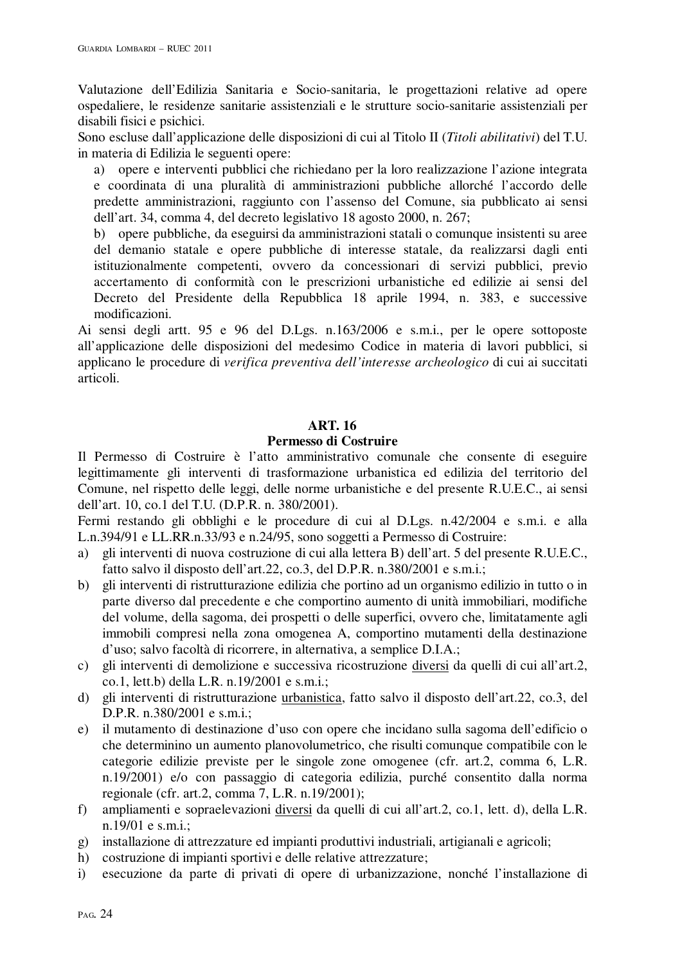Valutazione dell'Edilizia Sanitaria e Socio-sanitaria, le progettazioni relative ad opere ospedaliere, le residenze sanitarie assistenziali e le strutture socio-sanitarie assistenziali per disabili fisici e psichici.

Sono escluse dall'applicazione delle disposizioni di cui al Titolo II (*Titoli abilitativi*) del T.U. in materia di Edilizia le seguenti opere:

a) opere e interventi pubblici che richiedano per la loro realizzazione l'azione integrata e coordinata di una pluralità di amministrazioni pubbliche allorché l'accordo delle predette amministrazioni, raggiunto con l'assenso del Comune, sia pubblicato ai sensi dell'art. 34, comma 4, del decreto legislativo 18 agosto 2000, n. 267;

b) opere pubbliche, da eseguirsi da amministrazioni statali o comunque insistenti su aree del demanio statale e opere pubbliche di interesse statale, da realizzarsi dagli enti istituzionalmente competenti, ovvero da concessionari di servizi pubblici, previo accertamento di conformità con le prescrizioni urbanistiche ed edilizie ai sensi del Decreto del Presidente della Repubblica 18 aprile 1994, n. 383, e successive modificazioni.

Ai sensi degli artt. 95 e 96 del D.Lgs. n.163/2006 e s.m.i., per le opere sottoposte all'applicazione delle disposizioni del medesimo Codice in materia di lavori pubblici, si applicano le procedure di *verifica preventiva dell'interesse archeologico* di cui ai succitati articoli.

## **ART. 16**

#### **Permesso di Costruire**

Il Permesso di Costruire è l'atto amministrativo comunale che consente di eseguire legittimamente gli interventi di trasformazione urbanistica ed edilizia del territorio del Comune, nel rispetto delle leggi, delle norme urbanistiche e del presente R.U.E.C., ai sensi dell'art. 10, co.1 del T.U. (D.P.R. n. 380/2001).

Fermi restando gli obblighi e le procedure di cui al D.Lgs. n.42/2004 e s.m.i. e alla L.n.394/91 e LL.RR.n.33/93 e n.24/95, sono soggetti a Permesso di Costruire:

- a) gli interventi di nuova costruzione di cui alla lettera B) dell'art. 5 del presente R.U.E.C., fatto salvo il disposto dell'art.22, co.3, del D.P.R. n.380/2001 e s.m.i.;
- b) gli interventi di ristrutturazione edilizia che portino ad un organismo edilizio in tutto o in parte diverso dal precedente e che comportino aumento di unità immobiliari, modifiche del volume, della sagoma, dei prospetti o delle superfici, ovvero che, limitatamente agli immobili compresi nella zona omogenea A, comportino mutamenti della destinazione d'uso; salvo facoltà di ricorrere, in alternativa, a semplice D.I.A.;
- c) gli interventi di demolizione e successiva ricostruzione diversi da quelli di cui all'art.2, co.1, lett.b) della L.R. n.19/2001 e s.m.i.;
- d) gli interventi di ristrutturazione urbanistica, fatto salvo il disposto dell'art.22, co.3, del D.P.R. n.380/2001 e s.m.i.;
- e) il mutamento di destinazione d'uso con opere che incidano sulla sagoma dell'edificio o che determinino un aumento planovolumetrico, che risulti comunque compatibile con le categorie edilizie previste per le singole zone omogenee (cfr. art.2, comma 6, L.R. n.19/2001) e/o con passaggio di categoria edilizia, purché consentito dalla norma regionale (cfr. art.2, comma 7, L.R. n.19/2001);
- f) ampliamenti e sopraelevazioni diversi da quelli di cui all'art.2, co.1, lett. d), della L.R. n.19/01 e s.m.i.;
- g) installazione di attrezzature ed impianti produttivi industriali, artigianali e agricoli;
- h) costruzione di impianti sportivi e delle relative attrezzature;
- i) esecuzione da parte di privati di opere di urbanizzazione, nonché l'installazione di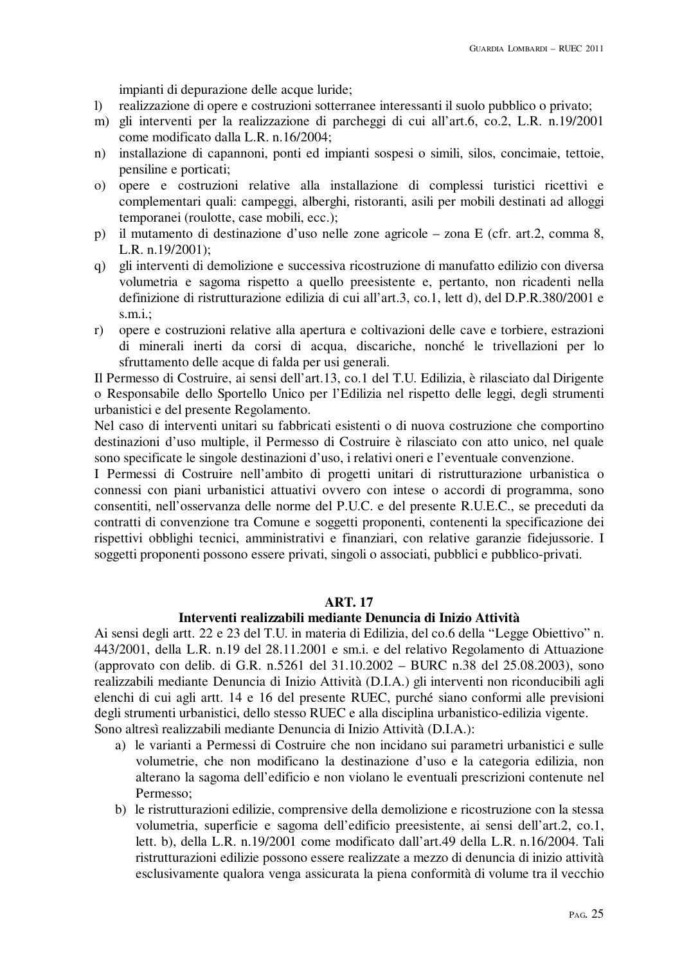impianti di depurazione delle acque luride;

- l) realizzazione di opere e costruzioni sotterranee interessanti il suolo pubblico o privato;
- m) gli interventi per la realizzazione di parcheggi di cui all'art.6, co.2, L.R. n.19/2001 come modificato dalla L.R. n.16/2004;
- n) installazione di capannoni, ponti ed impianti sospesi o simili, silos, concimaie, tettoie, pensiline e porticati;
- o) opere e costruzioni relative alla installazione di complessi turistici ricettivi e complementari quali: campeggi, alberghi, ristoranti, asili per mobili destinati ad alloggi temporanei (roulotte, case mobili, ecc.);
- p) il mutamento di destinazione d'uso nelle zone agricole zona E (cfr. art.2, comma 8, L.R. n.19/2001);
- q) gli interventi di demolizione e successiva ricostruzione di manufatto edilizio con diversa volumetria e sagoma rispetto a quello preesistente e, pertanto, non ricadenti nella definizione di ristrutturazione edilizia di cui all'art.3, co.1, lett d), del D.P.R.380/2001 e s.m.i.;
- r) opere e costruzioni relative alla apertura e coltivazioni delle cave e torbiere, estrazioni di minerali inerti da corsi di acqua, discariche, nonché le trivellazioni per lo sfruttamento delle acque di falda per usi generali.

Il Permesso di Costruire, ai sensi dell'art.13, co.1 del T.U. Edilizia, è rilasciato dal Dirigente o Responsabile dello Sportello Unico per l'Edilizia nel rispetto delle leggi, degli strumenti urbanistici e del presente Regolamento.

Nel caso di interventi unitari su fabbricati esistenti o di nuova costruzione che comportino destinazioni d'uso multiple, il Permesso di Costruire è rilasciato con atto unico, nel quale sono specificate le singole destinazioni d'uso, i relativi oneri e l'eventuale convenzione.

I Permessi di Costruire nell'ambito di progetti unitari di ristrutturazione urbanistica o connessi con piani urbanistici attuativi ovvero con intese o accordi di programma, sono consentiti, nell'osservanza delle norme del P.U.C. e del presente R.U.E.C., se preceduti da contratti di convenzione tra Comune e soggetti proponenti, contenenti la specificazione dei rispettivi obblighi tecnici, amministrativi e finanziari, con relative garanzie fidejussorie. I soggetti proponenti possono essere privati, singoli o associati, pubblici e pubblico-privati.

## **ART. 17**

## **Interventi realizzabili mediante Denuncia di Inizio Attività**

Ai sensi degli artt. 22 e 23 del T.U. in materia di Edilizia, del co.6 della "Legge Obiettivo" n. 443/2001, della L.R. n.19 del 28.11.2001 e sm.i. e del relativo Regolamento di Attuazione (approvato con delib. di G.R. n.5261 del 31.10.2002 – BURC n.38 del 25.08.2003), sono realizzabili mediante Denuncia di Inizio Attività (D.I.A.) gli interventi non riconducibili agli elenchi di cui agli artt. 14 e 16 del presente RUEC, purché siano conformi alle previsioni degli strumenti urbanistici, dello stesso RUEC e alla disciplina urbanistico-edilizia vigente. Sono altresì realizzabili mediante Denuncia di Inizio Attività (D.I.A.):

- a) le varianti a Permessi di Costruire che non incidano sui parametri urbanistici e sulle volumetrie, che non modificano la destinazione d'uso e la categoria edilizia, non alterano la sagoma dell'edificio e non violano le eventuali prescrizioni contenute nel Permesso;
- b) le ristrutturazioni edilizie, comprensive della demolizione e ricostruzione con la stessa volumetria, superficie e sagoma dell'edificio preesistente, ai sensi dell'art.2, co.1, lett. b), della L.R. n.19/2001 come modificato dall'art.49 della L.R. n.16/2004. Tali ristrutturazioni edilizie possono essere realizzate a mezzo di denuncia di inizio attività esclusivamente qualora venga assicurata la piena conformità di volume tra il vecchio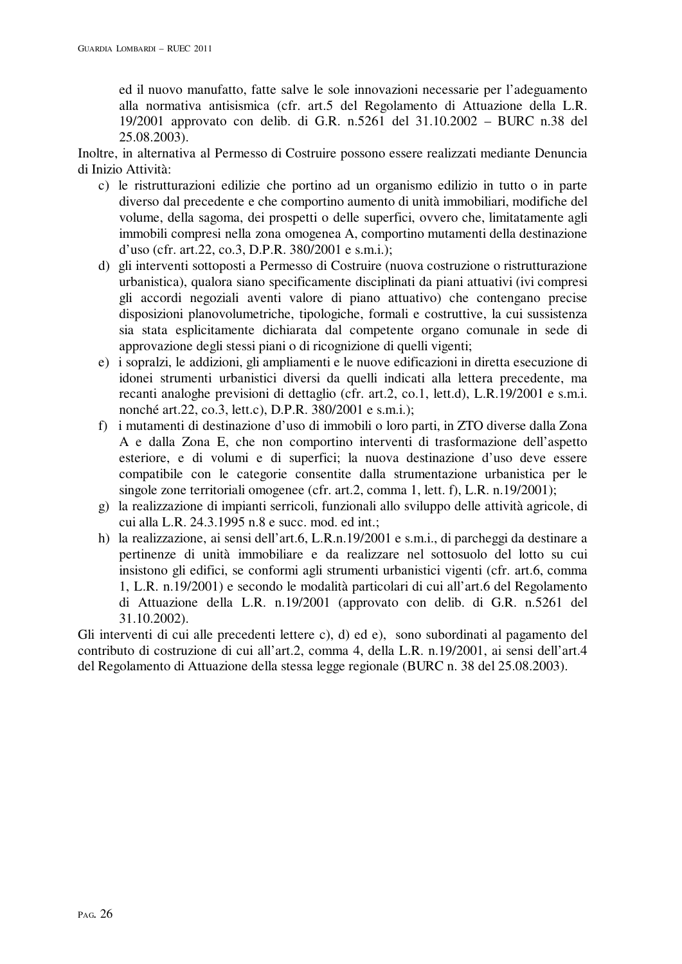ed il nuovo manufatto, fatte salve le sole innovazioni necessarie per l'adeguamento alla normativa antisismica (cfr. art.5 del Regolamento di Attuazione della L.R. 19/2001 approvato con delib. di G.R. n.5261 del 31.10.2002 – BURC n.38 del 25.08.2003).

Inoltre, in alternativa al Permesso di Costruire possono essere realizzati mediante Denuncia di Inizio Attività:

- c) le ristrutturazioni edilizie che portino ad un organismo edilizio in tutto o in parte diverso dal precedente e che comportino aumento di unità immobiliari, modifiche del volume, della sagoma, dei prospetti o delle superfici, ovvero che, limitatamente agli immobili compresi nella zona omogenea A, comportino mutamenti della destinazione d'uso (cfr. art.22, co.3, D.P.R. 380/2001 e s.m.i.);
- d) gli interventi sottoposti a Permesso di Costruire (nuova costruzione o ristrutturazione urbanistica), qualora siano specificamente disciplinati da piani attuativi (ivi compresi gli accordi negoziali aventi valore di piano attuativo) che contengano precise disposizioni planovolumetriche, tipologiche, formali e costruttive, la cui sussistenza sia stata esplicitamente dichiarata dal competente organo comunale in sede di approvazione degli stessi piani o di ricognizione di quelli vigenti;
- e) i sopralzi, le addizioni, gli ampliamenti e le nuove edificazioni in diretta esecuzione di idonei strumenti urbanistici diversi da quelli indicati alla lettera precedente, ma recanti analoghe previsioni di dettaglio (cfr. art.2, co.1, lett.d), L.R.19/2001 e s.m.i. nonché art.22, co.3, lett.c), D.P.R. 380/2001 e s.m.i.);
- f) i mutamenti di destinazione d'uso di immobili o loro parti, in ZTO diverse dalla Zona A e dalla Zona E, che non comportino interventi di trasformazione dell'aspetto esteriore, e di volumi e di superfici; la nuova destinazione d'uso deve essere compatibile con le categorie consentite dalla strumentazione urbanistica per le singole zone territoriali omogenee (cfr. art.2, comma 1, lett. f), L.R. n.19/2001);
- g) la realizzazione di impianti serricoli, funzionali allo sviluppo delle attività agricole, di cui alla L.R. 24.3.1995 n.8 e succ. mod. ed int.;
- h) la realizzazione, ai sensi dell'art.6, L.R.n.19/2001 e s.m.i., di parcheggi da destinare a pertinenze di unità immobiliare e da realizzare nel sottosuolo del lotto su cui insistono gli edifici, se conformi agli strumenti urbanistici vigenti (cfr. art.6, comma 1, L.R. n.19/2001) e secondo le modalità particolari di cui all'art.6 del Regolamento di Attuazione della L.R. n.19/2001 (approvato con delib. di G.R. n.5261 del 31.10.2002).

Gli interventi di cui alle precedenti lettere c), d) ed e), sono subordinati al pagamento del contributo di costruzione di cui all'art.2, comma 4, della L.R. n.19/2001, ai sensi dell'art.4 del Regolamento di Attuazione della stessa legge regionale (BURC n. 38 del 25.08.2003).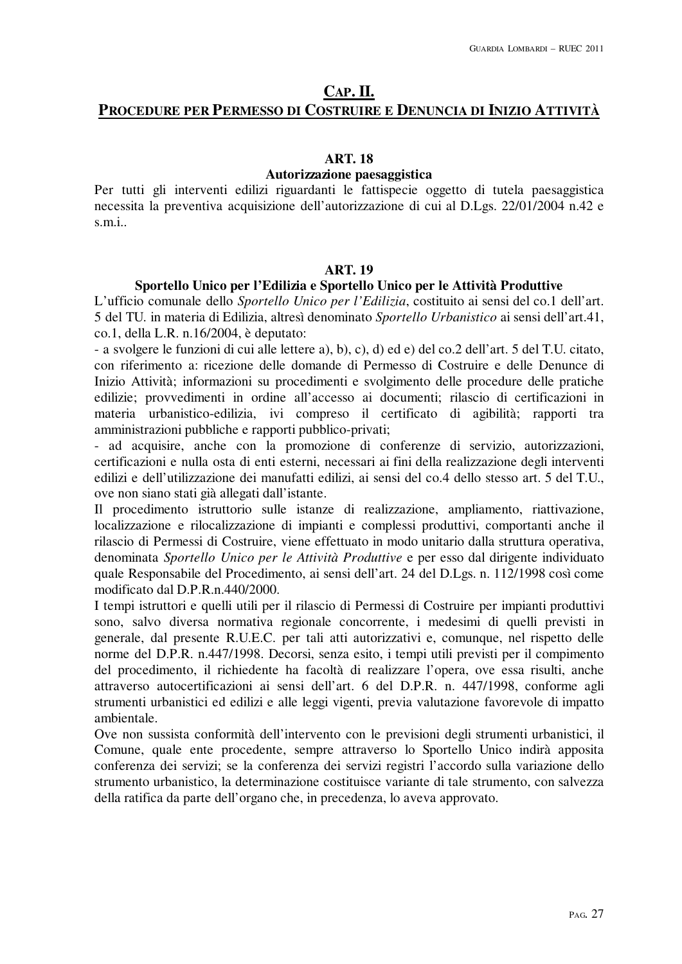# **CAP. II.**

# **PROCEDURE PER PERMESSO DI COSTRUIRE E DENUNCIA DI INIZIO ATTIVITÀ**

#### **ART. 18**

#### **Autorizzazione paesaggistica**

Per tutti gli interventi edilizi riguardanti le fattispecie oggetto di tutela paesaggistica necessita la preventiva acquisizione dell'autorizzazione di cui al D.Lgs. 22/01/2004 n.42 e s.m.i..

## **ART. 19**

#### **Sportello Unico per l'Edilizia e Sportello Unico per le Attività Produttive**

L'ufficio comunale dello *Sportello Unico per l'Edilizia*, costituito ai sensi del co.1 dell'art. 5 del TU. in materia di Edilizia, altresì denominato *Sportello Urbanistico* ai sensi dell'art.41, co.1, della L.R. n.16/2004, è deputato:

- a svolgere le funzioni di cui alle lettere a), b), c), d) ed e) del co.2 dell'art. 5 del T.U. citato, con riferimento a: ricezione delle domande di Permesso di Costruire e delle Denunce di Inizio Attività; informazioni su procedimenti e svolgimento delle procedure delle pratiche edilizie; provvedimenti in ordine all'accesso ai documenti; rilascio di certificazioni in materia urbanistico-edilizia, ivi compreso il certificato di agibilità; rapporti tra amministrazioni pubbliche e rapporti pubblico-privati;

- ad acquisire, anche con la promozione di conferenze di servizio, autorizzazioni, certificazioni e nulla osta di enti esterni, necessari ai fini della realizzazione degli interventi edilizi e dell'utilizzazione dei manufatti edilizi, ai sensi del co.4 dello stesso art. 5 del T.U., ove non siano stati già allegati dall'istante.

Il procedimento istruttorio sulle istanze di realizzazione, ampliamento, riattivazione, localizzazione e rilocalizzazione di impianti e complessi produttivi, comportanti anche il rilascio di Permessi di Costruire, viene effettuato in modo unitario dalla struttura operativa, denominata *Sportello Unico per le Attività Produttive* e per esso dal dirigente individuato quale Responsabile del Procedimento, ai sensi dell'art. 24 del D.Lgs. n. 112/1998 così come modificato dal D.P.R.n.440/2000.

I tempi istruttori e quelli utili per il rilascio di Permessi di Costruire per impianti produttivi sono, salvo diversa normativa regionale concorrente, i medesimi di quelli previsti in generale, dal presente R.U.E.C. per tali atti autorizzativi e, comunque, nel rispetto delle norme del D.P.R. n.447/1998. Decorsi, senza esito, i tempi utili previsti per il compimento del procedimento, il richiedente ha facoltà di realizzare l'opera, ove essa risulti, anche attraverso autocertificazioni ai sensi dell'art. 6 del D.P.R. n. 447/1998, conforme agli strumenti urbanistici ed edilizi e alle leggi vigenti, previa valutazione favorevole di impatto ambientale.

Ove non sussista conformità dell'intervento con le previsioni degli strumenti urbanistici, il Comune, quale ente procedente, sempre attraverso lo Sportello Unico indirà apposita conferenza dei servizi; se la conferenza dei servizi registri l'accordo sulla variazione dello strumento urbanistico, la determinazione costituisce variante di tale strumento, con salvezza della ratifica da parte dell'organo che, in precedenza, lo aveva approvato.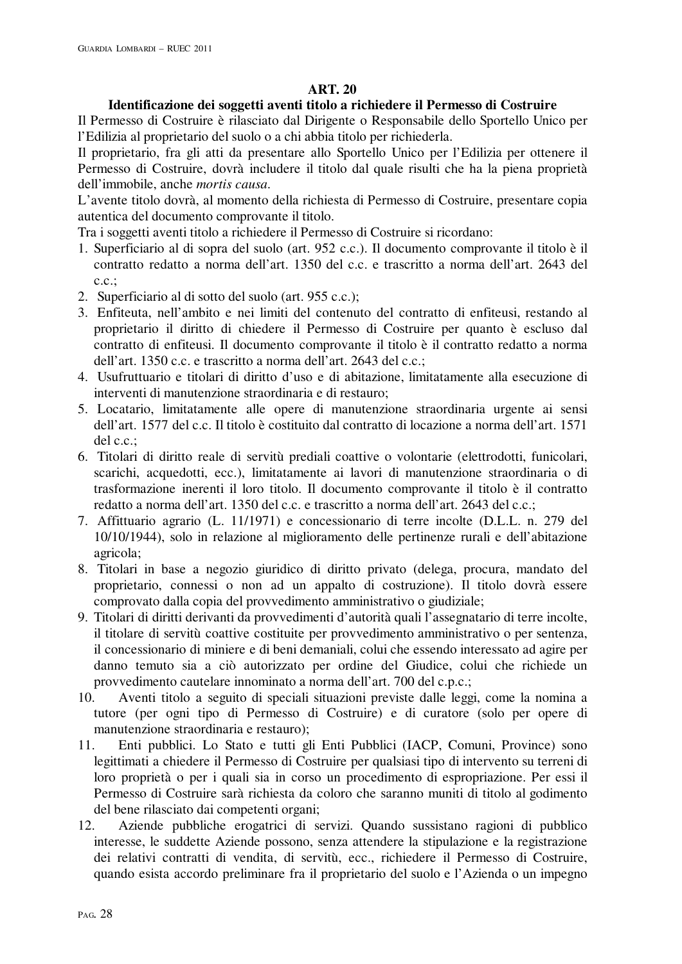# **ART. 20**

# **Identificazione dei soggetti aventi titolo a richiedere il Permesso di Costruire**

Il Permesso di Costruire è rilasciato dal Dirigente o Responsabile dello Sportello Unico per l'Edilizia al proprietario del suolo o a chi abbia titolo per richiederla.

Il proprietario, fra gli atti da presentare allo Sportello Unico per l'Edilizia per ottenere il Permesso di Costruire, dovrà includere il titolo dal quale risulti che ha la piena proprietà dell'immobile, anche *mortis causa*.

L'avente titolo dovrà, al momento della richiesta di Permesso di Costruire, presentare copia autentica del documento comprovante il titolo.

Tra i soggetti aventi titolo a richiedere il Permesso di Costruire si ricordano:

- 1. Superficiario al di sopra del suolo (art. 952 c.c.). Il documento comprovante il titolo è il contratto redatto a norma dell'art. 1350 del c.c. e trascritto a norma dell'art. 2643 del  $c.c.$ ;
- 2. Superficiario al di sotto del suolo (art. 955 c.c.);
- 3. Enfiteuta, nell'ambito e nei limiti del contenuto del contratto di enfiteusi, restando al proprietario il diritto di chiedere il Permesso di Costruire per quanto è escluso dal contratto di enfiteusi. Il documento comprovante il titolo è il contratto redatto a norma dell'art. 1350 c.c. e trascritto a norma dell'art. 2643 del c.c.;
- 4. Usufruttuario e titolari di diritto d'uso e di abitazione, limitatamente alla esecuzione di interventi di manutenzione straordinaria e di restauro;
- 5. Locatario, limitatamente alle opere di manutenzione straordinaria urgente ai sensi dell'art. 1577 del c.c. Il titolo è costituito dal contratto di locazione a norma dell'art. 1571 del c.c.;
- 6. Titolari di diritto reale di servitù prediali coattive o volontarie (elettrodotti, funicolari, scarichi, acquedotti, ecc.), limitatamente ai lavori di manutenzione straordinaria o di trasformazione inerenti il loro titolo. Il documento comprovante il titolo è il contratto redatto a norma dell'art. 1350 del c.c. e trascritto a norma dell'art. 2643 del c.c.;
- 7. Affittuario agrario (L. 11/1971) e concessionario di terre incolte (D.L.L. n. 279 del 10/10/1944), solo in relazione al miglioramento delle pertinenze rurali e dell'abitazione agricola;
- 8. Titolari in base a negozio giuridico di diritto privato (delega, procura, mandato del proprietario, connessi o non ad un appalto di costruzione). Il titolo dovrà essere comprovato dalla copia del provvedimento amministrativo o giudiziale;
- 9. Titolari di diritti derivanti da provvedimenti d'autorità quali l'assegnatario di terre incolte, il titolare di servitù coattive costituite per provvedimento amministrativo o per sentenza, il concessionario di miniere e di beni demaniali, colui che essendo interessato ad agire per danno temuto sia a ciò autorizzato per ordine del Giudice, colui che richiede un provvedimento cautelare innominato a norma dell'art. 700 del c.p.c.;
- 10. Aventi titolo a seguito di speciali situazioni previste dalle leggi, come la nomina a tutore (per ogni tipo di Permesso di Costruire) e di curatore (solo per opere di manutenzione straordinaria e restauro);
- 11. Enti pubblici. Lo Stato e tutti gli Enti Pubblici (IACP, Comuni, Province) sono legittimati a chiedere il Permesso di Costruire per qualsiasi tipo di intervento su terreni di loro proprietà o per i quali sia in corso un procedimento di espropriazione. Per essi il Permesso di Costruire sarà richiesta da coloro che saranno muniti di titolo al godimento del bene rilasciato dai competenti organi;
- 12. Aziende pubbliche erogatrici di servizi. Quando sussistano ragioni di pubblico interesse, le suddette Aziende possono, senza attendere la stipulazione e la registrazione dei relativi contratti di vendita, di servitù, ecc., richiedere il Permesso di Costruire, quando esista accordo preliminare fra il proprietario del suolo e l'Azienda o un impegno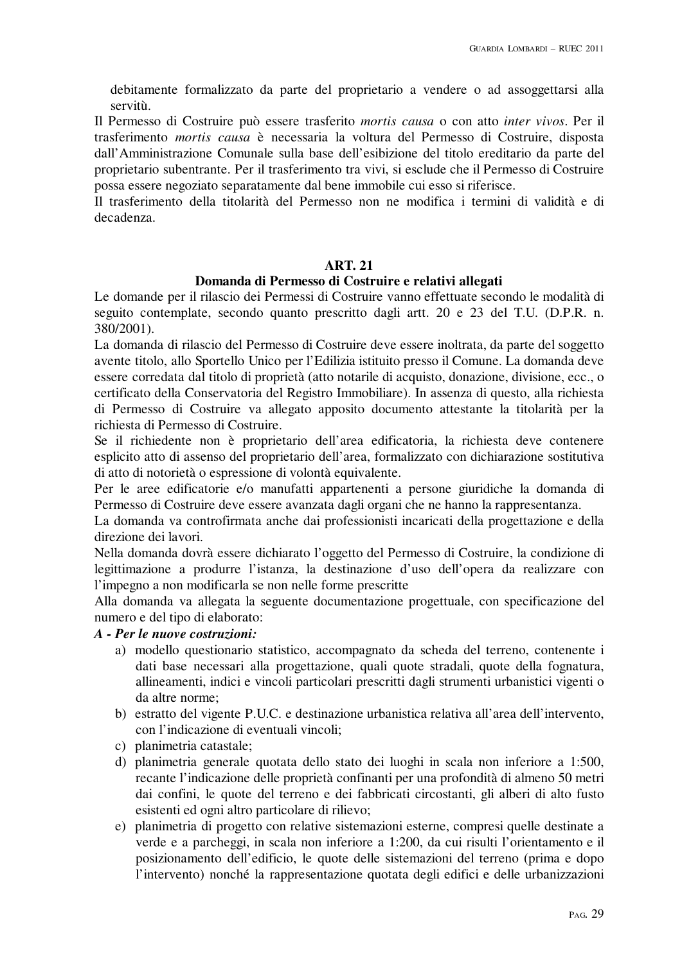debitamente formalizzato da parte del proprietario a vendere o ad assoggettarsi alla servitù.

Il Permesso di Costruire può essere trasferito *mortis causa* o con atto *inter vivos*. Per il trasferimento *mortis causa* è necessaria la voltura del Permesso di Costruire, disposta dall'Amministrazione Comunale sulla base dell'esibizione del titolo ereditario da parte del proprietario subentrante. Per il trasferimento tra vivi, si esclude che il Permesso di Costruire possa essere negoziato separatamente dal bene immobile cui esso si riferisce.

Il trasferimento della titolarità del Permesso non ne modifica i termini di validità e di decadenza.

## **ART. 21**

## **Domanda di Permesso di Costruire e relativi allegati**

Le domande per il rilascio dei Permessi di Costruire vanno effettuate secondo le modalità di seguito contemplate, secondo quanto prescritto dagli artt. 20 e 23 del T.U. (D.P.R. n. 380/2001).

La domanda di rilascio del Permesso di Costruire deve essere inoltrata, da parte del soggetto avente titolo, allo Sportello Unico per l'Edilizia istituito presso il Comune. La domanda deve essere corredata dal titolo di proprietà (atto notarile di acquisto, donazione, divisione, ecc., o certificato della Conservatoria del Registro Immobiliare). In assenza di questo, alla richiesta di Permesso di Costruire va allegato apposito documento attestante la titolarità per la richiesta di Permesso di Costruire.

Se il richiedente non è proprietario dell'area edificatoria, la richiesta deve contenere esplicito atto di assenso del proprietario dell'area, formalizzato con dichiarazione sostitutiva di atto di notorietà o espressione di volontà equivalente.

Per le aree edificatorie e/o manufatti appartenenti a persone giuridiche la domanda di Permesso di Costruire deve essere avanzata dagli organi che ne hanno la rappresentanza.

La domanda va controfirmata anche dai professionisti incaricati della progettazione e della direzione dei lavori.

Nella domanda dovrà essere dichiarato l'oggetto del Permesso di Costruire, la condizione di legittimazione a produrre l'istanza, la destinazione d'uso dell'opera da realizzare con l'impegno a non modificarla se non nelle forme prescritte

Alla domanda va allegata la seguente documentazione progettuale, con specificazione del numero e del tipo di elaborato:

## *A - Per le nuove costruzioni:*

- a) modello questionario statistico, accompagnato da scheda del terreno, contenente i dati base necessari alla progettazione, quali quote stradali, quote della fognatura, allineamenti, indici e vincoli particolari prescritti dagli strumenti urbanistici vigenti o da altre norme;
- b) estratto del vigente P.U.C. e destinazione urbanistica relativa all'area dell'intervento, con l'indicazione di eventuali vincoli;
- c) planimetria catastale;
- d) planimetria generale quotata dello stato dei luoghi in scala non inferiore a 1:500, recante l'indicazione delle proprietà confinanti per una profondità di almeno 50 metri dai confini, le quote del terreno e dei fabbricati circostanti, gli alberi di alto fusto esistenti ed ogni altro particolare di rilievo;
- e) planimetria di progetto con relative sistemazioni esterne, compresi quelle destinate a verde e a parcheggi, in scala non inferiore a 1:200, da cui risulti l'orientamento e il posizionamento dell'edificio, le quote delle sistemazioni del terreno (prima e dopo l'intervento) nonché la rappresentazione quotata degli edifici e delle urbanizzazioni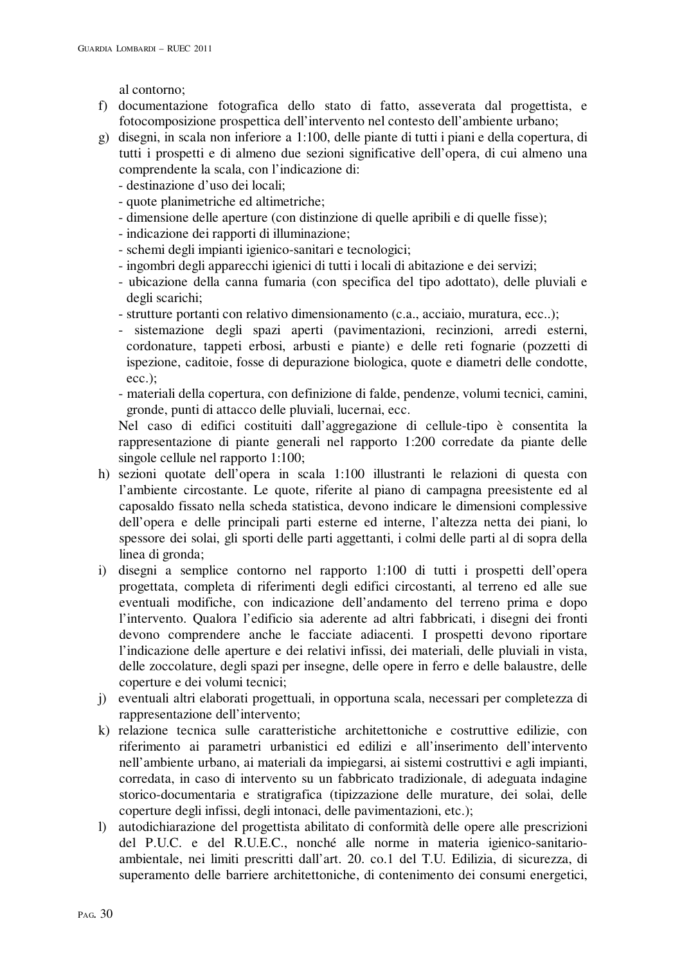al contorno;

- f) documentazione fotografica dello stato di fatto, asseverata dal progettista, e fotocomposizione prospettica dell'intervento nel contesto dell'ambiente urbano;
- g) disegni, in scala non inferiore a 1:100, delle piante di tutti i piani e della copertura, di tutti i prospetti e di almeno due sezioni significative dell'opera, di cui almeno una comprendente la scala, con l'indicazione di:
	- destinazione d'uso dei locali;
	- quote planimetriche ed altimetriche;
	- dimensione delle aperture (con distinzione di quelle apribili e di quelle fisse);
	- indicazione dei rapporti di illuminazione;
	- schemi degli impianti igienico-sanitari e tecnologici;
	- ingombri degli apparecchi igienici di tutti i locali di abitazione e dei servizi;
	- ubicazione della canna fumaria (con specifica del tipo adottato), delle pluviali e degli scarichi;
	- strutture portanti con relativo dimensionamento (c.a., acciaio, muratura, ecc..);
	- sistemazione degli spazi aperti (pavimentazioni, recinzioni, arredi esterni, cordonature, tappeti erbosi, arbusti e piante) e delle reti fognarie (pozzetti di ispezione, caditoie, fosse di depurazione biologica, quote e diametri delle condotte, ecc.);
	- materiali della copertura, con definizione di falde, pendenze, volumi tecnici, camini, gronde, punti di attacco delle pluviali, lucernai, ecc.

Nel caso di edifici costituiti dall'aggregazione di cellule-tipo è consentita la rappresentazione di piante generali nel rapporto 1:200 corredate da piante delle singole cellule nel rapporto 1:100;

- h) sezioni quotate dell'opera in scala 1:100 illustranti le relazioni di questa con l'ambiente circostante. Le quote, riferite al piano di campagna preesistente ed al caposaldo fissato nella scheda statistica, devono indicare le dimensioni complessive dell'opera e delle principali parti esterne ed interne, l'altezza netta dei piani, lo spessore dei solai, gli sporti delle parti aggettanti, i colmi delle parti al di sopra della linea di gronda;
- i) disegni a semplice contorno nel rapporto 1:100 di tutti i prospetti dell'opera progettata, completa di riferimenti degli edifici circostanti, al terreno ed alle sue eventuali modifiche, con indicazione dell'andamento del terreno prima e dopo l'intervento. Qualora l'edificio sia aderente ad altri fabbricati, i disegni dei fronti devono comprendere anche le facciate adiacenti. I prospetti devono riportare l'indicazione delle aperture e dei relativi infissi, dei materiali, delle pluviali in vista, delle zoccolature, degli spazi per insegne, delle opere in ferro e delle balaustre, delle coperture e dei volumi tecnici;
- j) eventuali altri elaborati progettuali, in opportuna scala, necessari per completezza di rappresentazione dell'intervento;
- k) relazione tecnica sulle caratteristiche architettoniche e costruttive edilizie, con riferimento ai parametri urbanistici ed edilizi e all'inserimento dell'intervento nell'ambiente urbano, ai materiali da impiegarsi, ai sistemi costruttivi e agli impianti, corredata, in caso di intervento su un fabbricato tradizionale, di adeguata indagine storico-documentaria e stratigrafica (tipizzazione delle murature, dei solai, delle coperture degli infissi, degli intonaci, delle pavimentazioni, etc.);
- l) autodichiarazione del progettista abilitato di conformità delle opere alle prescrizioni del P.U.C. e del R.U.E.C., nonché alle norme in materia igienico-sanitarioambientale, nei limiti prescritti dall'art. 20. co.1 del T.U. Edilizia, di sicurezza, di superamento delle barriere architettoniche, di contenimento dei consumi energetici,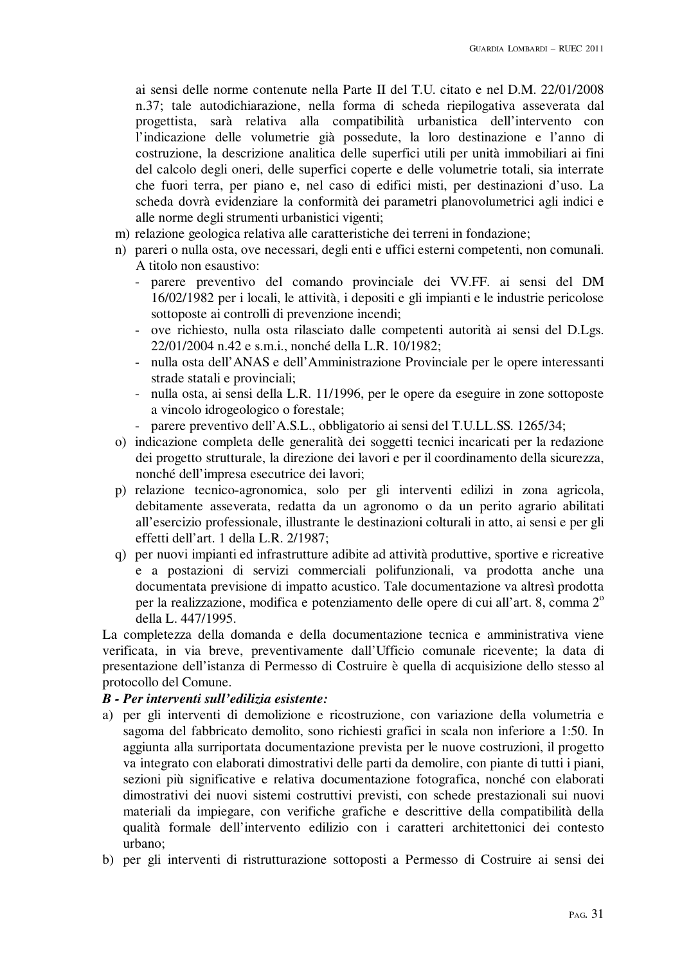ai sensi delle norme contenute nella Parte II del T.U. citato e nel D.M. 22/01/2008 n.37; tale autodichiarazione, nella forma di scheda riepilogativa asseverata dal progettista, sarà relativa alla compatibilità urbanistica dell'intervento con l'indicazione delle volumetrie già possedute, la loro destinazione e l'anno di costruzione, la descrizione analitica delle superfici utili per unità immobiliari ai fini del calcolo degli oneri, delle superfici coperte e delle volumetrie totali, sia interrate che fuori terra, per piano e, nel caso di edifici misti, per destinazioni d'uso. La scheda dovrà evidenziare la conformità dei parametri planovolumetrici agli indici e alle norme degli strumenti urbanistici vigenti;

- m) relazione geologica relativa alle caratteristiche dei terreni in fondazione;
- n) pareri o nulla osta, ove necessari, degli enti e uffici esterni competenti, non comunali. A titolo non esaustivo:
	- parere preventivo del comando provinciale dei VV.FF. ai sensi del DM 16/02/1982 per i locali, le attività, i depositi e gli impianti e le industrie pericolose sottoposte ai controlli di prevenzione incendi;
	- ove richiesto, nulla osta rilasciato dalle competenti autorità ai sensi del D.Lgs. 22/01/2004 n.42 e s.m.i., nonché della L.R. 10/1982;
	- nulla osta dell'ANAS e dell'Amministrazione Provinciale per le opere interessanti strade statali e provinciali;
	- nulla osta, ai sensi della L.R. 11/1996, per le opere da eseguire in zone sottoposte a vincolo idrogeologico o forestale;
	- parere preventivo dell'A.S.L., obbligatorio ai sensi del T.U.LL.SS. 1265/34;
- o) indicazione completa delle generalità dei soggetti tecnici incaricati per la redazione dei progetto strutturale, la direzione dei lavori e per il coordinamento della sicurezza, nonché dell'impresa esecutrice dei lavori;
- p) relazione tecnico-agronomica, solo per gli interventi edilizi in zona agricola, debitamente asseverata, redatta da un agronomo o da un perito agrario abilitati all'esercizio professionale, illustrante le destinazioni colturali in atto, ai sensi e per gli effetti dell'art. 1 della L.R. 2/1987;
- q) per nuovi impianti ed infrastrutture adibite ad attività produttive, sportive e ricreative e a postazioni di servizi commerciali polifunzionali, va prodotta anche una documentata previsione di impatto acustico. Tale documentazione va altresì prodotta per la realizzazione, modifica e potenziamento delle opere di cui all'art. 8, comma 2<sup>°</sup> della L. 447/1995.

La completezza della domanda e della documentazione tecnica e amministrativa viene verificata, in via breve, preventivamente dall'Ufficio comunale ricevente; la data di presentazione dell'istanza di Permesso di Costruire è quella di acquisizione dello stesso al protocollo del Comune.

## *B - Per interventi sull'edilizia esistente:*

- a) per gli interventi di demolizione e ricostruzione, con variazione della volumetria e sagoma del fabbricato demolito, sono richiesti grafici in scala non inferiore a 1:50. In aggiunta alla surriportata documentazione prevista per le nuove costruzioni, il progetto va integrato con elaborati dimostrativi delle parti da demolire, con piante di tutti i piani, sezioni più significative e relativa documentazione fotografica, nonché con elaborati dimostrativi dei nuovi sistemi costruttivi previsti, con schede prestazionali sui nuovi materiali da impiegare, con verifiche grafiche e descrittive della compatibilità della qualità formale dell'intervento edilizio con i caratteri architettonici dei contesto urbano;
- b) per gli interventi di ristrutturazione sottoposti a Permesso di Costruire ai sensi dei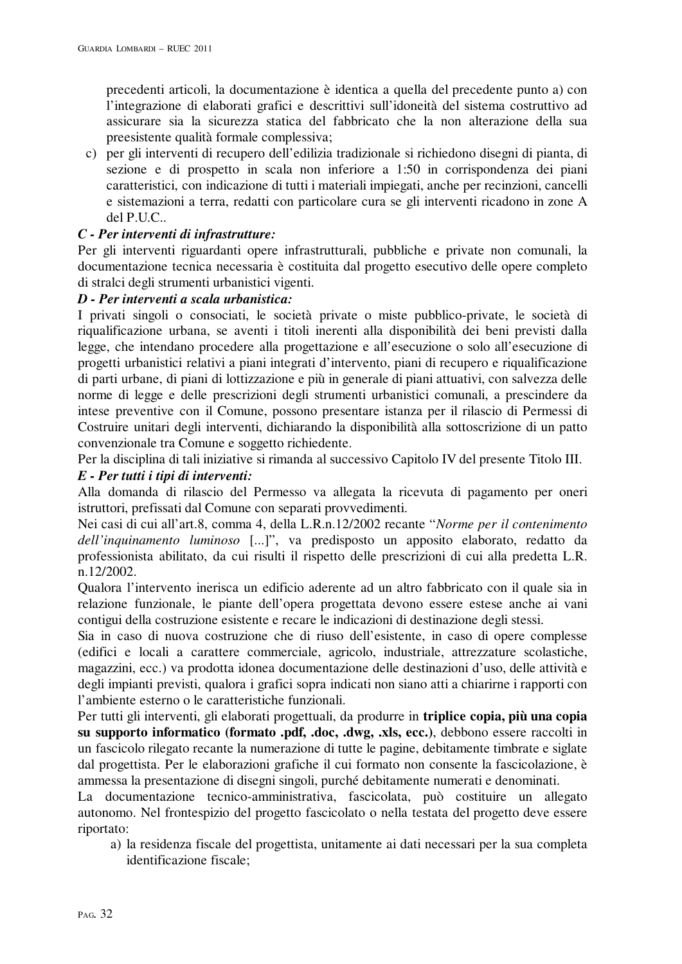precedenti articoli, la documentazione è identica a quella del precedente punto a) con l'integrazione di elaborati grafici e descrittivi sull'idoneità del sistema costruttivo ad assicurare sia la sicurezza statica del fabbricato che la non alterazione della sua preesistente qualità formale complessiva;

c) per gli interventi di recupero dell'edilizia tradizionale si richiedono disegni di pianta, di sezione e di prospetto in scala non inferiore a 1:50 in corrispondenza dei piani caratteristici, con indicazione di tutti i materiali impiegati, anche per recinzioni, cancelli e sistemazioni a terra, redatti con particolare cura se gli interventi ricadono in zone A del P.U.C..

# *C - Per interventi di infrastrutture:*

Per gli interventi riguardanti opere infrastrutturali, pubbliche e private non comunali, la documentazione tecnica necessaria è costituita dal progetto esecutivo delle opere completo di stralci degli strumenti urbanistici vigenti.

# *D - Per interventi a scala urbanistica:*

I privati singoli o consociati, le società private o miste pubblico-private, le società di riqualificazione urbana, se aventi i titoli inerenti alla disponibilità dei beni previsti dalla legge, che intendano procedere alla progettazione e all'esecuzione o solo all'esecuzione di progetti urbanistici relativi a piani integrati d'intervento, piani di recupero e riqualificazione di parti urbane, di piani di lottizzazione e più in generale di piani attuativi, con salvezza delle norme di legge e delle prescrizioni degli strumenti urbanistici comunali, a prescindere da intese preventive con il Comune, possono presentare istanza per il rilascio di Permessi di Costruire unitari degli interventi, dichiarando la disponibilità alla sottoscrizione di un patto convenzionale tra Comune e soggetto richiedente.

Per la disciplina di tali iniziative si rimanda al successivo Capitolo IV del presente Titolo III. *E - Per tutti i tipi di interventi:* 

Alla domanda di rilascio del Permesso va allegata la ricevuta di pagamento per oneri istruttori, prefissati dal Comune con separati provvedimenti.

Nei casi di cui all'art.8, comma 4, della L.R.n.12/2002 recante "*Norme per il contenimento dell'inquinamento luminoso* [...]", va predisposto un apposito elaborato, redatto da professionista abilitato, da cui risulti il rispetto delle prescrizioni di cui alla predetta L.R. n.12/2002.

Qualora l'intervento inerisca un edificio aderente ad un altro fabbricato con il quale sia in relazione funzionale, le piante dell'opera progettata devono essere estese anche ai vani contigui della costruzione esistente e recare le indicazioni di destinazione degli stessi.

Sia in caso di nuova costruzione che di riuso dell'esistente, in caso di opere complesse (edifici e locali a carattere commerciale, agricolo, industriale, attrezzature scolastiche, magazzini, ecc.) va prodotta idonea documentazione delle destinazioni d'uso, delle attività e degli impianti previsti, qualora i grafici sopra indicati non siano atti a chiarirne i rapporti con l'ambiente esterno o le caratteristiche funzionali.

Per tutti gli interventi, gli elaborati progettuali, da produrre in **triplice copia, più una copia su supporto informatico (formato .pdf, .doc, .dwg, .xls, ecc.)**, debbono essere raccolti in un fascicolo rilegato recante la numerazione di tutte le pagine, debitamente timbrate e siglate dal progettista. Per le elaborazioni grafiche il cui formato non consente la fascicolazione, è ammessa la presentazione di disegni singoli, purché debitamente numerati e denominati.

La documentazione tecnico-amministrativa, fascicolata, può costituire un allegato autonomo. Nel frontespizio del progetto fascicolato o nella testata del progetto deve essere riportato:

a) la residenza fiscale del progettista, unitamente ai dati necessari per la sua completa identificazione fiscale;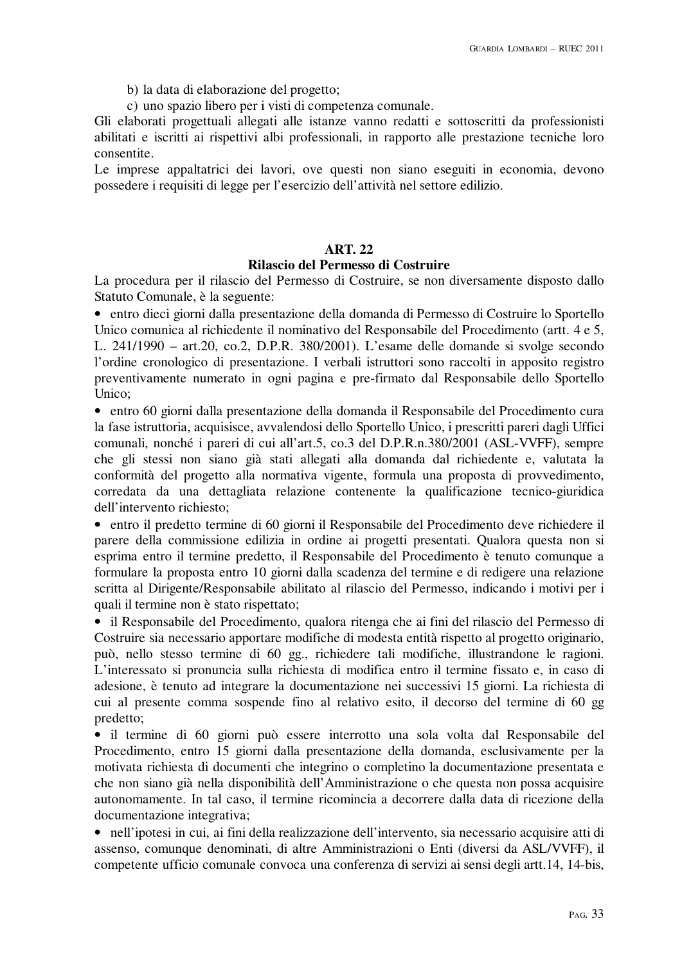- b) la data di elaborazione del progetto;
- c) uno spazio libero per i visti di competenza comunale.

Gli elaborati progettuali allegati alle istanze vanno redatti e sottoscritti da professionisti abilitati e iscritti ai rispettivi albi professionali, in rapporto alle prestazione tecniche loro consentite.

Le imprese appaltatrici dei lavori, ove questi non siano eseguiti in economia, devono possedere i requisiti di legge per l'esercizio dell'attività nel settore edilizio.

# **ART. 22**

#### **Rilascio del Permesso di Costruire**

La procedura per il rilascio del Permesso di Costruire, se non diversamente disposto dallo Statuto Comunale, è la seguente:

• entro dieci giorni dalla presentazione della domanda di Permesso di Costruire lo Sportello Unico comunica al richiedente il nominativo del Responsabile del Procedimento (artt. 4 e 5, L. 241/1990 – art.20, co.2, D.P.R. 380/2001). L'esame delle domande si svolge secondo l'ordine cronologico di presentazione. I verbali istruttori sono raccolti in apposito registro preventivamente numerato in ogni pagina e pre-firmato dal Responsabile dello Sportello Unico;

• entro 60 giorni dalla presentazione della domanda il Responsabile del Procedimento cura la fase istruttoria, acquisisce, avvalendosi dello Sportello Unico, i prescritti pareri dagli Uffici comunali, nonché i pareri di cui all'art.5, co.3 del D.P.R.n.380/2001 (ASL-VVFF), sempre che gli stessi non siano già stati allegati alla domanda dal richiedente e, valutata la conformità del progetto alla normativa vigente, formula una proposta di provvedimento, corredata da una dettagliata relazione contenente la qualificazione tecnico-giuridica dell'intervento richiesto;

• entro il predetto termine di 60 giorni il Responsabile del Procedimento deve richiedere il parere della commissione edilizia in ordine ai progetti presentati. Qualora questa non si esprima entro il termine predetto, il Responsabile del Procedimento è tenuto comunque a formulare la proposta entro 10 giorni dalla scadenza del termine e di redigere una relazione scritta al Dirigente/Responsabile abilitato al rilascio del Permesso, indicando i motivi per i quali il termine non è stato rispettato;

• il Responsabile del Procedimento, qualora ritenga che ai fini del rilascio del Permesso di Costruire sia necessario apportare modifiche di modesta entità rispetto al progetto originario, può, nello stesso termine di 60 gg., richiedere tali modifiche, illustrandone le ragioni. L'interessato si pronuncia sulla richiesta di modifica entro il termine fissato e, in caso di adesione, è tenuto ad integrare la documentazione nei successivi 15 giorni. La richiesta di cui al presente comma sospende fino al relativo esito, il decorso del termine di 60 gg predetto;

• il termine di 60 giorni può essere interrotto una sola volta dal Responsabile del Procedimento, entro 15 giorni dalla presentazione della domanda, esclusivamente per la motivata richiesta di documenti che integrino o completino la documentazione presentata e che non siano già nella disponibilità dell'Amministrazione o che questa non possa acquisire autonomamente. In tal caso, il termine ricomincia a decorrere dalla data di ricezione della documentazione integrativa;

• nell'ipotesi in cui, ai fini della realizzazione dell'intervento, sia necessario acquisire atti di assenso, comunque denominati, di altre Amministrazioni o Enti (diversi da ASL/VVFF), il competente ufficio comunale convoca una conferenza di servizi ai sensi degli artt.14, 14-bis,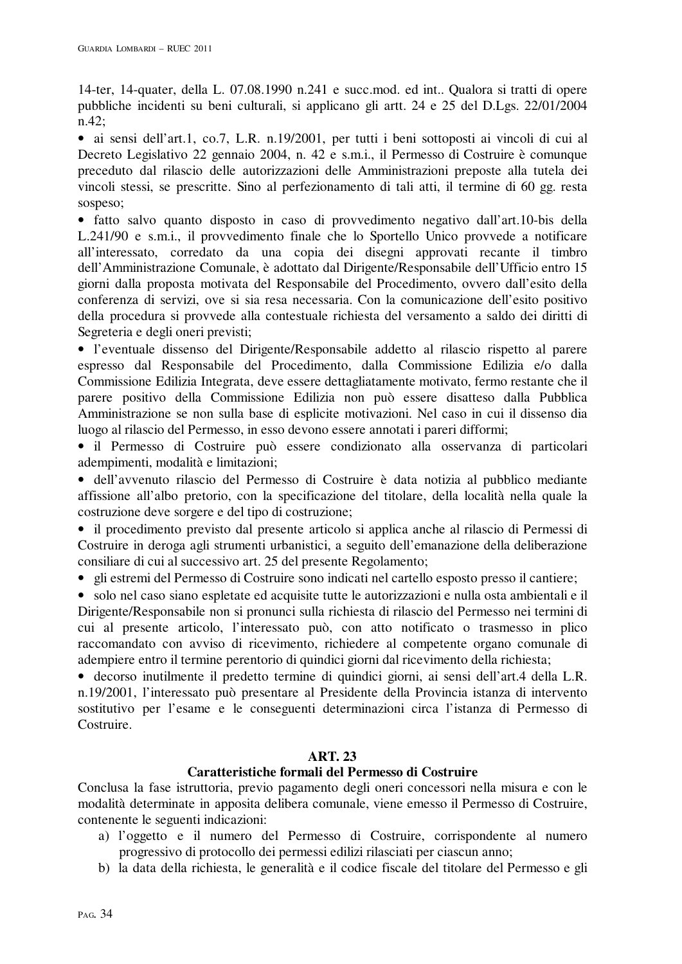14-ter, 14-quater, della L. 07.08.1990 n.241 e succ.mod. ed int.. Qualora si tratti di opere pubbliche incidenti su beni culturali, si applicano gli artt. 24 e 25 del D.Lgs. 22/01/2004 n.42;

• ai sensi dell'art.1, co.7, L.R. n.19/2001, per tutti i beni sottoposti ai vincoli di cui al Decreto Legislativo 22 gennaio 2004, n. 42 e s.m.i., il Permesso di Costruire è comunque preceduto dal rilascio delle autorizzazioni delle Amministrazioni preposte alla tutela dei vincoli stessi, se prescritte. Sino al perfezionamento di tali atti, il termine di 60 gg. resta sospeso;

• fatto salvo quanto disposto in caso di provvedimento negativo dall'art.10-bis della L.241/90 e s.m.i., il provvedimento finale che lo Sportello Unico provvede a notificare all'interessato, corredato da una copia dei disegni approvati recante il timbro dell'Amministrazione Comunale, è adottato dal Dirigente/Responsabile dell'Ufficio entro 15 giorni dalla proposta motivata del Responsabile del Procedimento, ovvero dall'esito della conferenza di servizi, ove si sia resa necessaria. Con la comunicazione dell'esito positivo della procedura si provvede alla contestuale richiesta del versamento a saldo dei diritti di Segreteria e degli oneri previsti;

• l'eventuale dissenso del Dirigente/Responsabile addetto al rilascio rispetto al parere espresso dal Responsabile del Procedimento, dalla Commissione Edilizia e/o dalla Commissione Edilizia Integrata, deve essere dettagliatamente motivato, fermo restante che il parere positivo della Commissione Edilizia non può essere disatteso dalla Pubblica Amministrazione se non sulla base di esplicite motivazioni. Nel caso in cui il dissenso dia luogo al rilascio del Permesso, in esso devono essere annotati i pareri difformi;

• il Permesso di Costruire può essere condizionato alla osservanza di particolari adempimenti, modalità e limitazioni;

• dell'avvenuto rilascio del Permesso di Costruire è data notizia al pubblico mediante affissione all'albo pretorio, con la specificazione del titolare, della località nella quale la costruzione deve sorgere e del tipo di costruzione;

• il procedimento previsto dal presente articolo si applica anche al rilascio di Permessi di Costruire in deroga agli strumenti urbanistici, a seguito dell'emanazione della deliberazione consiliare di cui al successivo art. 25 del presente Regolamento;

• gli estremi del Permesso di Costruire sono indicati nel cartello esposto presso il cantiere;

• solo nel caso siano espletate ed acquisite tutte le autorizzazioni e nulla osta ambientali e il Dirigente/Responsabile non si pronunci sulla richiesta di rilascio del Permesso nei termini di cui al presente articolo, l'interessato può, con atto notificato o trasmesso in plico raccomandato con avviso di ricevimento, richiedere al competente organo comunale di adempiere entro il termine perentorio di quindici giorni dal ricevimento della richiesta;

• decorso inutilmente il predetto termine di quindici giorni, ai sensi dell'art.4 della L.R. n.19/2001, l'interessato può presentare al Presidente della Provincia istanza di intervento sostitutivo per l'esame e le conseguenti determinazioni circa l'istanza di Permesso di Costruire.

# **ART. 23**

## **Caratteristiche formali del Permesso di Costruire**

Conclusa la fase istruttoria, previo pagamento degli oneri concessori nella misura e con le modalità determinate in apposita delibera comunale, viene emesso il Permesso di Costruire, contenente le seguenti indicazioni:

- a) l'oggetto e il numero del Permesso di Costruire, corrispondente al numero progressivo di protocollo dei permessi edilizi rilasciati per ciascun anno;
- b) la data della richiesta, le generalità e il codice fiscale del titolare del Permesso e gli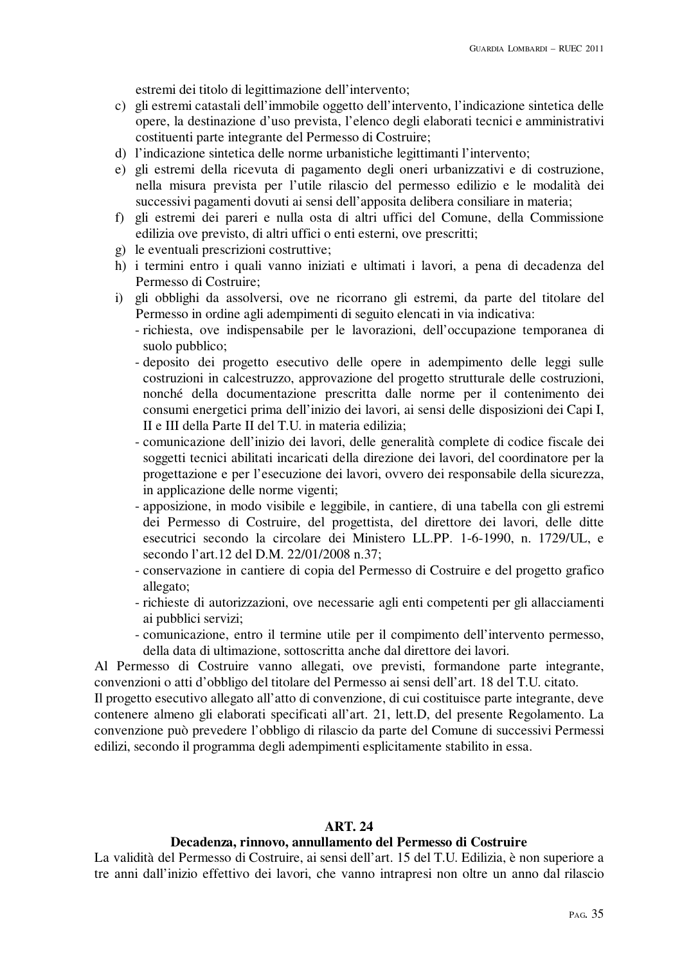estremi dei titolo di legittimazione dell'intervento;

- c) gli estremi catastali dell'immobile oggetto dell'intervento, l'indicazione sintetica delle opere, la destinazione d'uso prevista, l'elenco degli elaborati tecnici e amministrativi costituenti parte integrante del Permesso di Costruire;
- d) l'indicazione sintetica delle norme urbanistiche legittimanti l'intervento;
- e) gli estremi della ricevuta di pagamento degli oneri urbanizzativi e di costruzione, nella misura prevista per l'utile rilascio del permesso edilizio e le modalità dei successivi pagamenti dovuti ai sensi dell'apposita delibera consiliare in materia;
- f) gli estremi dei pareri e nulla osta di altri uffici del Comune, della Commissione edilizia ove previsto, di altri uffici o enti esterni, ove prescritti;
- g) le eventuali prescrizioni costruttive;
- h) i termini entro i quali vanno iniziati e ultimati i lavori, a pena di decadenza del Permesso di Costruire;
- i) gli obblighi da assolversi, ove ne ricorrano gli estremi, da parte del titolare del Permesso in ordine agli adempimenti di seguito elencati in via indicativa:
	- richiesta, ove indispensabile per le lavorazioni, dell'occupazione temporanea di suolo pubblico;
	- deposito dei progetto esecutivo delle opere in adempimento delle leggi sulle costruzioni in calcestruzzo, approvazione del progetto strutturale delle costruzioni, nonché della documentazione prescritta dalle norme per il contenimento dei consumi energetici prima dell'inizio dei lavori, ai sensi delle disposizioni dei Capi I, II e III della Parte II del T.U. in materia edilizia;
	- comunicazione dell'inizio dei lavori, delle generalità complete di codice fiscale dei soggetti tecnici abilitati incaricati della direzione dei lavori, del coordinatore per la progettazione e per l'esecuzione dei lavori, ovvero dei responsabile della sicurezza, in applicazione delle norme vigenti;
	- apposizione, in modo visibile e leggibile, in cantiere, di una tabella con gli estremi dei Permesso di Costruire, del progettista, del direttore dei lavori, delle ditte esecutrici secondo la circolare dei Ministero LL.PP. 1-6-1990, n. 1729/UL, e secondo l'art.12 del D.M. 22/01/2008 n.37;
	- conservazione in cantiere di copia del Permesso di Costruire e del progetto grafico allegato;
	- richieste di autorizzazioni, ove necessarie agli enti competenti per gli allacciamenti ai pubblici servizi;
	- comunicazione, entro il termine utile per il compimento dell'intervento permesso, della data di ultimazione, sottoscritta anche dal direttore dei lavori.

Al Permesso di Costruire vanno allegati, ove previsti, formandone parte integrante, convenzioni o atti d'obbligo del titolare del Permesso ai sensi dell'art. 18 del T.U. citato.

Il progetto esecutivo allegato all'atto di convenzione, di cui costituisce parte integrante, deve contenere almeno gli elaborati specificati all'art. 21, lett.D, del presente Regolamento. La convenzione può prevedere l'obbligo di rilascio da parte del Comune di successivi Permessi edilizi, secondo il programma degli adempimenti esplicitamente stabilito in essa.

## **ART. 24**

## **Decadenza, rinnovo, annullamento del Permesso di Costruire**

La validità del Permesso di Costruire, ai sensi dell'art. 15 del T.U. Edilizia, è non superiore a tre anni dall'inizio effettivo dei lavori, che vanno intrapresi non oltre un anno dal rilascio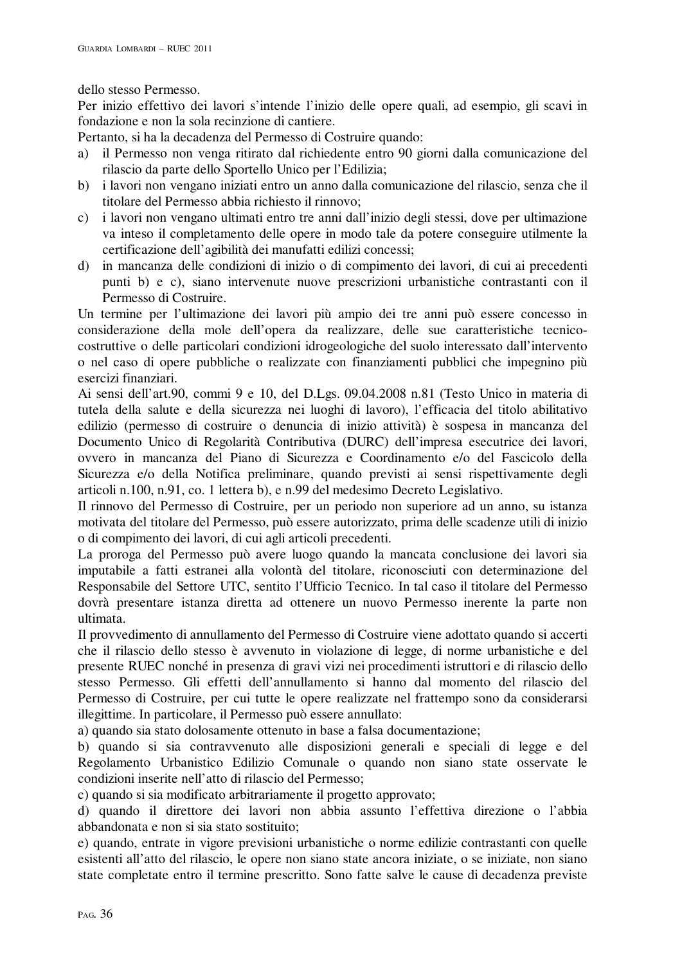dello stesso Permesso.

Per inizio effettivo dei lavori s'intende l'inizio delle opere quali, ad esempio, gli scavi in fondazione e non la sola recinzione di cantiere.

Pertanto, si ha la decadenza del Permesso di Costruire quando:

- a) il Permesso non venga ritirato dal richiedente entro 90 giorni dalla comunicazione del rilascio da parte dello Sportello Unico per l'Edilizia;
- b) i lavori non vengano iniziati entro un anno dalla comunicazione del rilascio, senza che il titolare del Permesso abbia richiesto il rinnovo;
- c) i lavori non vengano ultimati entro tre anni dall'inizio degli stessi, dove per ultimazione va inteso il completamento delle opere in modo tale da potere conseguire utilmente la certificazione dell'agibilità dei manufatti edilizi concessi;
- d) in mancanza delle condizioni di inizio o di compimento dei lavori, di cui ai precedenti punti b) e c), siano intervenute nuove prescrizioni urbanistiche contrastanti con il Permesso di Costruire.

Un termine per l'ultimazione dei lavori più ampio dei tre anni può essere concesso in considerazione della mole dell'opera da realizzare, delle sue caratteristiche tecnicocostruttive o delle particolari condizioni idrogeologiche del suolo interessato dall'intervento o nel caso di opere pubbliche o realizzate con finanziamenti pubblici che impegnino più esercizi finanziari.

Ai sensi dell'art.90, commi 9 e 10, del D.Lgs. 09.04.2008 n.81 (Testo Unico in materia di tutela della salute e della sicurezza nei luoghi di lavoro), l'efficacia del titolo abilitativo edilizio (permesso di costruire o denuncia di inizio attività) è sospesa in mancanza del Documento Unico di Regolarità Contributiva (DURC) dell'impresa esecutrice dei lavori, ovvero in mancanza del Piano di Sicurezza e Coordinamento e/o del Fascicolo della Sicurezza e/o della Notifica preliminare, quando previsti ai sensi rispettivamente degli articoli n.100, n.91, co. 1 lettera b), e n.99 del medesimo Decreto Legislativo.

Il rinnovo del Permesso di Costruire, per un periodo non superiore ad un anno, su istanza motivata del titolare del Permesso, può essere autorizzato, prima delle scadenze utili di inizio o di compimento dei lavori, di cui agli articoli precedenti.

La proroga del Permesso può avere luogo quando la mancata conclusione dei lavori sia imputabile a fatti estranei alla volontà del titolare, riconosciuti con determinazione del Responsabile del Settore UTC, sentito l'Ufficio Tecnico. In tal caso il titolare del Permesso dovrà presentare istanza diretta ad ottenere un nuovo Permesso inerente la parte non ultimata.

Il provvedimento di annullamento del Permesso di Costruire viene adottato quando si accerti che il rilascio dello stesso è avvenuto in violazione di legge, di norme urbanistiche e del presente RUEC nonché in presenza di gravi vizi nei procedimenti istruttori e di rilascio dello stesso Permesso. Gli effetti dell'annullamento si hanno dal momento del rilascio del Permesso di Costruire, per cui tutte le opere realizzate nel frattempo sono da considerarsi illegittime. In particolare, il Permesso può essere annullato:

a) quando sia stato dolosamente ottenuto in base a falsa documentazione;

b) quando si sia contravvenuto alle disposizioni generali e speciali di legge e del Regolamento Urbanistico Edilizio Comunale o quando non siano state osservate le condizioni inserite nell'atto di rilascio del Permesso;

c) quando si sia modificato arbitrariamente il progetto approvato;

d) quando il direttore dei lavori non abbia assunto l'effettiva direzione o l'abbia abbandonata e non si sia stato sostituito;

e) quando, entrate in vigore previsioni urbanistiche o norme edilizie contrastanti con quelle esistenti all'atto del rilascio, le opere non siano state ancora iniziate, o se iniziate, non siano state completate entro il termine prescritto. Sono fatte salve le cause di decadenza previste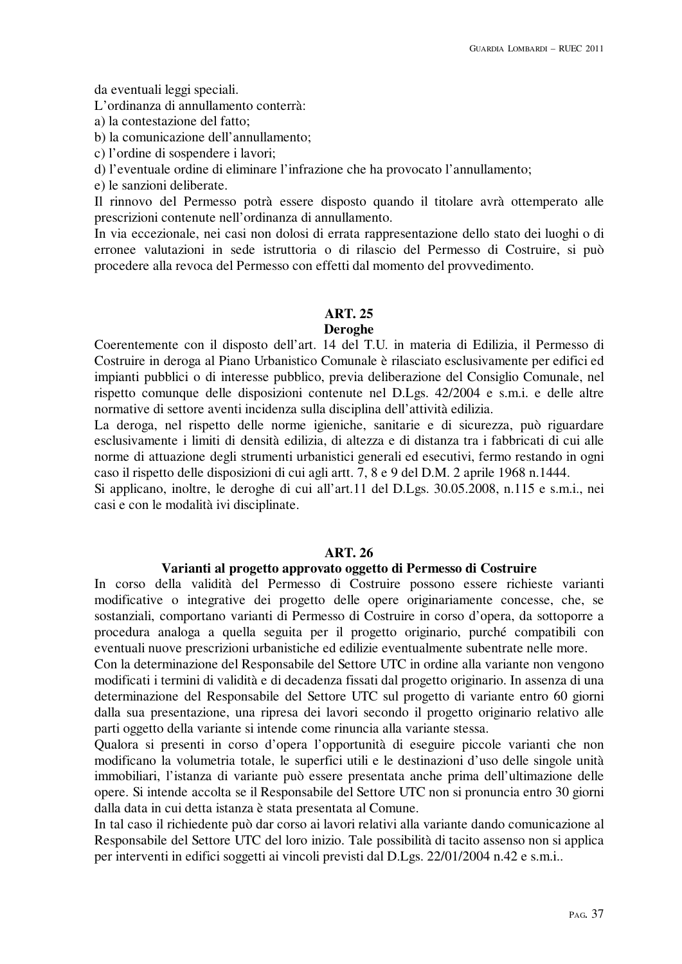da eventuali leggi speciali.

L'ordinanza di annullamento conterrà:

a) la contestazione del fatto;

b) la comunicazione dell'annullamento;

c) l'ordine di sospendere i lavori;

d) l'eventuale ordine di eliminare l'infrazione che ha provocato l'annullamento;

e) le sanzioni deliberate.

Il rinnovo del Permesso potrà essere disposto quando il titolare avrà ottemperato alle prescrizioni contenute nell'ordinanza di annullamento.

In via eccezionale, nei casi non dolosi di errata rappresentazione dello stato dei luoghi o di erronee valutazioni in sede istruttoria o di rilascio del Permesso di Costruire, si può procedere alla revoca del Permesso con effetti dal momento del provvedimento.

#### **ART. 25**

#### **Deroghe**

Coerentemente con il disposto dell'art. 14 del T.U. in materia di Edilizia, il Permesso di Costruire in deroga al Piano Urbanistico Comunale è rilasciato esclusivamente per edifici ed impianti pubblici o di interesse pubblico, previa deliberazione del Consiglio Comunale, nel rispetto comunque delle disposizioni contenute nel D.Lgs. 42/2004 e s.m.i. e delle altre normative di settore aventi incidenza sulla disciplina dell'attività edilizia.

La deroga, nel rispetto delle norme igieniche, sanitarie e di sicurezza, può riguardare esclusivamente i limiti di densità edilizia, di altezza e di distanza tra i fabbricati di cui alle norme di attuazione degli strumenti urbanistici generali ed esecutivi, fermo restando in ogni caso il rispetto delle disposizioni di cui agli artt. 7, 8 e 9 del D.M. 2 aprile 1968 n.1444.

Si applicano, inoltre, le deroghe di cui all'art.11 del D.Lgs. 30.05.2008, n.115 e s.m.i., nei casi e con le modalità ivi disciplinate.

#### **ART. 26**

#### **Varianti al progetto approvato oggetto di Permesso di Costruire**

In corso della validità del Permesso di Costruire possono essere richieste varianti modificative o integrative dei progetto delle opere originariamente concesse, che, se sostanziali, comportano varianti di Permesso di Costruire in corso d'opera, da sottoporre a procedura analoga a quella seguita per il progetto originario, purché compatibili con eventuali nuove prescrizioni urbanistiche ed edilizie eventualmente subentrate nelle more.

Con la determinazione del Responsabile del Settore UTC in ordine alla variante non vengono modificati i termini di validità e di decadenza fissati dal progetto originario. In assenza di una determinazione del Responsabile del Settore UTC sul progetto di variante entro 60 giorni dalla sua presentazione, una ripresa dei lavori secondo il progetto originario relativo alle parti oggetto della variante si intende come rinuncia alla variante stessa.

Qualora si presenti in corso d'opera l'opportunità di eseguire piccole varianti che non modificano la volumetria totale, le superfici utili e le destinazioni d'uso delle singole unità immobiliari, l'istanza di variante può essere presentata anche prima dell'ultimazione delle opere. Si intende accolta se il Responsabile del Settore UTC non si pronuncia entro 30 giorni dalla data in cui detta istanza è stata presentata al Comune.

In tal caso il richiedente può dar corso ai lavori relativi alla variante dando comunicazione al Responsabile del Settore UTC del loro inizio. Tale possibilità di tacito assenso non si applica per interventi in edifici soggetti ai vincoli previsti dal D.Lgs. 22/01/2004 n.42 e s.m.i..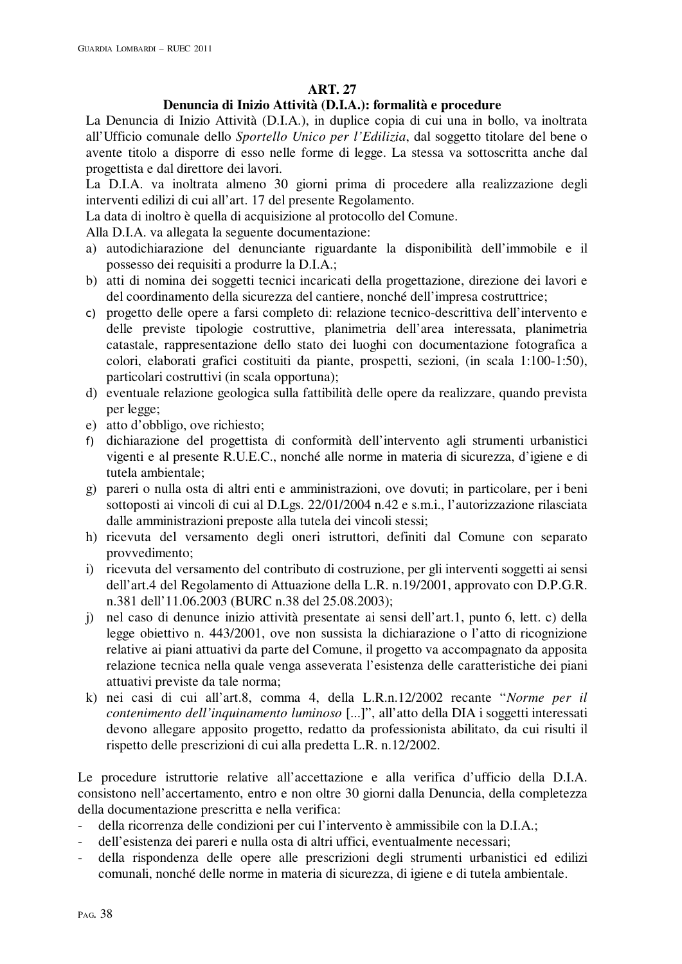# **ART. 27**

# **Denuncia di Inizio Attività (D.I.A.): formalità e procedure**

La Denuncia di Inizio Attività (D.I.A.), in duplice copia di cui una in bollo, va inoltrata all'Ufficio comunale dello *Sportello Unico per l'Edilizia*, dal soggetto titolare del bene o avente titolo a disporre di esso nelle forme di legge. La stessa va sottoscritta anche dal progettista e dal direttore dei lavori.

La D.I.A. va inoltrata almeno 30 giorni prima di procedere alla realizzazione degli interventi edilizi di cui all'art. 17 del presente Regolamento.

La data di inoltro è quella di acquisizione al protocollo del Comune.

Alla D.I.A. va allegata la seguente documentazione:

- a) autodichiarazione del denunciante riguardante la disponibilità dell'immobile e il possesso dei requisiti a produrre la D.I.A.;
- b) atti di nomina dei soggetti tecnici incaricati della progettazione, direzione dei lavori e del coordinamento della sicurezza del cantiere, nonché dell'impresa costruttrice;
- c) progetto delle opere a farsi completo di: relazione tecnico-descrittiva dell'intervento e delle previste tipologie costruttive, planimetria dell'area interessata, planimetria catastale, rappresentazione dello stato dei luoghi con documentazione fotografica a colori, elaborati grafici costituiti da piante, prospetti, sezioni, (in scala 1:100-1:50), particolari costruttivi (in scala opportuna);
- d) eventuale relazione geologica sulla fattibilità delle opere da realizzare, quando prevista per legge;
- e) atto d'obbligo, ove richiesto;
- f) dichiarazione del progettista di conformità dell'intervento agli strumenti urbanistici vigenti e al presente R.U.E.C., nonché alle norme in materia di sicurezza, d'igiene e di tutela ambientale;
- g) pareri o nulla osta di altri enti e amministrazioni, ove dovuti; in particolare, per i beni sottoposti ai vincoli di cui al D.Lgs. 22/01/2004 n.42 e s.m.i., l'autorizzazione rilasciata dalle amministrazioni preposte alla tutela dei vincoli stessi;
- h) ricevuta del versamento degli oneri istruttori, definiti dal Comune con separato provvedimento;
- i) ricevuta del versamento del contributo di costruzione, per gli interventi soggetti ai sensi dell'art.4 del Regolamento di Attuazione della L.R. n.19/2001, approvato con D.P.G.R. n.381 dell'11.06.2003 (BURC n.38 del 25.08.2003);
- j) nel caso di denunce inizio attività presentate ai sensi dell'art.1, punto 6, lett. c) della legge obiettivo n. 443/2001, ove non sussista la dichiarazione o l'atto di ricognizione relative ai piani attuativi da parte del Comune, il progetto va accompagnato da apposita relazione tecnica nella quale venga asseverata l'esistenza delle caratteristiche dei piani attuativi previste da tale norma;
- k) nei casi di cui all'art.8, comma 4, della L.R.n.12/2002 recante "*Norme per il contenimento dell'inquinamento luminoso* [...]", all'atto della DIA i soggetti interessati devono allegare apposito progetto, redatto da professionista abilitato, da cui risulti il rispetto delle prescrizioni di cui alla predetta L.R. n.12/2002.

Le procedure istruttorie relative all'accettazione e alla verifica d'ufficio della D.I.A. consistono nell'accertamento, entro e non oltre 30 giorni dalla Denuncia, della completezza della documentazione prescritta e nella verifica:

- della ricorrenza delle condizioni per cui l'intervento è ammissibile con la D.I.A.;
- dell'esistenza dei pareri e nulla osta di altri uffici, eventualmente necessari;
- della rispondenza delle opere alle prescrizioni degli strumenti urbanistici ed edilizi comunali, nonché delle norme in materia di sicurezza, di igiene e di tutela ambientale.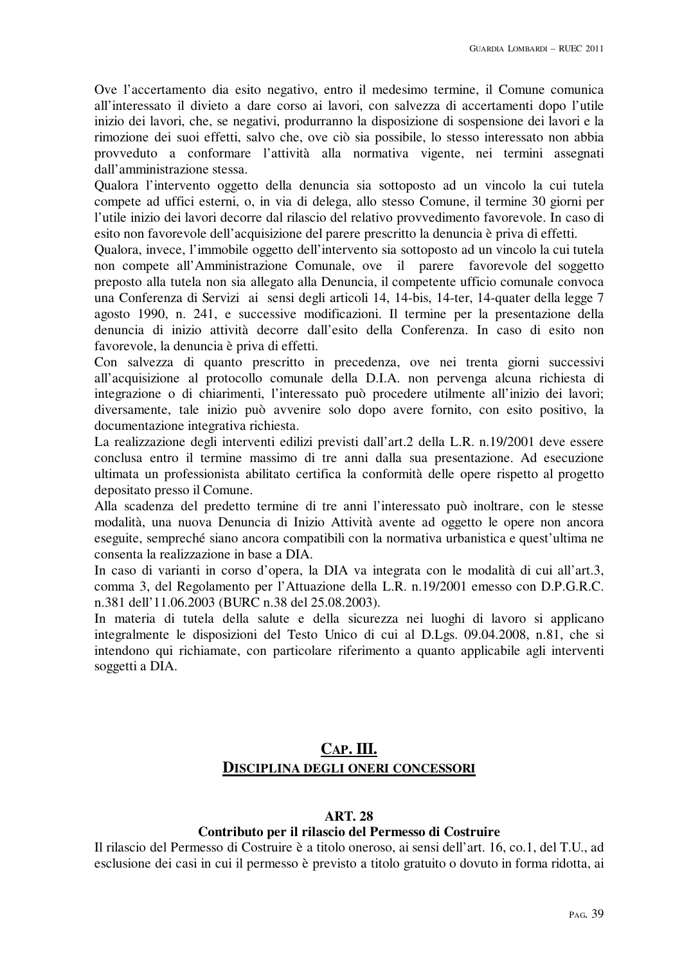Ove l'accertamento dia esito negativo, entro il medesimo termine, il Comune comunica all'interessato il divieto a dare corso ai lavori, con salvezza di accertamenti dopo l'utile inizio dei lavori, che, se negativi, produrranno la disposizione di sospensione dei lavori e la rimozione dei suoi effetti, salvo che, ove ciò sia possibile, lo stesso interessato non abbia provveduto a conformare l'attività alla normativa vigente, nei termini assegnati dall'amministrazione stessa.

Qualora l'intervento oggetto della denuncia sia sottoposto ad un vincolo la cui tutela compete ad uffici esterni, o, in via di delega, allo stesso Comune, il termine 30 giorni per l'utile inizio dei lavori decorre dal rilascio del relativo provvedimento favorevole. In caso di esito non favorevole dell'acquisizione del parere prescritto la denuncia è priva di effetti.

Qualora, invece, l'immobile oggetto dell'intervento sia sottoposto ad un vincolo la cui tutela non compete all'Amministrazione Comunale, ove il parere favorevole del soggetto preposto alla tutela non sia allegato alla Denuncia, il competente ufficio comunale convoca una Conferenza di Servizi ai sensi degli articoli 14, 14-bis, 14-ter, 14-quater della legge 7 agosto 1990, n. 241, e successive modificazioni. Il termine per la presentazione della denuncia di inizio attività decorre dall'esito della Conferenza. In caso di esito non favorevole, la denuncia è priva di effetti.

Con salvezza di quanto prescritto in precedenza, ove nei trenta giorni successivi all'acquisizione al protocollo comunale della D.I.A. non pervenga alcuna richiesta di integrazione o di chiarimenti, l'interessato può procedere utilmente all'inizio dei lavori; diversamente, tale inizio può avvenire solo dopo avere fornito, con esito positivo, la documentazione integrativa richiesta.

La realizzazione degli interventi edilizi previsti dall'art.2 della L.R. n.19/2001 deve essere conclusa entro il termine massimo di tre anni dalla sua presentazione. Ad esecuzione ultimata un professionista abilitato certifica la conformità delle opere rispetto al progetto depositato presso il Comune.

Alla scadenza del predetto termine di tre anni l'interessato può inoltrare, con le stesse modalità, una nuova Denuncia di Inizio Attività avente ad oggetto le opere non ancora eseguite, sempreché siano ancora compatibili con la normativa urbanistica e quest'ultima ne consenta la realizzazione in base a DIA.

In caso di varianti in corso d'opera, la DIA va integrata con le modalità di cui all'art.3, comma 3, del Regolamento per l'Attuazione della L.R. n.19/2001 emesso con D.P.G.R.C. n.381 dell'11.06.2003 (BURC n.38 del 25.08.2003).

In materia di tutela della salute e della sicurezza nei luoghi di lavoro si applicano integralmente le disposizioni del Testo Unico di cui al D.Lgs. 09.04.2008, n.81, che si intendono qui richiamate, con particolare riferimento a quanto applicabile agli interventi soggetti a DIA.

# **CAP. III. DISCIPLINA DEGLI ONERI CONCESSORI**

#### **ART. 28**

# **Contributo per il rilascio del Permesso di Costruire**

Il rilascio del Permesso di Costruire è a titolo oneroso, ai sensi dell'art. 16, co.1, del T.U., ad esclusione dei casi in cui il permesso è previsto a titolo gratuito o dovuto in forma ridotta, ai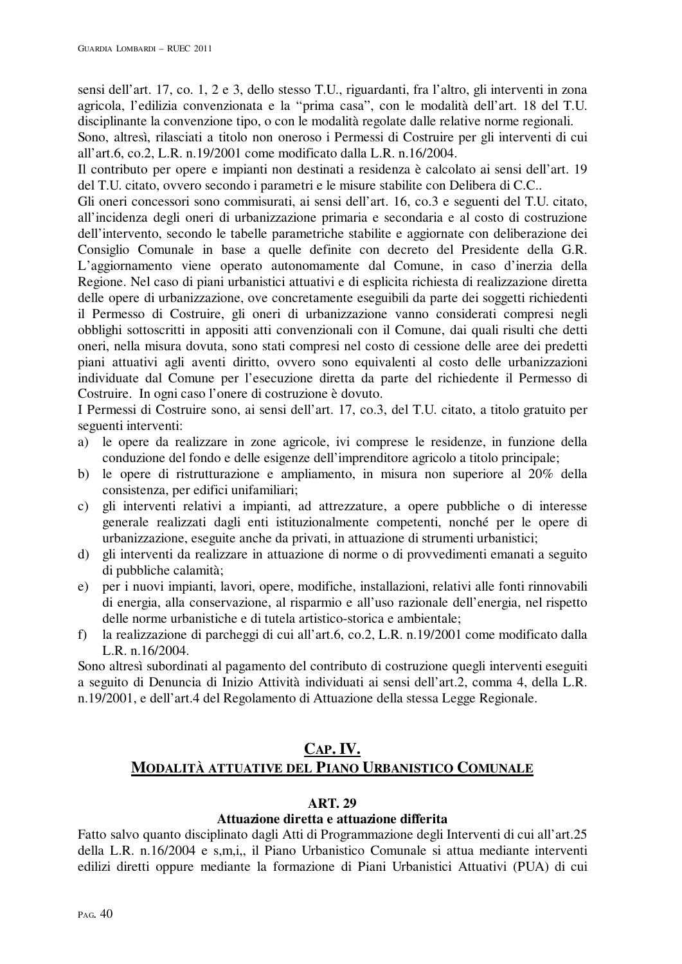sensi dell'art. 17, co. 1, 2 e 3, dello stesso T.U., riguardanti, fra l'altro, gli interventi in zona agricola, l'edilizia convenzionata e la "prima casa", con le modalità dell'art. 18 del T.U. disciplinante la convenzione tipo, o con le modalità regolate dalle relative norme regionali.

Sono, altresì, rilasciati a titolo non oneroso i Permessi di Costruire per gli interventi di cui all'art.6, co.2, L.R. n.19/2001 come modificato dalla L.R. n.16/2004.

Il contributo per opere e impianti non destinati a residenza è calcolato ai sensi dell'art. 19 del T.U. citato, ovvero secondo i parametri e le misure stabilite con Delibera di C.C..

Gli oneri concessori sono commisurati, ai sensi dell'art. 16, co.3 e seguenti del T.U. citato, all'incidenza degli oneri di urbanizzazione primaria e secondaria e al costo di costruzione dell'intervento, secondo le tabelle parametriche stabilite e aggiornate con deliberazione dei Consiglio Comunale in base a quelle definite con decreto del Presidente della G.R. L'aggiornamento viene operato autonomamente dal Comune, in caso d'inerzia della Regione. Nel caso di piani urbanistici attuativi e di esplicita richiesta di realizzazione diretta delle opere di urbanizzazione, ove concretamente eseguibili da parte dei soggetti richiedenti il Permesso di Costruire, gli oneri di urbanizzazione vanno considerati compresi negli obblighi sottoscritti in appositi atti convenzionali con il Comune, dai quali risulti che detti oneri, nella misura dovuta, sono stati compresi nel costo di cessione delle aree dei predetti piani attuativi agli aventi diritto, ovvero sono equivalenti al costo delle urbanizzazioni individuate dal Comune per l'esecuzione diretta da parte del richiedente il Permesso di Costruire. In ogni caso l'onere di costruzione è dovuto.

I Permessi di Costruire sono, ai sensi dell'art. 17, co.3, del T.U. citato, a titolo gratuito per seguenti interventi:

- a) le opere da realizzare in zone agricole, ivi comprese le residenze, in funzione della conduzione del fondo e delle esigenze dell'imprenditore agricolo a titolo principale;
- b) le opere di ristrutturazione e ampliamento, in misura non superiore al 20% della consistenza, per edifici unifamiliari;
- c) gli interventi relativi a impianti, ad attrezzature, a opere pubbliche o di interesse generale realizzati dagli enti istituzionalmente competenti, nonché per le opere di urbanizzazione, eseguite anche da privati, in attuazione di strumenti urbanistici;
- d) gli interventi da realizzare in attuazione di norme o di provvedimenti emanati a seguito di pubbliche calamità;
- e) per i nuovi impianti, lavori, opere, modifiche, installazioni, relativi alle fonti rinnovabili di energia, alla conservazione, al risparmio e all'uso razionale dell'energia, nel rispetto delle norme urbanistiche e di tutela artistico-storica e ambientale;
- f) la realizzazione di parcheggi di cui all'art.6, co.2, L.R. n.19/2001 come modificato dalla L.R. n.16/2004.

Sono altresì subordinati al pagamento del contributo di costruzione quegli interventi eseguiti a seguito di Denuncia di Inizio Attività individuati ai sensi dell'art.2, comma 4, della L.R. n.19/2001, e dell'art.4 del Regolamento di Attuazione della stessa Legge Regionale.

# **CAP. IV. MODALITÀ ATTUATIVE DEL PIANO URBANISTICO COMUNALE**

## **ART. 29**

# **Attuazione diretta e attuazione differita**

Fatto salvo quanto disciplinato dagli Atti di Programmazione degli Interventi di cui all'art.25 della L.R. n.16/2004 e s,m,i,, il Piano Urbanistico Comunale si attua mediante interventi edilizi diretti oppure mediante la formazione di Piani Urbanistici Attuativi (PUA) di cui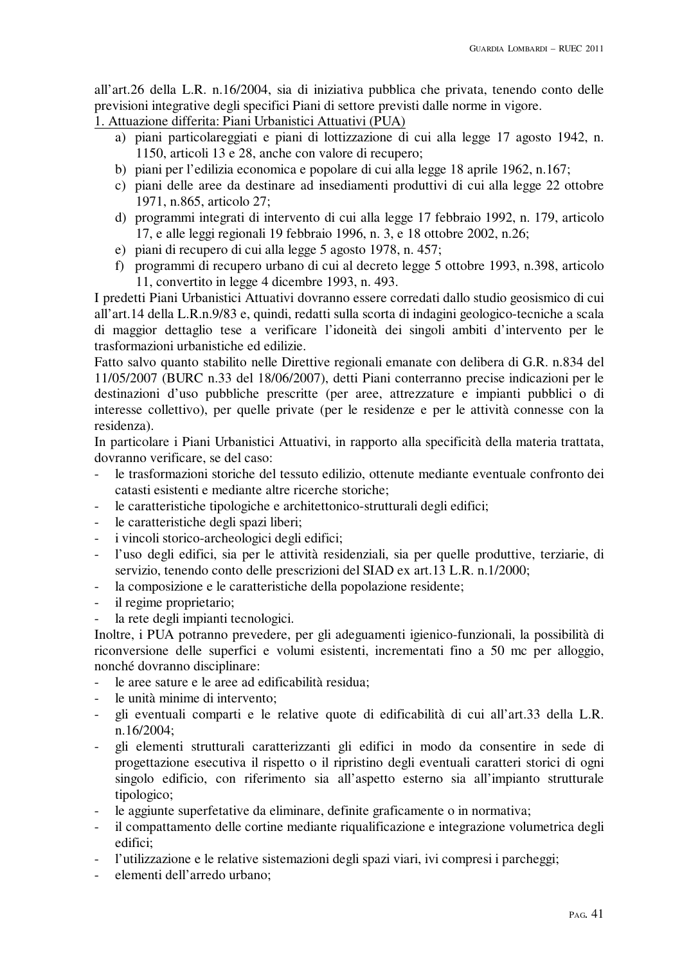all'art.26 della L.R. n.16/2004, sia di iniziativa pubblica che privata, tenendo conto delle previsioni integrative degli specifici Piani di settore previsti dalle norme in vigore.

1. Attuazione differita: Piani Urbanistici Attuativi (PUA)

- a) piani particolareggiati e piani di lottizzazione di cui alla legge 17 agosto 1942, n. 1150, articoli 13 e 28, anche con valore di recupero;
- b) piani per l'edilizia economica e popolare di cui alla legge 18 aprile 1962, n.167;
- c) piani delle aree da destinare ad insediamenti produttivi di cui alla legge 22 ottobre 1971, n.865, articolo 27;
- d) programmi integrati di intervento di cui alla legge 17 febbraio 1992, n. 179, articolo 17, e alle leggi regionali 19 febbraio 1996, n. 3, e 18 ottobre 2002, n.26;
- e) piani di recupero di cui alla legge 5 agosto 1978, n. 457;
- f) programmi di recupero urbano di cui al decreto legge 5 ottobre 1993, n.398, articolo 11, convertito in legge 4 dicembre 1993, n. 493.

I predetti Piani Urbanistici Attuativi dovranno essere corredati dallo studio geosismico di cui all'art.14 della L.R.n.9/83 e, quindi, redatti sulla scorta di indagini geologico-tecniche a scala di maggior dettaglio tese a verificare l'idoneità dei singoli ambiti d'intervento per le trasformazioni urbanistiche ed edilizie.

Fatto salvo quanto stabilito nelle Direttive regionali emanate con delibera di G.R. n.834 del 11/05/2007 (BURC n.33 del 18/06/2007), detti Piani conterranno precise indicazioni per le destinazioni d'uso pubbliche prescritte (per aree, attrezzature e impianti pubblici o di interesse collettivo), per quelle private (per le residenze e per le attività connesse con la residenza).

In particolare i Piani Urbanistici Attuativi, in rapporto alla specificità della materia trattata, dovranno verificare, se del caso:

- le trasformazioni storiche del tessuto edilizio, ottenute mediante eventuale confronto dei catasti esistenti e mediante altre ricerche storiche;
- le caratteristiche tipologiche e architettonico-strutturali degli edifici;
- le caratteristiche degli spazi liberi;
- i vincoli storico-archeologici degli edifici;
- l'uso degli edifici, sia per le attività residenziali, sia per quelle produttive, terziarie, di servizio, tenendo conto delle prescrizioni del SIAD ex art.13 L.R. n.1/2000;
- la composizione e le caratteristiche della popolazione residente;
- il regime proprietario;
- la rete degli impianti tecnologici.

Inoltre, i PUA potranno prevedere, per gli adeguamenti igienico-funzionali, la possibilità di riconversione delle superfici e volumi esistenti, incrementati fino a 50 mc per alloggio, nonché dovranno disciplinare:

- le aree sature e le aree ad edificabilità residua;
- le unità minime di intervento:
- gli eventuali comparti e le relative quote di edificabilità di cui all'art.33 della L.R. n.16/2004;
- gli elementi strutturali caratterizzanti gli edifici in modo da consentire in sede di progettazione esecutiva il rispetto o il ripristino degli eventuali caratteri storici di ogni singolo edificio, con riferimento sia all'aspetto esterno sia all'impianto strutturale tipologico;
- le aggiunte superfetative da eliminare, definite graficamente o in normativa;
- il compattamento delle cortine mediante riqualificazione e integrazione volumetrica degli edifici;
- l'utilizzazione e le relative sistemazioni degli spazi viari, ivi compresi i parcheggi;
- elementi dell'arredo urbano: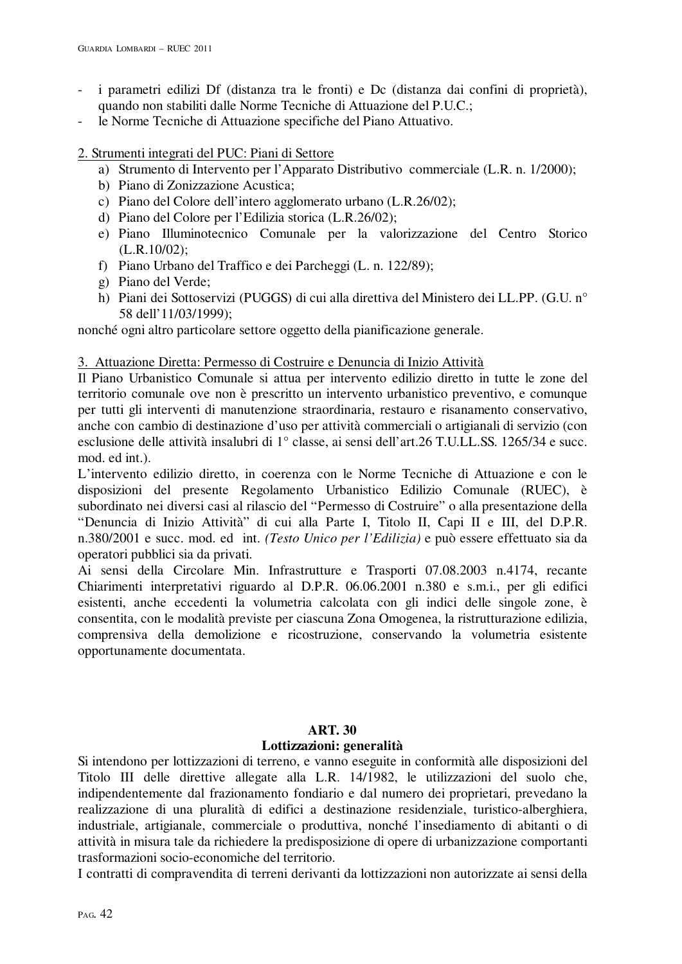- i parametri edilizi Df (distanza tra le fronti) e Dc (distanza dai confini di proprietà), quando non stabiliti dalle Norme Tecniche di Attuazione del P.U.C.;
- le Norme Tecniche di Attuazione specifiche del Piano Attuativo.

2. Strumenti integrati del PUC: Piani di Settore

- a) Strumento di Intervento per l'Apparato Distributivo commerciale (L.R. n. 1/2000);
- b) Piano di Zonizzazione Acustica;
- c) Piano del Colore dell'intero agglomerato urbano (L.R.26/02);
- d) Piano del Colore per l'Edilizia storica (L.R.26/02);
- e) Piano Illuminotecnico Comunale per la valorizzazione del Centro Storico (L.R.10/02);
- f) Piano Urbano del Traffico e dei Parcheggi (L. n. 122/89);
- g) Piano del Verde;
- h) Piani dei Sottoservizi (PUGGS) di cui alla direttiva del Ministero dei LL.PP. (G.U. n° 58 dell'11/03/1999);

nonché ogni altro particolare settore oggetto della pianificazione generale.

3. Attuazione Diretta: Permesso di Costruire e Denuncia di Inizio Attività

Il Piano Urbanistico Comunale si attua per intervento edilizio diretto in tutte le zone del territorio comunale ove non è prescritto un intervento urbanistico preventivo, e comunque per tutti gli interventi di manutenzione straordinaria, restauro e risanamento conservativo, anche con cambio di destinazione d'uso per attività commerciali o artigianali di servizio (con esclusione delle attività insalubri di 1° classe, ai sensi dell'art.26 T.U.LL.SS. 1265/34 e succ. mod. ed int.).

L'intervento edilizio diretto, in coerenza con le Norme Tecniche di Attuazione e con le disposizioni del presente Regolamento Urbanistico Edilizio Comunale (RUEC), è subordinato nei diversi casi al rilascio del "Permesso di Costruire" o alla presentazione della "Denuncia di Inizio Attività" di cui alla Parte I, Titolo II, Capi II e III, del D.P.R. n.380/2001 e succ. mod. ed int. *(Testo Unico per l'Edilizia)* e può essere effettuato sia da operatori pubblici sia da privati.

Ai sensi della Circolare Min. Infrastrutture e Trasporti 07.08.2003 n.4174, recante Chiarimenti interpretativi riguardo al D.P.R. 06.06.2001 n.380 e s.m.i., per gli edifici esistenti, anche eccedenti la volumetria calcolata con gli indici delle singole zone, è consentita, con le modalità previste per ciascuna Zona Omogenea, la ristrutturazione edilizia, comprensiva della demolizione e ricostruzione, conservando la volumetria esistente opportunamente documentata.

#### **ART. 30**

#### **Lottizzazioni: generalità**

Si intendono per lottizzazioni di terreno, e vanno eseguite in conformità alle disposizioni del Titolo III delle direttive allegate alla L.R. 14/1982, le utilizzazioni del suolo che, indipendentemente dal frazionamento fondiario e dal numero dei proprietari, prevedano la realizzazione di una pluralità di edifici a destinazione residenziale, turistico-alberghiera, industriale, artigianale, commerciale o produttiva, nonché l'insediamento di abitanti o di attività in misura tale da richiedere la predisposizione di opere di urbanizzazione comportanti trasformazioni socio-economiche del territorio.

I contratti di compravendita di terreni derivanti da lottizzazioni non autorizzate ai sensi della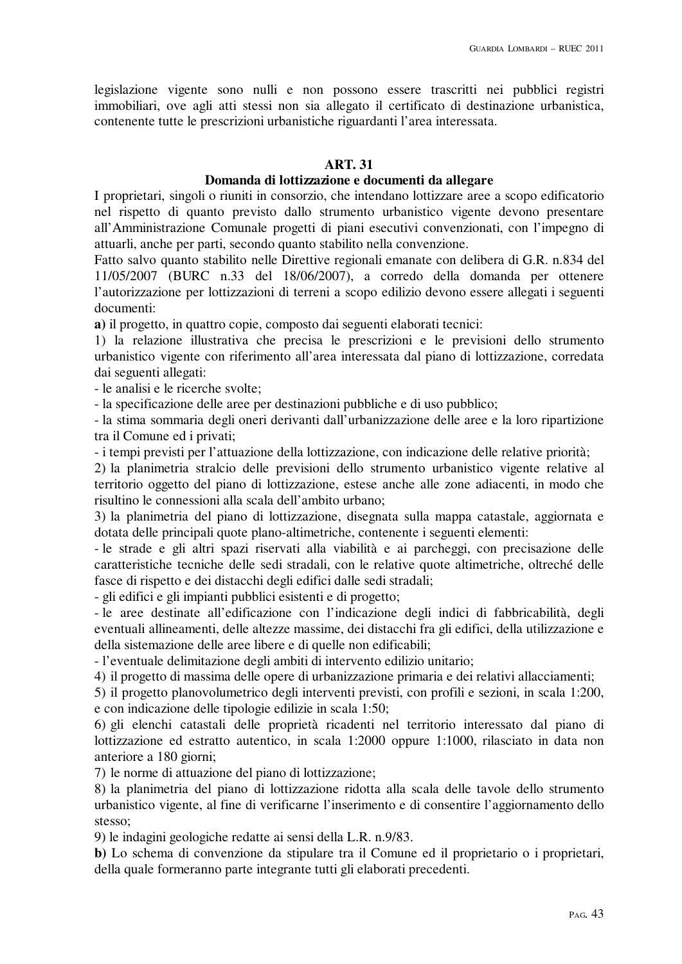legislazione vigente sono nulli e non possono essere trascritti nei pubblici registri immobiliari, ove agli atti stessi non sia allegato il certificato di destinazione urbanistica, contenente tutte le prescrizioni urbanistiche riguardanti l'area interessata.

# **ART. 31**

# **Domanda di lottizzazione e documenti da allegare**

I proprietari, singoli o riuniti in consorzio, che intendano lottizzare aree a scopo edificatorio nel rispetto di quanto previsto dallo strumento urbanistico vigente devono presentare all'Amministrazione Comunale progetti di piani esecutivi convenzionati, con l'impegno di attuarli, anche per parti, secondo quanto stabilito nella convenzione.

Fatto salvo quanto stabilito nelle Direttive regionali emanate con delibera di G.R. n.834 del 11/05/2007 (BURC n.33 del 18/06/2007), a corredo della domanda per ottenere l'autorizzazione per lottizzazioni di terreni a scopo edilizio devono essere allegati i seguenti documenti:

**a)** il progetto, in quattro copie, composto dai seguenti elaborati tecnici:

1) la relazione illustrativa che precisa le prescrizioni e le previsioni dello strumento urbanistico vigente con riferimento all'area interessata dal piano di lottizzazione, corredata dai seguenti allegati:

- le analisi e le ricerche svolte;

- la specificazione delle aree per destinazioni pubbliche e di uso pubblico;

- la stima sommaria degli oneri derivanti dall'urbanizzazione delle aree e la loro ripartizione tra il Comune ed i privati;

- i tempi previsti per l'attuazione della lottizzazione, con indicazione delle relative priorità;

2) la planimetria stralcio delle previsioni dello strumento urbanistico vigente relative al territorio oggetto del piano di lottizzazione, estese anche alle zone adiacenti, in modo che risultino le connessioni alla scala dell'ambito urbano;

3) la planimetria del piano di lottizzazione, disegnata sulla mappa catastale, aggiornata e dotata delle principali quote plano-altimetriche, contenente i seguenti elementi:

- le strade e gli altri spazi riservati alla viabilità e ai parcheggi, con precisazione delle caratteristiche tecniche delle sedi stradali, con le relative quote altimetriche, oltreché delle fasce di rispetto e dei distacchi degli edifici dalle sedi stradali;

- gli edifici e gli impianti pubblici esistenti e di progetto;

- le aree destinate all'edificazione con l'indicazione degli indici di fabbricabilità, degli eventuali allineamenti, delle altezze massime, dei distacchi fra gli edifici, della utilizzazione e della sistemazione delle aree libere e di quelle non edificabili;

- l'eventuale delimitazione degli ambiti di intervento edilizio unitario;

4) il progetto di massima delle opere di urbanizzazione primaria e dei relativi allacciamenti;

5) il progetto planovolumetrico degli interventi previsti, con profili e sezioni, in scala 1:200, e con indicazione delle tipologie edilizie in scala 1:50;

6) gli elenchi catastali delle proprietà ricadenti nel territorio interessato dal piano di lottizzazione ed estratto autentico, in scala 1:2000 oppure 1:1000, rilasciato in data non anteriore a 180 giorni;

7) le norme di attuazione del piano di lottizzazione;

8) la planimetria del piano di lottizzazione ridotta alla scala delle tavole dello strumento urbanistico vigente, al fine di verificarne l'inserimento e di consentire l'aggiornamento dello stesso;

9) le indagini geologiche redatte ai sensi della L.R. n.9/83.

**b**) Lo schema di convenzione da stipulare tra il Comune ed il proprietario o i proprietari, della quale formeranno parte integrante tutti gli elaborati precedenti.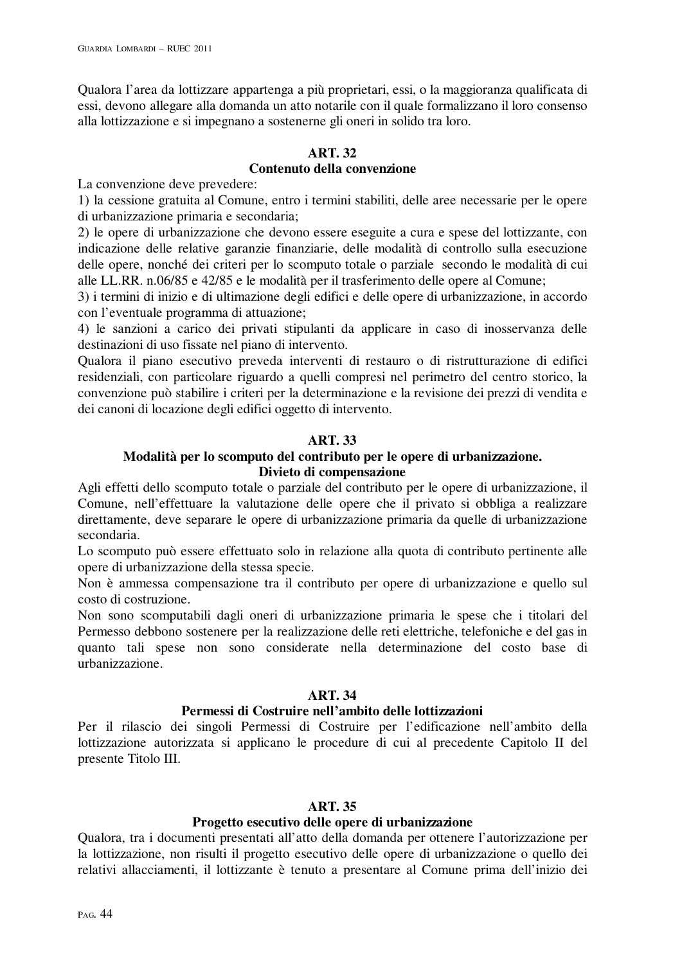Qualora l'area da lottizzare appartenga a più proprietari, essi, o la maggioranza qualificata di essi, devono allegare alla domanda un atto notarile con il quale formalizzano il loro consenso alla lottizzazione e si impegnano a sostenerne gli oneri in solido tra loro.

# **ART. 32**

# **Contenuto della convenzione**

La convenzione deve prevedere:

1) la cessione gratuita al Comune, entro i termini stabiliti, delle aree necessarie per le opere di urbanizzazione primaria e secondaria;

2) le opere di urbanizzazione che devono essere eseguite a cura e spese del lottizzante, con indicazione delle relative garanzie finanziarie, delle modalità di controllo sulla esecuzione delle opere, nonché dei criteri per lo scomputo totale o parziale secondo le modalità di cui alle LL.RR. n.06/85 e 42/85 e le modalità per il trasferimento delle opere al Comune;

3) i termini di inizio e di ultimazione degli edifici e delle opere di urbanizzazione, in accordo con l'eventuale programma di attuazione;

4) le sanzioni a carico dei privati stipulanti da applicare in caso di inosservanza delle destinazioni di uso fissate nel piano di intervento.

Qualora il piano esecutivo preveda interventi di restauro o di ristrutturazione di edifici residenziali, con particolare riguardo a quelli compresi nel perimetro del centro storico, la convenzione può stabilire i criteri per la determinazione e la revisione dei prezzi di vendita e dei canoni di locazione degli edifici oggetto di intervento.

# **ART. 33**

## **Modalità per lo scomputo del contributo per le opere di urbanizzazione. Divieto di compensazione**

Agli effetti dello scomputo totale o parziale del contributo per le opere di urbanizzazione, il Comune, nell'effettuare la valutazione delle opere che il privato si obbliga a realizzare direttamente, deve separare le opere di urbanizzazione primaria da quelle di urbanizzazione secondaria.

Lo scomputo può essere effettuato solo in relazione alla quota di contributo pertinente alle opere di urbanizzazione della stessa specie.

Non è ammessa compensazione tra il contributo per opere di urbanizzazione e quello sul costo di costruzione.

Non sono scomputabili dagli oneri di urbanizzazione primaria le spese che i titolari del Permesso debbono sostenere per la realizzazione delle reti elettriche, telefoniche e del gas in quanto tali spese non sono considerate nella determinazione del costo base di urbanizzazione.

# **ART. 34**

## **Permessi di Costruire nell'ambito delle lottizzazioni**

Per il rilascio dei singoli Permessi di Costruire per l'edificazione nell'ambito della lottizzazione autorizzata si applicano le procedure di cui al precedente Capitolo II del presente Titolo III.

## **ART. 35**

## **Progetto esecutivo delle opere di urbanizzazione**

Qualora, tra i documenti presentati all'atto della domanda per ottenere l'autorizzazione per la lottizzazione, non risulti il progetto esecutivo delle opere di urbanizzazione o quello dei relativi allacciamenti, il lottizzante è tenuto a presentare al Comune prima dell'inizio dei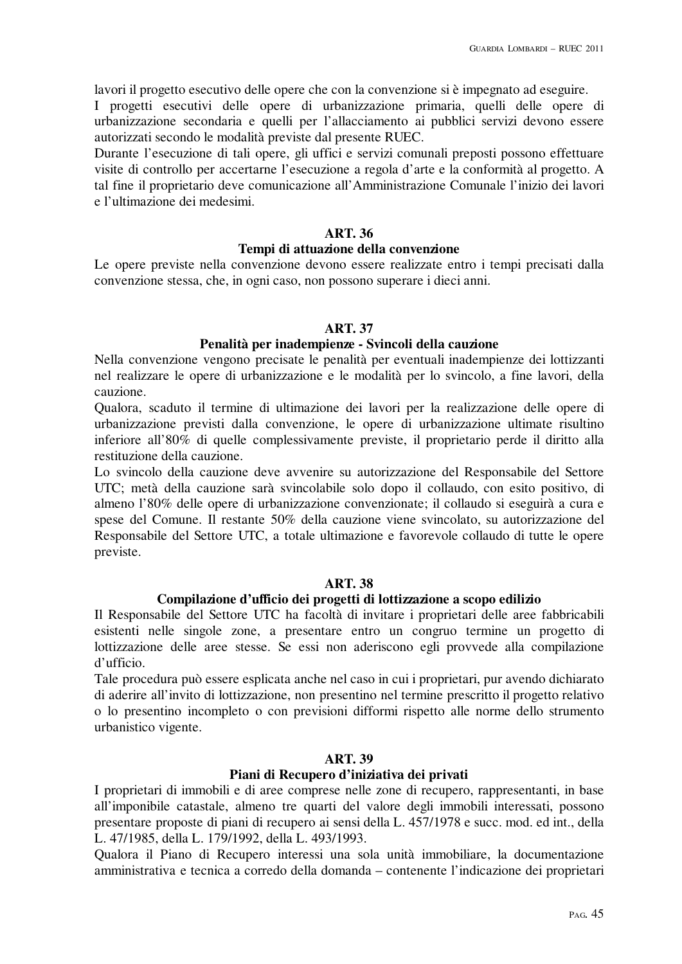lavori il progetto esecutivo delle opere che con la convenzione si è impegnato ad eseguire.

I progetti esecutivi delle opere di urbanizzazione primaria, quelli delle opere di urbanizzazione secondaria e quelli per l'allacciamento ai pubblici servizi devono essere autorizzati secondo le modalità previste dal presente RUEC.

Durante l'esecuzione di tali opere, gli uffici e servizi comunali preposti possono effettuare visite di controllo per accertarne l'esecuzione a regola d'arte e la conformità al progetto. A tal fine il proprietario deve comunicazione all'Amministrazione Comunale l'inizio dei lavori e l'ultimazione dei medesimi.

## **ART. 36**

#### **Tempi di attuazione della convenzione**

Le opere previste nella convenzione devono essere realizzate entro i tempi precisati dalla convenzione stessa, che, in ogni caso, non possono superare i dieci anni.

#### **ART. 37**

## **Penalità per inadempienze - Svincoli della cauzione**

Nella convenzione vengono precisate le penalità per eventuali inadempienze dei lottizzanti nel realizzare le opere di urbanizzazione e le modalità per lo svincolo, a fine lavori, della cauzione.

Qualora, scaduto il termine di ultimazione dei lavori per la realizzazione delle opere di urbanizzazione previsti dalla convenzione, le opere di urbanizzazione ultimate risultino inferiore all'80% di quelle complessivamente previste, il proprietario perde il diritto alla restituzione della cauzione.

Lo svincolo della cauzione deve avvenire su autorizzazione del Responsabile del Settore UTC; metà della cauzione sarà svincolabile solo dopo il collaudo, con esito positivo, di almeno l'80% delle opere di urbanizzazione convenzionate; il collaudo si eseguirà a cura e spese del Comune. Il restante 50% della cauzione viene svincolato, su autorizzazione del Responsabile del Settore UTC, a totale ultimazione e favorevole collaudo di tutte le opere previste.

# **ART. 38**

#### **Compilazione d'ufficio dei progetti di lottizzazione a scopo edilizio**

Il Responsabile del Settore UTC ha facoltà di invitare i proprietari delle aree fabbricabili esistenti nelle singole zone, a presentare entro un congruo termine un progetto di lottizzazione delle aree stesse. Se essi non aderiscono egli provvede alla compilazione d'ufficio.

Tale procedura può essere esplicata anche nel caso in cui i proprietari, pur avendo dichiarato di aderire all'invito di lottizzazione, non presentino nel termine prescritto il progetto relativo o lo presentino incompleto o con previsioni difformi rispetto alle norme dello strumento urbanistico vigente.

#### **ART. 39**

#### **Piani di Recupero d'iniziativa dei privati**

I proprietari di immobili e di aree comprese nelle zone di recupero, rappresentanti, in base all'imponibile catastale, almeno tre quarti del valore degli immobili interessati, possono presentare proposte di piani di recupero ai sensi della L. 457/1978 e succ. mod. ed int., della L. 47/1985, della L. 179/1992, della L. 493/1993.

Qualora il Piano di Recupero interessi una sola unità immobiliare, la documentazione amministrativa e tecnica a corredo della domanda – contenente l'indicazione dei proprietari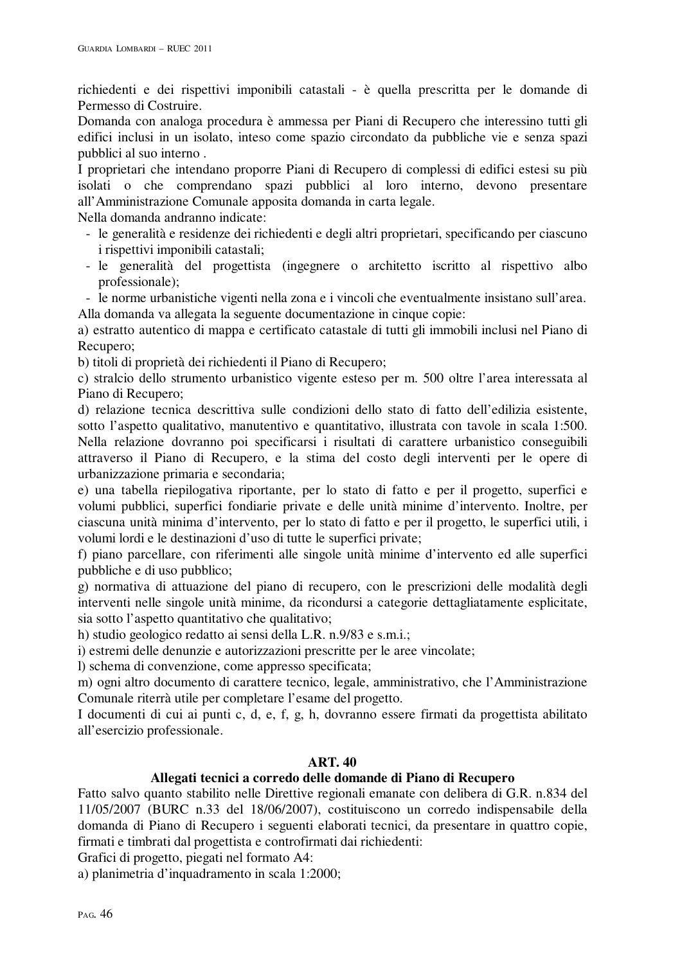richiedenti e dei rispettivi imponibili catastali - è quella prescritta per le domande di Permesso di Costruire.

Domanda con analoga procedura è ammessa per Piani di Recupero che interessino tutti gli edifici inclusi in un isolato, inteso come spazio circondato da pubbliche vie e senza spazi pubblici al suo interno .

I proprietari che intendano proporre Piani di Recupero di complessi di edifici estesi su più isolati o che comprendano spazi pubblici al loro interno, devono presentare all'Amministrazione Comunale apposita domanda in carta legale.

Nella domanda andranno indicate:

- le generalità e residenze dei richiedenti e degli altri proprietari, specificando per ciascuno i rispettivi imponibili catastali;
- le generalità del progettista (ingegnere o architetto iscritto al rispettivo albo professionale);

- le norme urbanistiche vigenti nella zona e i vincoli che eventualmente insistano sull'area. Alla domanda va allegata la seguente documentazione in cinque copie:

a) estratto autentico di mappa e certificato catastale di tutti gli immobili inclusi nel Piano di Recupero;

b) titoli di proprietà dei richiedenti il Piano di Recupero;

c) stralcio dello strumento urbanistico vigente esteso per m. 500 oltre l'area interessata al Piano di Recupero;

d) relazione tecnica descrittiva sulle condizioni dello stato di fatto dell'edilizia esistente, sotto l'aspetto qualitativo, manutentivo e quantitativo, illustrata con tavole in scala 1:500. Nella relazione dovranno poi specificarsi i risultati di carattere urbanistico conseguibili attraverso il Piano di Recupero, e la stima del costo degli interventi per le opere di urbanizzazione primaria e secondaria;

e) una tabella riepilogativa riportante, per lo stato di fatto e per il progetto, superfici e volumi pubblici, superfici fondiarie private e delle unità minime d'intervento. Inoltre, per ciascuna unità minima d'intervento, per lo stato di fatto e per il progetto, le superfici utili, i volumi lordi e le destinazioni d'uso di tutte le superfici private;

f) piano parcellare, con riferimenti alle singole unità minime d'intervento ed alle superfici pubbliche e di uso pubblico;

g) normativa di attuazione del piano di recupero, con le prescrizioni delle modalità degli interventi nelle singole unità minime, da ricondursi a categorie dettagliatamente esplicitate, sia sotto l'aspetto quantitativo che qualitativo;

h) studio geologico redatto ai sensi della L.R. n.9/83 e s.m.i.;

i) estremi delle denunzie e autorizzazioni prescritte per le aree vincolate;

l) schema di convenzione, come appresso specificata;

m) ogni altro documento di carattere tecnico, legale, amministrativo, che l'Amministrazione Comunale riterrà utile per completare l'esame del progetto.

I documenti di cui ai punti c, d, e, f, g, h, dovranno essere firmati da progettista abilitato all'esercizio professionale.

# **ART. 40**

# **Allegati tecnici a corredo delle domande di Piano di Recupero**

Fatto salvo quanto stabilito nelle Direttive regionali emanate con delibera di G.R. n.834 del 11/05/2007 (BURC n.33 del 18/06/2007), costituiscono un corredo indispensabile della domanda di Piano di Recupero i seguenti elaborati tecnici, da presentare in quattro copie, firmati e timbrati dal progettista e controfirmati dai richiedenti:

Grafici di progetto, piegati nel formato A4:

a) planimetria d'inquadramento in scala 1:2000;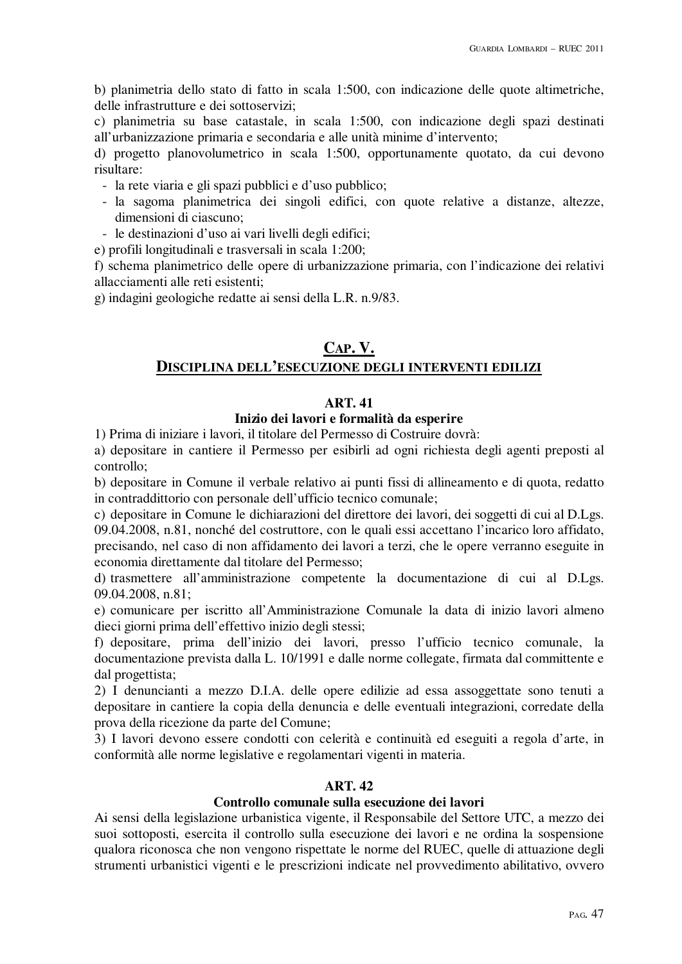b) planimetria dello stato di fatto in scala 1:500, con indicazione delle quote altimetriche, delle infrastrutture e dei sottoservizi;

c) planimetria su base catastale, in scala 1:500, con indicazione degli spazi destinati all'urbanizzazione primaria e secondaria e alle unità minime d'intervento;

d) progetto planovolumetrico in scala 1:500, opportunamente quotato, da cui devono risultare:

- la rete viaria e gli spazi pubblici e d'uso pubblico;
- la sagoma planimetrica dei singoli edifici, con quote relative a distanze, altezze, dimensioni di ciascuno;
- le destinazioni d'uso ai vari livelli degli edifici;
- e) profili longitudinali e trasversali in scala 1:200;

f) schema planimetrico delle opere di urbanizzazione primaria, con l'indicazione dei relativi allacciamenti alle reti esistenti;

g) indagini geologiche redatte ai sensi della L.R. n.9/83.

# **CAP. V. DISCIPLINA DELL'ESECUZIONE DEGLI INTERVENTI EDILIZI**

# **ART. 41**

## **Inizio dei lavori e formalità da esperire**

1) Prima di iniziare i lavori, il titolare del Permesso di Costruire dovrà:

a) depositare in cantiere il Permesso per esibirli ad ogni richiesta degli agenti preposti al controllo;

b) depositare in Comune il verbale relativo ai punti fissi di allineamento e di quota, redatto in contraddittorio con personale dell'ufficio tecnico comunale;

c) depositare in Comune le dichiarazioni del direttore dei lavori, dei soggetti di cui al D.Lgs.

09.04.2008, n.81, nonché del costruttore, con le quali essi accettano l'incarico loro affidato, precisando, nel caso di non affidamento dei lavori a terzi, che le opere verranno eseguite in economia direttamente dal titolare del Permesso;

d) trasmettere all'amministrazione competente la documentazione di cui al D.Lgs. 09.04.2008, n.81;

e) comunicare per iscritto all'Amministrazione Comunale la data di inizio lavori almeno dieci giorni prima dell'effettivo inizio degli stessi;

f) depositare, prima dell'inizio dei lavori, presso l'ufficio tecnico comunale, la documentazione prevista dalla L. 10/1991 e dalle norme collegate, firmata dal committente e dal progettista;

2) I denuncianti a mezzo D.I.A. delle opere edilizie ad essa assoggettate sono tenuti a depositare in cantiere la copia della denuncia e delle eventuali integrazioni, corredate della prova della ricezione da parte del Comune;

3) I lavori devono essere condotti con celerità e continuità ed eseguiti a regola d'arte, in conformità alle norme legislative e regolamentari vigenti in materia.

## **ART. 42**

# **Controllo comunale sulla esecuzione dei lavori**

Ai sensi della legislazione urbanistica vigente, il Responsabile del Settore UTC, a mezzo dei suoi sottoposti, esercita il controllo sulla esecuzione dei lavori e ne ordina la sospensione qualora riconosca che non vengono rispettate le norme del RUEC, quelle di attuazione degli strumenti urbanistici vigenti e le prescrizioni indicate nel provvedimento abilitativo, ovvero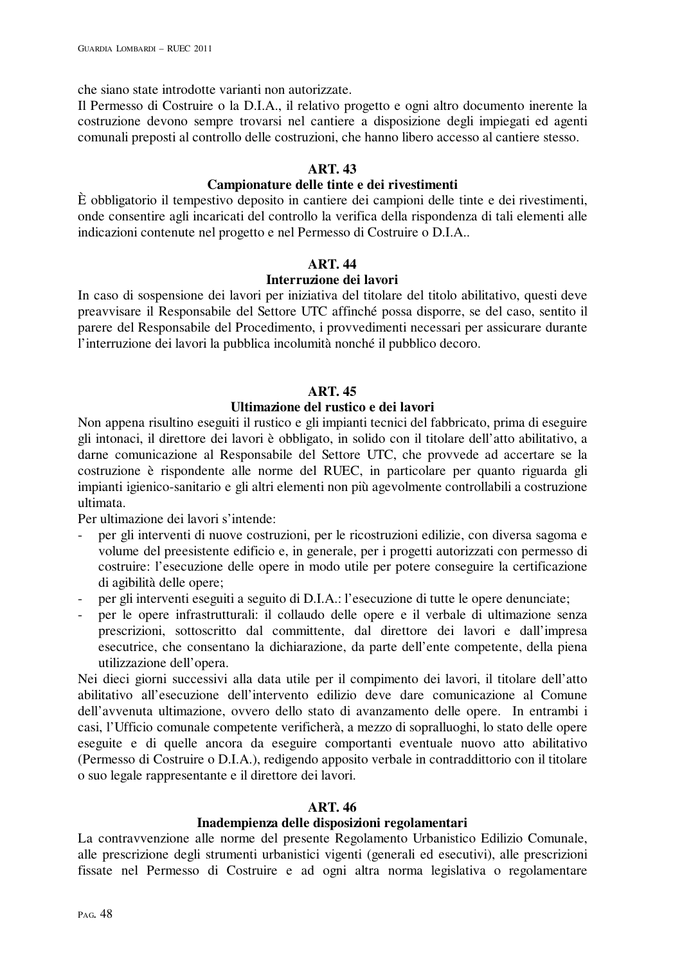che siano state introdotte varianti non autorizzate.

Il Permesso di Costruire o la D.I.A., il relativo progetto e ogni altro documento inerente la costruzione devono sempre trovarsi nel cantiere a disposizione degli impiegati ed agenti comunali preposti al controllo delle costruzioni, che hanno libero accesso al cantiere stesso.

# **ART. 43**

# **Campionature delle tinte e dei rivestimenti**

È obbligatorio il tempestivo deposito in cantiere dei campioni delle tinte e dei rivestimenti, onde consentire agli incaricati del controllo la verifica della rispondenza di tali elementi alle indicazioni contenute nel progetto e nel Permesso di Costruire o D.I.A..

# **ART. 44**

## **Interruzione dei lavori**

In caso di sospensione dei lavori per iniziativa del titolare del titolo abilitativo, questi deve preavvisare il Responsabile del Settore UTC affinché possa disporre, se del caso, sentito il parere del Responsabile del Procedimento, i provvedimenti necessari per assicurare durante l'interruzione dei lavori la pubblica incolumità nonché il pubblico decoro.

# **ART. 45**

# **Ultimazione del rustico e dei lavori**

Non appena risultino eseguiti il rustico e gli impianti tecnici del fabbricato, prima di eseguire gli intonaci, il direttore dei lavori è obbligato, in solido con il titolare dell'atto abilitativo, a darne comunicazione al Responsabile del Settore UTC, che provvede ad accertare se la costruzione è rispondente alle norme del RUEC, in particolare per quanto riguarda gli impianti igienico-sanitario e gli altri elementi non più agevolmente controllabili a costruzione ultimata.

Per ultimazione dei lavori s'intende:

- per gli interventi di nuove costruzioni, per le ricostruzioni edilizie, con diversa sagoma e volume del preesistente edificio e, in generale, per i progetti autorizzati con permesso di costruire: l'esecuzione delle opere in modo utile per potere conseguire la certificazione di agibilità delle opere;
- per gli interventi eseguiti a seguito di D.I.A.: l'esecuzione di tutte le opere denunciate;
- per le opere infrastrutturali: il collaudo delle opere e il verbale di ultimazione senza prescrizioni, sottoscritto dal committente, dal direttore dei lavori e dall'impresa esecutrice, che consentano la dichiarazione, da parte dell'ente competente, della piena utilizzazione dell'opera.

Nei dieci giorni successivi alla data utile per il compimento dei lavori, il titolare dell'atto abilitativo all'esecuzione dell'intervento edilizio deve dare comunicazione al Comune dell'avvenuta ultimazione, ovvero dello stato di avanzamento delle opere. In entrambi i casi, l'Ufficio comunale competente verificherà, a mezzo di sopralluoghi, lo stato delle opere eseguite e di quelle ancora da eseguire comportanti eventuale nuovo atto abilitativo (Permesso di Costruire o D.I.A.), redigendo apposito verbale in contraddittorio con il titolare o suo legale rappresentante e il direttore dei lavori.

# **ART. 46**

## **Inadempienza delle disposizioni regolamentari**

La contravvenzione alle norme del presente Regolamento Urbanistico Edilizio Comunale, alle prescrizione degli strumenti urbanistici vigenti (generali ed esecutivi), alle prescrizioni fissate nel Permesso di Costruire e ad ogni altra norma legislativa o regolamentare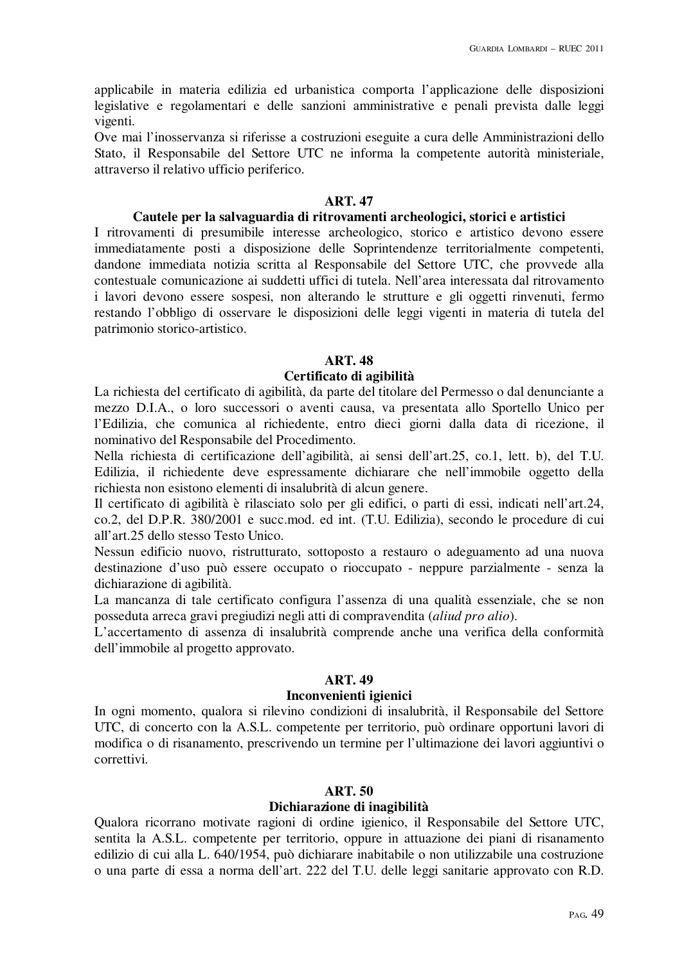applicabile in materia edilizia ed urbanistica comporta l'applicazione delle disposizioni legislative e regolamentari e delle sanzioni amministrative e penali prevista dalle leggi vigenti.

Ove mai l'inosservanza si riferisse a costruzioni eseguite a cura delle Amministrazioni dello Stato, il Responsabile del Settore UTC ne informa la competente autorità ministeriale, attraverso il relativo ufficio periferico.

#### **ART. 47**

#### **Cautele per la salvaguardia di ritrovamenti archeologici, storici e artistici**

I ritrovamenti di presumibile interesse archeologico, storico e artistico devono essere immediatamente posti a disposizione delle Soprintendenze territorialmente competenti, dandone immediata notizia scritta al Responsabile del Settore UTC, che provvede alla contestuale comunicazione ai suddetti uffici di tutela. Nell'area interessata dal ritrovamento i lavori devono essere sospesi, non alterando le strutture e gli oggetti rinvenuti, fermo restando l'obbligo di osservare le disposizioni delle leggi vigenti in materia di tutela del patrimonio storico-artistico.

#### **ART. 48**

#### **Certificato di agibilità**

La richiesta del certificato di agibilità, da parte del titolare del Permesso o dal denunciante a mezzo D.I.A., o loro successori o aventi causa, va presentata allo Sportello Unico per l'Edilizia, che comunica al richiedente, entro dieci giorni dalla data di ricezione, il nominativo del Responsabile del Procedimento.

Nella richiesta di certificazione dell'agibilità, ai sensi dell'art.25, co.1, lett. b), del T.U. Edilizia, il richiedente deve espressamente dichiarare che nell'immobile oggetto della richiesta non esistono elementi di insalubrità di alcun genere.

Il certificato di agibilità è rilasciato solo per gli edifici, o parti di essi, indicati nell'art.24, co.2, del D.P.R. 380/2001 e succ.mod. ed int. (T.U. Edilizia), secondo le procedure di cui all'art.25 dello stesso Testo Unico.

Nessun edificio nuovo, ristrutturato, sottoposto a restauro o adeguamento ad una nuova destinazione d'uso può essere occupato o rioccupato - neppure parzialmente - senza la dichiarazione di agibilità.

La mancanza di tale certificato configura l'assenza di una qualità essenziale, che se non posseduta arreca gravi pregiudizi negli atti di compravendita (*aliud pro alio*).

L'accertamento di assenza di insalubrità comprende anche una verifica della conformità dell'immobile al progetto approvato.

#### **ART. 49**

#### **Inconvenienti igienici**

In ogni momento, qualora si rilevino condizioni di insalubrità, il Responsabile del Settore UTC, di concerto con la A.S.L. competente per territorio, può ordinare opportuni lavori di modifica o di risanamento, prescrivendo un termine per l'ultimazione dei lavori aggiuntivi o correttivi.

#### **ART. 50**

#### **Dichiarazione di inagibilità**

Qualora ricorrano motivate ragioni di ordine igienico, il Responsabile del Settore UTC, sentita la A.S.L. competente per territorio, oppure in attuazione dei piani di risanamento edilizio di cui alla L. 640/1954, può dichiarare inabitabile o non utilizzabile una costruzione o una parte di essa a norma dell'art. 222 del T.U. delle leggi sanitarie approvato con R.D.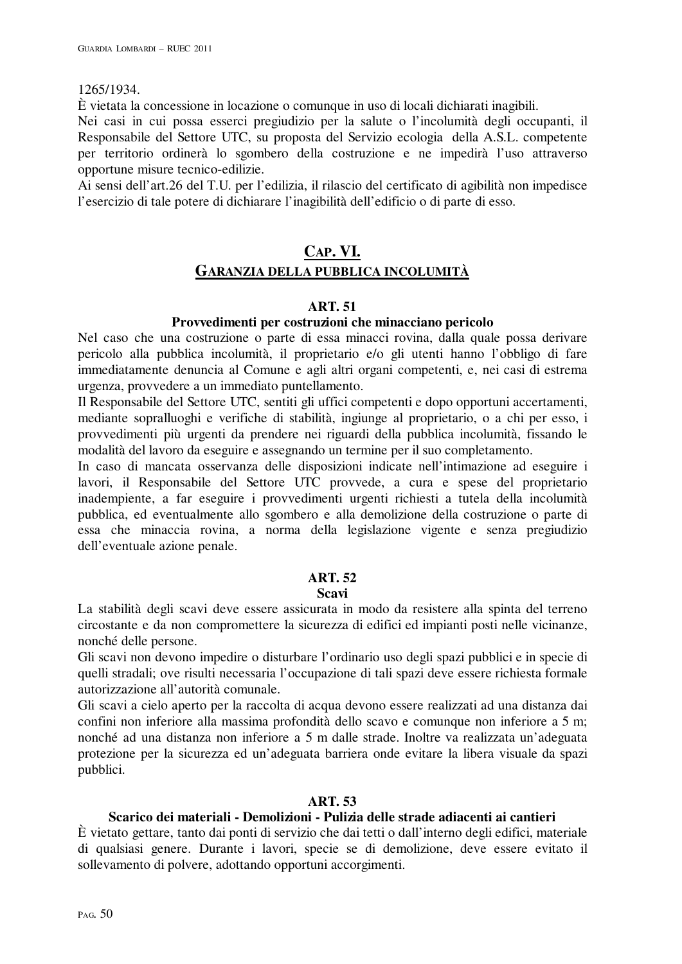#### 1265/1934.

È vietata la concessione in locazione o comunque in uso di locali dichiarati inagibili.

Nei casi in cui possa esserci pregiudizio per la salute o l'incolumità degli occupanti, il Responsabile del Settore UTC, su proposta del Servizio ecologia della A.S.L. competente per territorio ordinerà lo sgombero della costruzione e ne impedirà l'uso attraverso opportune misure tecnico-edilizie.

Ai sensi dell'art.26 del T.U. per l'edilizia, il rilascio del certificato di agibilità non impedisce l'esercizio di tale potere di dichiarare l'inagibilità dell'edificio o di parte di esso.

# **CAP. VI. GARANZIA DELLA PUBBLICA INCOLUMITÀ**

## **ART. 51**

## **Provvedimenti per costruzioni che minacciano pericolo**

Nel caso che una costruzione o parte di essa minacci rovina, dalla quale possa derivare pericolo alla pubblica incolumità, il proprietario e/o gli utenti hanno l'obbligo di fare immediatamente denuncia al Comune e agli altri organi competenti, e, nei casi di estrema urgenza, provvedere a un immediato puntellamento.

Il Responsabile del Settore UTC, sentiti gli uffici competenti e dopo opportuni accertamenti, mediante sopralluoghi e verifiche di stabilità, ingiunge al proprietario, o a chi per esso, i provvedimenti più urgenti da prendere nei riguardi della pubblica incolumità, fissando le modalità del lavoro da eseguire e assegnando un termine per il suo completamento.

In caso di mancata osservanza delle disposizioni indicate nell'intimazione ad eseguire i lavori, il Responsabile del Settore UTC provvede, a cura e spese del proprietario inadempiente, a far eseguire i provvedimenti urgenti richiesti a tutela della incolumità pubblica, ed eventualmente allo sgombero e alla demolizione della costruzione o parte di essa che minaccia rovina, a norma della legislazione vigente e senza pregiudizio dell'eventuale azione penale.

## **ART. 52**

#### **Scavi**

La stabilità degli scavi deve essere assicurata in modo da resistere alla spinta del terreno circostante e da non compromettere la sicurezza di edifici ed impianti posti nelle vicinanze, nonché delle persone.

Gli scavi non devono impedire o disturbare l'ordinario uso degli spazi pubblici e in specie di quelli stradali; ove risulti necessaria l'occupazione di tali spazi deve essere richiesta formale autorizzazione all'autorità comunale.

Gli scavi a cielo aperto per la raccolta di acqua devono essere realizzati ad una distanza dai confini non inferiore alla massima profondità dello scavo e comunque non inferiore a 5 m; nonché ad una distanza non inferiore a 5 m dalle strade. Inoltre va realizzata un'adeguata protezione per la sicurezza ed un'adeguata barriera onde evitare la libera visuale da spazi pubblici.

#### **ART. 53**

## **Scarico dei materiali - Demolizioni - Pulizia delle strade adiacenti ai cantieri**

È vietato gettare, tanto dai ponti di servizio che dai tetti o dall'interno degli edifici, materiale di qualsiasi genere. Durante i lavori, specie se di demolizione, deve essere evitato il sollevamento di polvere, adottando opportuni accorgimenti.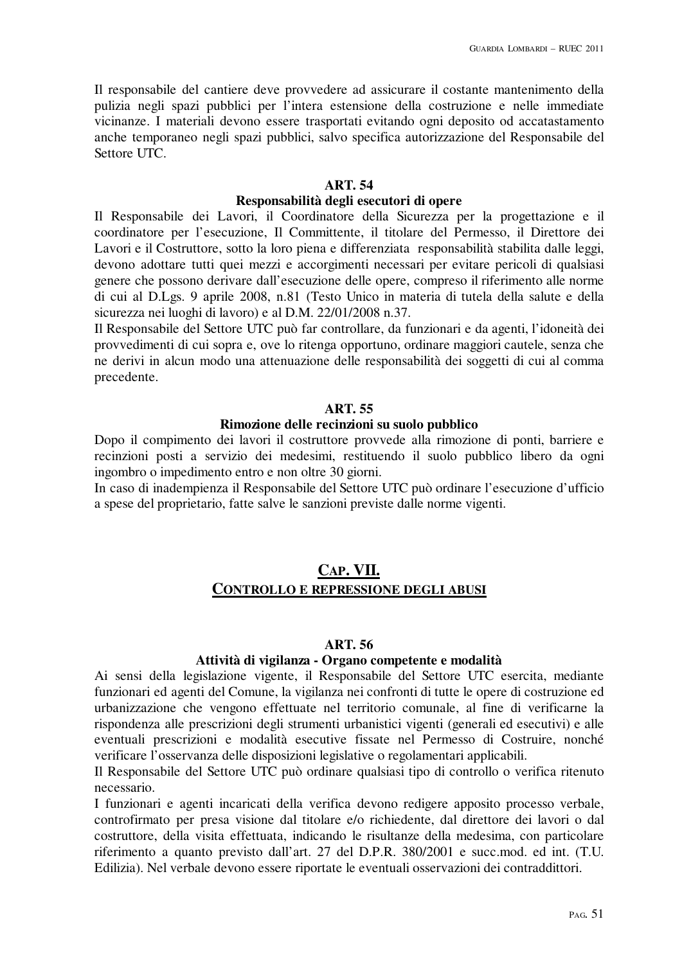Il responsabile del cantiere deve provvedere ad assicurare il costante mantenimento della pulizia negli spazi pubblici per l'intera estensione della costruzione e nelle immediate vicinanze. I materiali devono essere trasportati evitando ogni deposito od accatastamento anche temporaneo negli spazi pubblici, salvo specifica autorizzazione del Responsabile del Settore UTC.

## **ART. 54**

# **Responsabilità degli esecutori di opere**

Il Responsabile dei Lavori, il Coordinatore della Sicurezza per la progettazione e il coordinatore per l'esecuzione, Il Committente, il titolare del Permesso, il Direttore dei Lavori e il Costruttore, sotto la loro piena e differenziata responsabilità stabilita dalle leggi, devono adottare tutti quei mezzi e accorgimenti necessari per evitare pericoli di qualsiasi genere che possono derivare dall'esecuzione delle opere, compreso il riferimento alle norme di cui al D.Lgs. 9 aprile 2008, n.81 (Testo Unico in materia di tutela della salute e della sicurezza nei luoghi di lavoro) e al D.M. 22/01/2008 n.37.

Il Responsabile del Settore UTC può far controllare, da funzionari e da agenti, l'idoneità dei provvedimenti di cui sopra e, ove lo ritenga opportuno, ordinare maggiori cautele, senza che ne derivi in alcun modo una attenuazione delle responsabilità dei soggetti di cui al comma precedente.

#### **ART. 55**

# **Rimozione delle recinzioni su suolo pubblico**

Dopo il compimento dei lavori il costruttore provvede alla rimozione di ponti, barriere e recinzioni posti a servizio dei medesimi, restituendo il suolo pubblico libero da ogni ingombro o impedimento entro e non oltre 30 giorni.

In caso di inadempienza il Responsabile del Settore UTC può ordinare l'esecuzione d'ufficio a spese del proprietario, fatte salve le sanzioni previste dalle norme vigenti.

# **CAP. VII. CONTROLLO E REPRESSIONE DEGLI ABUSI**

#### **ART. 56**

## **Attività di vigilanza - Organo competente e modalità**

Ai sensi della legislazione vigente, il Responsabile del Settore UTC esercita, mediante funzionari ed agenti del Comune, la vigilanza nei confronti di tutte le opere di costruzione ed urbanizzazione che vengono effettuate nel territorio comunale, al fine di verificarne la rispondenza alle prescrizioni degli strumenti urbanistici vigenti (generali ed esecutivi) e alle eventuali prescrizioni e modalità esecutive fissate nel Permesso di Costruire, nonché verificare l'osservanza delle disposizioni legislative o regolamentari applicabili.

Il Responsabile del Settore UTC può ordinare qualsiasi tipo di controllo o verifica ritenuto necessario.

I funzionari e agenti incaricati della verifica devono redigere apposito processo verbale, controfirmato per presa visione dal titolare e/o richiedente, dal direttore dei lavori o dal costruttore, della visita effettuata, indicando le risultanze della medesima, con particolare riferimento a quanto previsto dall'art. 27 del D.P.R. 380/2001 e succ.mod. ed int. (T.U. Edilizia). Nel verbale devono essere riportate le eventuali osservazioni dei contraddittori.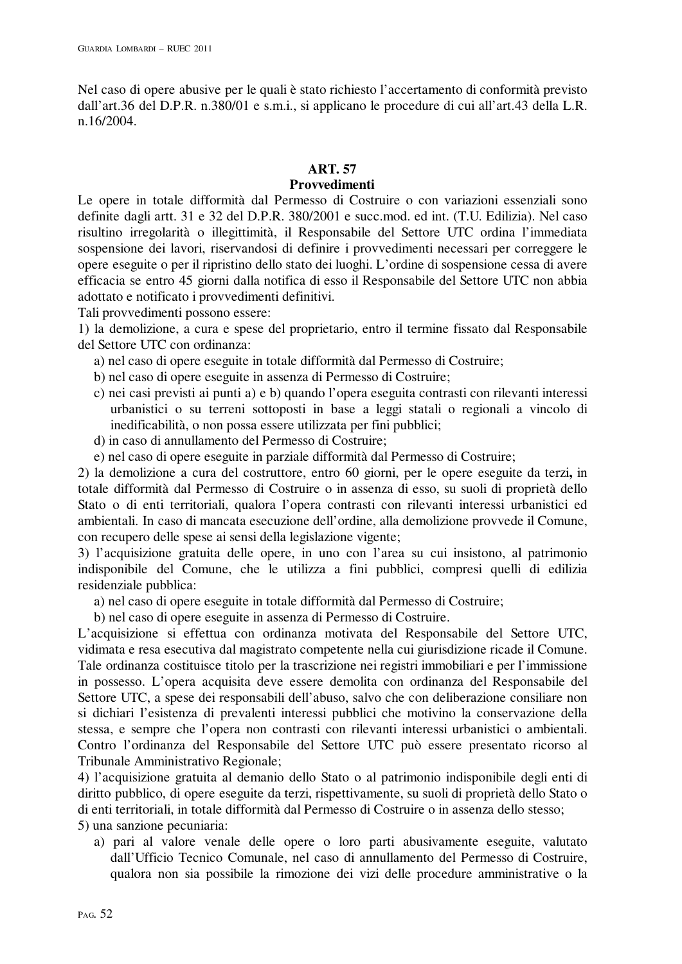Nel caso di opere abusive per le quali è stato richiesto l'accertamento di conformità previsto dall'art.36 del D.P.R. n.380/01 e s.m.i., si applicano le procedure di cui all'art.43 della L.R. n.16/2004.

# **ART. 57**

# **Provvedimenti**

Le opere in totale difformità dal Permesso di Costruire o con variazioni essenziali sono definite dagli artt. 31 e 32 del D.P.R. 380/2001 e succ.mod. ed int. (T.U. Edilizia). Nel caso risultino irregolarità o illegittimità, il Responsabile del Settore UTC ordina l'immediata sospensione dei lavori, riservandosi di definire i provvedimenti necessari per correggere le opere eseguite o per il ripristino dello stato dei luoghi. L'ordine di sospensione cessa di avere efficacia se entro 45 giorni dalla notifica di esso il Responsabile del Settore UTC non abbia adottato e notificato i provvedimenti definitivi.

Tali provvedimenti possono essere:

1) la demolizione, a cura e spese del proprietario, entro il termine fissato dal Responsabile del Settore UTC con ordinanza:

- a) nel caso di opere eseguite in totale difformità dal Permesso di Costruire;
- b) nel caso di opere eseguite in assenza di Permesso di Costruire;
- c) nei casi previsti ai punti a) e b) quando l'opera eseguita contrasti con rilevanti interessi urbanistici o su terreni sottoposti in base a leggi statali o regionali a vincolo di inedificabilità, o non possa essere utilizzata per fini pubblici;
- d) in caso di annullamento del Permesso di Costruire;
- e) nel caso di opere eseguite in parziale difformità dal Permesso di Costruire;

2) la demolizione a cura del costruttore, entro 60 giorni, per le opere eseguite da terzi**,** in totale difformità dal Permesso di Costruire o in assenza di esso, su suoli di proprietà dello Stato o di enti territoriali, qualora l'opera contrasti con rilevanti interessi urbanistici ed ambientali. In caso di mancata esecuzione dell'ordine, alla demolizione provvede il Comune, con recupero delle spese ai sensi della legislazione vigente;

3) l'acquisizione gratuita delle opere, in uno con l'area su cui insistono, al patrimonio indisponibile del Comune, che le utilizza a fini pubblici, compresi quelli di edilizia residenziale pubblica:

a) nel caso di opere eseguite in totale difformità dal Permesso di Costruire;

b) nel caso di opere eseguite in assenza di Permesso di Costruire.

L'acquisizione si effettua con ordinanza motivata del Responsabile del Settore UTC, vidimata e resa esecutiva dal magistrato competente nella cui giurisdizione ricade il Comune. Tale ordinanza costituisce titolo per la trascrizione nei registri immobiliari e per l'immissione in possesso. L'opera acquisita deve essere demolita con ordinanza del Responsabile del Settore UTC, a spese dei responsabili dell'abuso, salvo che con deliberazione consiliare non si dichiari l'esistenza di prevalenti interessi pubblici che motivino la conservazione della stessa, e sempre che l'opera non contrasti con rilevanti interessi urbanistici o ambientali. Contro l'ordinanza del Responsabile del Settore UTC può essere presentato ricorso al Tribunale Amministrativo Regionale;

4) l'acquisizione gratuita al demanio dello Stato o al patrimonio indisponibile degli enti di diritto pubblico, di opere eseguite da terzi, rispettivamente, su suoli di proprietà dello Stato o di enti territoriali, in totale difformità dal Permesso di Costruire o in assenza dello stesso; 5) una sanzione pecuniaria:

a) pari al valore venale delle opere o loro parti abusivamente eseguite, valutato dall'Ufficio Tecnico Comunale, nel caso di annullamento del Permesso di Costruire, qualora non sia possibile la rimozione dei vizi delle procedure amministrative o la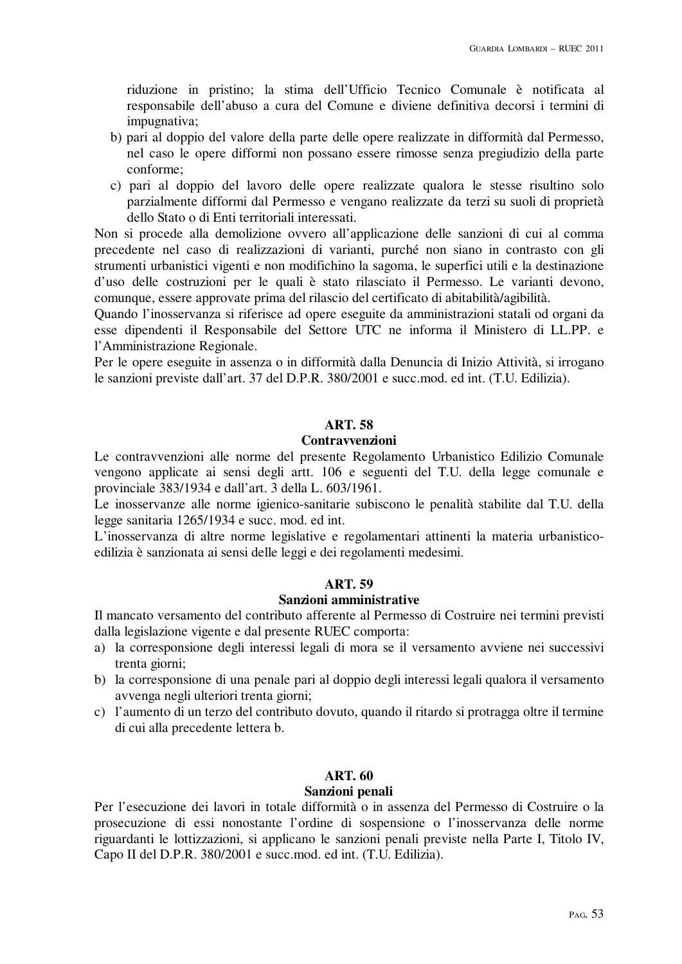riduzione in pristino; la stima dell'Ufficio Tecnico Comunale è notificata al responsabile dell'abuso a cura del Comune e diviene definitiva decorsi i termini di impugnativa;

- b) pari al doppio del valore della parte delle opere realizzate in difformità dal Permesso, nel caso le opere difformi non possano essere rimosse senza pregiudizio della parte conforme;
- c) pari al doppio del lavoro delle opere realizzate qualora le stesse risultino solo parzialmente difformi dal Permesso e vengano realizzate da terzi su suoli di proprietà dello Stato o di Enti territoriali interessati.

Non si procede alla demolizione ovvero all'applicazione delle sanzioni di cui al comma precedente nel caso di realizzazioni di varianti, purché non siano in contrasto con gli strumenti urbanistici vigenti e non modifichino la sagoma, le superfici utili e la destinazione d'uso delle costruzioni per le quali è stato rilasciato il Permesso. Le varianti devono, comunque, essere approvate prima del rilascio del certificato di abitabilità/agibilità.

Quando l'inosservanza si riferisce ad opere eseguite da amministrazioni statali od organi da esse dipendenti il Responsabile del Settore UTC ne informa il Ministero di LL.PP. e l'Amministrazione Regionale.

Per le opere eseguite in assenza o in difformità dalla Denuncia di Inizio Attività, si irrogano le sanzioni previste dall'art. 37 del D.P.R. 380/2001 e succ.mod. ed int. (T.U. Edilizia).

#### **ART. 58**

#### **Contravvenzioni**

Le contravvenzioni alle norme del presente Regolamento Urbanistico Edilizio Comunale vengono applicate ai sensi degli artt. 106 e seguenti del T.U. della legge comunale e provinciale 383/1934 e dall'art. 3 della L. 603/1961.

Le inosservanze alle norme igienico-sanitarie subiscono le penalità stabilite dal T.U. della legge sanitaria 1265/1934 e succ. mod. ed int.

L'inosservanza di altre norme legislative e regolamentari attinenti la materia urbanisticoedilizia è sanzionata ai sensi delle leggi e dei regolamenti medesimi.

#### **ART. 59**

#### **Sanzioni amministrative**

Il mancato versamento del contributo afferente al Permesso di Costruire nei termini previsti dalla legislazione vigente e dal presente RUEC comporta:

- a) la corresponsione degli interessi legali di mora se il versamento avviene nei successivi trenta giorni;
- b) la corresponsione di una penale pari al doppio degli interessi legali qualora il versamento avvenga negli ulteriori trenta giorni;
- c) l'aumento di un terzo del contributo dovuto, quando il ritardo si protragga oltre il termine di cui alla precedente lettera b.

# **ART. 60**

## **Sanzioni penali**

Per l'esecuzione dei lavori in totale difformità o in assenza del Permesso di Costruire o la prosecuzione di essi nonostante l'ordine di sospensione o l'inosservanza delle norme riguardanti le lottizzazioni, si applicano le sanzioni penali previste nella Parte I, Titolo IV, Capo II del D.P.R. 380/2001 e succ.mod. ed int. (T.U. Edilizia).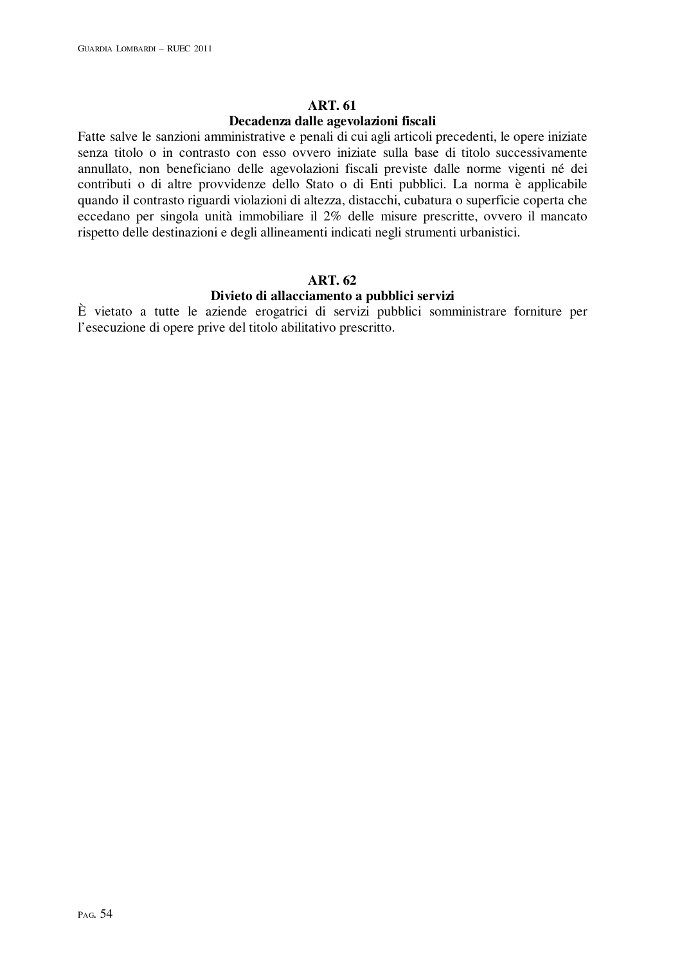#### **ART. 61**

#### **Decadenza dalle agevolazioni fiscali**

Fatte salve le sanzioni amministrative e penali di cui agli articoli precedenti, le opere iniziate senza titolo o in contrasto con esso ovvero iniziate sulla base di titolo successivamente annullato, non beneficiano delle agevolazioni fiscali previste dalle norme vigenti né dei contributi o di altre provvidenze dello Stato o di Enti pubblici. La norma è applicabile quando il contrasto riguardi violazioni di altezza, distacchi, cubatura o superficie coperta che eccedano per singola unità immobiliare il 2% delle misure prescritte, ovvero il mancato rispetto delle destinazioni e degli allineamenti indicati negli strumenti urbanistici.

#### **ART. 62**

#### **Divieto di allacciamento a pubblici servizi**

È vietato a tutte le aziende erogatrici di servizi pubblici somministrare forniture per l'esecuzione di opere prive del titolo abilitativo prescritto.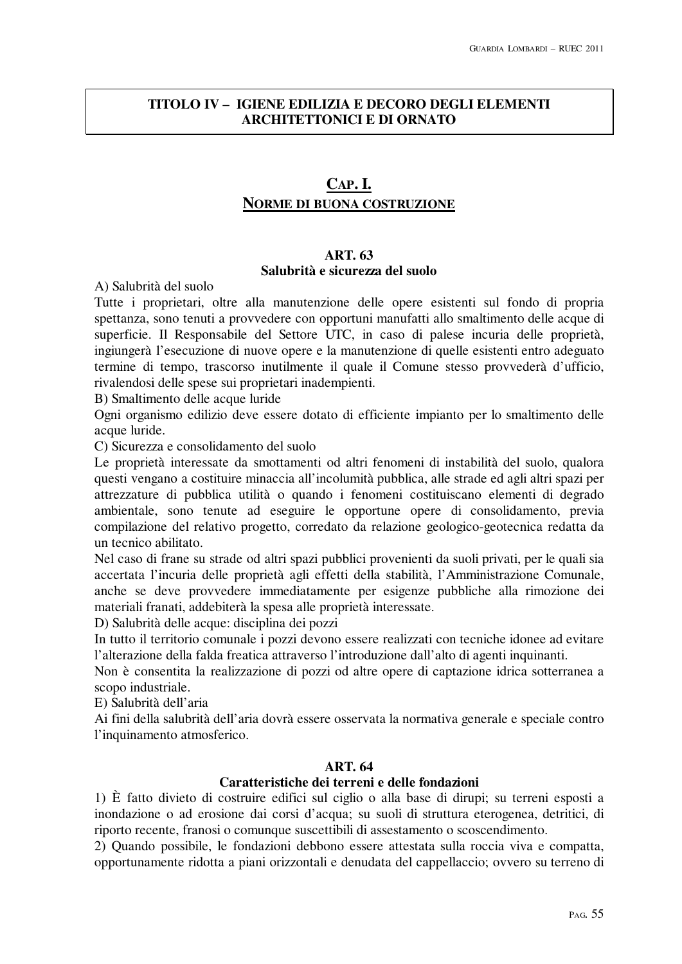# **TITOLO IV – IGIENE EDILIZIA E DECORO DEGLI ELEMENTI ARCHITETTONICI E DI ORNATO**

# **CAP. I. NORME DI BUONA COSTRUZIONE**

#### **ART. 63 Salubrità e sicurezza del suolo**

A) Salubrità del suolo

Tutte i proprietari, oltre alla manutenzione delle opere esistenti sul fondo di propria spettanza, sono tenuti a provvedere con opportuni manufatti allo smaltimento delle acque di superficie. Il Responsabile del Settore UTC, in caso di palese incuria delle proprietà, ingiungerà l'esecuzione di nuove opere e la manutenzione di quelle esistenti entro adeguato termine di tempo, trascorso inutilmente il quale il Comune stesso provvederà d'ufficio, rivalendosi delle spese sui proprietari inadempienti.

B) Smaltimento delle acque luride

Ogni organismo edilizio deve essere dotato di efficiente impianto per lo smaltimento delle acque luride.

C) Sicurezza e consolidamento del suolo

Le proprietà interessate da smottamenti od altri fenomeni di instabilità del suolo, qualora questi vengano a costituire minaccia all'incolumità pubblica, alle strade ed agli altri spazi per attrezzature di pubblica utilità o quando i fenomeni costituiscano elementi di degrado ambientale, sono tenute ad eseguire le opportune opere di consolidamento, previa compilazione del relativo progetto, corredato da relazione geologico-geotecnica redatta da un tecnico abilitato.

Nel caso di frane su strade od altri spazi pubblici provenienti da suoli privati, per le quali sia accertata l'incuria delle proprietà agli effetti della stabilità, l'Amministrazione Comunale, anche se deve provvedere immediatamente per esigenze pubbliche alla rimozione dei materiali franati, addebiterà la spesa alle proprietà interessate.

D) Salubrità delle acque: disciplina dei pozzi

In tutto il territorio comunale i pozzi devono essere realizzati con tecniche idonee ad evitare l'alterazione della falda freatica attraverso l'introduzione dall'alto di agenti inquinanti.

Non è consentita la realizzazione di pozzi od altre opere di captazione idrica sotterranea a scopo industriale.

E) Salubrità dell'aria

Ai fini della salubrità dell'aria dovrà essere osservata la normativa generale e speciale contro l'inquinamento atmosferico.

## **ART. 64**

# **Caratteristiche dei terreni e delle fondazioni**

1) È fatto divieto di costruire edifici sul ciglio o alla base di dirupi; su terreni esposti a inondazione o ad erosione dai corsi d'acqua; su suoli di struttura eterogenea, detritici, di riporto recente, franosi o comunque suscettibili di assestamento o scoscendimento.

2) Quando possibile, le fondazioni debbono essere attestata sulla roccia viva e compatta, opportunamente ridotta a piani orizzontali e denudata del cappellaccio; ovvero su terreno di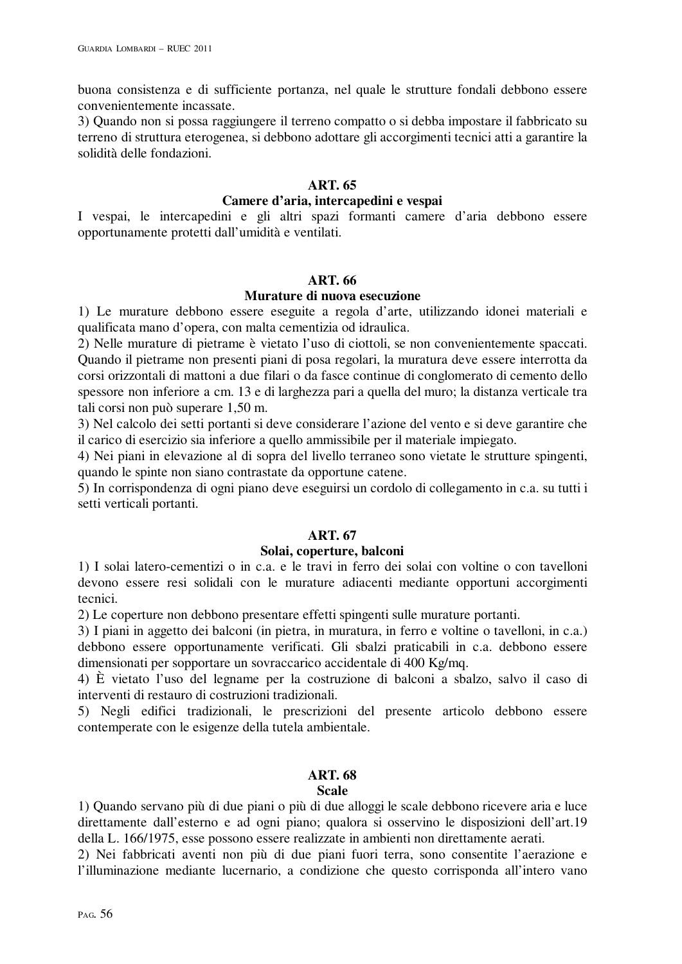buona consistenza e di sufficiente portanza, nel quale le strutture fondali debbono essere convenientemente incassate.

3) Quando non si possa raggiungere il terreno compatto o si debba impostare il fabbricato su terreno di struttura eterogenea, si debbono adottare gli accorgimenti tecnici atti a garantire la solidità delle fondazioni.

# **ART. 65**

# **Camere d'aria, intercapedini e vespai**

I vespai, le intercapedini e gli altri spazi formanti camere d'aria debbono essere opportunamente protetti dall'umidità e ventilati.

## **ART. 66**

# **Murature di nuova esecuzione**

1) Le murature debbono essere eseguite a regola d'arte, utilizzando idonei materiali e qualificata mano d'opera, con malta cementizia od idraulica.

2) Nelle murature di pietrame è vietato l'uso di ciottoli, se non convenientemente spaccati. Quando il pietrame non presenti piani di posa regolari, la muratura deve essere interrotta da corsi orizzontali di mattoni a due filari o da fasce continue di conglomerato di cemento dello spessore non inferiore a cm. 13 e di larghezza pari a quella del muro; la distanza verticale tra tali corsi non può superare 1,50 m.

3) Nel calcolo dei setti portanti si deve considerare l'azione del vento e si deve garantire che il carico di esercizio sia inferiore a quello ammissibile per il materiale impiegato.

4) Nei piani in elevazione al di sopra del livello terraneo sono vietate le strutture spingenti, quando le spinte non siano contrastate da opportune catene.

5) In corrispondenza di ogni piano deve eseguirsi un cordolo di collegamento in c.a. su tutti i setti verticali portanti.

# **ART. 67**

## **Solai, coperture, balconi**

1) I solai latero-cementizi o in c.a. e le travi in ferro dei solai con voltine o con tavelloni devono essere resi solidali con le murature adiacenti mediante opportuni accorgimenti tecnici.

2) Le coperture non debbono presentare effetti spingenti sulle murature portanti.

3) I piani in aggetto dei balconi (in pietra, in muratura, in ferro e voltine o tavelloni, in c.a.) debbono essere opportunamente verificati. Gli sbalzi praticabili in c.a. debbono essere dimensionati per sopportare un sovraccarico accidentale di 400 Kg/mq.

4) È vietato l'uso del legname per la costruzione di balconi a sbalzo, salvo il caso di interventi di restauro di costruzioni tradizionali.

5) Negli edifici tradizionali, le prescrizioni del presente articolo debbono essere contemperate con le esigenze della tutela ambientale.

# **ART. 68**

## **Scale**

1) Quando servano più di due piani o più di due alloggi le scale debbono ricevere aria e luce direttamente dall'esterno e ad ogni piano; qualora si osservino le disposizioni dell'art.19 della L. 166/1975, esse possono essere realizzate in ambienti non direttamente aerati.

2) Nei fabbricati aventi non più di due piani fuori terra, sono consentite l'aerazione e l'illuminazione mediante lucernario, a condizione che questo corrisponda all'intero vano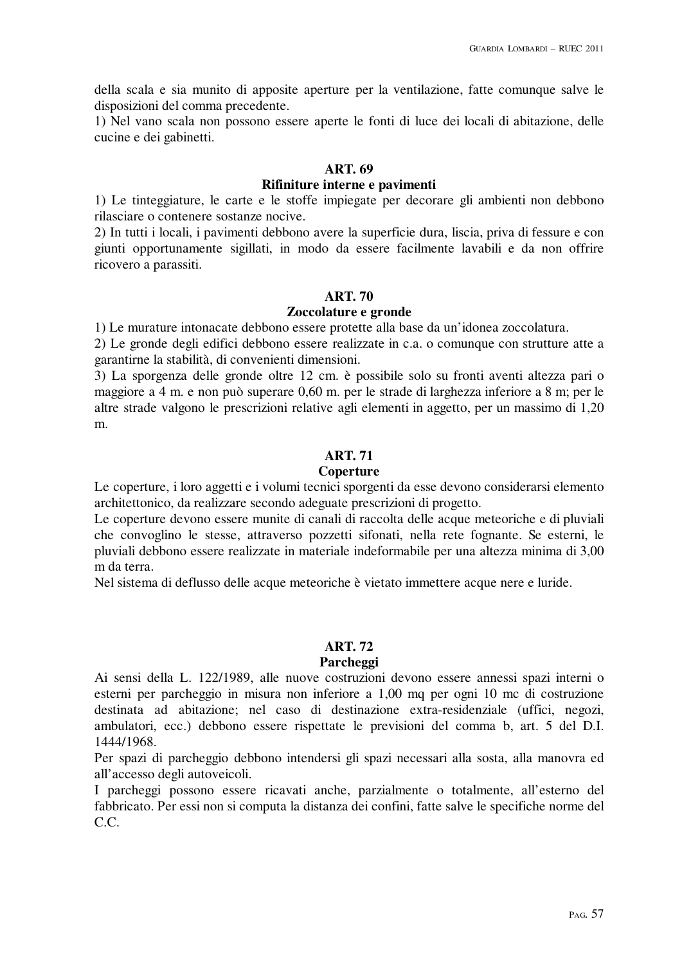della scala e sia munito di apposite aperture per la ventilazione, fatte comunque salve le disposizioni del comma precedente.

1) Nel vano scala non possono essere aperte le fonti di luce dei locali di abitazione, delle cucine e dei gabinetti.

# **ART. 69**

## **Rifiniture interne e pavimenti**

1) Le tinteggiature, le carte e le stoffe impiegate per decorare gli ambienti non debbono rilasciare o contenere sostanze nocive.

2) In tutti i locali, i pavimenti debbono avere la superficie dura, liscia, priva di fessure e con giunti opportunamente sigillati, in modo da essere facilmente lavabili e da non offrire ricovero a parassiti.

#### **ART. 70**

#### **Zoccolature e gronde**

1) Le murature intonacate debbono essere protette alla base da un'idonea zoccolatura.

2) Le gronde degli edifici debbono essere realizzate in c.a. o comunque con strutture atte a garantirne la stabilità, di convenienti dimensioni.

3) La sporgenza delle gronde oltre 12 cm. è possibile solo su fronti aventi altezza pari o maggiore a 4 m. e non può superare 0,60 m. per le strade di larghezza inferiore a 8 m; per le altre strade valgono le prescrizioni relative agli elementi in aggetto, per un massimo di 1,20 m.

## **ART. 71**

## **Coperture**

Le coperture, i loro aggetti e i volumi tecnici sporgenti da esse devono considerarsi elemento architettonico, da realizzare secondo adeguate prescrizioni di progetto.

Le coperture devono essere munite di canali di raccolta delle acque meteoriche e di pluviali che convoglino le stesse, attraverso pozzetti sifonati, nella rete fognante. Se esterni, le pluviali debbono essere realizzate in materiale indeformabile per una altezza minima di 3,00 m da terra.

Nel sistema di deflusso delle acque meteoriche è vietato immettere acque nere e luride.

## **ART. 72**

#### **Parcheggi**

Ai sensi della L. 122/1989, alle nuove costruzioni devono essere annessi spazi interni o esterni per parcheggio in misura non inferiore a 1,00 mq per ogni 10 mc di costruzione destinata ad abitazione; nel caso di destinazione extra-residenziale (uffici, negozi, ambulatori, ecc.) debbono essere rispettate le previsioni del comma b, art. 5 del D.I. 1444/1968.

Per spazi di parcheggio debbono intendersi gli spazi necessari alla sosta, alla manovra ed all'accesso degli autoveicoli.

I parcheggi possono essere ricavati anche, parzialmente o totalmente, all'esterno del fabbricato. Per essi non si computa la distanza dei confini, fatte salve le specifiche norme del C.C.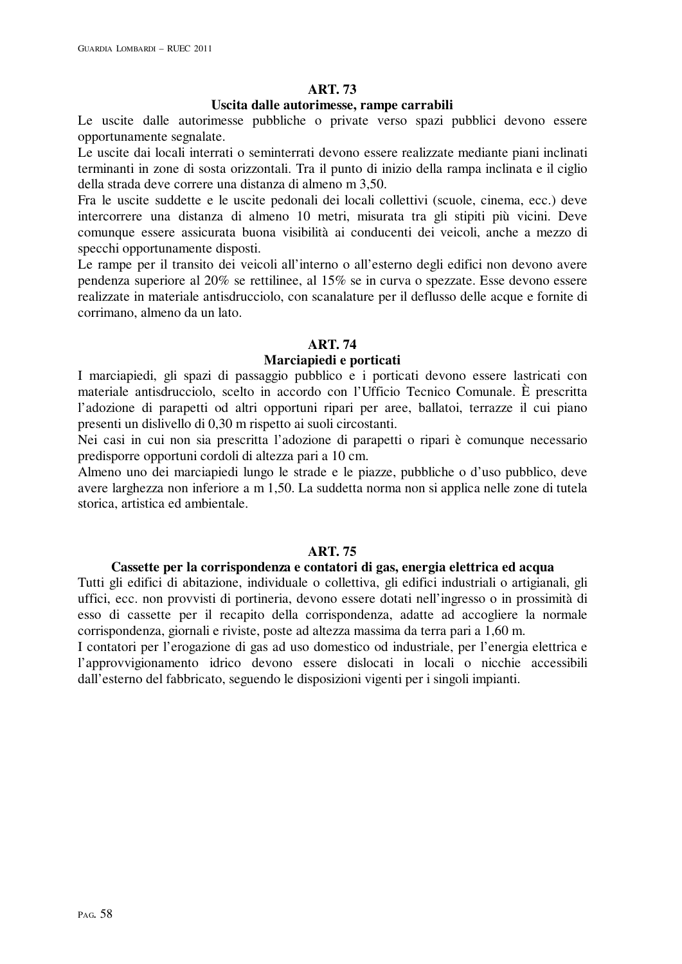# **ART. 73**

#### **Uscita dalle autorimesse, rampe carrabili**

Le uscite dalle autorimesse pubbliche o private verso spazi pubblici devono essere opportunamente segnalate.

Le uscite dai locali interrati o seminterrati devono essere realizzate mediante piani inclinati terminanti in zone di sosta orizzontali. Tra il punto di inizio della rampa inclinata e il ciglio della strada deve correre una distanza di almeno m 3,50.

Fra le uscite suddette e le uscite pedonali dei locali collettivi (scuole, cinema, ecc.) deve intercorrere una distanza di almeno 10 metri, misurata tra gli stipiti più vicini. Deve comunque essere assicurata buona visibilità ai conducenti dei veicoli, anche a mezzo di specchi opportunamente disposti.

Le rampe per il transito dei veicoli all'interno o all'esterno degli edifici non devono avere pendenza superiore al 20% se rettilinee, al 15% se in curva o spezzate. Esse devono essere realizzate in materiale antisdrucciolo, con scanalature per il deflusso delle acque e fornite di corrimano, almeno da un lato.

# **ART. 74**

## **Marciapiedi e porticati**

I marciapiedi, gli spazi di passaggio pubblico e i porticati devono essere lastricati con materiale antisdrucciolo, scelto in accordo con l'Ufficio Tecnico Comunale. È prescritta l'adozione di parapetti od altri opportuni ripari per aree, ballatoi, terrazze il cui piano presenti un dislivello di 0,30 m rispetto ai suoli circostanti.

Nei casi in cui non sia prescritta l'adozione di parapetti o ripari è comunque necessario predisporre opportuni cordoli di altezza pari a 10 cm.

Almeno uno dei marciapiedi lungo le strade e le piazze, pubbliche o d'uso pubblico, deve avere larghezza non inferiore a m 1,50. La suddetta norma non si applica nelle zone di tutela storica, artistica ed ambientale.

# **ART. 75**

## **Cassette per la corrispondenza e contatori di gas, energia elettrica ed acqua**

Tutti gli edifici di abitazione, individuale o collettiva, gli edifici industriali o artigianali, gli uffici, ecc. non provvisti di portineria, devono essere dotati nell'ingresso o in prossimità di esso di cassette per il recapito della corrispondenza, adatte ad accogliere la normale corrispondenza, giornali e riviste, poste ad altezza massima da terra pari a 1,60 m.

I contatori per l'erogazione di gas ad uso domestico od industriale, per l'energia elettrica e l'approvvigionamento idrico devono essere dislocati in locali o nicchie accessibili dall'esterno del fabbricato, seguendo le disposizioni vigenti per i singoli impianti.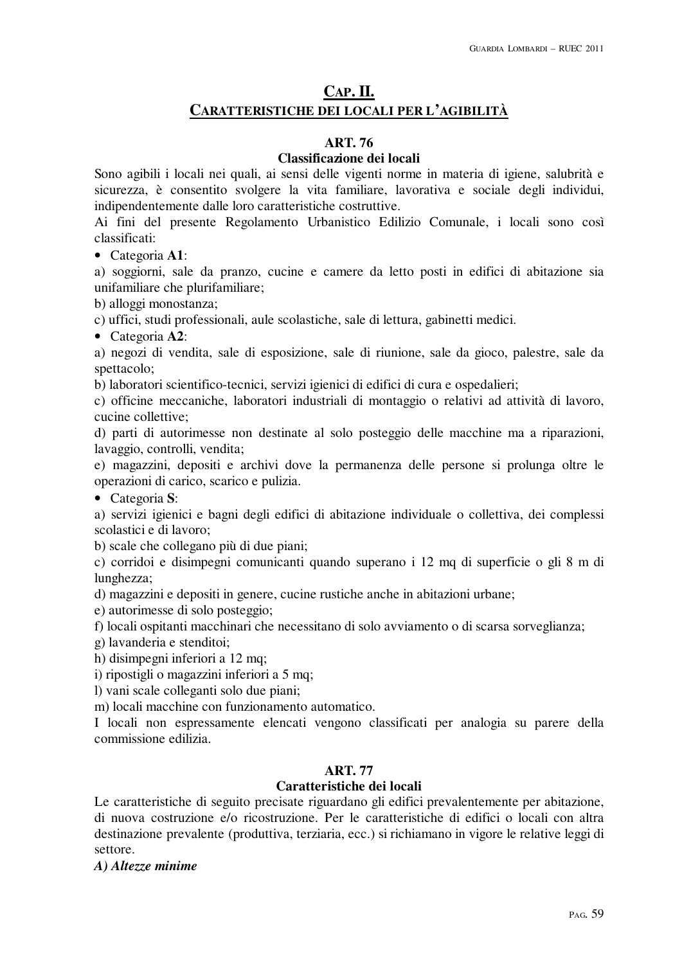# **CAP. II. CARATTERISTICHE DEI LOCALI PER L'AGIBILITÀ**

# **ART. 76**

# **Classificazione dei locali**

Sono agibili i locali nei quali, ai sensi delle vigenti norme in materia di igiene, salubrità e sicurezza, è consentito svolgere la vita familiare, lavorativa e sociale degli individui, indipendentemente dalle loro caratteristiche costruttive.

Ai fini del presente Regolamento Urbanistico Edilizio Comunale, i locali sono così classificati:

• Categoria **A1**:

a) soggiorni, sale da pranzo, cucine e camere da letto posti in edifici di abitazione sia unifamiliare che plurifamiliare;

b) alloggi monostanza;

c) uffici, studi professionali, aule scolastiche, sale di lettura, gabinetti medici.

• Categoria **A2**:

a) negozi di vendita, sale di esposizione, sale di riunione, sale da gioco, palestre, sale da spettacolo;

b) laboratori scientifico-tecnici, servizi igienici di edifici di cura e ospedalieri;

c) officine meccaniche, laboratori industriali di montaggio o relativi ad attività di lavoro, cucine collettive;

d) parti di autorimesse non destinate al solo posteggio delle macchine ma a riparazioni, lavaggio, controlli, vendita;

e) magazzini, depositi e archivi dove la permanenza delle persone si prolunga oltre le operazioni di carico, scarico e pulizia.

• Categoria **S**:

a) servizi igienici e bagni degli edifici di abitazione individuale o collettiva, dei complessi scolastici e di lavoro;

b) scale che collegano più di due piani;

c) corridoi e disimpegni comunicanti quando superano i 12 mq di superficie o gli 8 m di lunghezza;

d) magazzini e depositi in genere, cucine rustiche anche in abitazioni urbane;

e) autorimesse di solo posteggio;

f) locali ospitanti macchinari che necessitano di solo avviamento o di scarsa sorveglianza;

g) lavanderia e stenditoi;

h) disimpegni inferiori a 12 mq;

i) ripostigli o magazzini inferiori a 5 mq;

l) vani scale colleganti solo due piani;

m) locali macchine con funzionamento automatico.

I locali non espressamente elencati vengono classificati per analogia su parere della commissione edilizia.

# **ART. 77**

# **Caratteristiche dei locali**

Le caratteristiche di seguito precisate riguardano gli edifici prevalentemente per abitazione, di nuova costruzione e/o ricostruzione. Per le caratteristiche di edifici o locali con altra destinazione prevalente (produttiva, terziaria, ecc.) si richiamano in vigore le relative leggi di settore.

*A) Altezze minime*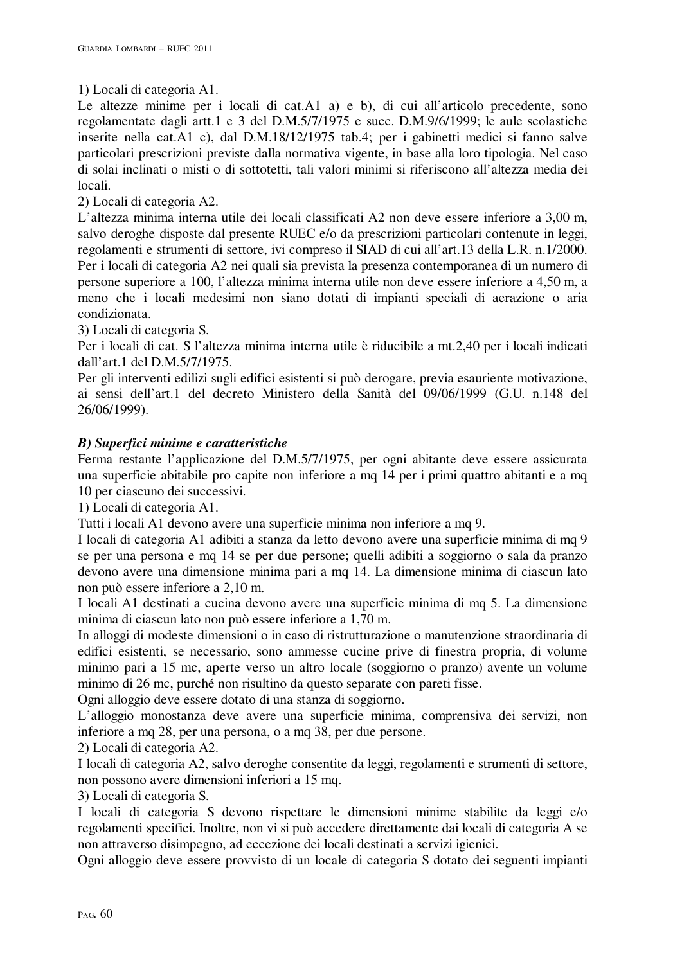# 1) Locali di categoria A1.

Le altezze minime per i locali di cat.A1 a) e b), di cui all'articolo precedente, sono regolamentate dagli artt.1 e 3 del D.M.5/7/1975 e succ. D.M.9/6/1999; le aule scolastiche inserite nella cat.A1 c), dal D.M.18/12/1975 tab.4; per i gabinetti medici si fanno salve particolari prescrizioni previste dalla normativa vigente, in base alla loro tipologia. Nel caso di solai inclinati o misti o di sottotetti, tali valori minimi si riferiscono all'altezza media dei locali.

2) Locali di categoria A2.

L'altezza minima interna utile dei locali classificati A2 non deve essere inferiore a 3,00 m, salvo deroghe disposte dal presente RUEC e/o da prescrizioni particolari contenute in leggi, regolamenti e strumenti di settore, ivi compreso il SIAD di cui all'art.13 della L.R. n.1/2000. Per i locali di categoria A2 nei quali sia prevista la presenza contemporanea di un numero di persone superiore a 100, l'altezza minima interna utile non deve essere inferiore a 4,50 m, a meno che i locali medesimi non siano dotati di impianti speciali di aerazione o aria condizionata.

3) Locali di categoria S.

Per i locali di cat. S l'altezza minima interna utile è riducibile a mt.2,40 per i locali indicati dall'art.1 del D.M.5/7/1975.

Per gli interventi edilizi sugli edifici esistenti si può derogare, previa esauriente motivazione, ai sensi dell'art.1 del decreto Ministero della Sanità del 09/06/1999 (G.U. n.148 del 26/06/1999).

# *B) Superfici minime e caratteristiche*

Ferma restante l'applicazione del D.M.5/7/1975, per ogni abitante deve essere assicurata una superficie abitabile pro capite non inferiore a mq 14 per i primi quattro abitanti e a mq 10 per ciascuno dei successivi.

1) Locali di categoria A1.

Tutti i locali A1 devono avere una superficie minima non inferiore a mq 9.

I locali di categoria A1 adibiti a stanza da letto devono avere una superficie minima di mq 9 se per una persona e mq 14 se per due persone; quelli adibiti a soggiorno o sala da pranzo devono avere una dimensione minima pari a mq 14. La dimensione minima di ciascun lato non può essere inferiore a 2,10 m.

I locali A1 destinati a cucina devono avere una superficie minima di mq 5. La dimensione minima di ciascun lato non può essere inferiore a 1,70 m.

In alloggi di modeste dimensioni o in caso di ristrutturazione o manutenzione straordinaria di edifici esistenti, se necessario, sono ammesse cucine prive di finestra propria, di volume minimo pari a 15 mc, aperte verso un altro locale (soggiorno o pranzo) avente un volume minimo di 26 mc, purché non risultino da questo separate con pareti fisse.

Ogni alloggio deve essere dotato di una stanza di soggiorno.

L'alloggio monostanza deve avere una superficie minima, comprensiva dei servizi, non inferiore a mq 28, per una persona, o a mq 38, per due persone.

2) Locali di categoria A2.

I locali di categoria A2, salvo deroghe consentite da leggi, regolamenti e strumenti di settore, non possono avere dimensioni inferiori a 15 mq.

3) Locali di categoria S.

I locali di categoria S devono rispettare le dimensioni minime stabilite da leggi e/o regolamenti specifici. Inoltre, non vi si può accedere direttamente dai locali di categoria A se non attraverso disimpegno, ad eccezione dei locali destinati a servizi igienici.

Ogni alloggio deve essere provvisto di un locale di categoria S dotato dei seguenti impianti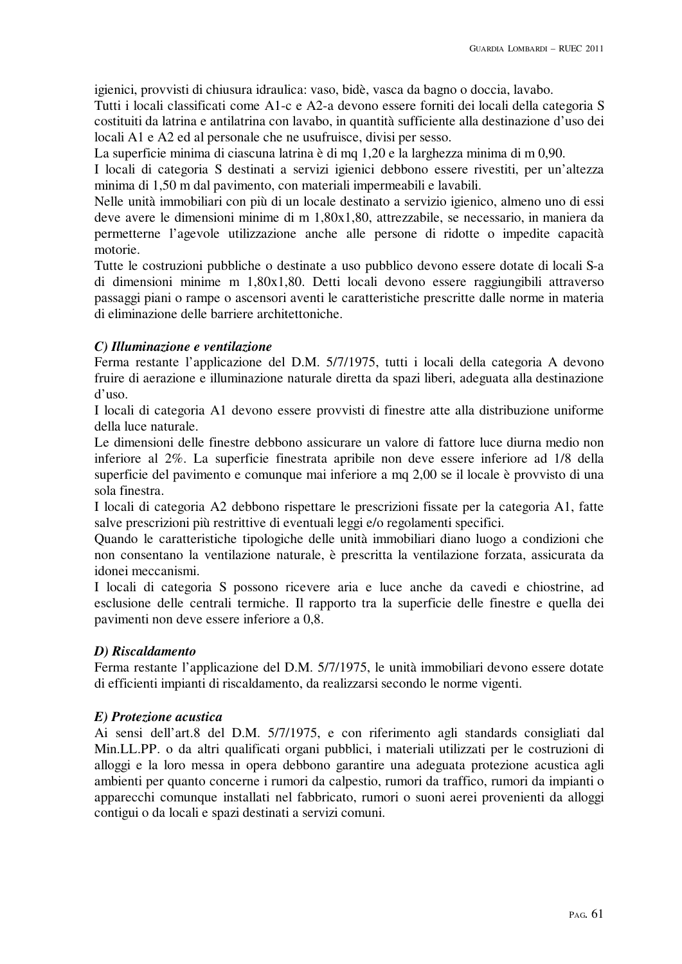igienici, provvisti di chiusura idraulica: vaso, bidè, vasca da bagno o doccia, lavabo.

Tutti i locali classificati come A1-c e A2-a devono essere forniti dei locali della categoria S costituiti da latrina e antilatrina con lavabo, in quantità sufficiente alla destinazione d'uso dei locali A1 e A2 ed al personale che ne usufruisce, divisi per sesso.

La superficie minima di ciascuna latrina è di mq 1,20 e la larghezza minima di m 0,90.

I locali di categoria S destinati a servizi igienici debbono essere rivestiti, per un'altezza minima di 1,50 m dal pavimento, con materiali impermeabili e lavabili.

Nelle unità immobiliari con più di un locale destinato a servizio igienico, almeno uno di essi deve avere le dimensioni minime di m 1,80x1,80, attrezzabile, se necessario, in maniera da permetterne l'agevole utilizzazione anche alle persone di ridotte o impedite capacità motorie.

Tutte le costruzioni pubbliche o destinate a uso pubblico devono essere dotate di locali S-a di dimensioni minime m 1,80x1,80. Detti locali devono essere raggiungibili attraverso passaggi piani o rampe o ascensori aventi le caratteristiche prescritte dalle norme in materia di eliminazione delle barriere architettoniche.

# *C) Illuminazione e ventilazione*

Ferma restante l'applicazione del D.M. 5/7/1975, tutti i locali della categoria A devono fruire di aerazione e illuminazione naturale diretta da spazi liberi, adeguata alla destinazione d'uso.

I locali di categoria A1 devono essere provvisti di finestre atte alla distribuzione uniforme della luce naturale.

Le dimensioni delle finestre debbono assicurare un valore di fattore luce diurna medio non inferiore al 2%. La superficie finestrata apribile non deve essere inferiore ad 1/8 della superficie del pavimento e comunque mai inferiore a mq 2,00 se il locale è provvisto di una sola finestra.

I locali di categoria A2 debbono rispettare le prescrizioni fissate per la categoria A1, fatte salve prescrizioni più restrittive di eventuali leggi e/o regolamenti specifici.

Quando le caratteristiche tipologiche delle unità immobiliari diano luogo a condizioni che non consentano la ventilazione naturale, è prescritta la ventilazione forzata, assicurata da idonei meccanismi.

I locali di categoria S possono ricevere aria e luce anche da cavedi e chiostrine, ad esclusione delle centrali termiche. Il rapporto tra la superficie delle finestre e quella dei pavimenti non deve essere inferiore a 0,8.

# *D) Riscaldamento*

Ferma restante l'applicazione del D.M. 5/7/1975, le unità immobiliari devono essere dotate di efficienti impianti di riscaldamento, da realizzarsi secondo le norme vigenti.

# *E) Protezione acustica*

Ai sensi dell'art.8 del D.M. 5/7/1975, e con riferimento agli standards consigliati dal Min.LL.PP. o da altri qualificati organi pubblici, i materiali utilizzati per le costruzioni di alloggi e la loro messa in opera debbono garantire una adeguata protezione acustica agli ambienti per quanto concerne i rumori da calpestio, rumori da traffico, rumori da impianti o apparecchi comunque installati nel fabbricato, rumori o suoni aerei provenienti da alloggi contigui o da locali e spazi destinati a servizi comuni.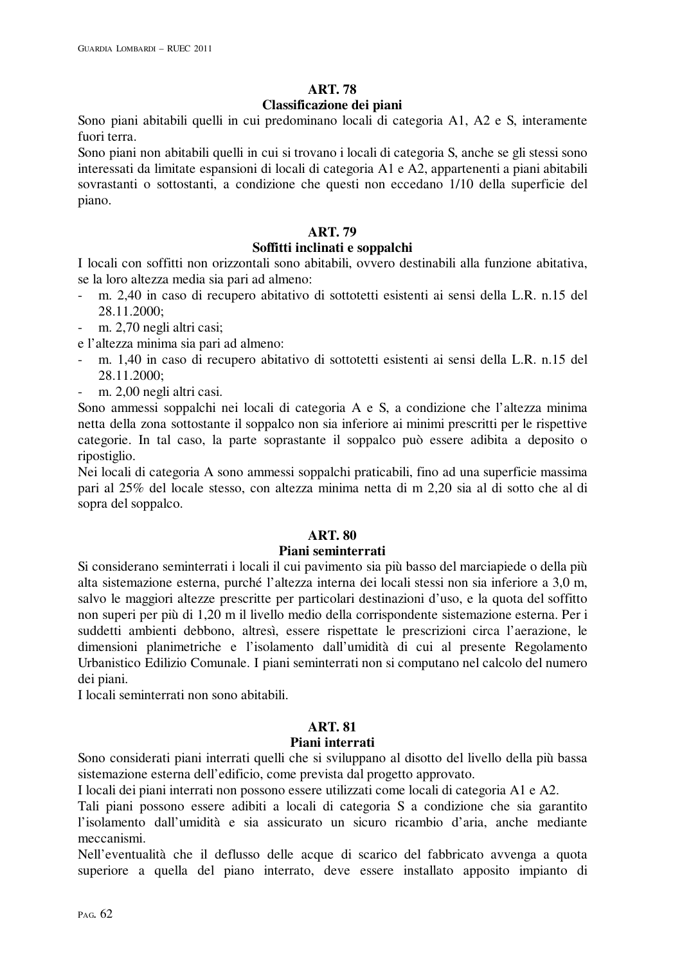# **ART. 78**

# **Classificazione dei piani**

Sono piani abitabili quelli in cui predominano locali di categoria A1, A2 e S, interamente fuori terra.

Sono piani non abitabili quelli in cui si trovano i locali di categoria S, anche se gli stessi sono interessati da limitate espansioni di locali di categoria A1 e A2, appartenenti a piani abitabili sovrastanti o sottostanti, a condizione che questi non eccedano 1/10 della superficie del piano.

# **ART. 79**

# **Soffitti inclinati e soppalchi**

I locali con soffitti non orizzontali sono abitabili, ovvero destinabili alla funzione abitativa, se la loro altezza media sia pari ad almeno:

- m. 2,40 in caso di recupero abitativo di sottotetti esistenti ai sensi della L.R. n.15 del 28.11.2000;
- m. 2,70 negli altri casi;

e l'altezza minima sia pari ad almeno:

- m. 1,40 in caso di recupero abitativo di sottotetti esistenti ai sensi della L.R. n.15 del 28.11.2000;
- m. 2,00 negli altri casi.

Sono ammessi soppalchi nei locali di categoria A e S, a condizione che l'altezza minima netta della zona sottostante il soppalco non sia inferiore ai minimi prescritti per le rispettive categorie. In tal caso, la parte soprastante il soppalco può essere adibita a deposito o ripostiglio.

Nei locali di categoria A sono ammessi soppalchi praticabili, fino ad una superficie massima pari al 25% del locale stesso, con altezza minima netta di m 2,20 sia al di sotto che al di sopra del soppalco.

# **ART. 80**

## **Piani seminterrati**

Si considerano seminterrati i locali il cui pavimento sia più basso del marciapiede o della più alta sistemazione esterna, purché l'altezza interna dei locali stessi non sia inferiore a 3,0 m, salvo le maggiori altezze prescritte per particolari destinazioni d'uso, e la quota del soffitto non superi per più di 1,20 m il livello medio della corrispondente sistemazione esterna. Per i suddetti ambienti debbono, altresì, essere rispettate le prescrizioni circa l'aerazione, le dimensioni planimetriche e l'isolamento dall'umidità di cui al presente Regolamento Urbanistico Edilizio Comunale. I piani seminterrati non si computano nel calcolo del numero dei piani.

I locali seminterrati non sono abitabili.

# **ART. 81**

## **Piani interrati**

Sono considerati piani interrati quelli che si sviluppano al disotto del livello della più bassa sistemazione esterna dell'edificio, come prevista dal progetto approvato.

I locali dei piani interrati non possono essere utilizzati come locali di categoria A1 e A2.

Tali piani possono essere adibiti a locali di categoria S a condizione che sia garantito l'isolamento dall'umidità e sia assicurato un sicuro ricambio d'aria, anche mediante meccanismi.

Nell'eventualità che il deflusso delle acque di scarico del fabbricato avvenga a quota superiore a quella del piano interrato, deve essere installato apposito impianto di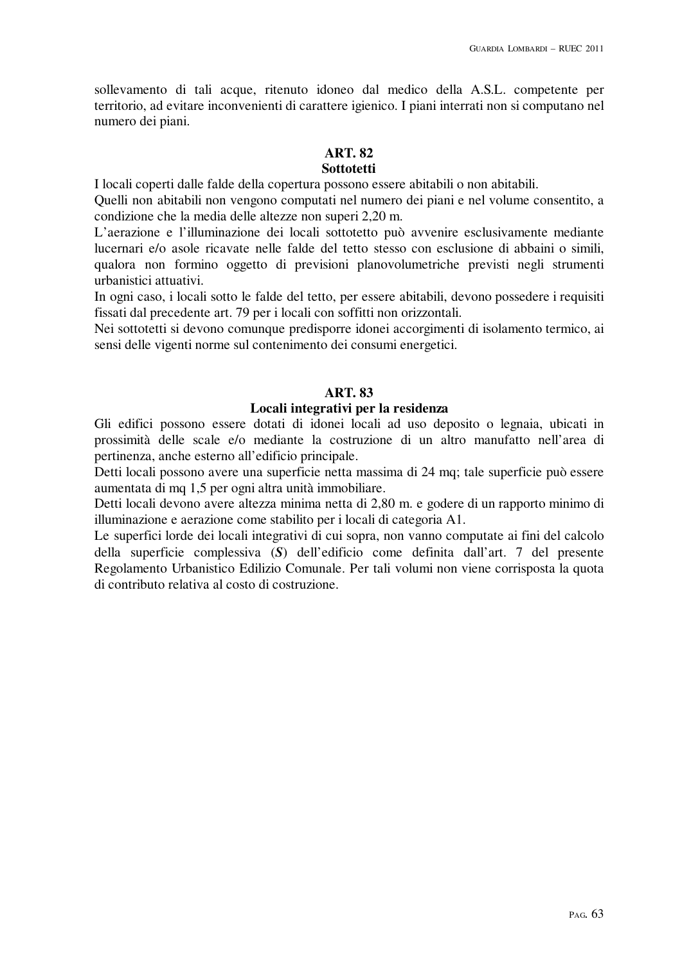sollevamento di tali acque, ritenuto idoneo dal medico della A.S.L. competente per territorio, ad evitare inconvenienti di carattere igienico. I piani interrati non si computano nel numero dei piani.

## **ART. 82**

# **Sottotetti**

I locali coperti dalle falde della copertura possono essere abitabili o non abitabili.

Quelli non abitabili non vengono computati nel numero dei piani e nel volume consentito, a condizione che la media delle altezze non superi 2,20 m.

L'aerazione e l'illuminazione dei locali sottotetto può avvenire esclusivamente mediante lucernari e/o asole ricavate nelle falde del tetto stesso con esclusione di abbaini o simili, qualora non formino oggetto di previsioni planovolumetriche previsti negli strumenti urbanistici attuativi.

In ogni caso, i locali sotto le falde del tetto, per essere abitabili, devono possedere i requisiti fissati dal precedente art. 79 per i locali con soffitti non orizzontali.

Nei sottotetti si devono comunque predisporre idonei accorgimenti di isolamento termico, ai sensi delle vigenti norme sul contenimento dei consumi energetici.

## **ART. 83**

## **Locali integrativi per la residenza**

Gli edifici possono essere dotati di idonei locali ad uso deposito o legnaia, ubicati in prossimità delle scale e/o mediante la costruzione di un altro manufatto nell'area di pertinenza, anche esterno all'edificio principale.

Detti locali possono avere una superficie netta massima di 24 mq; tale superficie può essere aumentata di mq 1,5 per ogni altra unità immobiliare.

Detti locali devono avere altezza minima netta di 2,80 m. e godere di un rapporto minimo di illuminazione e aerazione come stabilito per i locali di categoria A1.

Le superfici lorde dei locali integrativi di cui sopra, non vanno computate ai fini del calcolo della superficie complessiva (*S*) dell'edificio come definita dall'art. 7 del presente Regolamento Urbanistico Edilizio Comunale. Per tali volumi non viene corrisposta la quota di contributo relativa al costo di costruzione.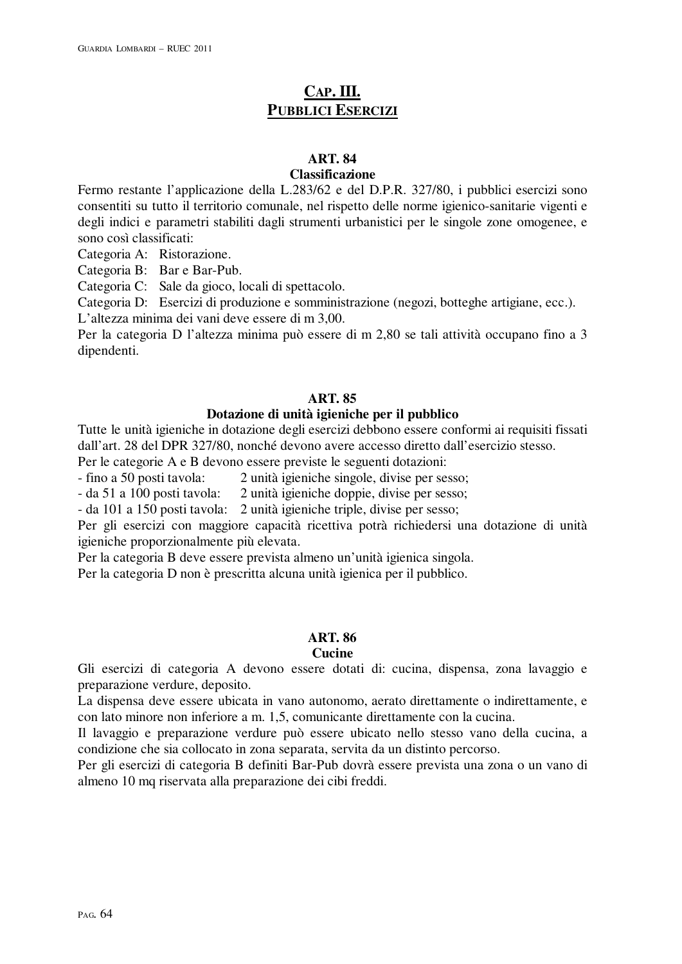# **CAP. III. PUBBLICI ESERCIZI**

# **ART. 84**

#### **Classificazione**

Fermo restante l'applicazione della L.283/62 e del D.P.R. 327/80, i pubblici esercizi sono consentiti su tutto il territorio comunale, nel rispetto delle norme igienico-sanitarie vigenti e degli indici e parametri stabiliti dagli strumenti urbanistici per le singole zone omogenee, e sono così classificati:

Categoria A: Ristorazione.

Categoria B: Bar e Bar-Pub.

Categoria C: Sale da gioco, locali di spettacolo.

Categoria D: Esercizi di produzione e somministrazione (negozi, botteghe artigiane, ecc.).

L'altezza minima dei vani deve essere di m 3,00.

Per la categoria D l'altezza minima può essere di m 2,80 se tali attività occupano fino a 3 dipendenti.

## **ART. 85**

## **Dotazione di unità igieniche per il pubblico**

Tutte le unità igieniche in dotazione degli esercizi debbono essere conformi ai requisiti fissati dall'art. 28 del DPR 327/80, nonché devono avere accesso diretto dall'esercizio stesso.

Per le categorie A e B devono essere previste le seguenti dotazioni:

- fino a 50 posti tavola: 2 unità igieniche singole, divise per sesso;

- da 51 a 100 posti tavola: 2 unità igieniche doppie, divise per sesso;

- da 101 a 150 posti tavola: 2 unità igieniche triple, divise per sesso;

Per gli esercizi con maggiore capacità ricettiva potrà richiedersi una dotazione di unità igieniche proporzionalmente più elevata.

Per la categoria B deve essere prevista almeno un'unità igienica singola.

Per la categoria D non è prescritta alcuna unità igienica per il pubblico.

## **ART. 86**

#### **Cucine**

Gli esercizi di categoria A devono essere dotati di: cucina, dispensa, zona lavaggio e preparazione verdure, deposito.

La dispensa deve essere ubicata in vano autonomo, aerato direttamente o indirettamente, e con lato minore non inferiore a m. 1,5, comunicante direttamente con la cucina.

Il lavaggio e preparazione verdure può essere ubicato nello stesso vano della cucina, a condizione che sia collocato in zona separata, servita da un distinto percorso.

Per gli esercizi di categoria B definiti Bar-Pub dovrà essere prevista una zona o un vano di almeno 10 mq riservata alla preparazione dei cibi freddi.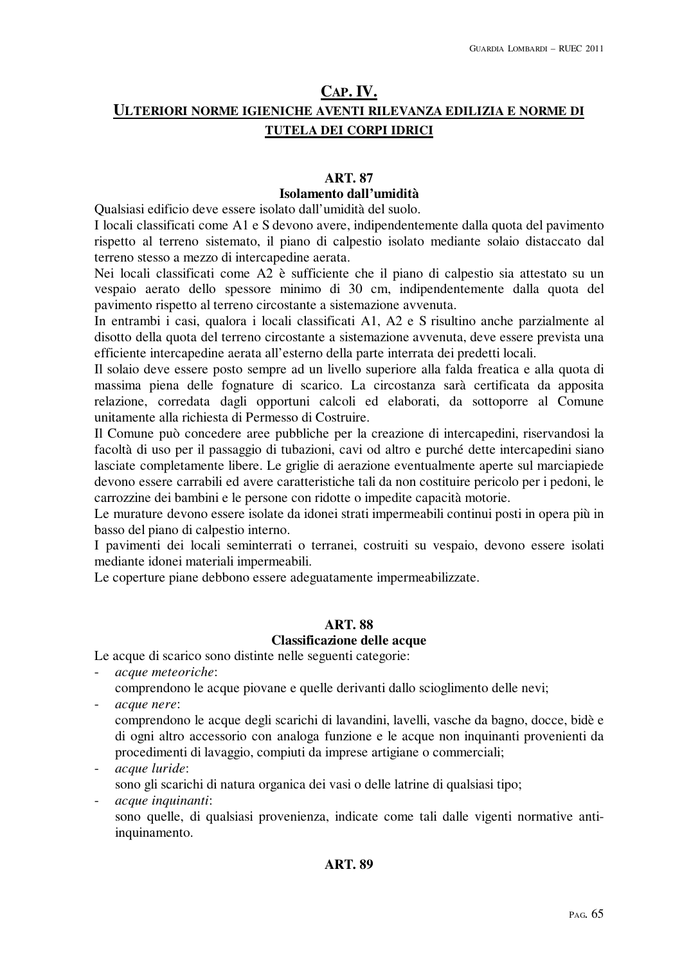# **CAP. IV. ULTERIORI NORME IGIENICHE AVENTI RILEVANZA EDILIZIA E NORME DI TUTELA DEI CORPI IDRICI**

# **ART. 87**

# **Isolamento dall'umidità**

Qualsiasi edificio deve essere isolato dall'umidità del suolo.

I locali classificati come A1 e S devono avere, indipendentemente dalla quota del pavimento rispetto al terreno sistemato, il piano di calpestio isolato mediante solaio distaccato dal terreno stesso a mezzo di intercapedine aerata.

Nei locali classificati come A2 è sufficiente che il piano di calpestio sia attestato su un vespaio aerato dello spessore minimo di 30 cm, indipendentemente dalla quota del pavimento rispetto al terreno circostante a sistemazione avvenuta.

In entrambi i casi, qualora i locali classificati A1, A2 e S risultino anche parzialmente al disotto della quota del terreno circostante a sistemazione avvenuta, deve essere prevista una efficiente intercapedine aerata all'esterno della parte interrata dei predetti locali.

Il solaio deve essere posto sempre ad un livello superiore alla falda freatica e alla quota di massima piena delle fognature di scarico. La circostanza sarà certificata da apposita relazione, corredata dagli opportuni calcoli ed elaborati, da sottoporre al Comune unitamente alla richiesta di Permesso di Costruire.

Il Comune può concedere aree pubbliche per la creazione di intercapedini, riservandosi la facoltà di uso per il passaggio di tubazioni, cavi od altro e purché dette intercapedini siano lasciate completamente libere. Le griglie di aerazione eventualmente aperte sul marciapiede devono essere carrabili ed avere caratteristiche tali da non costituire pericolo per i pedoni, le carrozzine dei bambini e le persone con ridotte o impedite capacità motorie.

Le murature devono essere isolate da idonei strati impermeabili continui posti in opera più in basso del piano di calpestio interno.

I pavimenti dei locali seminterrati o terranei, costruiti su vespaio, devono essere isolati mediante idonei materiali impermeabili.

Le coperture piane debbono essere adeguatamente impermeabilizzate.

# **ART. 88**

# **Classificazione delle acque**

Le acque di scarico sono distinte nelle seguenti categorie:

- *acque meteoriche*:
	- comprendono le acque piovane e quelle derivanti dallo scioglimento delle nevi;
- *acque nere*:
	- comprendono le acque degli scarichi di lavandini, lavelli, vasche da bagno, docce, bidè e di ogni altro accessorio con analoga funzione e le acque non inquinanti provenienti da procedimenti di lavaggio, compiuti da imprese artigiane o commerciali;

- *acque luride*:

sono gli scarichi di natura organica dei vasi o delle latrine di qualsiasi tipo;

- *acque inquinanti*:

sono quelle, di qualsiasi provenienza, indicate come tali dalle vigenti normative antiinquinamento.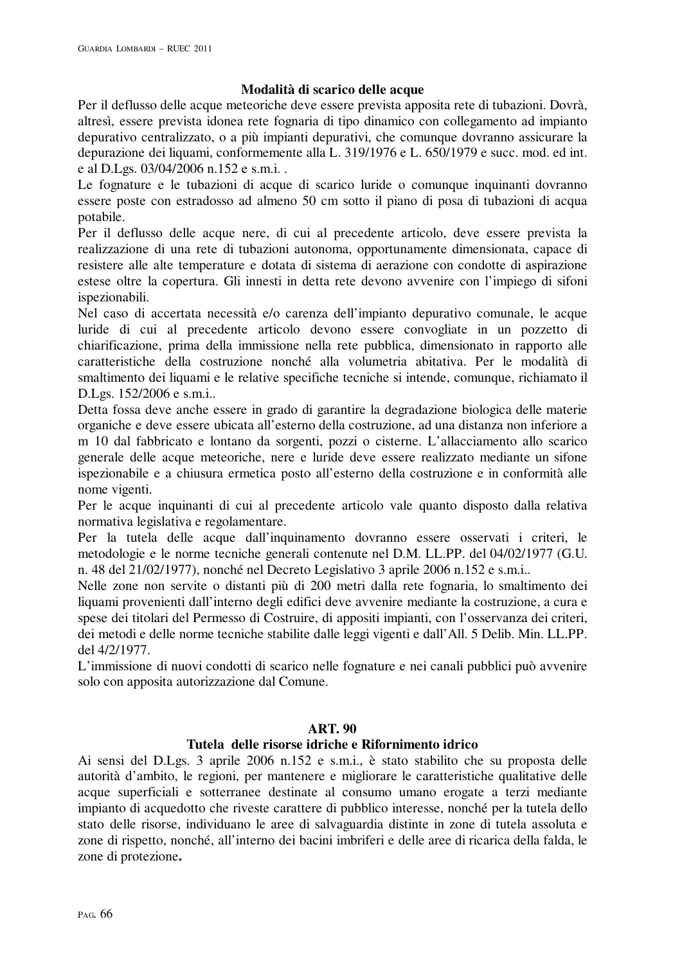## **Modalità di scarico delle acque**

Per il deflusso delle acque meteoriche deve essere prevista apposita rete di tubazioni. Dovrà, altresì, essere prevista idonea rete fognaria di tipo dinamico con collegamento ad impianto depurativo centralizzato, o a più impianti depurativi, che comunque dovranno assicurare la depurazione dei liquami, conformemente alla L. 319/1976 e L. 650/1979 e succ. mod. ed int. e al D.Lgs. 03/04/2006 n.152 e s.m.i. .

Le fognature e le tubazioni di acque di scarico luride o comunque inquinanti dovranno essere poste con estradosso ad almeno 50 cm sotto il piano di posa di tubazioni di acqua potabile.

Per il deflusso delle acque nere, di cui al precedente articolo, deve essere prevista la realizzazione di una rete di tubazioni autonoma, opportunamente dimensionata, capace di resistere alle alte temperature e dotata di sistema di aerazione con condotte di aspirazione estese oltre la copertura. Gli innesti in detta rete devono avvenire con l'impiego di sifoni ispezionabili.

Nel caso di accertata necessità e/o carenza dell'impianto depurativo comunale, le acque luride di cui al precedente articolo devono essere convogliate in un pozzetto di chiarificazione, prima della immissione nella rete pubblica, dimensionato in rapporto alle caratteristiche della costruzione nonché alla volumetria abitativa. Per le modalità di smaltimento dei liquami e le relative specifiche tecniche si intende, comunque, richiamato il D.Lgs. 152/2006 e s.m.i..

Detta fossa deve anche essere in grado di garantire la degradazione biologica delle materie organiche e deve essere ubicata all'esterno della costruzione, ad una distanza non inferiore a m 10 dal fabbricato e lontano da sorgenti, pozzi o cisterne. L'allacciamento allo scarico generale delle acque meteoriche, nere e luride deve essere realizzato mediante un sifone ispezionabile e a chiusura ermetica posto all'esterno della costruzione e in conformità alle nome vigenti.

Per le acque inquinanti di cui al precedente articolo vale quanto disposto dalla relativa normativa legislativa e regolamentare.

Per la tutela delle acque dall'inquinamento dovranno essere osservati i criteri, le metodologie e le norme tecniche generali contenute nel D.M. LL.PP. del 04/02/1977 (G.U. n. 48 del 21/02/1977), nonché nel Decreto Legislativo 3 aprile 2006 n.152 e s.m.i..

Nelle zone non servite o distanti più di 200 metri dalla rete fognaria, lo smaltimento dei liquami provenienti dall'interno degli edifici deve avvenire mediante la costruzione, a cura e spese dei titolari del Permesso di Costruire, di appositi impianti, con l'osservanza dei criteri, dei metodi e delle norme tecniche stabilite dalle leggi vigenti e dall'All. 5 Delib. Min. LL.PP. del 4/2/1977.

L'immissione di nuovi condotti di scarico nelle fognature e nei canali pubblici può avvenire solo con apposita autorizzazione dal Comune.

## **ART. 90**

## **Tutela delle risorse idriche e Rifornimento idrico**

Ai sensi del D.Lgs. 3 aprile 2006 n.152 e s.m.i., è stato stabilito che su proposta delle autorità d'ambito, le regioni, per mantenere e migliorare le caratteristiche qualitative delle acque superficiali e sotterranee destinate al consumo umano erogate a terzi mediante impianto di acquedotto che riveste carattere di pubblico interesse, nonché per la tutela dello stato delle risorse, individuano le aree di salvaguardia distinte in zone di tutela assoluta e zone di rispetto, nonché, all'interno dei bacini imbriferi e delle aree di ricarica della falda, le zone di protezione**.**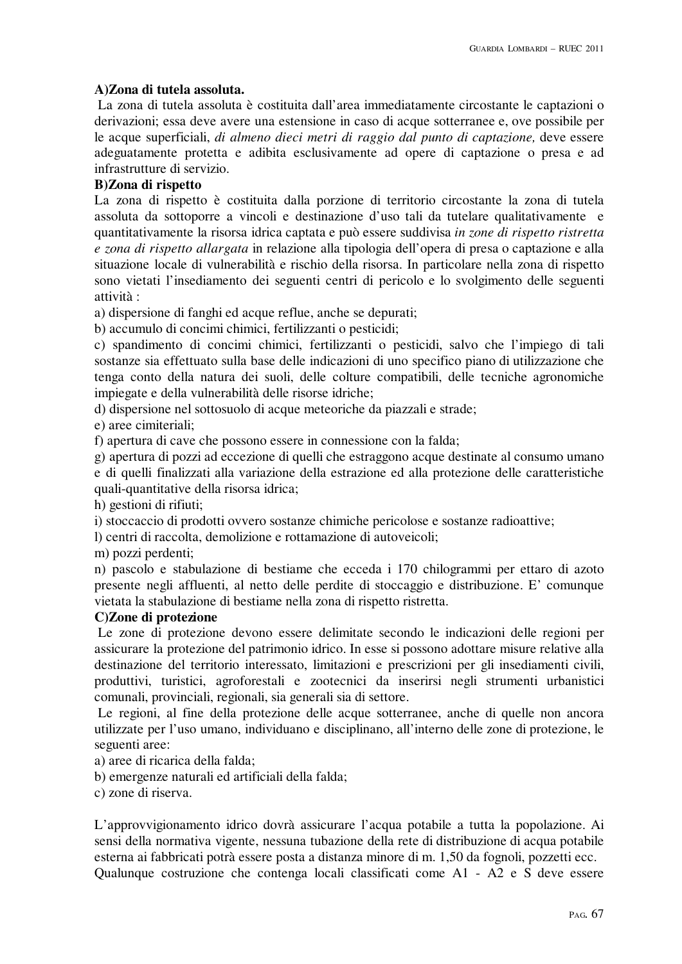# **A)Zona di tutela assoluta.**

 La zona di tutela assoluta è costituita dall'area immediatamente circostante le captazioni o derivazioni; essa deve avere una estensione in caso di acque sotterranee e, ove possibile per le acque superficiali, *di almeno dieci metri di raggio dal punto di captazione,* deve essere adeguatamente protetta e adibita esclusivamente ad opere di captazione o presa e ad infrastrutture di servizio.

# **B)Zona di rispetto**

La zona di rispetto è costituita dalla porzione di territorio circostante la zona di tutela assoluta da sottoporre a vincoli e destinazione d'uso tali da tutelare qualitativamente e quantitativamente la risorsa idrica captata e può essere suddivisa *in zone di rispetto ristretta e zona di rispetto allargata* in relazione alla tipologia dell'opera di presa o captazione e alla situazione locale di vulnerabilità e rischio della risorsa. In particolare nella zona di rispetto sono vietati l'insediamento dei seguenti centri di pericolo e lo svolgimento delle seguenti attività :

a) dispersione di fanghi ed acque reflue, anche se depurati;

b) accumulo di concimi chimici, fertilizzanti o pesticidi;

c) spandimento di concimi chimici, fertilizzanti o pesticidi, salvo che l'impiego di tali sostanze sia effettuato sulla base delle indicazioni di uno specifico piano di utilizzazione che tenga conto della natura dei suoli, delle colture compatibili, delle tecniche agronomiche impiegate e della vulnerabilità delle risorse idriche;

d) dispersione nel sottosuolo di acque meteoriche da piazzali e strade;

e) aree cimiteriali;

f) apertura di cave che possono essere in connessione con la falda;

g) apertura di pozzi ad eccezione di quelli che estraggono acque destinate al consumo umano e di quelli finalizzati alla variazione della estrazione ed alla protezione delle caratteristiche quali-quantitative della risorsa idrica;

h) gestioni di rifiuti;

i) stoccaccio di prodotti ovvero sostanze chimiche pericolose e sostanze radioattive;

l) centri di raccolta, demolizione e rottamazione di autoveicoli;

m) pozzi perdenti;

n) pascolo e stabulazione di bestiame che ecceda i 170 chilogrammi per ettaro di azoto presente negli affluenti, al netto delle perdite di stoccaggio e distribuzione. E' comunque vietata la stabulazione di bestiame nella zona di rispetto ristretta.

## **C)Zone di protezione**

 Le zone di protezione devono essere delimitate secondo le indicazioni delle regioni per assicurare la protezione del patrimonio idrico. In esse si possono adottare misure relative alla destinazione del territorio interessato, limitazioni e prescrizioni per gli insediamenti civili, produttivi, turistici, agroforestali e zootecnici da inserirsi negli strumenti urbanistici comunali, provinciali, regionali, sia generali sia di settore.

 Le regioni, al fine della protezione delle acque sotterranee, anche di quelle non ancora utilizzate per l'uso umano, individuano e disciplinano, all'interno delle zone di protezione, le seguenti aree:

a) aree di ricarica della falda;

b) emergenze naturali ed artificiali della falda;

c) zone di riserva.

L'approvvigionamento idrico dovrà assicurare l'acqua potabile a tutta la popolazione. Ai sensi della normativa vigente, nessuna tubazione della rete di distribuzione di acqua potabile esterna ai fabbricati potrà essere posta a distanza minore di m. 1,50 da fognoli, pozzetti ecc. Qualunque costruzione che contenga locali classificati come A1 - A2 e S deve essere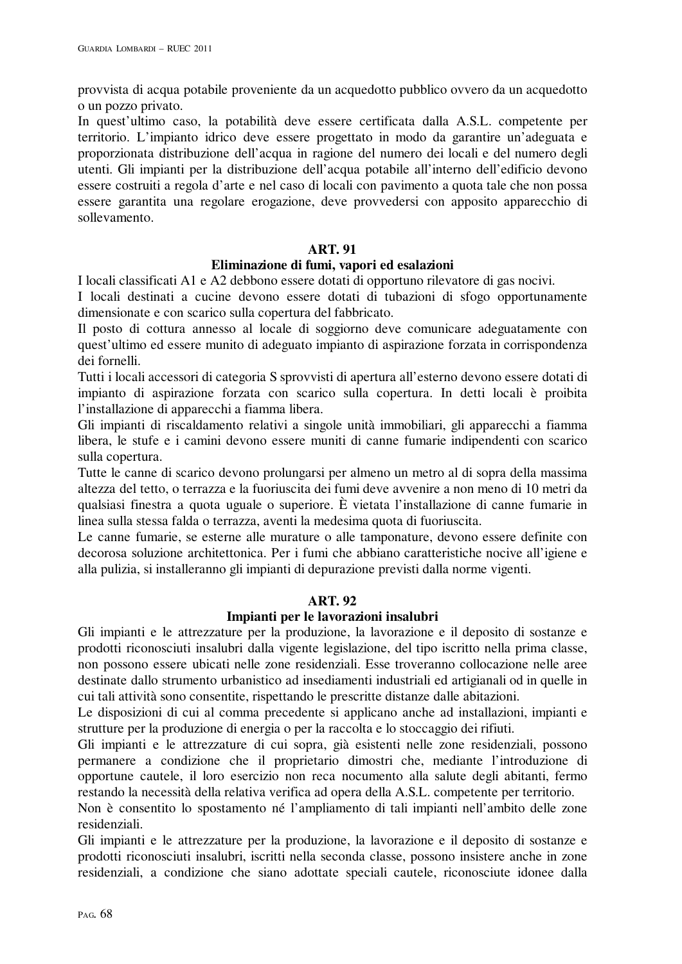provvista di acqua potabile proveniente da un acquedotto pubblico ovvero da un acquedotto o un pozzo privato.

In quest'ultimo caso, la potabilità deve essere certificata dalla A.S.L. competente per territorio. L'impianto idrico deve essere progettato in modo da garantire un'adeguata e proporzionata distribuzione dell'acqua in ragione del numero dei locali e del numero degli utenti. Gli impianti per la distribuzione dell'acqua potabile all'interno dell'edificio devono essere costruiti a regola d'arte e nel caso di locali con pavimento a quota tale che non possa essere garantita una regolare erogazione, deve provvedersi con apposito apparecchio di sollevamento.

# **ART. 91**

# **Eliminazione di fumi, vapori ed esalazioni**

I locali classificati A1 e A2 debbono essere dotati di opportuno rilevatore di gas nocivi.

I locali destinati a cucine devono essere dotati di tubazioni di sfogo opportunamente dimensionate e con scarico sulla copertura del fabbricato.

Il posto di cottura annesso al locale di soggiorno deve comunicare adeguatamente con quest'ultimo ed essere munito di adeguato impianto di aspirazione forzata in corrispondenza dei fornelli.

Tutti i locali accessori di categoria S sprovvisti di apertura all'esterno devono essere dotati di impianto di aspirazione forzata con scarico sulla copertura. In detti locali è proibita l'installazione di apparecchi a fiamma libera.

Gli impianti di riscaldamento relativi a singole unità immobiliari, gli apparecchi a fiamma libera, le stufe e i camini devono essere muniti di canne fumarie indipendenti con scarico sulla copertura.

Tutte le canne di scarico devono prolungarsi per almeno un metro al di sopra della massima altezza del tetto, o terrazza e la fuoriuscita dei fumi deve avvenire a non meno di 10 metri da qualsiasi finestra a quota uguale o superiore. È vietata l'installazione di canne fumarie in linea sulla stessa falda o terrazza, aventi la medesima quota di fuoriuscita.

Le canne fumarie, se esterne alle murature o alle tamponature, devono essere definite con decorosa soluzione architettonica. Per i fumi che abbiano caratteristiche nocive all'igiene e alla pulizia, si installeranno gli impianti di depurazione previsti dalla norme vigenti.

## **ART. 92**

# **Impianti per le lavorazioni insalubri**

Gli impianti e le attrezzature per la produzione, la lavorazione e il deposito di sostanze e prodotti riconosciuti insalubri dalla vigente legislazione, del tipo iscritto nella prima classe, non possono essere ubicati nelle zone residenziali. Esse troveranno collocazione nelle aree destinate dallo strumento urbanistico ad insediamenti industriali ed artigianali od in quelle in cui tali attività sono consentite, rispettando le prescritte distanze dalle abitazioni.

Le disposizioni di cui al comma precedente si applicano anche ad installazioni, impianti e strutture per la produzione di energia o per la raccolta e lo stoccaggio dei rifiuti.

Gli impianti e le attrezzature di cui sopra, già esistenti nelle zone residenziali, possono permanere a condizione che il proprietario dimostri che, mediante l'introduzione di opportune cautele, il loro esercizio non reca nocumento alla salute degli abitanti, fermo restando la necessità della relativa verifica ad opera della A.S.L. competente per territorio.

Non è consentito lo spostamento né l'ampliamento di tali impianti nell'ambito delle zone residenziali.

Gli impianti e le attrezzature per la produzione, la lavorazione e il deposito di sostanze e prodotti riconosciuti insalubri, iscritti nella seconda classe, possono insistere anche in zone residenziali, a condizione che siano adottate speciali cautele, riconosciute idonee dalla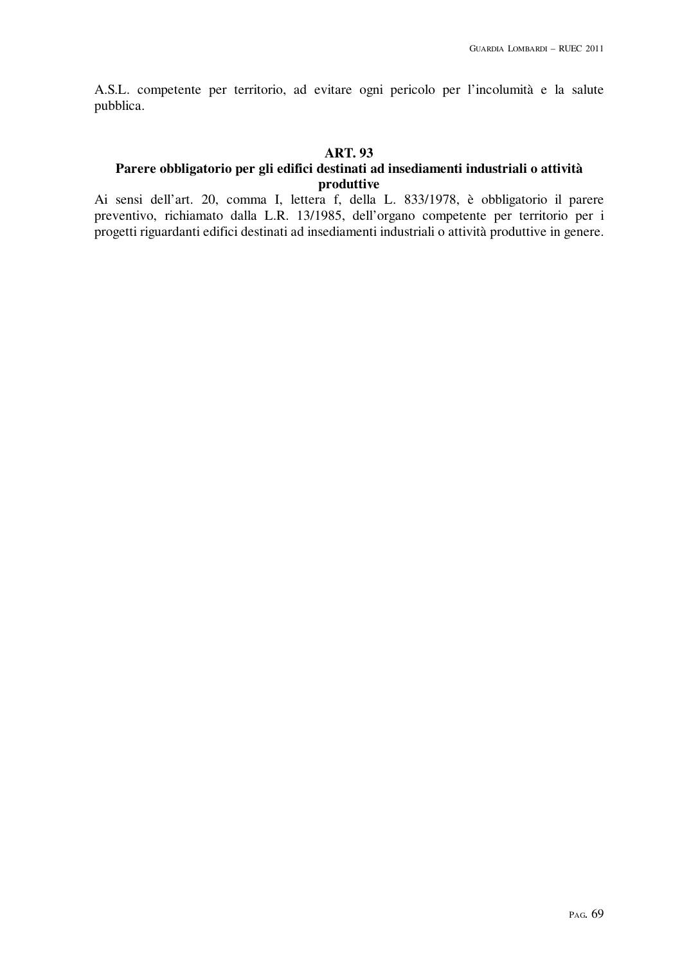A.S.L. competente per territorio, ad evitare ogni pericolo per l'incolumità e la salute pubblica.

#### **ART. 93**

# **Parere obbligatorio per gli edifici destinati ad insediamenti industriali o attività produttive**

Ai sensi dell'art. 20, comma I, lettera f, della L. 833/1978, è obbligatorio il parere preventivo, richiamato dalla L.R. 13/1985, dell'organo competente per territorio per i progetti riguardanti edifici destinati ad insediamenti industriali o attività produttive in genere.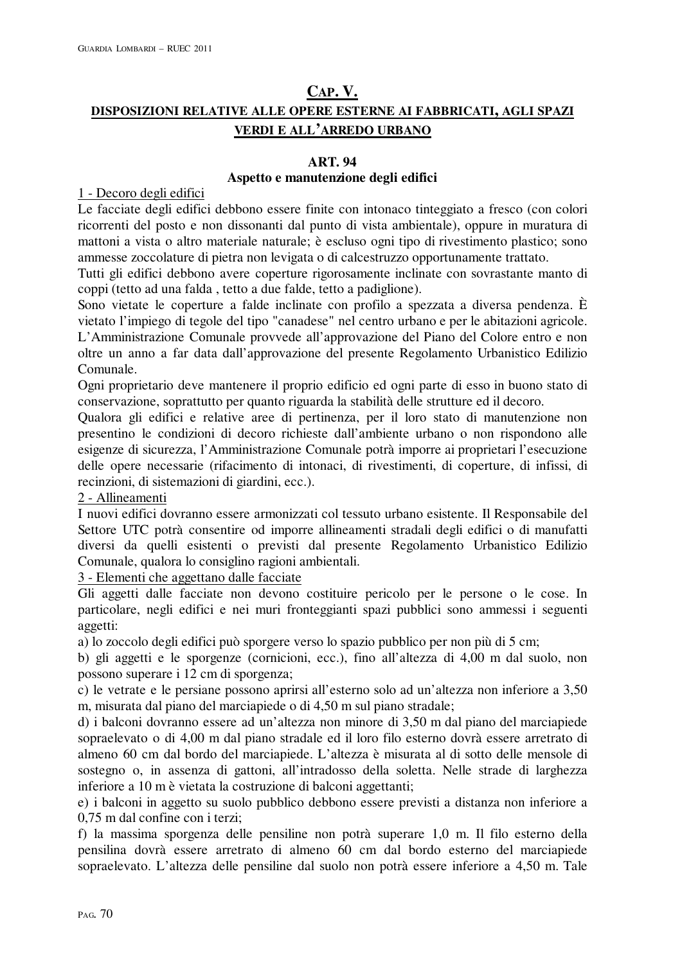# **CAP. V. DISPOSIZIONI RELATIVE ALLE OPERE ESTERNE AI FABBRICATI, AGLI SPAZI VERDI E ALL'ARREDO URBANO**

## **ART. 94**

# **Aspetto e manutenzione degli edifici**

1 - Decoro degli edifici

Le facciate degli edifici debbono essere finite con intonaco tinteggiato a fresco (con colori ricorrenti del posto e non dissonanti dal punto di vista ambientale), oppure in muratura di mattoni a vista o altro materiale naturale; è escluso ogni tipo di rivestimento plastico; sono ammesse zoccolature di pietra non levigata o di calcestruzzo opportunamente trattato.

Tutti gli edifici debbono avere coperture rigorosamente inclinate con sovrastante manto di coppi (tetto ad una falda , tetto a due falde, tetto a padiglione).

Sono vietate le coperture a falde inclinate con profilo a spezzata a diversa pendenza. È vietato l'impiego di tegole del tipo "canadese" nel centro urbano e per le abitazioni agricole. L'Amministrazione Comunale provvede all'approvazione del Piano del Colore entro e non oltre un anno a far data dall'approvazione del presente Regolamento Urbanistico Edilizio Comunale.

Ogni proprietario deve mantenere il proprio edificio ed ogni parte di esso in buono stato di conservazione, soprattutto per quanto riguarda la stabilità delle strutture ed il decoro.

Qualora gli edifici e relative aree di pertinenza, per il loro stato di manutenzione non presentino le condizioni di decoro richieste dall'ambiente urbano o non rispondono alle esigenze di sicurezza, l'Amministrazione Comunale potrà imporre ai proprietari l'esecuzione delle opere necessarie (rifacimento di intonaci, di rivestimenti, di coperture, di infissi, di recinzioni, di sistemazioni di giardini, ecc.).

## 2 - Allineamenti

I nuovi edifici dovranno essere armonizzati col tessuto urbano esistente. Il Responsabile del Settore UTC potrà consentire od imporre allineamenti stradali degli edifici o di manufatti diversi da quelli esistenti o previsti dal presente Regolamento Urbanistico Edilizio Comunale, qualora lo consiglino ragioni ambientali.

3 - Elementi che aggettano dalle facciate

Gli aggetti dalle facciate non devono costituire pericolo per le persone o le cose. In particolare, negli edifici e nei muri fronteggianti spazi pubblici sono ammessi i seguenti aggetti:

a) lo zoccolo degli edifici può sporgere verso lo spazio pubblico per non più di 5 cm;

b) gli aggetti e le sporgenze (cornicioni, ecc.), fino all'altezza di 4,00 m dal suolo, non possono superare i 12 cm di sporgenza;

c) le vetrate e le persiane possono aprirsi all'esterno solo ad un'altezza non inferiore a 3,50 m, misurata dal piano del marciapiede o di 4,50 m sul piano stradale;

d) i balconi dovranno essere ad un'altezza non minore di 3,50 m dal piano del marciapiede sopraelevato o di 4,00 m dal piano stradale ed il loro filo esterno dovrà essere arretrato di almeno 60 cm dal bordo del marciapiede. L'altezza è misurata al di sotto delle mensole di sostegno o, in assenza di gattoni, all'intradosso della soletta. Nelle strade di larghezza inferiore a 10 m è vietata la costruzione di balconi aggettanti;

e) i balconi in aggetto su suolo pubblico debbono essere previsti a distanza non inferiore a 0,75 m dal confine con i terzi;

f) la massima sporgenza delle pensiline non potrà superare 1,0 m. Il filo esterno della pensilina dovrà essere arretrato di almeno 60 cm dal bordo esterno del marciapiede sopraelevato. L'altezza delle pensiline dal suolo non potrà essere inferiore a 4,50 m. Tale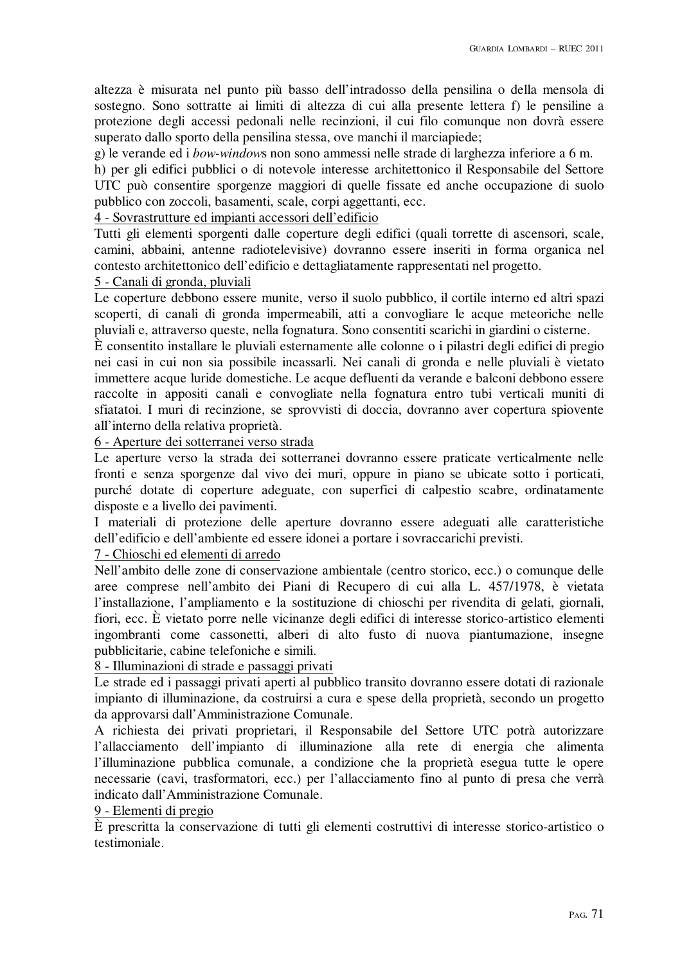altezza è misurata nel punto più basso dell'intradosso della pensilina o della mensola di sostegno. Sono sottratte ai limiti di altezza di cui alla presente lettera f) le pensiline a protezione degli accessi pedonali nelle recinzioni, il cui filo comunque non dovrà essere superato dallo sporto della pensilina stessa, ove manchi il marciapiede;

g) le verande ed i *bow-window*s non sono ammessi nelle strade di larghezza inferiore a 6 m.

h) per gli edifici pubblici o di notevole interesse architettonico il Responsabile del Settore UTC può consentire sporgenze maggiori di quelle fissate ed anche occupazione di suolo pubblico con zoccoli, basamenti, scale, corpi aggettanti, ecc.

### 4 - Sovrastrutture ed impianti accessori dell'edificio

Tutti gli elementi sporgenti dalle coperture degli edifici (quali torrette di ascensori, scale, camini, abbaini, antenne radiotelevisive) dovranno essere inseriti in forma organica nel contesto architettonico dell'edificio e dettagliatamente rappresentati nel progetto.

# 5 - Canali di gronda, pluviali

Le coperture debbono essere munite, verso il suolo pubblico, il cortile interno ed altri spazi scoperti, di canali di gronda impermeabili, atti a convogliare le acque meteoriche nelle pluviali e, attraverso queste, nella fognatura. Sono consentiti scarichi in giardini o cisterne.

È consentito installare le pluviali esternamente alle colonne o i pilastri degli edifici di pregio nei casi in cui non sia possibile incassarli. Nei canali di gronda e nelle pluviali è vietato immettere acque luride domestiche. Le acque defluenti da verande e balconi debbono essere raccolte in appositi canali e convogliate nella fognatura entro tubi verticali muniti di sfiatatoi. I muri di recinzione, se sprovvisti di doccia, dovranno aver copertura spiovente all'interno della relativa proprietà.

### 6 - Aperture dei sotterranei verso strada

Le aperture verso la strada dei sotterranei dovranno essere praticate verticalmente nelle fronti e senza sporgenze dal vivo dei muri, oppure in piano se ubicate sotto i porticati, purché dotate di coperture adeguate, con superfici di calpestio scabre, ordinatamente disposte e a livello dei pavimenti.

I materiali di protezione delle aperture dovranno essere adeguati alle caratteristiche dell'edificio e dell'ambiente ed essere idonei a portare i sovraccarichi previsti.

# 7 - Chioschi ed elementi di arredo

Nell'ambito delle zone di conservazione ambientale (centro storico, ecc.) o comunque delle aree comprese nell'ambito dei Piani di Recupero di cui alla L. 457/1978, è vietata l'installazione, l'ampliamento e la sostituzione di chioschi per rivendita di gelati, giornali, fiori, ecc. È vietato porre nelle vicinanze degli edifici di interesse storico-artistico elementi ingombranti come cassonetti, alberi di alto fusto di nuova piantumazione, insegne pubblicitarie, cabine telefoniche e simili.

# 8 - Illuminazioni di strade e passaggi privati

Le strade ed i passaggi privati aperti al pubblico transito dovranno essere dotati di razionale impianto di illuminazione, da costruirsi a cura e spese della proprietà, secondo un progetto da approvarsi dall'Amministrazione Comunale.

A richiesta dei privati proprietari, il Responsabile del Settore UTC potrà autorizzare l'allacciamento dell'impianto di illuminazione alla rete di energia che alimenta l'illuminazione pubblica comunale, a condizione che la proprietà esegua tutte le opere necessarie (cavi, trasformatori, ecc.) per l'allacciamento fino al punto di presa che verrà indicato dall'Amministrazione Comunale.

# 9 - Elementi di pregio

È prescritta la conservazione di tutti gli elementi costruttivi di interesse storico-artistico o testimoniale.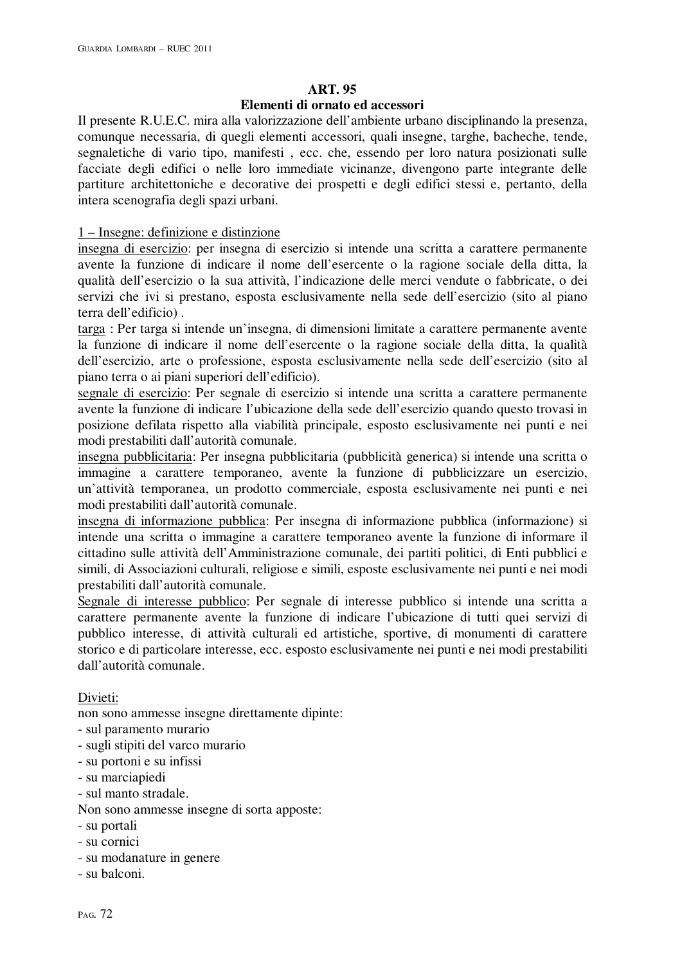### **ART. 95 Elementi di ornato ed accessori**

Il presente R.U.E.C. mira alla valorizzazione dell'ambiente urbano disciplinando la presenza, comunque necessaria, di quegli elementi accessori, quali insegne, targhe, bacheche, tende, segnaletiche di vario tipo, manifesti , ecc. che, essendo per loro natura posizionati sulle facciate degli edifici o nelle loro immediate vicinanze, divengono parte integrante delle partiture architettoniche e decorative dei prospetti e degli edifici stessi e, pertanto, della intera scenografia degli spazi urbani.

# 1 – Insegne: definizione e distinzione

insegna di esercizio: per insegna di esercizio si intende una scritta a carattere permanente avente la funzione di indicare il nome dell'esercente o la ragione sociale della ditta, la qualità dell'esercizio o la sua attività, l'indicazione delle merci vendute o fabbricate, o dei servizi che ivi si prestano, esposta esclusivamente nella sede dell'esercizio (sito al piano terra dell'edificio) .

targa : Per targa si intende un'insegna, di dimensioni limitate a carattere permanente avente la funzione di indicare il nome dell'esercente o la ragione sociale della ditta, la qualità dell'esercizio, arte o professione, esposta esclusivamente nella sede dell'esercizio (sito al piano terra o ai piani superiori dell'edificio).

segnale di esercizio: Per segnale di esercizio si intende una scritta a carattere permanente avente la funzione di indicare l'ubicazione della sede dell'esercizio quando questo trovasi in posizione defilata rispetto alla viabilità principale, esposto esclusivamente nei punti e nei modi prestabiliti dall'autorità comunale.

insegna pubblicitaria: Per insegna pubblicitaria (pubblicità generica) si intende una scritta o immagine a carattere temporaneo, avente la funzione di pubblicizzare un esercizio, un'attività temporanea, un prodotto commerciale, esposta esclusivamente nei punti e nei modi prestabiliti dall'autorità comunale.

insegna di informazione pubblica: Per insegna di informazione pubblica (informazione) si intende una scritta o immagine a carattere temporaneo avente la funzione di informare il cittadino sulle attività dell'Amministrazione comunale, dei partiti politici, di Enti pubblici e simili, di Associazioni culturali, religiose e simili, esposte esclusivamente nei punti e nei modi prestabiliti dall'autorità comunale.

Segnale di interesse pubblico: Per segnale di interesse pubblico si intende una scritta a carattere permanente avente la funzione di indicare l'ubicazione di tutti quei servizi di pubblico interesse, di attività culturali ed artistiche, sportive, di monumenti di carattere storico e di particolare interesse, ecc. esposto esclusivamente nei punti e nei modi prestabiliti dall'autorità comunale.

Divieti:

non sono ammesse insegne direttamente dipinte:

- sul paramento murario
- sugli stipiti del varco murario
- su portoni e su infissi
- su marciapiedi
- sul manto stradale.

Non sono ammesse insegne di sorta apposte:

- su portali
- su cornici
- su modanature in genere
- su balconi.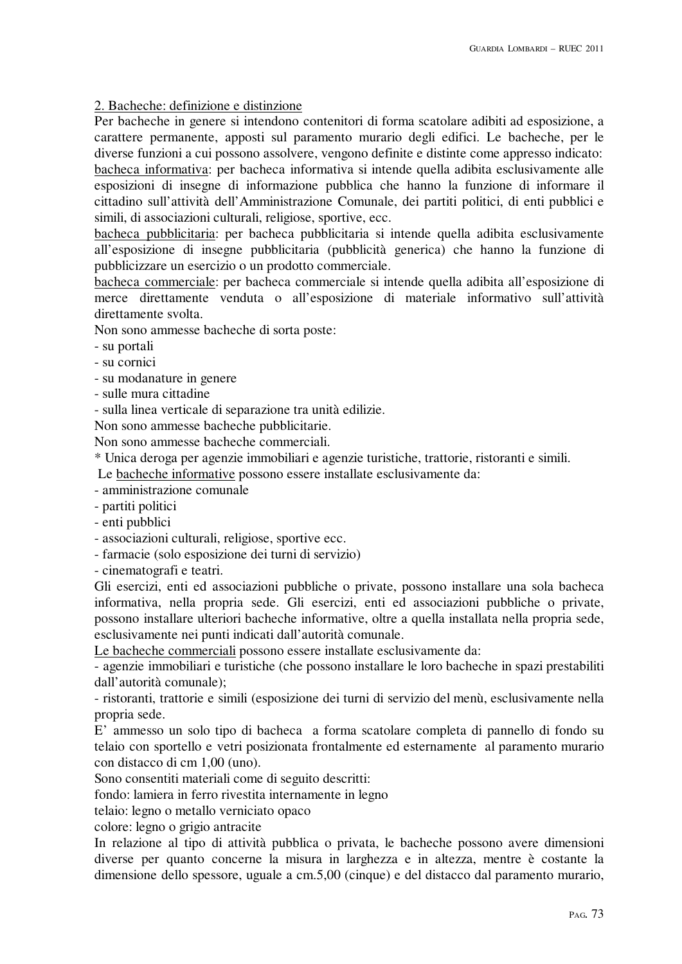# 2. Bacheche: definizione e distinzione

Per bacheche in genere si intendono contenitori di forma scatolare adibiti ad esposizione, a carattere permanente, apposti sul paramento murario degli edifici. Le bacheche, per le diverse funzioni a cui possono assolvere, vengono definite e distinte come appresso indicato: bacheca informativa: per bacheca informativa si intende quella adibita esclusivamente alle esposizioni di insegne di informazione pubblica che hanno la funzione di informare il cittadino sull'attività dell'Amministrazione Comunale, dei partiti politici, di enti pubblici e simili, di associazioni culturali, religiose, sportive, ecc.

bacheca pubblicitaria: per bacheca pubblicitaria si intende quella adibita esclusivamente all'esposizione di insegne pubblicitaria (pubblicità generica) che hanno la funzione di pubblicizzare un esercizio o un prodotto commerciale.

bacheca commerciale: per bacheca commerciale si intende quella adibita all'esposizione di merce direttamente venduta o all'esposizione di materiale informativo sull'attività direttamente svolta.

Non sono ammesse bacheche di sorta poste:

- su portali

- su cornici
- su modanature in genere
- sulle mura cittadine

- sulla linea verticale di separazione tra unità edilizie.

Non sono ammesse bacheche pubblicitarie.

Non sono ammesse bacheche commerciali.

\* Unica deroga per agenzie immobiliari e agenzie turistiche, trattorie, ristoranti e simili.

Le bacheche informative possono essere installate esclusivamente da:

- amministrazione comunale

- partiti politici

- enti pubblici

- associazioni culturali, religiose, sportive ecc.

- farmacie (solo esposizione dei turni di servizio)

- cinematografi e teatri.

Gli esercizi, enti ed associazioni pubbliche o private, possono installare una sola bacheca informativa, nella propria sede. Gli esercizi, enti ed associazioni pubbliche o private, possono installare ulteriori bacheche informative, oltre a quella installata nella propria sede, esclusivamente nei punti indicati dall'autorità comunale.

Le bacheche commerciali possono essere installate esclusivamente da:

- agenzie immobiliari e turistiche (che possono installare le loro bacheche in spazi prestabiliti dall'autorità comunale);

- ristoranti, trattorie e simili (esposizione dei turni di servizio del menù, esclusivamente nella propria sede.

E' ammesso un solo tipo di bacheca a forma scatolare completa di pannello di fondo su telaio con sportello e vetri posizionata frontalmente ed esternamente al paramento murario con distacco di cm 1,00 (uno).

Sono consentiti materiali come di seguito descritti:

fondo: lamiera in ferro rivestita internamente in legno

telaio: legno o metallo verniciato opaco

colore: legno o grigio antracite

In relazione al tipo di attività pubblica o privata, le bacheche possono avere dimensioni diverse per quanto concerne la misura in larghezza e in altezza, mentre è costante la dimensione dello spessore, uguale a cm.5,00 (cinque) e del distacco dal paramento murario,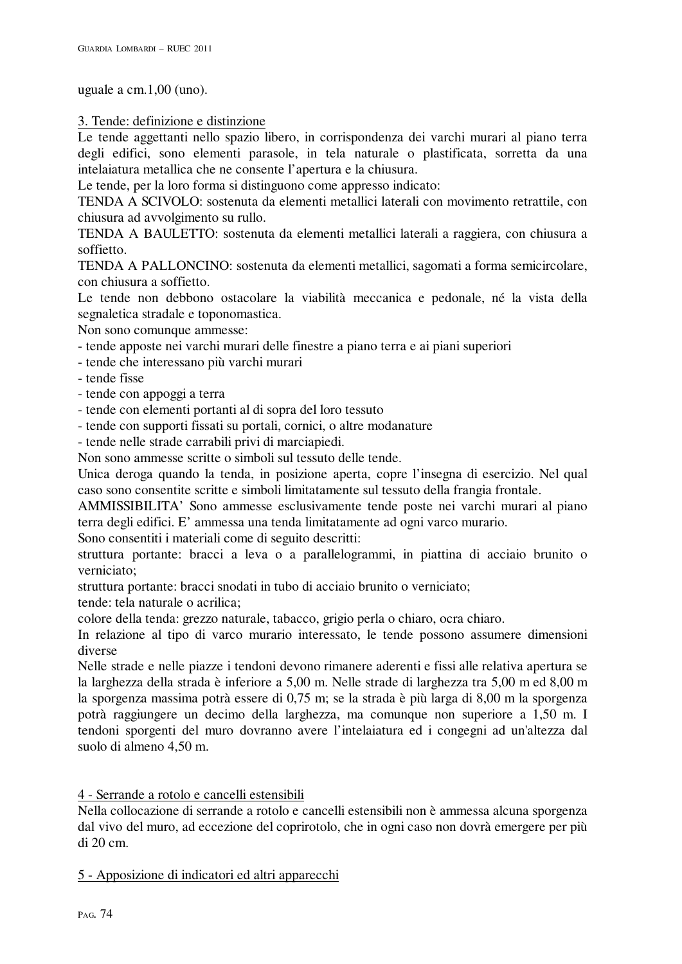uguale a cm.1,00 (uno).

3. Tende: definizione e distinzione

Le tende aggettanti nello spazio libero, in corrispondenza dei varchi murari al piano terra degli edifici, sono elementi parasole, in tela naturale o plastificata, sorretta da una intelaiatura metallica che ne consente l'apertura e la chiusura.

Le tende, per la loro forma si distinguono come appresso indicato:

TENDA A SCIVOLO: sostenuta da elementi metallici laterali con movimento retrattile, con chiusura ad avvolgimento su rullo.

TENDA A BAULETTO: sostenuta da elementi metallici laterali a raggiera, con chiusura a soffietto.

TENDA A PALLONCINO: sostenuta da elementi metallici, sagomati a forma semicircolare, con chiusura a soffietto.

Le tende non debbono ostacolare la viabilità meccanica e pedonale, né la vista della segnaletica stradale e toponomastica.

Non sono comunque ammesse:

- tende apposte nei varchi murari delle finestre a piano terra e ai piani superiori
- tende che interessano più varchi murari
- tende fisse
- tende con appoggi a terra
- tende con elementi portanti al di sopra del loro tessuto
- tende con supporti fissati su portali, cornici, o altre modanature

- tende nelle strade carrabili privi di marciapiedi.

Non sono ammesse scritte o simboli sul tessuto delle tende.

Unica deroga quando la tenda, in posizione aperta, copre l'insegna di esercizio. Nel qual caso sono consentite scritte e simboli limitatamente sul tessuto della frangia frontale.

AMMISSIBILITA' Sono ammesse esclusivamente tende poste nei varchi murari al piano terra degli edifici. E' ammessa una tenda limitatamente ad ogni varco murario.

Sono consentiti i materiali come di seguito descritti:

struttura portante: bracci a leva o a parallelogrammi, in piattina di acciaio brunito o verniciato;

struttura portante: bracci snodati in tubo di acciaio brunito o verniciato;

tende: tela naturale o acrilica;

colore della tenda: grezzo naturale, tabacco, grigio perla o chiaro, ocra chiaro.

In relazione al tipo di varco murario interessato, le tende possono assumere dimensioni diverse

Nelle strade e nelle piazze i tendoni devono rimanere aderenti e fissi alle relativa apertura se la larghezza della strada è inferiore a 5,00 m. Nelle strade di larghezza tra 5,00 m ed 8,00 m la sporgenza massima potrà essere di 0,75 m; se la strada è più larga di 8,00 m la sporgenza potrà raggiungere un decimo della larghezza, ma comunque non superiore a 1,50 m. I tendoni sporgenti del muro dovranno avere l'intelaiatura ed i congegni ad un'altezza dal suolo di almeno 4,50 m.

# 4 - Serrande a rotolo e cancelli estensibili

Nella collocazione di serrande a rotolo e cancelli estensibili non è ammessa alcuna sporgenza dal vivo del muro, ad eccezione del coprirotolo, che in ogni caso non dovrà emergere per più di 20 cm.

5 - Apposizione di indicatori ed altri apparecchi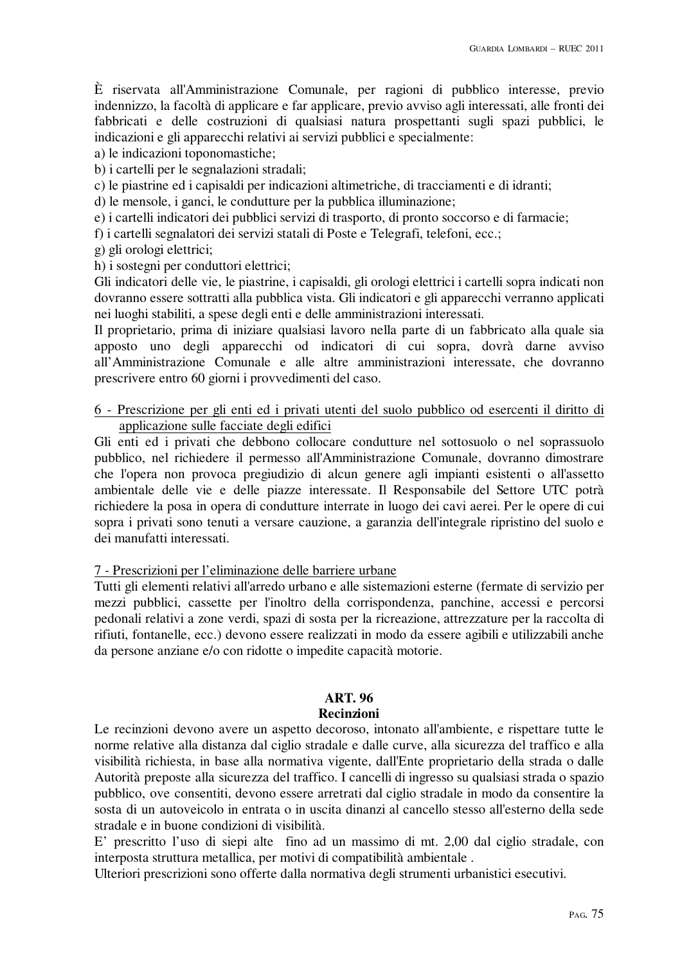È riservata all'Amministrazione Comunale, per ragioni di pubblico interesse, previo indennizzo, la facoltà di applicare e far applicare, previo avviso agli interessati, alle fronti dei fabbricati e delle costruzioni di qualsiasi natura prospettanti sugli spazi pubblici, le indicazioni e gli apparecchi relativi ai servizi pubblici e specialmente:

a) le indicazioni toponomastiche;

b) i cartelli per le segnalazioni stradali;

c) le piastrine ed i capisaldi per indicazioni altimetriche, di tracciamenti e di idranti;

d) le mensole, i ganci, le condutture per la pubblica illuminazione;

e) i cartelli indicatori dei pubblici servizi di trasporto, di pronto soccorso e di farmacie;

f) i cartelli segnalatori dei servizi statali di Poste e Telegrafi, telefoni, ecc.;

g) gli orologi elettrici;

h) i sostegni per conduttori elettrici;

Gli indicatori delle vie, le piastrine, i capisaldi, gli orologi elettrici i cartelli sopra indicati non dovranno essere sottratti alla pubblica vista. Gli indicatori e gli apparecchi verranno applicati nei luoghi stabiliti, a spese degli enti e delle amministrazioni interessati.

Il proprietario, prima di iniziare qualsiasi lavoro nella parte di un fabbricato alla quale sia apposto uno degli apparecchi od indicatori di cui sopra, dovrà darne avviso all'Amministrazione Comunale e alle altre amministrazioni interessate, che dovranno prescrivere entro 60 giorni i provvedimenti del caso.

6 - Prescrizione per gli enti ed i privati utenti del suolo pubblico od esercenti il diritto di applicazione sulle facciate degli edifici

Gli enti ed i privati che debbono collocare condutture nel sottosuolo o nel soprassuolo pubblico, nel richiedere il permesso all'Amministrazione Comunale, dovranno dimostrare che l'opera non provoca pregiudizio di alcun genere agli impianti esistenti o all'assetto ambientale delle vie e delle piazze interessate. Il Responsabile del Settore UTC potrà richiedere la posa in opera di condutture interrate in luogo dei cavi aerei. Per le opere di cui sopra i privati sono tenuti a versare cauzione, a garanzia dell'integrale ripristino del suolo e dei manufatti interessati.

7 - Prescrizioni per l'eliminazione delle barriere urbane

Tutti gli elementi relativi all'arredo urbano e alle sistemazioni esterne (fermate di servizio per mezzi pubblici, cassette per l'inoltro della corrispondenza, panchine, accessi e percorsi pedonali relativi a zone verdi, spazi di sosta per la ricreazione, attrezzature per la raccolta di rifiuti, fontanelle, ecc.) devono essere realizzati in modo da essere agibili e utilizzabili anche da persone anziane e/o con ridotte o impedite capacità motorie.

# **ART. 96**

# **Recinzioni**

Le recinzioni devono avere un aspetto decoroso, intonato all'ambiente, e rispettare tutte le norme relative alla distanza dal ciglio stradale e dalle curve, alla sicurezza del traffico e alla visibilità richiesta, in base alla normativa vigente, dall'Ente proprietario della strada o dalle Autorità preposte alla sicurezza del traffico. I cancelli di ingresso su qualsiasi strada o spazio pubblico, ove consentiti, devono essere arretrati dal ciglio stradale in modo da consentire la sosta di un autoveicolo in entrata o in uscita dinanzi al cancello stesso all'esterno della sede stradale e in buone condizioni di visibilità.

E' prescritto l'uso di siepi alte fino ad un massimo di mt. 2,00 dal ciglio stradale, con interposta struttura metallica, per motivi di compatibilità ambientale .

Ulteriori prescrizioni sono offerte dalla normativa degli strumenti urbanistici esecutivi.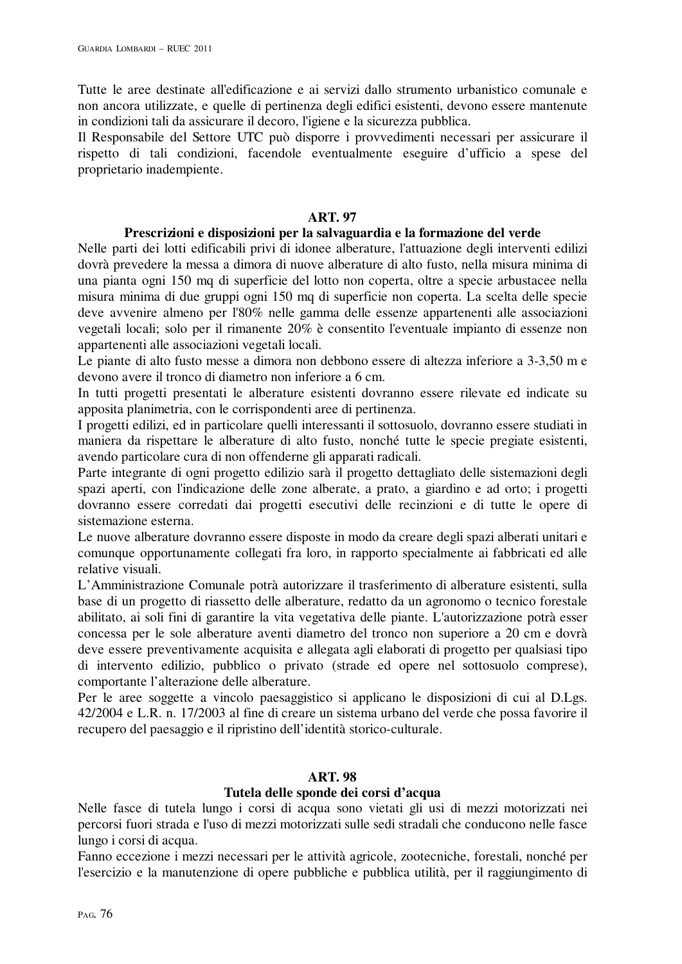Tutte le aree destinate all'edificazione e ai servizi dallo strumento urbanistico comunale e non ancora utilizzate, e quelle di pertinenza degli edifici esistenti, devono essere mantenute in condizioni tali da assicurare il decoro, l'igiene e la sicurezza pubblica.

Il Responsabile del Settore UTC può disporre i provvedimenti necessari per assicurare il rispetto di tali condizioni, facendole eventualmente eseguire d'ufficio a spese del proprietario inadempiente.

### **ART. 97**

### **Prescrizioni e disposizioni per la salvaguardia e la formazione del verde**

Nelle parti dei lotti edificabili privi di idonee alberature, l'attuazione degli interventi edilizi dovrà prevedere la messa a dimora di nuove alberature di alto fusto, nella misura minima di una pianta ogni 150 mq di superficie del lotto non coperta, oltre a specie arbustacee nella misura minima di due gruppi ogni 150 mq di superficie non coperta. La scelta delle specie deve avvenire almeno per l'80% nelle gamma delle essenze appartenenti alle associazioni vegetali locali; solo per il rimanente 20% è consentito l'eventuale impianto di essenze non appartenenti alle associazioni vegetali locali.

Le piante di alto fusto messe a dimora non debbono essere di altezza inferiore a 3-3,50 m e devono avere il tronco di diametro non inferiore a 6 cm.

In tutti progetti presentati le alberature esistenti dovranno essere rilevate ed indicate su apposita planimetria, con le corrispondenti aree di pertinenza.

I progetti edilizi, ed in particolare quelli interessanti il sottosuolo, dovranno essere studiati in maniera da rispettare le alberature di alto fusto, nonché tutte le specie pregiate esistenti, avendo particolare cura di non offenderne gli apparati radicali.

Parte integrante di ogni progetto edilizio sarà il progetto dettagliato delle sistemazioni degli spazi aperti, con l'indicazione delle zone alberate, a prato, a giardino e ad orto; i progetti dovranno essere corredati dai progetti esecutivi delle recinzioni e di tutte le opere di sistemazione esterna.

Le nuove alberature dovranno essere disposte in modo da creare degli spazi alberati unitari e comunque opportunamente collegati fra loro, in rapporto specialmente ai fabbricati ed alle relative visuali.

L'Amministrazione Comunale potrà autorizzare il trasferimento di alberature esistenti, sulla base di un progetto di riassetto delle alberature, redatto da un agronomo o tecnico forestale abilitato, ai soli fini di garantire la vita vegetativa delle piante. L'autorizzazione potrà esser concessa per le sole alberature aventi diametro del tronco non superiore a 20 cm e dovrà deve essere preventivamente acquisita e allegata agli elaborati di progetto per qualsiasi tipo di intervento edilizio, pubblico o privato (strade ed opere nel sottosuolo comprese), comportante l'alterazione delle alberature.

Per le aree soggette a vincolo paesaggistico si applicano le disposizioni di cui al D.Lgs. 42/2004 e L.R. n. 17/2003 al fine di creare un sistema urbano del verde che possa favorire il recupero del paesaggio e il ripristino dell'identità storico-culturale.

# **ART. 98**

#### **Tutela delle sponde dei corsi d'acqua**

Nelle fasce di tutela lungo i corsi di acqua sono vietati gli usi di mezzi motorizzati nei percorsi fuori strada e l'uso di mezzi motorizzati sulle sedi stradali che conducono nelle fasce lungo i corsi di acqua.

Fanno eccezione i mezzi necessari per le attività agricole, zootecniche, forestali, nonché per l'esercizio e la manutenzione di opere pubbliche e pubblica utilità, per il raggiungimento di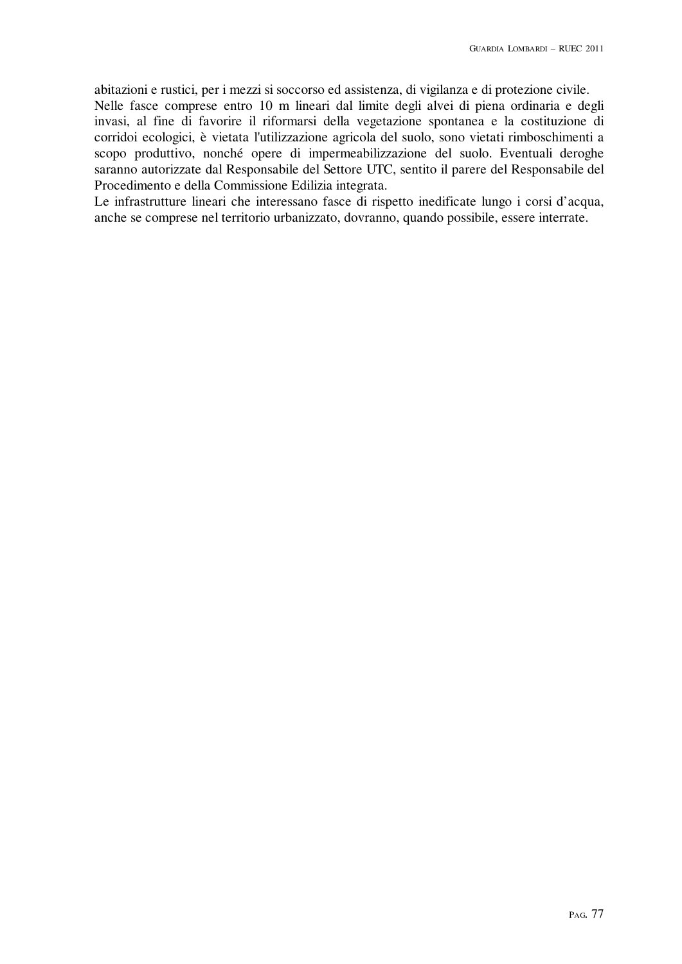abitazioni e rustici, per i mezzi si soccorso ed assistenza, di vigilanza e di protezione civile. Nelle fasce comprese entro 10 m lineari dal limite degli alvei di piena ordinaria e degli invasi, al fine di favorire il riformarsi della vegetazione spontanea e la costituzione di corridoi ecologici, è vietata l'utilizzazione agricola del suolo, sono vietati rimboschimenti a scopo produttivo, nonché opere di impermeabilizzazione del suolo. Eventuali deroghe saranno autorizzate dal Responsabile del Settore UTC, sentito il parere del Responsabile del Procedimento e della Commissione Edilizia integrata.

Le infrastrutture lineari che interessano fasce di rispetto inedificate lungo i corsi d'acqua, anche se comprese nel territorio urbanizzato, dovranno, quando possibile, essere interrate.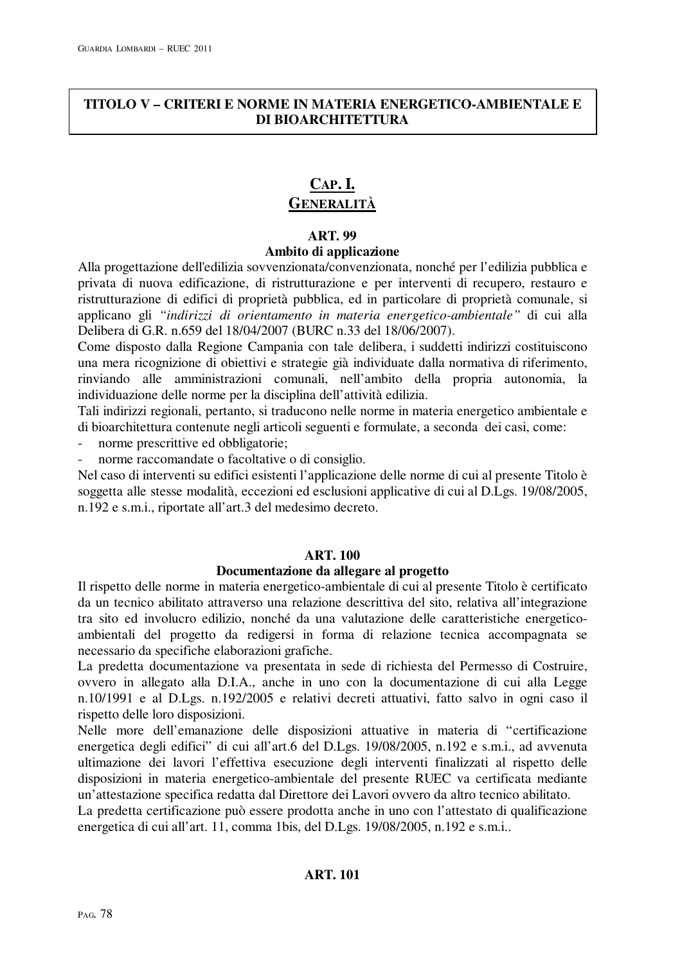# **TITOLO V – CRITERI E NORME IN MATERIA ENERGETICO-AMBIENTALE E DI BIOARCHITETTURA**

# **CAP. I. GENERALITÀ**

# **ART. 99 Ambito di applicazione**

Alla progettazione dell'edilizia sovvenzionata/convenzionata, nonché per l'edilizia pubblica e privata di nuova edificazione, di ristrutturazione e per interventi di recupero, restauro e ristrutturazione di edifici di proprietà pubblica, ed in particolare di proprietà comunale, si applicano gli *"indirizzi di orientamento in materia energetico-ambientale"* di cui alla Delibera di G.R. n.659 del 18/04/2007 (BURC n.33 del 18/06/2007).

Come disposto dalla Regione Campania con tale delibera, i suddetti indirizzi costituiscono una mera ricognizione di obiettivi e strategie già individuate dalla normativa di riferimento, rinviando alle amministrazioni comunali, nell'ambito della propria autonomia, la individuazione delle norme per la disciplina dell'attività edilizia.

Tali indirizzi regionali, pertanto, si traducono nelle norme in materia energetico ambientale e di bioarchitettura contenute negli articoli seguenti e formulate, a seconda dei casi, come:

- norme prescrittive ed obbligatorie;
- norme raccomandate o facoltative o di consiglio.

Nel caso di interventi su edifici esistenti l'applicazione delle norme di cui al presente Titolo è soggetta alle stesse modalità, eccezioni ed esclusioni applicative di cui al D.Lgs. 19/08/2005, n.192 e s.m.i., riportate all'art.3 del medesimo decreto.

# **ART. 100**

# **Documentazione da allegare al progetto**

Il rispetto delle norme in materia energetico-ambientale di cui al presente Titolo è certificato da un tecnico abilitato attraverso una relazione descrittiva del sito, relativa all'integrazione tra sito ed involucro edilizio, nonché da una valutazione delle caratteristiche energeticoambientali del progetto da redigersi in forma di relazione tecnica accompagnata se necessario da specifiche elaborazioni grafiche.

La predetta documentazione va presentata in sede di richiesta del Permesso di Costruire, ovvero in allegato alla D.I.A., anche in uno con la documentazione di cui alla Legge n.10/1991 e al D.Lgs. n.192/2005 e relativi decreti attuativi, fatto salvo in ogni caso il rispetto delle loro disposizioni.

Nelle more dell'emanazione delle disposizioni attuative in materia di "certificazione energetica degli edifici" di cui all'art.6 del D.Lgs. 19/08/2005, n.192 e s.m.i., ad avvenuta ultimazione dei lavori l'effettiva esecuzione degli interventi finalizzati al rispetto delle disposizioni in materia energetico-ambientale del presente RUEC va certificata mediante un'attestazione specifica redatta dal Direttore dei Lavori ovvero da altro tecnico abilitato.

La predetta certificazione può essere prodotta anche in uno con l'attestato di qualificazione energetica di cui all'art. 11, comma 1bis, del D.Lgs. 19/08/2005, n.192 e s.m.i..

# **ART. 101**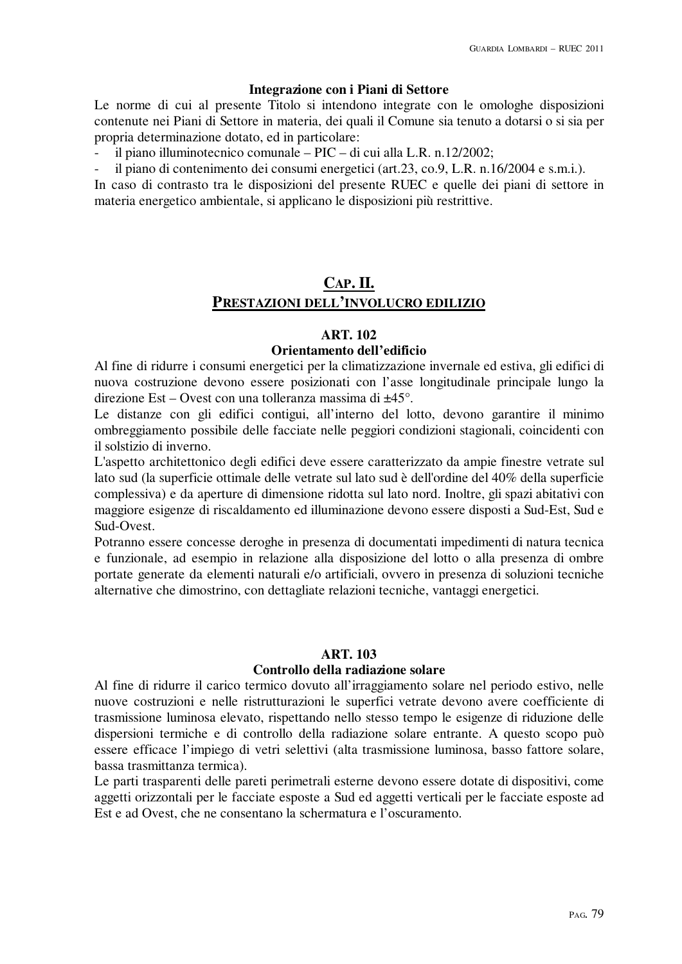### **Integrazione con i Piani di Settore**

Le norme di cui al presente Titolo si intendono integrate con le omologhe disposizioni contenute nei Piani di Settore in materia, dei quali il Comune sia tenuto a dotarsi o si sia per propria determinazione dotato, ed in particolare:

- il piano illuminotecnico comunale – PIC – di cui alla L.R. n.12/2002;

il piano di contenimento dei consumi energetici (art.23, co.9, L.R. n.16/2004 e s.m.i.).

In caso di contrasto tra le disposizioni del presente RUEC e quelle dei piani di settore in materia energetico ambientale, si applicano le disposizioni più restrittive.

# **CAP. II. PRESTAZIONI DELL'INVOLUCRO EDILIZIO**

### **ART. 102**

### **Orientamento dell'edificio**

Al fine di ridurre i consumi energetici per la climatizzazione invernale ed estiva, gli edifici di nuova costruzione devono essere posizionati con l'asse longitudinale principale lungo la direzione Est – Ovest con una tolleranza massima di ±45°.

Le distanze con gli edifici contigui, all'interno del lotto, devono garantire il minimo ombreggiamento possibile delle facciate nelle peggiori condizioni stagionali, coincidenti con il solstizio di inverno.

L'aspetto architettonico degli edifici deve essere caratterizzato da ampie finestre vetrate sul lato sud (la superficie ottimale delle vetrate sul lato sud è dell'ordine del 40% della superficie complessiva) e da aperture di dimensione ridotta sul lato nord. Inoltre, gli spazi abitativi con maggiore esigenze di riscaldamento ed illuminazione devono essere disposti a Sud-Est, Sud e Sud-Ovest.

Potranno essere concesse deroghe in presenza di documentati impedimenti di natura tecnica e funzionale, ad esempio in relazione alla disposizione del lotto o alla presenza di ombre portate generate da elementi naturali e/o artificiali, ovvero in presenza di soluzioni tecniche alternative che dimostrino, con dettagliate relazioni tecniche, vantaggi energetici.

# **ART. 103**

# **Controllo della radiazione solare**

Al fine di ridurre il carico termico dovuto all'irraggiamento solare nel periodo estivo, nelle nuove costruzioni e nelle ristrutturazioni le superfici vetrate devono avere coefficiente di trasmissione luminosa elevato, rispettando nello stesso tempo le esigenze di riduzione delle dispersioni termiche e di controllo della radiazione solare entrante. A questo scopo può essere efficace l'impiego di vetri selettivi (alta trasmissione luminosa, basso fattore solare, bassa trasmittanza termica).

Le parti trasparenti delle pareti perimetrali esterne devono essere dotate di dispositivi, come aggetti orizzontali per le facciate esposte a Sud ed aggetti verticali per le facciate esposte ad Est e ad Ovest, che ne consentano la schermatura e l'oscuramento.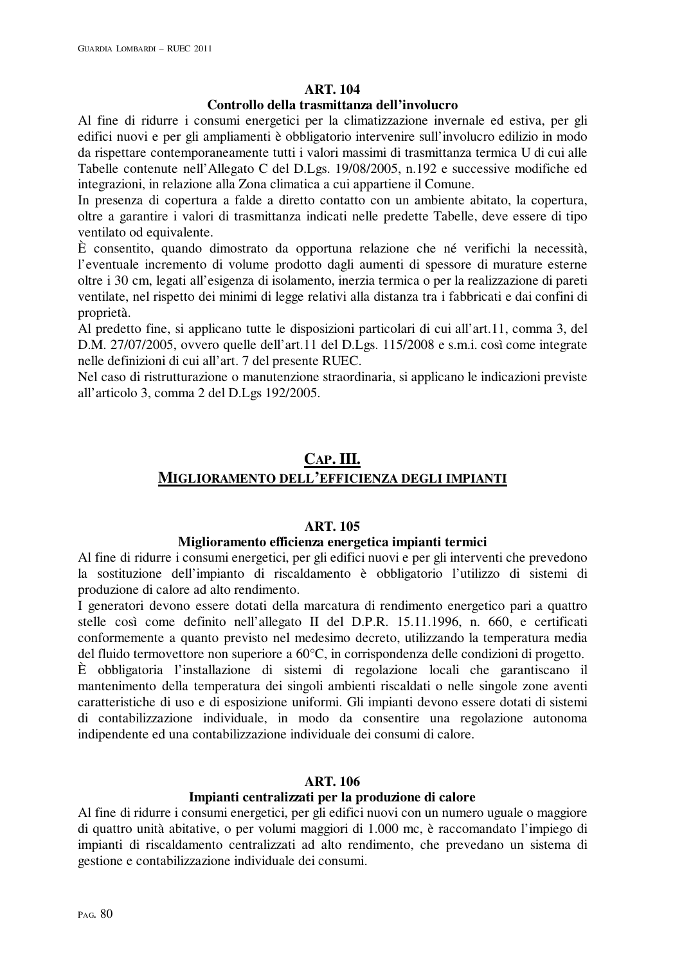# **ART. 104**

### **Controllo della trasmittanza dell'involucro**

Al fine di ridurre i consumi energetici per la climatizzazione invernale ed estiva, per gli edifici nuovi e per gli ampliamenti è obbligatorio intervenire sull'involucro edilizio in modo da rispettare contemporaneamente tutti i valori massimi di trasmittanza termica U di cui alle Tabelle contenute nell'Allegato C del D.Lgs. 19/08/2005, n.192 e successive modifiche ed integrazioni, in relazione alla Zona climatica a cui appartiene il Comune.

In presenza di copertura a falde a diretto contatto con un ambiente abitato, la copertura, oltre a garantire i valori di trasmittanza indicati nelle predette Tabelle, deve essere di tipo ventilato od equivalente.

È consentito, quando dimostrato da opportuna relazione che né verifichi la necessità, l'eventuale incremento di volume prodotto dagli aumenti di spessore di murature esterne oltre i 30 cm, legati all'esigenza di isolamento, inerzia termica o per la realizzazione di pareti ventilate, nel rispetto dei minimi di legge relativi alla distanza tra i fabbricati e dai confini di proprietà.

Al predetto fine, si applicano tutte le disposizioni particolari di cui all'art.11, comma 3, del D.M. 27/07/2005, ovvero quelle dell'art.11 del D.Lgs. 115/2008 e s.m.i. così come integrate nelle definizioni di cui all'art. 7 del presente RUEC.

Nel caso di ristrutturazione o manutenzione straordinaria, si applicano le indicazioni previste all'articolo 3, comma 2 del D.Lgs 192/2005.

# **CAP. III. MIGLIORAMENTO DELL'EFFICIENZA DEGLI IMPIANTI**

# **ART. 105**

# **Miglioramento efficienza energetica impianti termici**

Al fine di ridurre i consumi energetici, per gli edifici nuovi e per gli interventi che prevedono la sostituzione dell'impianto di riscaldamento è obbligatorio l'utilizzo di sistemi di produzione di calore ad alto rendimento.

I generatori devono essere dotati della marcatura di rendimento energetico pari a quattro stelle così come definito nell'allegato II del D.P.R. 15.11.1996, n. 660, e certificati conformemente a quanto previsto nel medesimo decreto, utilizzando la temperatura media del fluido termovettore non superiore a 60°C, in corrispondenza delle condizioni di progetto.

È obbligatoria l'installazione di sistemi di regolazione locali che garantiscano il mantenimento della temperatura dei singoli ambienti riscaldati o nelle singole zone aventi caratteristiche di uso e di esposizione uniformi. Gli impianti devono essere dotati di sistemi di contabilizzazione individuale, in modo da consentire una regolazione autonoma indipendente ed una contabilizzazione individuale dei consumi di calore.

# **ART. 106**

# **Impianti centralizzati per la produzione di calore**

Al fine di ridurre i consumi energetici, per gli edifici nuovi con un numero uguale o maggiore di quattro unità abitative, o per volumi maggiori di 1.000 mc, è raccomandato l'impiego di impianti di riscaldamento centralizzati ad alto rendimento, che prevedano un sistema di gestione e contabilizzazione individuale dei consumi.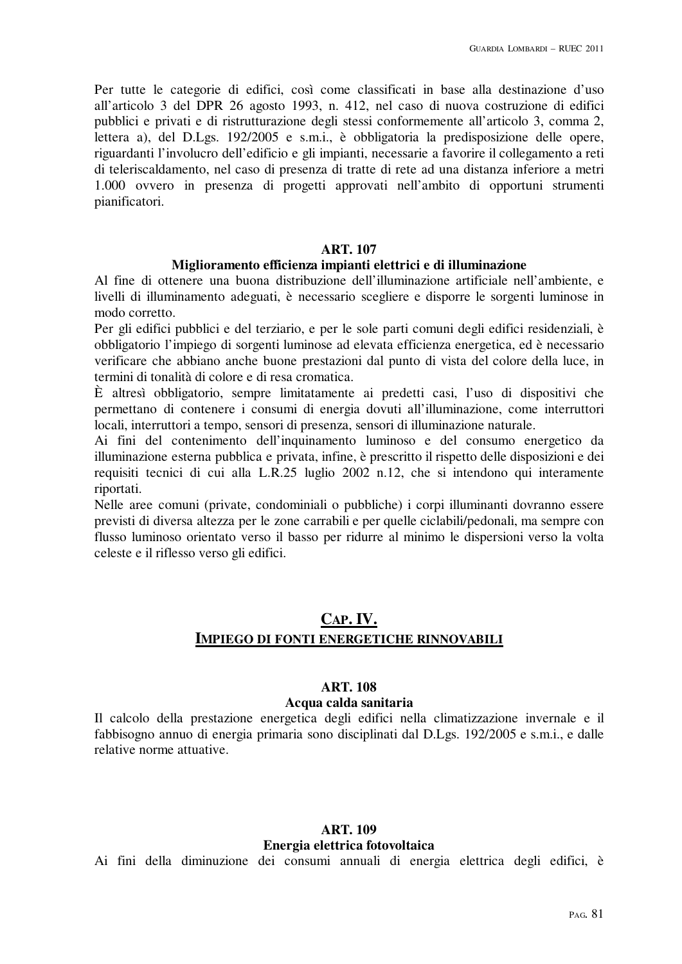Per tutte le categorie di edifici, così come classificati in base alla destinazione d'uso all'articolo 3 del DPR 26 agosto 1993, n. 412, nel caso di nuova costruzione di edifici pubblici e privati e di ristrutturazione degli stessi conformemente all'articolo 3, comma 2, lettera a), del D.Lgs. 192/2005 e s.m.i., è obbligatoria la predisposizione delle opere, riguardanti l'involucro dell'edificio e gli impianti, necessarie a favorire il collegamento a reti di teleriscaldamento, nel caso di presenza di tratte di rete ad una distanza inferiore a metri 1.000 ovvero in presenza di progetti approvati nell'ambito di opportuni strumenti pianificatori.

### **ART. 107**

#### **Miglioramento efficienza impianti elettrici e di illuminazione**

Al fine di ottenere una buona distribuzione dell'illuminazione artificiale nell'ambiente, e livelli di illuminamento adeguati, è necessario scegliere e disporre le sorgenti luminose in modo corretto.

Per gli edifici pubblici e del terziario, e per le sole parti comuni degli edifici residenziali, è obbligatorio l'impiego di sorgenti luminose ad elevata efficienza energetica, ed è necessario verificare che abbiano anche buone prestazioni dal punto di vista del colore della luce, in termini di tonalità di colore e di resa cromatica.

È altresì obbligatorio, sempre limitatamente ai predetti casi, l'uso di dispositivi che permettano di contenere i consumi di energia dovuti all'illuminazione, come interruttori locali, interruttori a tempo, sensori di presenza, sensori di illuminazione naturale.

Ai fini del contenimento dell'inquinamento luminoso e del consumo energetico da illuminazione esterna pubblica e privata, infine, è prescritto il rispetto delle disposizioni e dei requisiti tecnici di cui alla L.R.25 luglio 2002 n.12, che si intendono qui interamente riportati.

Nelle aree comuni (private, condominiali o pubbliche) i corpi illuminanti dovranno essere previsti di diversa altezza per le zone carrabili e per quelle ciclabili/pedonali, ma sempre con flusso luminoso orientato verso il basso per ridurre al minimo le dispersioni verso la volta celeste e il riflesso verso gli edifici.

# **CAP. IV. IMPIEGO DI FONTI ENERGETICHE RINNOVABILI**

# **ART. 108**

#### **Acqua calda sanitaria**

Il calcolo della prestazione energetica degli edifici nella climatizzazione invernale e il fabbisogno annuo di energia primaria sono disciplinati dal D.Lgs. 192/2005 e s.m.i., e dalle relative norme attuative.

# **ART. 109 Energia elettrica fotovoltaica**

Ai fini della diminuzione dei consumi annuali di energia elettrica degli edifici, è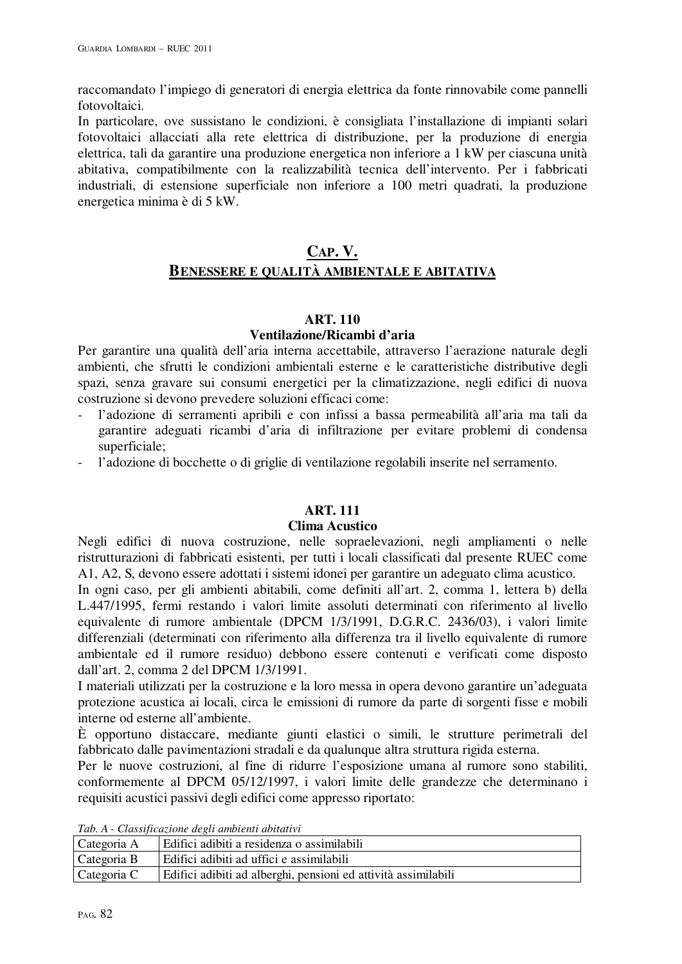raccomandato l'impiego di generatori di energia elettrica da fonte rinnovabile come pannelli fotovoltaici.

In particolare, ove sussistano le condizioni, è consigliata l'installazione di impianti solari fotovoltaici allacciati alla rete elettrica di distribuzione, per la produzione di energia elettrica, tali da garantire una produzione energetica non inferiore a 1 kW per ciascuna unità abitativa, compatibilmente con la realizzabilità tecnica dell'intervento. Per i fabbricati industriali, di estensione superficiale non inferiore a 100 metri quadrati, la produzione energetica minima è di 5 kW.

# **CAP. V. BENESSERE E QUALITÀ AMBIENTALE E ABITATIVA**

### **ART. 110**

# **Ventilazione/Ricambi d'aria**

Per garantire una qualità dell'aria interna accettabile, attraverso l'aerazione naturale degli ambienti, che sfrutti le condizioni ambientali esterne e le caratteristiche distributive degli spazi, senza gravare sui consumi energetici per la climatizzazione, negli edifici di nuova costruzione si devono prevedere soluzioni efficaci come:

- l'adozione di serramenti apribili e con infissi a bassa permeabilità all'aria ma tali da garantire adeguati ricambi d'aria di infiltrazione per evitare problemi di condensa superficiale;
- l'adozione di bocchette o di griglie di ventilazione regolabili inserite nel serramento.

# **ART. 111**

# **Clima Acustico**

Negli edifici di nuova costruzione, nelle sopraelevazioni, negli ampliamenti o nelle ristrutturazioni di fabbricati esistenti, per tutti i locali classificati dal presente RUEC come A1, A2, S, devono essere adottati i sistemi idonei per garantire un adeguato clima acustico.

In ogni caso, per gli ambienti abitabili, come definiti all'art. 2, comma 1, lettera b) della L.447/1995, fermi restando i valori limite assoluti determinati con riferimento al livello equivalente di rumore ambientale (DPCM 1/3/1991, D.G.R.C. 2436/03), i valori limite differenziali (determinati con riferimento alla differenza tra il livello equivalente di rumore ambientale ed il rumore residuo) debbono essere contenuti e verificati come disposto dall'art. 2, comma 2 del DPCM 1/3/1991.

I materiali utilizzati per la costruzione e la loro messa in opera devono garantire un'adeguata protezione acustica ai locali, circa le emissioni di rumore da parte di sorgenti fisse e mobili interne od esterne all'ambiente.

È opportuno distaccare, mediante giunti elastici o simili, le strutture perimetrali del fabbricato dalle pavimentazioni stradali e da qualunque altra struttura rigida esterna.

Per le nuove costruzioni, al fine di ridurre l'esposizione umana al rumore sono stabiliti, conformemente al DPCM 05/12/1997, i valori limite delle grandezze che determinano i requisiti acustici passivi degli edifici come appresso riportato:

*Tab. A - Classificazione degli ambienti abitativi* 

| Categoria A | Edifici adibiti a residenza o assimilabili                     |
|-------------|----------------------------------------------------------------|
| Categoria B | Edifici adibiti ad uffici e assimilabili                       |
| Categoria C | Edifici adibiti ad alberghi, pensioni ed attività assimilabili |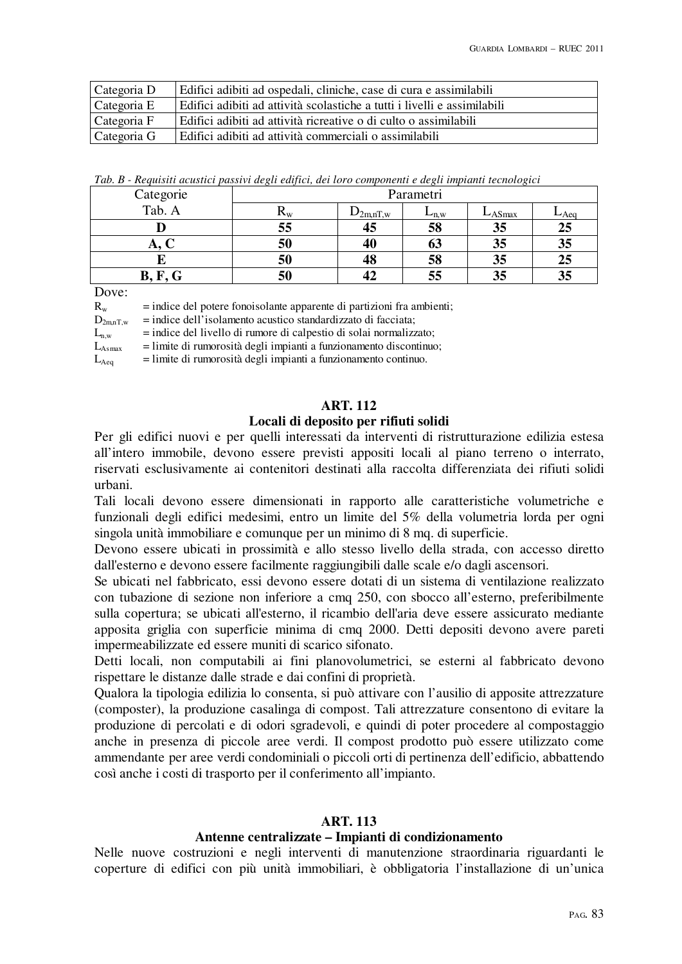| Categoria D | Edifici adibiti ad ospedali, cliniche, case di cura e assimilabili       |
|-------------|--------------------------------------------------------------------------|
| Categoria E | Edifici adibiti ad attività scolastiche a tutti i livelli e assimilabili |
| Categoria F | Edifici adibiti ad attività ricreative o di culto o assimilabili         |
| Categoria G | Edifici adibiti ad attività commerciali o assimilabili                   |

*Tab. B - Requisiti acustici passivi degli edifici, dei loro componenti e degli impianti tecnologici* 

| Categorie<br>Tab. A | Parametri            |               |           |           |         |
|---------------------|----------------------|---------------|-----------|-----------|---------|
|                     | $\mathbf{K}_{\rm W}$ | $D_{2m,nT,w}$ | $L_{n,w}$ | $L$ ASmax | $L$ Aeq |
|                     | 55                   | 45            | 58        | 35        | 25      |
| л.                  | 50                   | 40            | 03        | 35        | 35      |
|                     | 50                   | 48            | 58        | 35        | 25      |
| B,                  | 50                   |               |           | 35        | 35      |

Dove:

| $\rm R_{w}$ | = indice del potere fonoisolante apparente di partizioni fra ambienti; |  |  |  |
|-------------|------------------------------------------------------------------------|--|--|--|
|-------------|------------------------------------------------------------------------|--|--|--|

 $D_{2mnT,w}$  = indice dell'isolamento acustico standardizzato di facciata;

 $L_{n,w}$  = indice del livello di rumore di calpestio di solai normalizzato;

 $L_{\text{Asmax}}$  = limite di rumorosità degli impianti a funzionamento discontinuo;

 $L_{\text{Aeg}}$  = limite di rumorosità degli impianti a funzionamento continuo.

### **ART. 112**

#### **Locali di deposito per rifiuti solidi**

Per gli edifici nuovi e per quelli interessati da interventi di ristrutturazione edilizia estesa all'intero immobile, devono essere previsti appositi locali al piano terreno o interrato, riservati esclusivamente ai contenitori destinati alla raccolta differenziata dei rifiuti solidi urbani.

Tali locali devono essere dimensionati in rapporto alle caratteristiche volumetriche e funzionali degli edifici medesimi, entro un limite del 5% della volumetria lorda per ogni singola unità immobiliare e comunque per un minimo di 8 mq. di superficie.

Devono essere ubicati in prossimità e allo stesso livello della strada, con accesso diretto dall'esterno e devono essere facilmente raggiungibili dalle scale e/o dagli ascensori.

Se ubicati nel fabbricato, essi devono essere dotati di un sistema di ventilazione realizzato con tubazione di sezione non inferiore a cmq 250, con sbocco all'esterno, preferibilmente sulla copertura; se ubicati all'esterno, il ricambio dell'aria deve essere assicurato mediante apposita griglia con superficie minima di cmq 2000. Detti depositi devono avere pareti impermeabilizzate ed essere muniti di scarico sifonato.

Detti locali, non computabili ai fini planovolumetrici, se esterni al fabbricato devono rispettare le distanze dalle strade e dai confini di proprietà.

Qualora la tipologia edilizia lo consenta, si può attivare con l'ausilio di apposite attrezzature (composter), la produzione casalinga di compost. Tali attrezzature consentono di evitare la produzione di percolati e di odori sgradevoli, e quindi di poter procedere al compostaggio anche in presenza di piccole aree verdi. Il compost prodotto può essere utilizzato come ammendante per aree verdi condominiali o piccoli orti di pertinenza dell'edificio, abbattendo così anche i costi di trasporto per il conferimento all'impianto.

### **ART. 113**

#### **Antenne centralizzate – Impianti di condizionamento**

Nelle nuove costruzioni e negli interventi di manutenzione straordinaria riguardanti le coperture di edifici con più unità immobiliari, è obbligatoria l'installazione di un'unica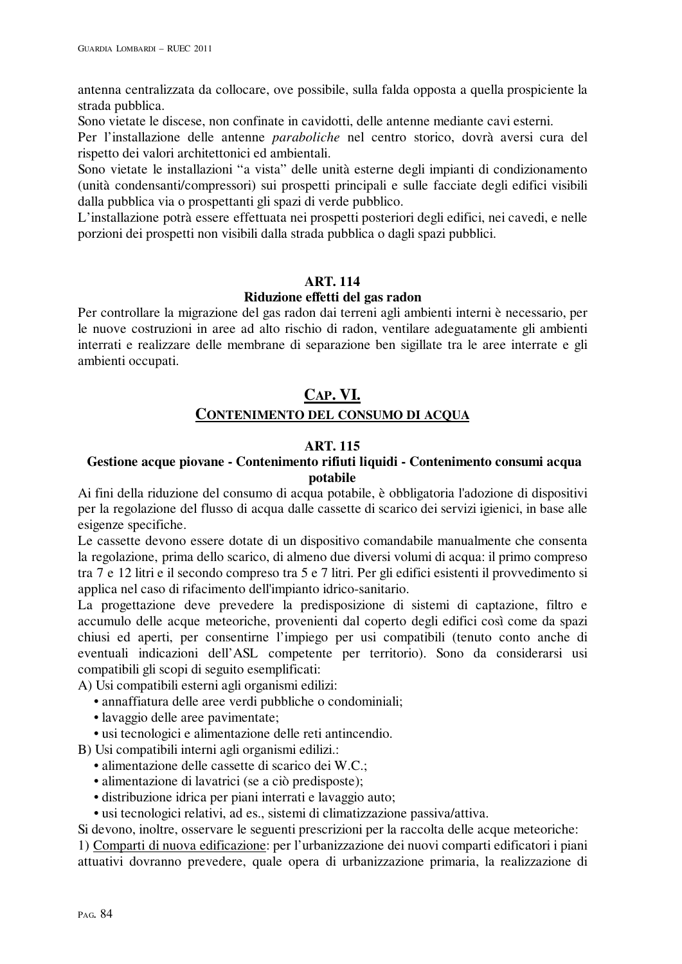antenna centralizzata da collocare, ove possibile, sulla falda opposta a quella prospiciente la strada pubblica.

Sono vietate le discese, non confinate in cavidotti, delle antenne mediante cavi esterni.

Per l'installazione delle antenne *paraboliche* nel centro storico, dovrà aversi cura del rispetto dei valori architettonici ed ambientali.

Sono vietate le installazioni "a vista" delle unità esterne degli impianti di condizionamento (unità condensanti/compressori) sui prospetti principali e sulle facciate degli edifici visibili dalla pubblica via o prospettanti gli spazi di verde pubblico.

L'installazione potrà essere effettuata nei prospetti posteriori degli edifici, nei cavedi, e nelle porzioni dei prospetti non visibili dalla strada pubblica o dagli spazi pubblici.

### **ART. 114**

### **Riduzione effetti del gas radon**

Per controllare la migrazione del gas radon dai terreni agli ambienti interni è necessario, per le nuove costruzioni in aree ad alto rischio di radon, ventilare adeguatamente gli ambienti interrati e realizzare delle membrane di separazione ben sigillate tra le aree interrate e gli ambienti occupati.

# **CAP. VI. CONTENIMENTO DEL CONSUMO DI ACQUA**

# **ART. 115**

# **Gestione acque piovane - Contenimento rifiuti liquidi - Contenimento consumi acqua potabile**

Ai fini della riduzione del consumo di acqua potabile, è obbligatoria l'adozione di dispositivi per la regolazione del flusso di acqua dalle cassette di scarico dei servizi igienici, in base alle esigenze specifiche.

Le cassette devono essere dotate di un dispositivo comandabile manualmente che consenta la regolazione, prima dello scarico, di almeno due diversi volumi di acqua: il primo compreso tra 7 e 12 litri e il secondo compreso tra 5 e 7 litri. Per gli edifici esistenti il provvedimento si applica nel caso di rifacimento dell'impianto idrico-sanitario.

La progettazione deve prevedere la predisposizione di sistemi di captazione, filtro e accumulo delle acque meteoriche, provenienti dal coperto degli edifici così come da spazi chiusi ed aperti, per consentirne l'impiego per usi compatibili (tenuto conto anche di eventuali indicazioni dell'ASL competente per territorio). Sono da considerarsi usi compatibili gli scopi di seguito esemplificati:

A) Usi compatibili esterni agli organismi edilizi:

- annaffiatura delle aree verdi pubbliche o condominiali;
- lavaggio delle aree pavimentate;
- usi tecnologici e alimentazione delle reti antincendio.

B) Usi compatibili interni agli organismi edilizi.:

- alimentazione delle cassette di scarico dei W.C.;
- alimentazione di lavatrici (se a ciò predisposte);
- distribuzione idrica per piani interrati e lavaggio auto;
- usi tecnologici relativi, ad es., sistemi di climatizzazione passiva/attiva.

Si devono, inoltre, osservare le seguenti prescrizioni per la raccolta delle acque meteoriche:

1) Comparti di nuova edificazione: per l'urbanizzazione dei nuovi comparti edificatori i piani attuativi dovranno prevedere, quale opera di urbanizzazione primaria, la realizzazione di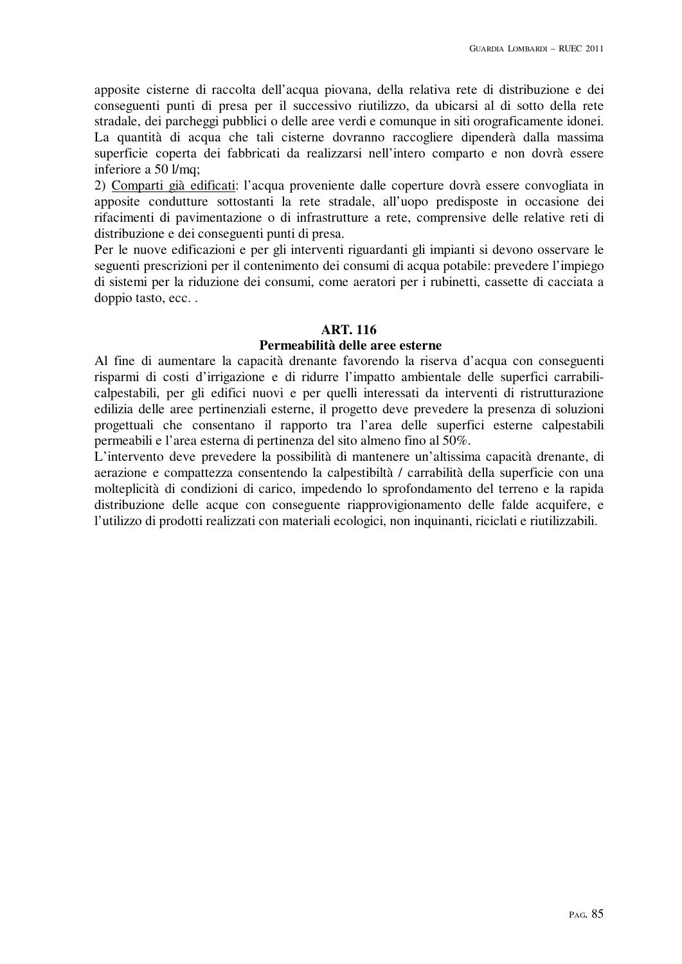apposite cisterne di raccolta dell'acqua piovana, della relativa rete di distribuzione e dei conseguenti punti di presa per il successivo riutilizzo, da ubicarsi al di sotto della rete stradale, dei parcheggi pubblici o delle aree verdi e comunque in siti orograficamente idonei. La quantità di acqua che tali cisterne dovranno raccogliere dipenderà dalla massima superficie coperta dei fabbricati da realizzarsi nell'intero comparto e non dovrà essere inferiore a 50 l/mq;

2) Comparti già edificati: l'acqua proveniente dalle coperture dovrà essere convogliata in apposite condutture sottostanti la rete stradale, all'uopo predisposte in occasione dei rifacimenti di pavimentazione o di infrastrutture a rete, comprensive delle relative reti di distribuzione e dei conseguenti punti di presa.

Per le nuove edificazioni e per gli interventi riguardanti gli impianti si devono osservare le seguenti prescrizioni per il contenimento dei consumi di acqua potabile: prevedere l'impiego di sistemi per la riduzione dei consumi, come aeratori per i rubinetti, cassette di cacciata a doppio tasto, ecc. .

#### **ART. 116**

# **Permeabilità delle aree esterne**

Al fine di aumentare la capacità drenante favorendo la riserva d'acqua con conseguenti risparmi di costi d'irrigazione e di ridurre l'impatto ambientale delle superfici carrabilicalpestabili, per gli edifici nuovi e per quelli interessati da interventi di ristrutturazione edilizia delle aree pertinenziali esterne, il progetto deve prevedere la presenza di soluzioni progettuali che consentano il rapporto tra l'area delle superfici esterne calpestabili permeabili e l'area esterna di pertinenza del sito almeno fino al 50%.

L'intervento deve prevedere la possibilità di mantenere un'altissima capacità drenante, di aerazione e compattezza consentendo la calpestibiltà / carrabilità della superficie con una molteplicità di condizioni di carico, impedendo lo sprofondamento del terreno e la rapida distribuzione delle acque con conseguente riapprovigionamento delle falde acquifere, e l'utilizzo di prodotti realizzati con materiali ecologici, non inquinanti, riciclati e riutilizzabili.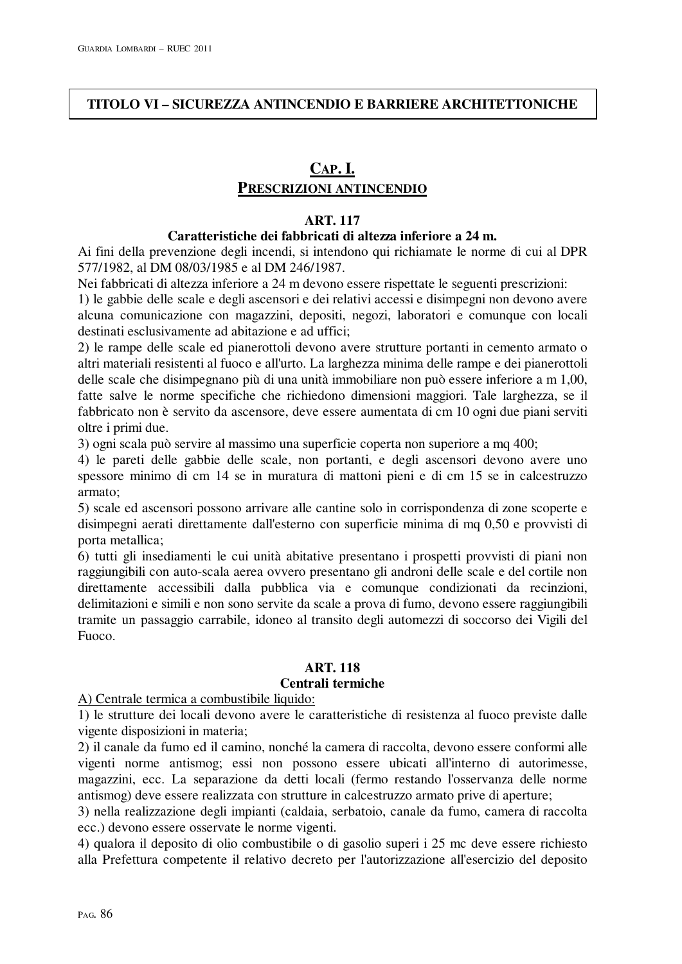# **TITOLO VI – SICUREZZA ANTINCENDIO E BARRIERE ARCHITETTONICHE**

# **CAP. I. PRESCRIZIONI ANTINCENDIO**

### **ART. 117**

### **Caratteristiche dei fabbricati di altezza inferiore a 24 m.**

Ai fini della prevenzione degli incendi, si intendono qui richiamate le norme di cui al DPR 577/1982, al DM 08/03/1985 e al DM 246/1987.

Nei fabbricati di altezza inferiore a 24 m devono essere rispettate le seguenti prescrizioni:

1) le gabbie delle scale e degli ascensori e dei relativi accessi e disimpegni non devono avere alcuna comunicazione con magazzini, depositi, negozi, laboratori e comunque con locali destinati esclusivamente ad abitazione e ad uffici;

2) le rampe delle scale ed pianerottoli devono avere strutture portanti in cemento armato o altri materiali resistenti al fuoco e all'urto. La larghezza minima delle rampe e dei pianerottoli delle scale che disimpegnano più di una unità immobiliare non può essere inferiore a m 1,00, fatte salve le norme specifiche che richiedono dimensioni maggiori. Tale larghezza, se il fabbricato non è servito da ascensore, deve essere aumentata di cm 10 ogni due piani serviti oltre i primi due.

3) ogni scala può servire al massimo una superficie coperta non superiore a mq 400;

4) le pareti delle gabbie delle scale, non portanti, e degli ascensori devono avere uno spessore minimo di cm 14 se in muratura di mattoni pieni e di cm 15 se in calcestruzzo armato;

5) scale ed ascensori possono arrivare alle cantine solo in corrispondenza di zone scoperte e disimpegni aerati direttamente dall'esterno con superficie minima di mq 0,50 e provvisti di porta metallica;

6) tutti gli insediamenti le cui unità abitative presentano i prospetti provvisti di piani non raggiungibili con auto-scala aerea ovvero presentano gli androni delle scale e del cortile non direttamente accessibili dalla pubblica via e comunque condizionati da recinzioni, delimitazioni e simili e non sono servite da scale a prova di fumo, devono essere raggiungibili tramite un passaggio carrabile, idoneo al transito degli automezzi di soccorso dei Vigili del Fuoco.

# **ART. 118**

# **Centrali termiche**

#### A) Centrale termica a combustibile liquido:

1) le strutture dei locali devono avere le caratteristiche di resistenza al fuoco previste dalle vigente disposizioni in materia;

2) il canale da fumo ed il camino, nonché la camera di raccolta, devono essere conformi alle vigenti norme antismog; essi non possono essere ubicati all'interno di autorimesse, magazzini, ecc. La separazione da detti locali (fermo restando l'osservanza delle norme antismog) deve essere realizzata con strutture in calcestruzzo armato prive di aperture;

3) nella realizzazione degli impianti (caldaia, serbatoio, canale da fumo, camera di raccolta ecc.) devono essere osservate le norme vigenti.

4) qualora il deposito di olio combustibile o di gasolio superi i 25 mc deve essere richiesto alla Prefettura competente il relativo decreto per l'autorizzazione all'esercizio del deposito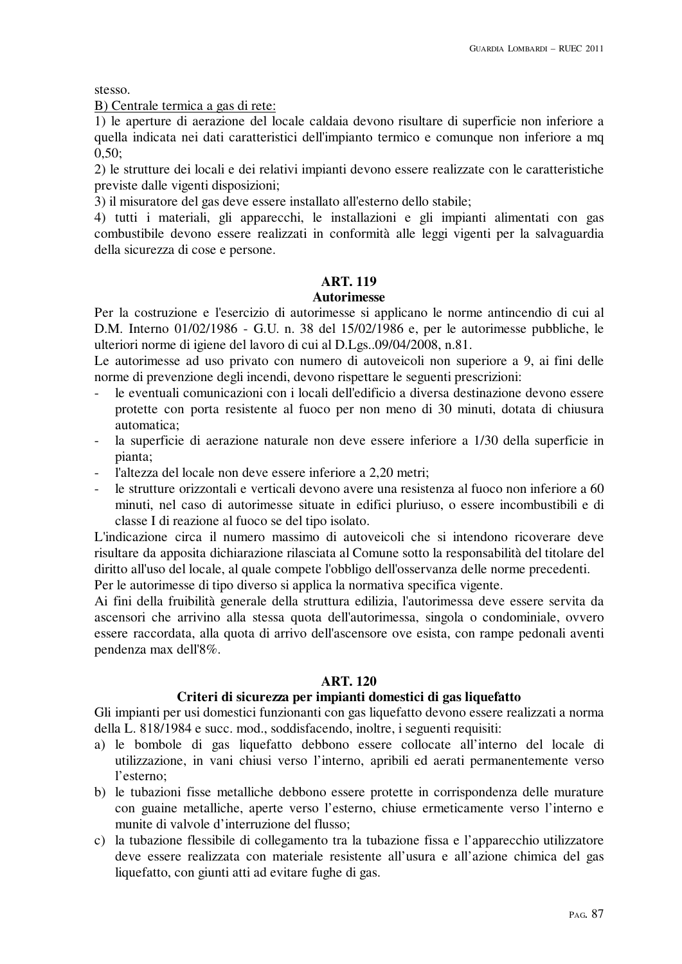stesso.

B) Centrale termica a gas di rete:

1) le aperture di aerazione del locale caldaia devono risultare di superficie non inferiore a quella indicata nei dati caratteristici dell'impianto termico e comunque non inferiore a mq 0,50;

2) le strutture dei locali e dei relativi impianti devono essere realizzate con le caratteristiche previste dalle vigenti disposizioni;

3) il misuratore del gas deve essere installato all'esterno dello stabile;

4) tutti i materiali, gli apparecchi, le installazioni e gli impianti alimentati con gas combustibile devono essere realizzati in conformità alle leggi vigenti per la salvaguardia della sicurezza di cose e persone.

# **ART. 119**

### **Autorimesse**

Per la costruzione e l'esercizio di autorimesse si applicano le norme antincendio di cui al D.M. Interno 01/02/1986 - G.U. n. 38 del 15/02/1986 e, per le autorimesse pubbliche, le ulteriori norme di igiene del lavoro di cui al D.Lgs..09/04/2008, n.81.

Le autorimesse ad uso privato con numero di autoveicoli non superiore a 9, ai fini delle norme di prevenzione degli incendi, devono rispettare le seguenti prescrizioni:

- le eventuali comunicazioni con i locali dell'edificio a diversa destinazione devono essere protette con porta resistente al fuoco per non meno di 30 minuti, dotata di chiusura automatica;
- la superficie di aerazione naturale non deve essere inferiore a 1/30 della superficie in pianta;
- l'altezza del locale non deve essere inferiore a 2.20 metri:
- le strutture orizzontali e verticali devono avere una resistenza al fuoco non inferiore a 60 minuti, nel caso di autorimesse situate in edifici pluriuso, o essere incombustibili e di classe I di reazione al fuoco se del tipo isolato.

L'indicazione circa il numero massimo di autoveicoli che si intendono ricoverare deve risultare da apposita dichiarazione rilasciata al Comune sotto la responsabilità del titolare del diritto all'uso del locale, al quale compete l'obbligo dell'osservanza delle norme precedenti.

Per le autorimesse di tipo diverso si applica la normativa specifica vigente.

Ai fini della fruibilità generale della struttura edilizia, l'autorimessa deve essere servita da ascensori che arrivino alla stessa quota dell'autorimessa, singola o condominiale, ovvero essere raccordata, alla quota di arrivo dell'ascensore ove esista, con rampe pedonali aventi pendenza max dell'8%.

# **ART. 120**

# **Criteri di sicurezza per impianti domestici di gas liquefatto**

Gli impianti per usi domestici funzionanti con gas liquefatto devono essere realizzati a norma della L. 818/1984 e succ. mod., soddisfacendo, inoltre, i seguenti requisiti:

- a) le bombole di gas liquefatto debbono essere collocate all'interno del locale di utilizzazione, in vani chiusi verso l'interno, apribili ed aerati permanentemente verso l'esterno;
- b) le tubazioni fisse metalliche debbono essere protette in corrispondenza delle murature con guaine metalliche, aperte verso l'esterno, chiuse ermeticamente verso l'interno e munite di valvole d'interruzione del flusso;
- c) la tubazione flessibile di collegamento tra la tubazione fissa e l'apparecchio utilizzatore deve essere realizzata con materiale resistente all'usura e all'azione chimica del gas liquefatto, con giunti atti ad evitare fughe di gas.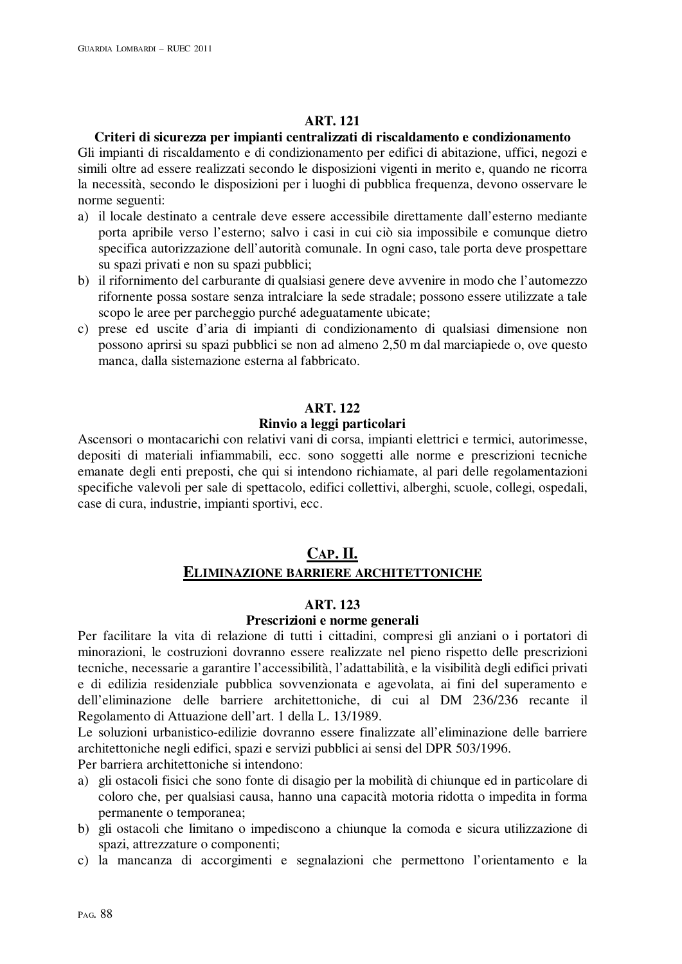# **ART. 121**

# **Criteri di sicurezza per impianti centralizzati di riscaldamento e condizionamento**

Gli impianti di riscaldamento e di condizionamento per edifici di abitazione, uffici, negozi e simili oltre ad essere realizzati secondo le disposizioni vigenti in merito e, quando ne ricorra la necessità, secondo le disposizioni per i luoghi di pubblica frequenza, devono osservare le norme seguenti:

- a) il locale destinato a centrale deve essere accessibile direttamente dall'esterno mediante porta apribile verso l'esterno; salvo i casi in cui ciò sia impossibile e comunque dietro specifica autorizzazione dell'autorità comunale. In ogni caso, tale porta deve prospettare su spazi privati e non su spazi pubblici;
- b) il rifornimento del carburante di qualsiasi genere deve avvenire in modo che l'automezzo rifornente possa sostare senza intralciare la sede stradale; possono essere utilizzate a tale scopo le aree per parcheggio purché adeguatamente ubicate;
- c) prese ed uscite d'aria di impianti di condizionamento di qualsiasi dimensione non possono aprirsi su spazi pubblici se non ad almeno 2,50 m dal marciapiede o, ove questo manca, dalla sistemazione esterna al fabbricato.

# **ART. 122**

# **Rinvio a leggi particolari**

Ascensori o montacarichi con relativi vani di corsa, impianti elettrici e termici, autorimesse, depositi di materiali infiammabili, ecc. sono soggetti alle norme e prescrizioni tecniche emanate degli enti preposti, che qui si intendono richiamate, al pari delle regolamentazioni specifiche valevoli per sale di spettacolo, edifici collettivi, alberghi, scuole, collegi, ospedali, case di cura, industrie, impianti sportivi, ecc.

# **CAP. II. ELIMINAZIONE BARRIERE ARCHITETTONICHE**

# **ART. 123**

# **Prescrizioni e norme generali**

Per facilitare la vita di relazione di tutti i cittadini, compresi gli anziani o i portatori di minorazioni, le costruzioni dovranno essere realizzate nel pieno rispetto delle prescrizioni tecniche, necessarie a garantire l'accessibilità, l'adattabilità, e la visibilità degli edifici privati e di edilizia residenziale pubblica sovvenzionata e agevolata, ai fini del superamento e dell'eliminazione delle barriere architettoniche, di cui al DM 236/236 recante il Regolamento di Attuazione dell'art. 1 della L. 13/1989.

Le soluzioni urbanistico-edilizie dovranno essere finalizzate all'eliminazione delle barriere architettoniche negli edifici, spazi e servizi pubblici ai sensi del DPR 503/1996.

Per barriera architettoniche si intendono:

- a) gli ostacoli fisici che sono fonte di disagio per la mobilità di chiunque ed in particolare di coloro che, per qualsiasi causa, hanno una capacità motoria ridotta o impedita in forma permanente o temporanea;
- b) gli ostacoli che limitano o impediscono a chiunque la comoda e sicura utilizzazione di spazi, attrezzature o componenti;
- c) la mancanza di accorgimenti e segnalazioni che permettono l'orientamento e la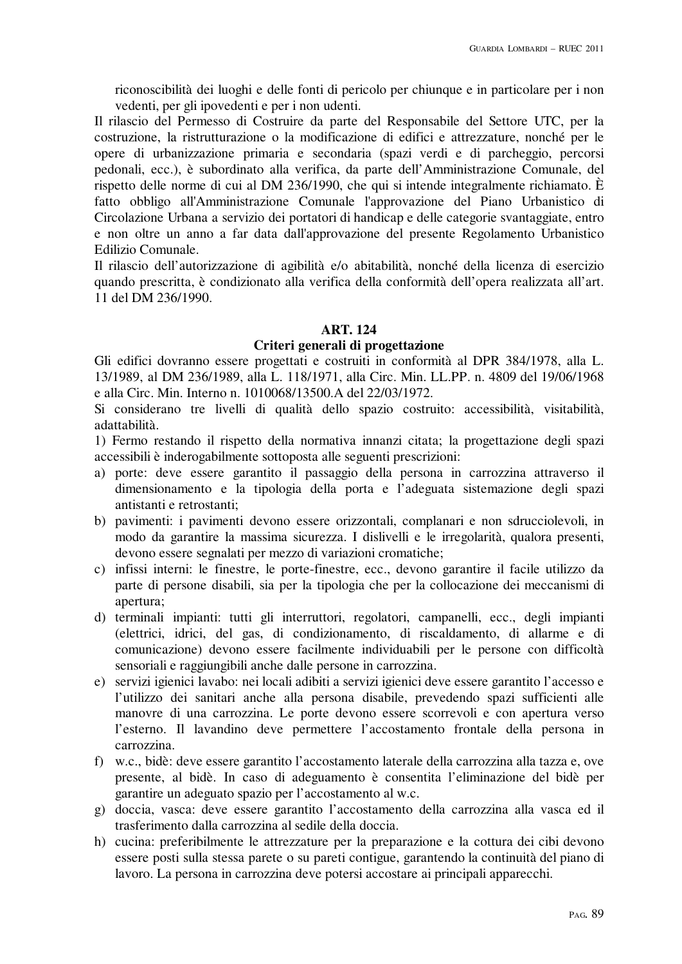riconoscibilità dei luoghi e delle fonti di pericolo per chiunque e in particolare per i non vedenti, per gli ipovedenti e per i non udenti.

Il rilascio del Permesso di Costruire da parte del Responsabile del Settore UTC, per la costruzione, la ristrutturazione o la modificazione di edifici e attrezzature, nonché per le opere di urbanizzazione primaria e secondaria (spazi verdi e di parcheggio, percorsi pedonali, ecc.), è subordinato alla verifica, da parte dell'Amministrazione Comunale, del rispetto delle norme di cui al DM 236/1990, che qui si intende integralmente richiamato. È fatto obbligo all'Amministrazione Comunale l'approvazione del Piano Urbanistico di Circolazione Urbana a servizio dei portatori di handicap e delle categorie svantaggiate, entro e non oltre un anno a far data dall'approvazione del presente Regolamento Urbanistico Edilizio Comunale.

Il rilascio dell'autorizzazione di agibilità e/o abitabilità, nonché della licenza di esercizio quando prescritta, è condizionato alla verifica della conformità dell'opera realizzata all'art. 11 del DM 236/1990.

# **ART. 124**

# **Criteri generali di progettazione**

Gli edifici dovranno essere progettati e costruiti in conformità al DPR 384/1978, alla L. 13/1989, al DM 236/1989, alla L. 118/1971, alla Circ. Min. LL.PP. n. 4809 del 19/06/1968 e alla Circ. Min. Interno n. 1010068/13500.A del 22/03/1972.

Si considerano tre livelli di qualità dello spazio costruito: accessibilità, visitabilità, adattabilità.

1) Fermo restando il rispetto della normativa innanzi citata; la progettazione degli spazi accessibili è inderogabilmente sottoposta alle seguenti prescrizioni:

- a) porte: deve essere garantito il passaggio della persona in carrozzina attraverso il dimensionamento e la tipologia della porta e l'adeguata sistemazione degli spazi antistanti e retrostanti;
- b) pavimenti: i pavimenti devono essere orizzontali, complanari e non sdrucciolevoli, in modo da garantire la massima sicurezza. I dislivelli e le irregolarità, qualora presenti, devono essere segnalati per mezzo di variazioni cromatiche;
- c) infissi interni: le finestre, le porte-finestre, ecc., devono garantire il facile utilizzo da parte di persone disabili, sia per la tipologia che per la collocazione dei meccanismi di apertura;
- d) terminali impianti: tutti gli interruttori, regolatori, campanelli, ecc., degli impianti (elettrici, idrici, del gas, di condizionamento, di riscaldamento, di allarme e di comunicazione) devono essere facilmente individuabili per le persone con difficoltà sensoriali e raggiungibili anche dalle persone in carrozzina.
- e) servizi igienici lavabo: nei locali adibiti a servizi igienici deve essere garantito l'accesso e l'utilizzo dei sanitari anche alla persona disabile, prevedendo spazi sufficienti alle manovre di una carrozzina. Le porte devono essere scorrevoli e con apertura verso l'esterno. Il lavandino deve permettere l'accostamento frontale della persona in carrozzina.
- f) w.c., bidè: deve essere garantito l'accostamento laterale della carrozzina alla tazza e, ove presente, al bidè. In caso di adeguamento è consentita l'eliminazione del bidè per garantire un adeguato spazio per l'accostamento al w.c.
- g) doccia, vasca: deve essere garantito l'accostamento della carrozzina alla vasca ed il trasferimento dalla carrozzina al sedile della doccia.
- h) cucina: preferibilmente le attrezzature per la preparazione e la cottura dei cibi devono essere posti sulla stessa parete o su pareti contigue, garantendo la continuità del piano di lavoro. La persona in carrozzina deve potersi accostare ai principali apparecchi.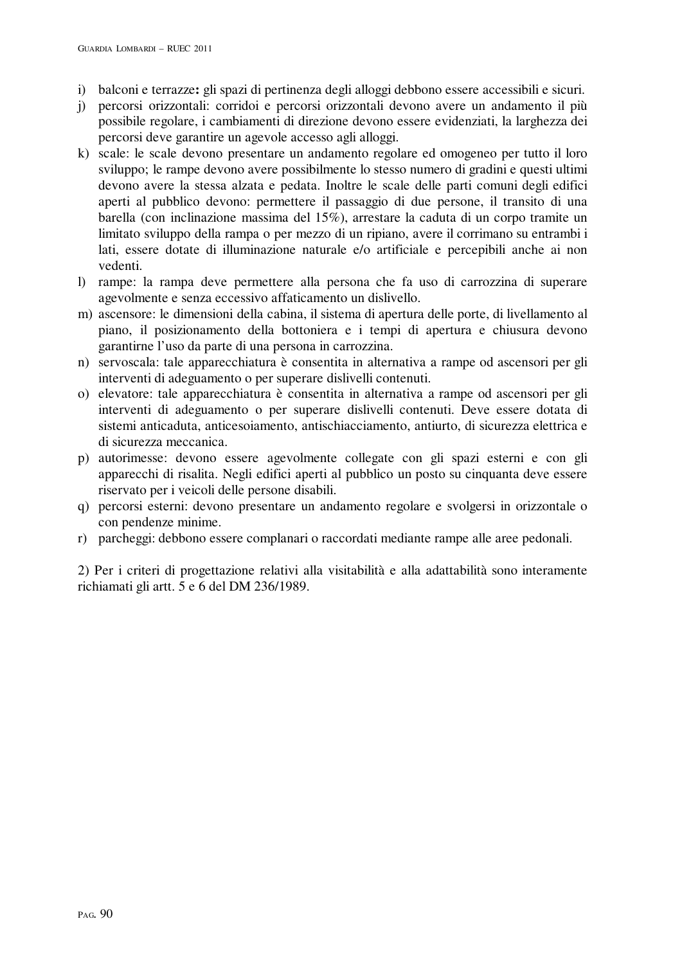- i) balconi e terrazze**:** gli spazi di pertinenza degli alloggi debbono essere accessibili e sicuri.
- j) percorsi orizzontali: corridoi e percorsi orizzontali devono avere un andamento il più possibile regolare, i cambiamenti di direzione devono essere evidenziati, la larghezza dei percorsi deve garantire un agevole accesso agli alloggi.
- k) scale: le scale devono presentare un andamento regolare ed omogeneo per tutto il loro sviluppo; le rampe devono avere possibilmente lo stesso numero di gradini e questi ultimi devono avere la stessa alzata e pedata. Inoltre le scale delle parti comuni degli edifici aperti al pubblico devono: permettere il passaggio di due persone, il transito di una barella (con inclinazione massima del 15%), arrestare la caduta di un corpo tramite un limitato sviluppo della rampa o per mezzo di un ripiano, avere il corrimano su entrambi i lati, essere dotate di illuminazione naturale e/o artificiale e percepibili anche ai non vedenti.
- l) rampe: la rampa deve permettere alla persona che fa uso di carrozzina di superare agevolmente e senza eccessivo affaticamento un dislivello.
- m) ascensore: le dimensioni della cabina, il sistema di apertura delle porte, di livellamento al piano, il posizionamento della bottoniera e i tempi di apertura e chiusura devono garantirne l'uso da parte di una persona in carrozzina.
- n) servoscala: tale apparecchiatura è consentita in alternativa a rampe od ascensori per gli interventi di adeguamento o per superare dislivelli contenuti.
- o) elevatore: tale apparecchiatura è consentita in alternativa a rampe od ascensori per gli interventi di adeguamento o per superare dislivelli contenuti. Deve essere dotata di sistemi anticaduta, anticesoiamento, antischiacciamento, antiurto, di sicurezza elettrica e di sicurezza meccanica.
- p) autorimesse: devono essere agevolmente collegate con gli spazi esterni e con gli apparecchi di risalita. Negli edifici aperti al pubblico un posto su cinquanta deve essere riservato per i veicoli delle persone disabili.
- q) percorsi esterni: devono presentare un andamento regolare e svolgersi in orizzontale o con pendenze minime.
- r) parcheggi: debbono essere complanari o raccordati mediante rampe alle aree pedonali.

2) Per i criteri di progettazione relativi alla visitabilità e alla adattabilità sono interamente richiamati gli artt. 5 e 6 del DM 236/1989.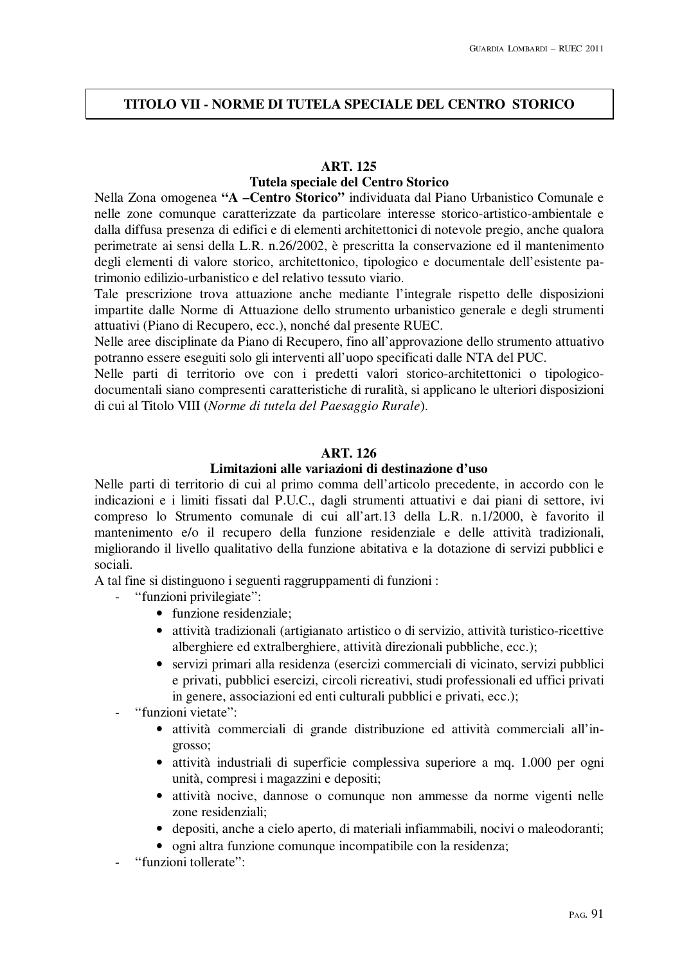# **TITOLO VII - NORME DI TUTELA SPECIALE DEL CENTRO STORICO**

### **ART. 125**

# **Tutela speciale del Centro Storico**

Nella Zona omogenea **"A –Centro Storico"** individuata dal Piano Urbanistico Comunale e nelle zone comunque caratterizzate da particolare interesse storico-artistico-ambientale e dalla diffusa presenza di edifici e di elementi architettonici di notevole pregio, anche qualora perimetrate ai sensi della L.R. n.26/2002, è prescritta la conservazione ed il mantenimento degli elementi di valore storico, architettonico, tipologico e documentale dell'esistente patrimonio edilizio-urbanistico e del relativo tessuto viario.

Tale prescrizione trova attuazione anche mediante l'integrale rispetto delle disposizioni impartite dalle Norme di Attuazione dello strumento urbanistico generale e degli strumenti attuativi (Piano di Recupero, ecc.), nonché dal presente RUEC.

Nelle aree disciplinate da Piano di Recupero, fino all'approvazione dello strumento attuativo potranno essere eseguiti solo gli interventi all'uopo specificati dalle NTA del PUC.

Nelle parti di territorio ove con i predetti valori storico-architettonici o tipologicodocumentali siano compresenti caratteristiche di ruralità, si applicano le ulteriori disposizioni di cui al Titolo VIII (*Norme di tutela del Paesaggio Rurale*).

# **ART. 126**

# **Limitazioni alle variazioni di destinazione d'uso**

Nelle parti di territorio di cui al primo comma dell'articolo precedente, in accordo con le indicazioni e i limiti fissati dal P.U.C., dagli strumenti attuativi e dai piani di settore, ivi compreso lo Strumento comunale di cui all'art.13 della L.R. n.1/2000, è favorito il mantenimento e/o il recupero della funzione residenziale e delle attività tradizionali, migliorando il livello qualitativo della funzione abitativa e la dotazione di servizi pubblici e sociali.

A tal fine si distinguono i seguenti raggruppamenti di funzioni :

- "funzioni privilegiate":
	- funzione residenziale:
	- attività tradizionali (artigianato artistico o di servizio, attività turistico-ricettive alberghiere ed extralberghiere, attività direzionali pubbliche, ecc.);
	- servizi primari alla residenza (esercizi commerciali di vicinato, servizi pubblici e privati, pubblici esercizi, circoli ricreativi, studi professionali ed uffici privati in genere, associazioni ed enti culturali pubblici e privati, ecc.);
- "funzioni vietate":
	- attività commerciali di grande distribuzione ed attività commerciali all'ingrosso;
	- attività industriali di superficie complessiva superiore a mq. 1.000 per ogni unità, compresi i magazzini e depositi;
	- attività nocive, dannose o comunque non ammesse da norme vigenti nelle zone residenziali;
	- depositi, anche a cielo aperto, di materiali infiammabili, nocivi o maleodoranti;
	- ogni altra funzione comunque incompatibile con la residenza;
- "funzioni tollerate":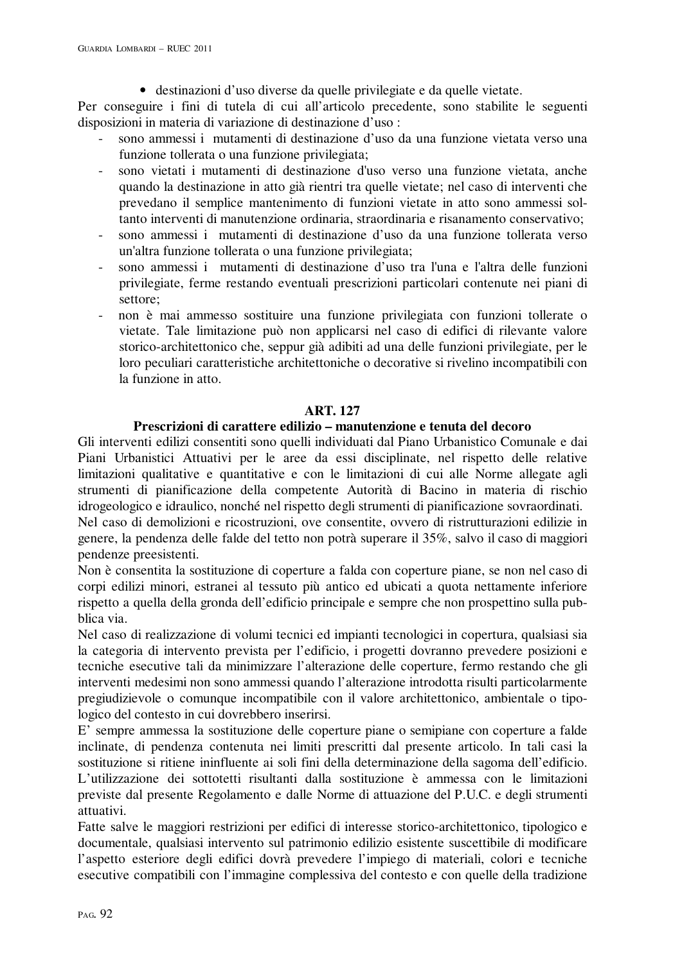• destinazioni d'uso diverse da quelle privilegiate e da quelle vietate.

Per conseguire i fini di tutela di cui all'articolo precedente, sono stabilite le seguenti disposizioni in materia di variazione di destinazione d'uso :

- sono ammessi i mutamenti di destinazione d'uso da una funzione vietata verso una funzione tollerata o una funzione privilegiata;
- sono vietati i mutamenti di destinazione d'uso verso una funzione vietata, anche quando la destinazione in atto già rientri tra quelle vietate; nel caso di interventi che prevedano il semplice mantenimento di funzioni vietate in atto sono ammessi soltanto interventi di manutenzione ordinaria, straordinaria e risanamento conservativo;
- sono ammessi i mutamenti di destinazione d'uso da una funzione tollerata verso un'altra funzione tollerata o una funzione privilegiata;
- sono ammessi i mutamenti di destinazione d'uso tra l'una e l'altra delle funzioni privilegiate, ferme restando eventuali prescrizioni particolari contenute nei piani di settore;
- non è mai ammesso sostituire una funzione privilegiata con funzioni tollerate o vietate. Tale limitazione può non applicarsi nel caso di edifici di rilevante valore storico-architettonico che, seppur già adibiti ad una delle funzioni privilegiate, per le loro peculiari caratteristiche architettoniche o decorative si rivelino incompatibili con la funzione in atto.

### **ART. 127**

# **Prescrizioni di carattere edilizio – manutenzione e tenuta del decoro**

Gli interventi edilizi consentiti sono quelli individuati dal Piano Urbanistico Comunale e dai Piani Urbanistici Attuativi per le aree da essi disciplinate, nel rispetto delle relative limitazioni qualitative e quantitative e con le limitazioni di cui alle Norme allegate agli strumenti di pianificazione della competente Autorità di Bacino in materia di rischio idrogeologico e idraulico, nonché nel rispetto degli strumenti di pianificazione sovraordinati.

Nel caso di demolizioni e ricostruzioni, ove consentite, ovvero di ristrutturazioni edilizie in genere, la pendenza delle falde del tetto non potrà superare il 35%, salvo il caso di maggiori pendenze preesistenti.

Non è consentita la sostituzione di coperture a falda con coperture piane, se non nel caso di corpi edilizi minori, estranei al tessuto più antico ed ubicati a quota nettamente inferiore rispetto a quella della gronda dell'edificio principale e sempre che non prospettino sulla pubblica via.

Nel caso di realizzazione di volumi tecnici ed impianti tecnologici in copertura, qualsiasi sia la categoria di intervento prevista per l'edificio, i progetti dovranno prevedere posizioni e tecniche esecutive tali da minimizzare l'alterazione delle coperture, fermo restando che gli interventi medesimi non sono ammessi quando l'alterazione introdotta risulti particolarmente pregiudizievole o comunque incompatibile con il valore architettonico, ambientale o tipologico del contesto in cui dovrebbero inserirsi.

E' sempre ammessa la sostituzione delle coperture piane o semipiane con coperture a falde inclinate, di pendenza contenuta nei limiti prescritti dal presente articolo. In tali casi la sostituzione si ritiene ininfluente ai soli fini della determinazione della sagoma dell'edificio. L'utilizzazione dei sottotetti risultanti dalla sostituzione è ammessa con le limitazioni previste dal presente Regolamento e dalle Norme di attuazione del P.U.C. e degli strumenti attuativi.

Fatte salve le maggiori restrizioni per edifici di interesse storico-architettonico, tipologico e documentale, qualsiasi intervento sul patrimonio edilizio esistente suscettibile di modificare l'aspetto esteriore degli edifici dovrà prevedere l'impiego di materiali, colori e tecniche esecutive compatibili con l'immagine complessiva del contesto e con quelle della tradizione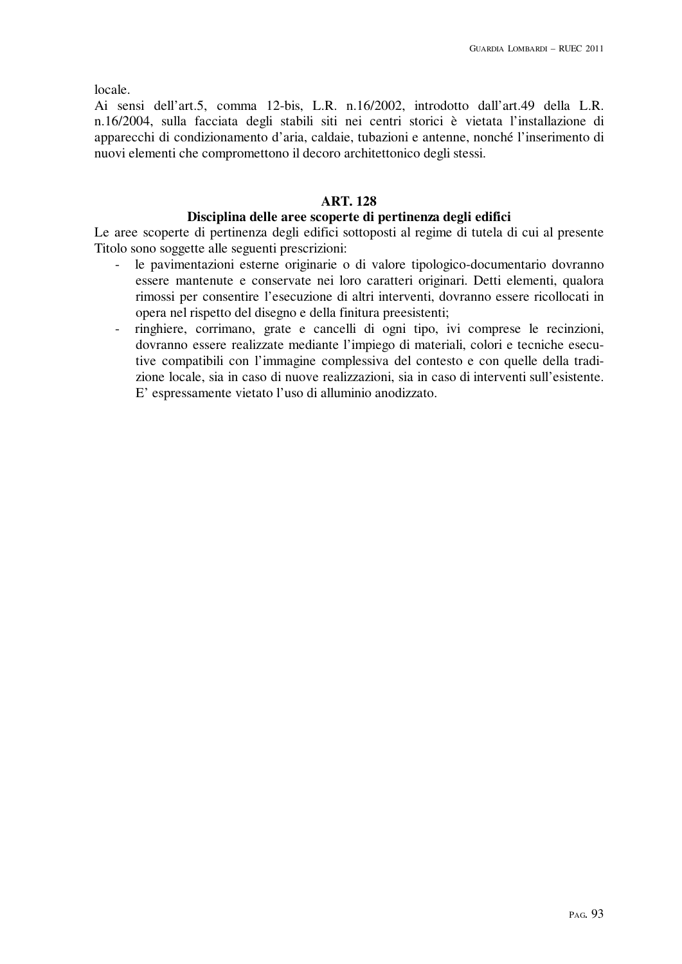locale.

Ai sensi dell'art.5, comma 12-bis, L.R. n.16/2002, introdotto dall'art.49 della L.R. n.16/2004, sulla facciata degli stabili siti nei centri storici è vietata l'installazione di apparecchi di condizionamento d'aria, caldaie, tubazioni e antenne, nonché l'inserimento di nuovi elementi che compromettono il decoro architettonico degli stessi.

# **ART. 128**

# **Disciplina delle aree scoperte di pertinenza degli edifici**

Le aree scoperte di pertinenza degli edifici sottoposti al regime di tutela di cui al presente Titolo sono soggette alle seguenti prescrizioni:

- le pavimentazioni esterne originarie o di valore tipologico-documentario dovranno essere mantenute e conservate nei loro caratteri originari. Detti elementi, qualora rimossi per consentire l'esecuzione di altri interventi, dovranno essere ricollocati in opera nel rispetto del disegno e della finitura preesistenti;
- ringhiere, corrimano, grate e cancelli di ogni tipo, ivi comprese le recinzioni, dovranno essere realizzate mediante l'impiego di materiali, colori e tecniche esecutive compatibili con l'immagine complessiva del contesto e con quelle della tradizione locale, sia in caso di nuove realizzazioni, sia in caso di interventi sull'esistente. E' espressamente vietato l'uso di alluminio anodizzato.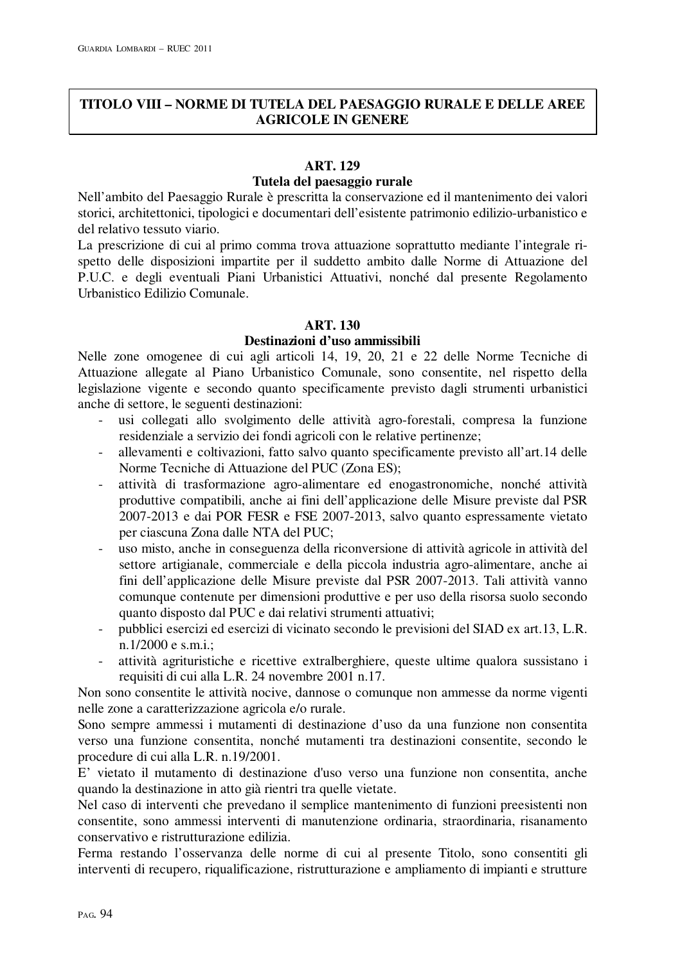# **TITOLO VIII – NORME DI TUTELA DEL PAESAGGIO RURALE E DELLE AREE AGRICOLE IN GENERE**

# **ART. 129**

# **Tutela del paesaggio rurale**

Nell'ambito del Paesaggio Rurale è prescritta la conservazione ed il mantenimento dei valori storici, architettonici, tipologici e documentari dell'esistente patrimonio edilizio-urbanistico e del relativo tessuto viario.

La prescrizione di cui al primo comma trova attuazione soprattutto mediante l'integrale rispetto delle disposizioni impartite per il suddetto ambito dalle Norme di Attuazione del P.U.C. e degli eventuali Piani Urbanistici Attuativi, nonché dal presente Regolamento Urbanistico Edilizio Comunale.

# **ART. 130**

### **Destinazioni d'uso ammissibili**

Nelle zone omogenee di cui agli articoli 14, 19, 20, 21 e 22 delle Norme Tecniche di Attuazione allegate al Piano Urbanistico Comunale, sono consentite, nel rispetto della legislazione vigente e secondo quanto specificamente previsto dagli strumenti urbanistici anche di settore, le seguenti destinazioni:

- usi collegati allo svolgimento delle attività agro-forestali, compresa la funzione residenziale a servizio dei fondi agricoli con le relative pertinenze;
- allevamenti e coltivazioni, fatto salvo quanto specificamente previsto all'art.14 delle Norme Tecniche di Attuazione del PUC (Zona ES);
- attività di trasformazione agro-alimentare ed enogastronomiche, nonché attività produttive compatibili, anche ai fini dell'applicazione delle Misure previste dal PSR 2007-2013 e dai POR FESR e FSE 2007-2013, salvo quanto espressamente vietato per ciascuna Zona dalle NTA del PUC;
- uso misto, anche in conseguenza della riconversione di attività agricole in attività del settore artigianale, commerciale e della piccola industria agro-alimentare, anche ai fini dell'applicazione delle Misure previste dal PSR 2007-2013. Tali attività vanno comunque contenute per dimensioni produttive e per uso della risorsa suolo secondo quanto disposto dal PUC e dai relativi strumenti attuativi;
- pubblici esercizi ed esercizi di vicinato secondo le previsioni del SIAD ex art.13, L.R. n.1/2000 e s.m.i.;
- attività agrituristiche e ricettive extralberghiere, queste ultime qualora sussistano i requisiti di cui alla L.R. 24 novembre 2001 n.17.

Non sono consentite le attività nocive, dannose o comunque non ammesse da norme vigenti nelle zone a caratterizzazione agricola e/o rurale.

Sono sempre ammessi i mutamenti di destinazione d'uso da una funzione non consentita verso una funzione consentita, nonché mutamenti tra destinazioni consentite, secondo le procedure di cui alla L.R. n.19/2001.

E' vietato il mutamento di destinazione d'uso verso una funzione non consentita, anche quando la destinazione in atto già rientri tra quelle vietate.

Nel caso di interventi che prevedano il semplice mantenimento di funzioni preesistenti non consentite, sono ammessi interventi di manutenzione ordinaria, straordinaria, risanamento conservativo e ristrutturazione edilizia.

Ferma restando l'osservanza delle norme di cui al presente Titolo, sono consentiti gli interventi di recupero, riqualificazione, ristrutturazione e ampliamento di impianti e strutture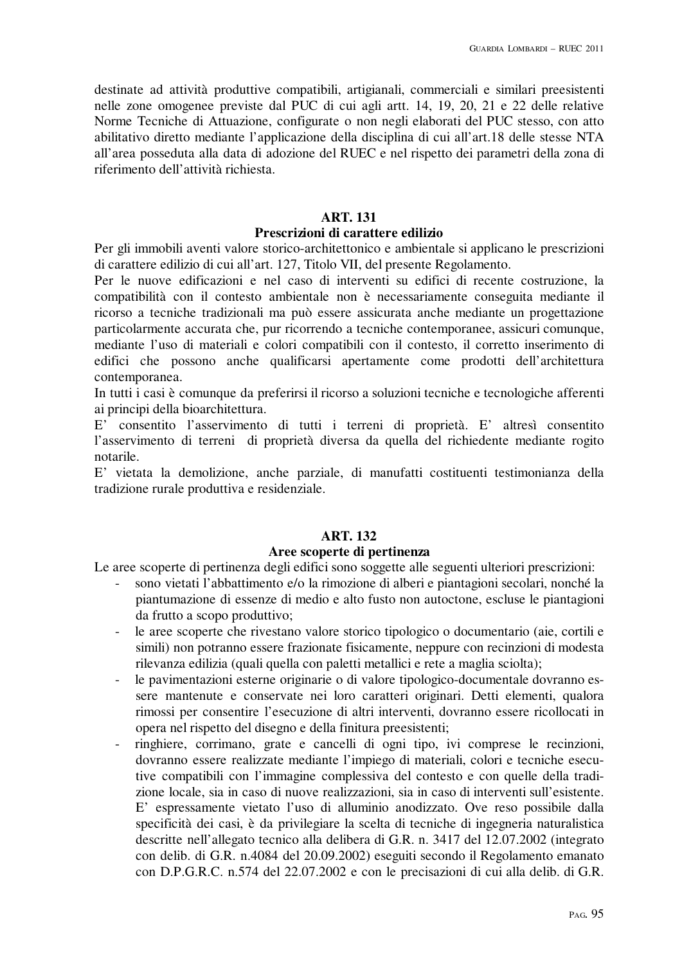destinate ad attività produttive compatibili, artigianali, commerciali e similari preesistenti nelle zone omogenee previste dal PUC di cui agli artt. 14, 19, 20, 21 e 22 delle relative Norme Tecniche di Attuazione, configurate o non negli elaborati del PUC stesso, con atto abilitativo diretto mediante l'applicazione della disciplina di cui all'art.18 delle stesse NTA all'area posseduta alla data di adozione del RUEC e nel rispetto dei parametri della zona di riferimento dell'attività richiesta.

#### **ART. 131**

#### **Prescrizioni di carattere edilizio**

Per gli immobili aventi valore storico-architettonico e ambientale si applicano le prescrizioni di carattere edilizio di cui all'art. 127, Titolo VII, del presente Regolamento.

Per le nuove edificazioni e nel caso di interventi su edifici di recente costruzione, la compatibilità con il contesto ambientale non è necessariamente conseguita mediante il ricorso a tecniche tradizionali ma può essere assicurata anche mediante un progettazione particolarmente accurata che, pur ricorrendo a tecniche contemporanee, assicuri comunque, mediante l'uso di materiali e colori compatibili con il contesto, il corretto inserimento di edifici che possono anche qualificarsi apertamente come prodotti dell'architettura contemporanea.

In tutti i casi è comunque da preferirsi il ricorso a soluzioni tecniche e tecnologiche afferenti ai principi della bioarchitettura.

E' consentito l'asservimento di tutti i terreni di proprietà. E' altresì consentito l'asservimento di terreni di proprietà diversa da quella del richiedente mediante rogito notarile.

E' vietata la demolizione, anche parziale, di manufatti costituenti testimonianza della tradizione rurale produttiva e residenziale.

# **ART. 132**

### **Aree scoperte di pertinenza**

Le aree scoperte di pertinenza degli edifici sono soggette alle seguenti ulteriori prescrizioni:

- sono vietati l'abbattimento e/o la rimozione di alberi e piantagioni secolari, nonché la piantumazione di essenze di medio e alto fusto non autoctone, escluse le piantagioni da frutto a scopo produttivo;
- le aree scoperte che rivestano valore storico tipologico o documentario (aie, cortili e simili) non potranno essere frazionate fisicamente, neppure con recinzioni di modesta rilevanza edilizia (quali quella con paletti metallici e rete a maglia sciolta);
- le pavimentazioni esterne originarie o di valore tipologico-documentale dovranno essere mantenute e conservate nei loro caratteri originari. Detti elementi, qualora rimossi per consentire l'esecuzione di altri interventi, dovranno essere ricollocati in opera nel rispetto del disegno e della finitura preesistenti;
- ringhiere, corrimano, grate e cancelli di ogni tipo, ivi comprese le recinzioni, dovranno essere realizzate mediante l'impiego di materiali, colori e tecniche esecutive compatibili con l'immagine complessiva del contesto e con quelle della tradizione locale, sia in caso di nuove realizzazioni, sia in caso di interventi sull'esistente. E' espressamente vietato l'uso di alluminio anodizzato. Ove reso possibile dalla specificità dei casi, è da privilegiare la scelta di tecniche di ingegneria naturalistica descritte nell'allegato tecnico alla delibera di G.R. n. 3417 del 12.07.2002 (integrato con delib. di G.R. n.4084 del 20.09.2002) eseguiti secondo il Regolamento emanato con D.P.G.R.C. n.574 del 22.07.2002 e con le precisazioni di cui alla delib. di G.R.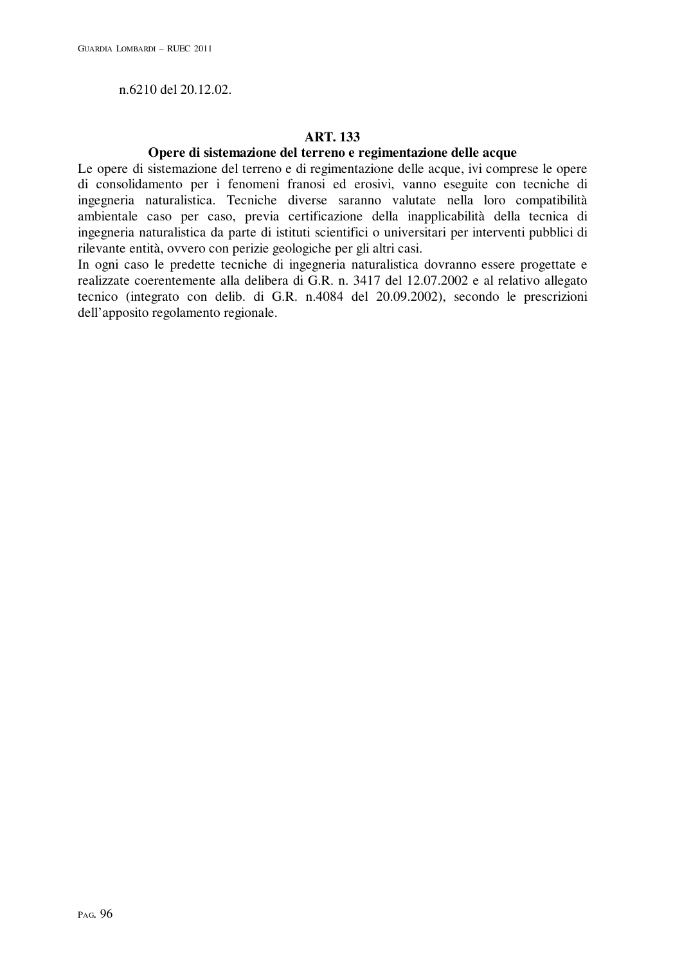n.6210 del 20.12.02.

# **ART. 133**

### **Opere di sistemazione del terreno e regimentazione delle acque**

Le opere di sistemazione del terreno e di regimentazione delle acque, ivi comprese le opere di consolidamento per i fenomeni franosi ed erosivi, vanno eseguite con tecniche di ingegneria naturalistica. Tecniche diverse saranno valutate nella loro compatibilità ambientale caso per caso, previa certificazione della inapplicabilità della tecnica di ingegneria naturalistica da parte di istituti scientifici o universitari per interventi pubblici di rilevante entità, ovvero con perizie geologiche per gli altri casi.

In ogni caso le predette tecniche di ingegneria naturalistica dovranno essere progettate e realizzate coerentemente alla delibera di G.R. n. 3417 del 12.07.2002 e al relativo allegato tecnico (integrato con delib. di G.R. n.4084 del 20.09.2002), secondo le prescrizioni dell'apposito regolamento regionale.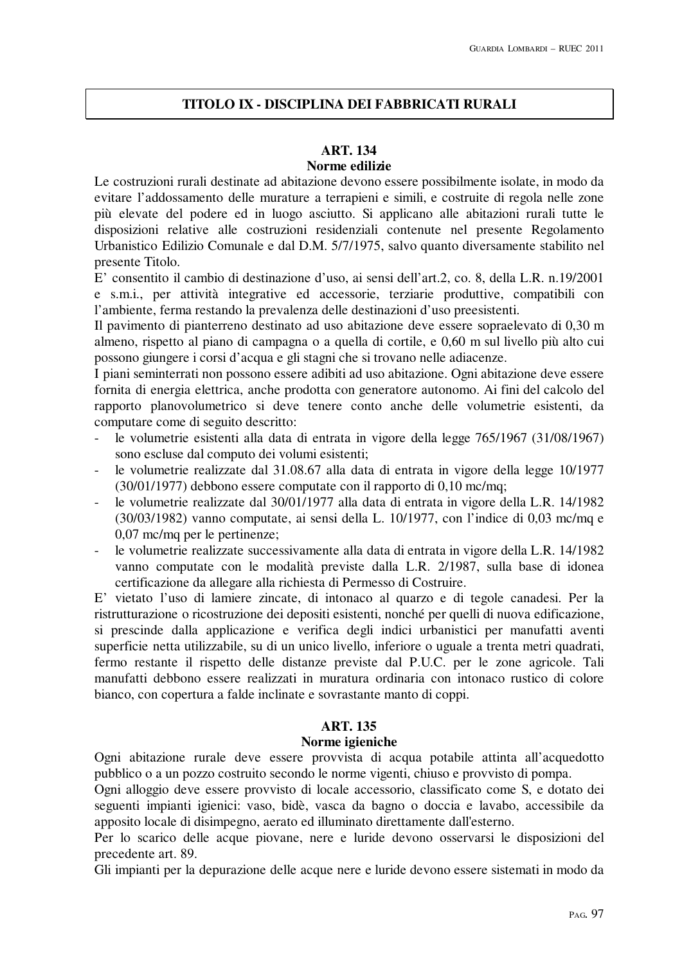# **TITOLO IX - DISCIPLINA DEI FABBRICATI RURALI**

### **ART. 134**

### **Norme edilizie**

Le costruzioni rurali destinate ad abitazione devono essere possibilmente isolate, in modo da evitare l'addossamento delle murature a terrapieni e simili, e costruite di regola nelle zone più elevate del podere ed in luogo asciutto. Si applicano alle abitazioni rurali tutte le disposizioni relative alle costruzioni residenziali contenute nel presente Regolamento Urbanistico Edilizio Comunale e dal D.M. 5/7/1975, salvo quanto diversamente stabilito nel presente Titolo.

E' consentito il cambio di destinazione d'uso, ai sensi dell'art.2, co. 8, della L.R. n.19/2001 e s.m.i., per attività integrative ed accessorie, terziarie produttive, compatibili con l'ambiente, ferma restando la prevalenza delle destinazioni d'uso preesistenti.

Il pavimento di pianterreno destinato ad uso abitazione deve essere sopraelevato di 0,30 m almeno, rispetto al piano di campagna o a quella di cortile, e 0,60 m sul livello più alto cui possono giungere i corsi d'acqua e gli stagni che si trovano nelle adiacenze.

I piani seminterrati non possono essere adibiti ad uso abitazione. Ogni abitazione deve essere fornita di energia elettrica, anche prodotta con generatore autonomo. Ai fini del calcolo del rapporto planovolumetrico si deve tenere conto anche delle volumetrie esistenti, da computare come di seguito descritto:

- le volumetrie esistenti alla data di entrata in vigore della legge 765/1967 (31/08/1967) sono escluse dal computo dei volumi esistenti;
- le volumetrie realizzate dal 31.08.67 alla data di entrata in vigore della legge 10/1977 (30/01/1977) debbono essere computate con il rapporto di 0,10 mc/mq;
- le volumetrie realizzate dal 30/01/1977 alla data di entrata in vigore della L.R. 14/1982 (30/03/1982) vanno computate, ai sensi della L. 10/1977, con l'indice di 0,03 mc/mq e 0,07 mc/mq per le pertinenze;
- le volumetrie realizzate successivamente alla data di entrata in vigore della L.R. 14/1982 vanno computate con le modalità previste dalla L.R. 2/1987, sulla base di idonea certificazione da allegare alla richiesta di Permesso di Costruire.

E' vietato l'uso di lamiere zincate, di intonaco al quarzo e di tegole canadesi. Per la ristrutturazione o ricostruzione dei depositi esistenti, nonché per quelli di nuova edificazione, si prescinde dalla applicazione e verifica degli indici urbanistici per manufatti aventi superficie netta utilizzabile, su di un unico livello, inferiore o uguale a trenta metri quadrati, fermo restante il rispetto delle distanze previste dal P.U.C. per le zone agricole. Tali manufatti debbono essere realizzati in muratura ordinaria con intonaco rustico di colore bianco, con copertura a falde inclinate e sovrastante manto di coppi.

# **ART. 135**

#### **Norme igieniche**

Ogni abitazione rurale deve essere provvista di acqua potabile attinta all'acquedotto pubblico o a un pozzo costruito secondo le norme vigenti, chiuso e provvisto di pompa.

Ogni alloggio deve essere provvisto di locale accessorio, classificato come S, e dotato dei seguenti impianti igienici: vaso, bidè, vasca da bagno o doccia e lavabo, accessibile da apposito locale di disimpegno, aerato ed illuminato direttamente dall'esterno.

Per lo scarico delle acque piovane, nere e luride devono osservarsi le disposizioni del precedente art. 89.

Gli impianti per la depurazione delle acque nere e luride devono essere sistemati in modo da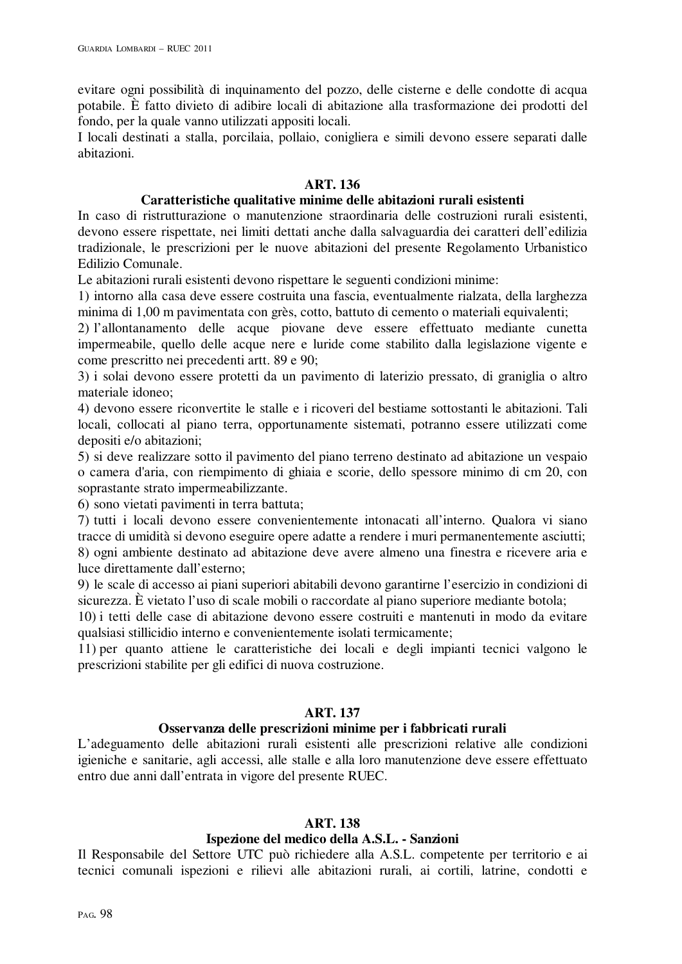evitare ogni possibilità di inquinamento del pozzo, delle cisterne e delle condotte di acqua potabile. È fatto divieto di adibire locali di abitazione alla trasformazione dei prodotti del fondo, per la quale vanno utilizzati appositi locali.

I locali destinati a stalla, porcilaia, pollaio, conigliera e simili devono essere separati dalle abitazioni.

# **ART. 136**

### **Caratteristiche qualitative minime delle abitazioni rurali esistenti**

In caso di ristrutturazione o manutenzione straordinaria delle costruzioni rurali esistenti, devono essere rispettate, nei limiti dettati anche dalla salvaguardia dei caratteri dell'edilizia tradizionale, le prescrizioni per le nuove abitazioni del presente Regolamento Urbanistico Edilizio Comunale.

Le abitazioni rurali esistenti devono rispettare le seguenti condizioni minime:

1) intorno alla casa deve essere costruita una fascia, eventualmente rialzata, della larghezza minima di 1,00 m pavimentata con grès, cotto, battuto di cemento o materiali equivalenti;

2) l'allontanamento delle acque piovane deve essere effettuato mediante cunetta impermeabile, quello delle acque nere e luride come stabilito dalla legislazione vigente e come prescritto nei precedenti artt. 89 e 90;

3) i solai devono essere protetti da un pavimento di laterizio pressato, di graniglia o altro materiale idoneo;

4) devono essere riconvertite le stalle e i ricoveri del bestiame sottostanti le abitazioni. Tali locali, collocati al piano terra, opportunamente sistemati, potranno essere utilizzati come depositi e/o abitazioni;

5) si deve realizzare sotto il pavimento del piano terreno destinato ad abitazione un vespaio o camera d'aria, con riempimento di ghiaia e scorie, dello spessore minimo di cm 20, con soprastante strato impermeabilizzante.

6) sono vietati pavimenti in terra battuta;

7) tutti i locali devono essere convenientemente intonacati all'interno. Qualora vi siano tracce di umidità si devono eseguire opere adatte a rendere i muri permanentemente asciutti; 8) ogni ambiente destinato ad abitazione deve avere almeno una finestra e ricevere aria e luce direttamente dall'esterno;

9) le scale di accesso ai piani superiori abitabili devono garantirne l'esercizio in condizioni di sicurezza. È vietato l'uso di scale mobili o raccordate al piano superiore mediante botola;

10) i tetti delle case di abitazione devono essere costruiti e mantenuti in modo da evitare qualsiasi stillicidio interno e convenientemente isolati termicamente;

11) per quanto attiene le caratteristiche dei locali e degli impianti tecnici valgono le prescrizioni stabilite per gli edifici di nuova costruzione.

# **ART. 137**

# **Osservanza delle prescrizioni minime per i fabbricati rurali**

L'adeguamento delle abitazioni rurali esistenti alle prescrizioni relative alle condizioni igieniche e sanitarie, agli accessi, alle stalle e alla loro manutenzione deve essere effettuato entro due anni dall'entrata in vigore del presente RUEC.

#### **ART. 138**

# **Ispezione del medico della A.S.L. - Sanzioni**

Il Responsabile del Settore UTC può richiedere alla A.S.L. competente per territorio e ai tecnici comunali ispezioni e rilievi alle abitazioni rurali, ai cortili, latrine, condotti e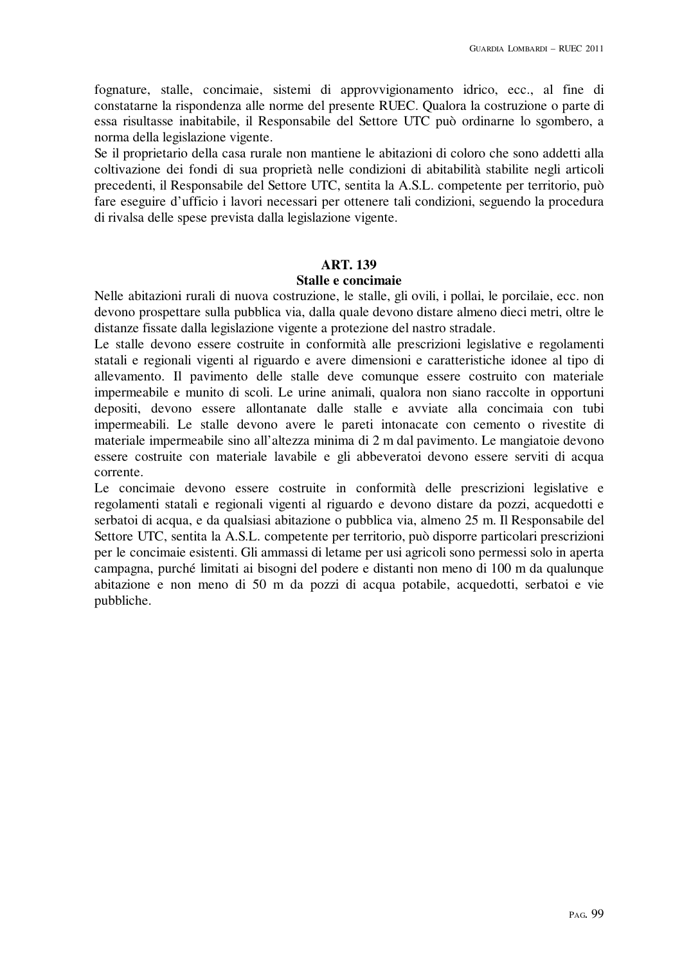fognature, stalle, concimaie, sistemi di approvvigionamento idrico, ecc., al fine di constatarne la rispondenza alle norme del presente RUEC. Qualora la costruzione o parte di essa risultasse inabitabile, il Responsabile del Settore UTC può ordinarne lo sgombero, a norma della legislazione vigente.

Se il proprietario della casa rurale non mantiene le abitazioni di coloro che sono addetti alla coltivazione dei fondi di sua proprietà nelle condizioni di abitabilità stabilite negli articoli precedenti, il Responsabile del Settore UTC, sentita la A.S.L. competente per territorio, può fare eseguire d'ufficio i lavori necessari per ottenere tali condizioni, seguendo la procedura di rivalsa delle spese prevista dalla legislazione vigente.

#### **ART. 139**

#### **Stalle e concimaie**

Nelle abitazioni rurali di nuova costruzione, le stalle, gli ovili, i pollai, le porcilaie, ecc. non devono prospettare sulla pubblica via, dalla quale devono distare almeno dieci metri, oltre le distanze fissate dalla legislazione vigente a protezione del nastro stradale.

Le stalle devono essere costruite in conformità alle prescrizioni legislative e regolamenti statali e regionali vigenti al riguardo e avere dimensioni e caratteristiche idonee al tipo di allevamento. Il pavimento delle stalle deve comunque essere costruito con materiale impermeabile e munito di scoli. Le urine animali, qualora non siano raccolte in opportuni depositi, devono essere allontanate dalle stalle e avviate alla concimaia con tubi impermeabili. Le stalle devono avere le pareti intonacate con cemento o rivestite di materiale impermeabile sino all'altezza minima di 2 m dal pavimento. Le mangiatoie devono essere costruite con materiale lavabile e gli abbeveratoi devono essere serviti di acqua corrente.

Le concimaie devono essere costruite in conformità delle prescrizioni legislative e regolamenti statali e regionali vigenti al riguardo e devono distare da pozzi, acquedotti e serbatoi di acqua, e da qualsiasi abitazione o pubblica via, almeno 25 m. Il Responsabile del Settore UTC, sentita la A.S.L. competente per territorio, può disporre particolari prescrizioni per le concimaie esistenti. Gli ammassi di letame per usi agricoli sono permessi solo in aperta campagna, purché limitati ai bisogni del podere e distanti non meno di 100 m da qualunque abitazione e non meno di 50 m da pozzi di acqua potabile, acquedotti, serbatoi e vie pubbliche.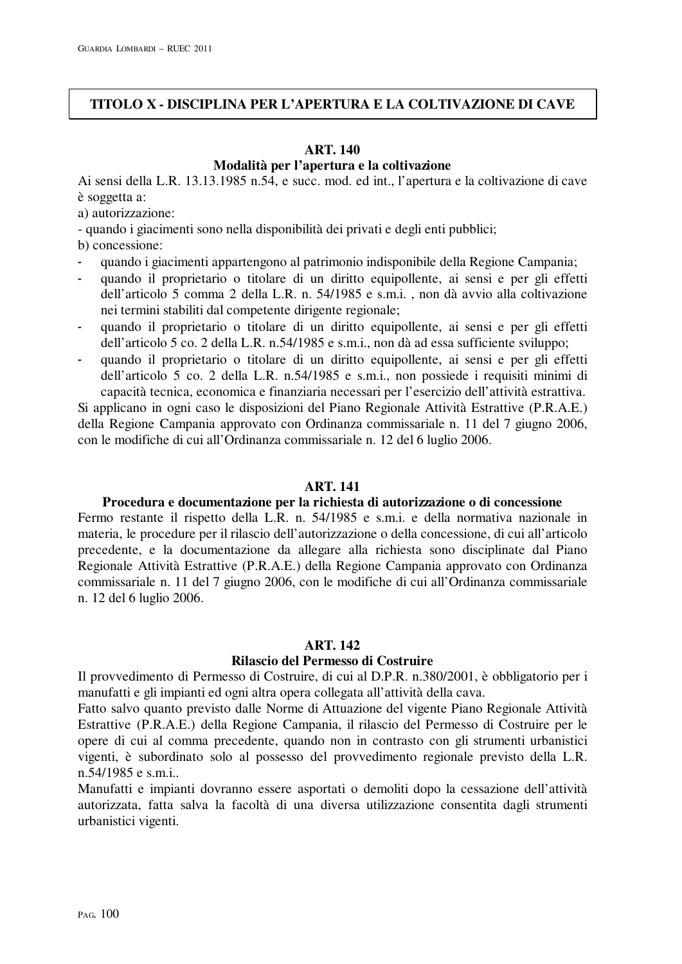# **TITOLO X - DISCIPLINA PER L'APERTURA E LA COLTIVAZIONE DI CAVE**

# **ART. 140 Modalità per l'apertura e la coltivazione**

Ai sensi della L.R. 13.13.1985 n.54, e succ. mod. ed int., l'apertura e la coltivazione di cave è soggetta a:

a) autorizzazione:

- quando i giacimenti sono nella disponibilità dei privati e degli enti pubblici;

b) concessione:

- quando i giacimenti appartengono al patrimonio indisponibile della Regione Campania;
- quando il proprietario o titolare di un diritto equipollente, ai sensi e per gli effetti dell'articolo 5 comma 2 della L.R. n. 54/1985 e s.m.i. , non dà avvio alla coltivazione nei termini stabiliti dal competente dirigente regionale;
- quando il proprietario o titolare di un diritto equipollente, ai sensi e per gli effetti dell'articolo 5 co. 2 della L.R. n.54/1985 e s.m.i., non dà ad essa sufficiente sviluppo;
- quando il proprietario o titolare di un diritto equipollente, ai sensi e per gli effetti dell'articolo 5 co. 2 della L.R. n.54/1985 e s.m.i., non possiede i requisiti minimi di capacità tecnica, economica e finanziaria necessari per l'esercizio dell'attività estrattiva.

Si applicano in ogni caso le disposizioni del Piano Regionale Attività Estrattive (P.R.A.E.) della Regione Campania approvato con Ordinanza commissariale n. 11 del 7 giugno 2006, con le modifiche di cui all'Ordinanza commissariale n. 12 del 6 luglio 2006.

### **ART. 141**

# **Procedura e documentazione per la richiesta di autorizzazione o di concessione**

Fermo restante il rispetto della L.R. n. 54/1985 e s.m.i. e della normativa nazionale in materia, le procedure per il rilascio dell'autorizzazione o della concessione, di cui all'articolo precedente, e la documentazione da allegare alla richiesta sono disciplinate dal Piano Regionale Attività Estrattive (P.R.A.E.) della Regione Campania approvato con Ordinanza commissariale n. 11 del 7 giugno 2006, con le modifiche di cui all'Ordinanza commissariale n. 12 del 6 luglio 2006.

#### **ART. 142**

# **Rilascio del Permesso di Costruire**

Il provvedimento di Permesso di Costruire, di cui al D.P.R. n.380/2001, è obbligatorio per i manufatti e gli impianti ed ogni altra opera collegata all'attività della cava.

Fatto salvo quanto previsto dalle Norme di Attuazione del vigente Piano Regionale Attività Estrattive (P.R.A.E.) della Regione Campania, il rilascio del Permesso di Costruire per le opere di cui al comma precedente, quando non in contrasto con gli strumenti urbanistici vigenti, è subordinato solo al possesso del provvedimento regionale previsto della L.R. n.54/1985 e s.m.i..

Manufatti e impianti dovranno essere asportati o demoliti dopo la cessazione dell'attività autorizzata, fatta salva la facoltà di una diversa utilizzazione consentita dagli strumenti urbanistici vigenti.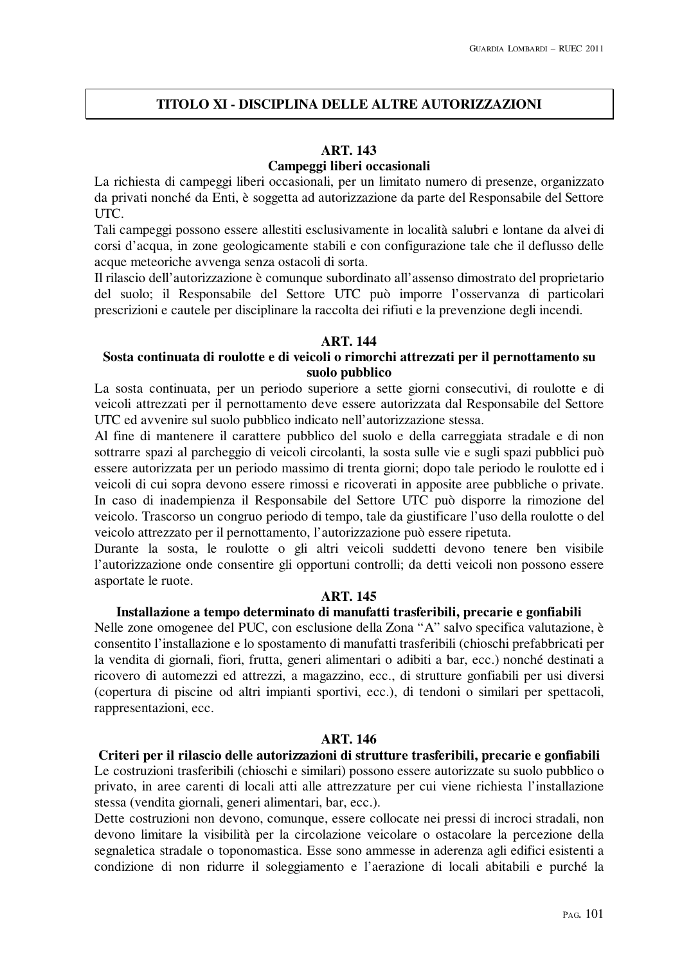# **TITOLO XI - DISCIPLINA DELLE ALTRE AUTORIZZAZIONI**

# **ART. 143**

# **Campeggi liberi occasionali**

La richiesta di campeggi liberi occasionali, per un limitato numero di presenze, organizzato da privati nonché da Enti, è soggetta ad autorizzazione da parte del Responsabile del Settore UTC.

Tali campeggi possono essere allestiti esclusivamente in località salubri e lontane da alvei di corsi d'acqua, in zone geologicamente stabili e con configurazione tale che il deflusso delle acque meteoriche avvenga senza ostacoli di sorta.

Il rilascio dell'autorizzazione è comunque subordinato all'assenso dimostrato del proprietario del suolo; il Responsabile del Settore UTC può imporre l'osservanza di particolari prescrizioni e cautele per disciplinare la raccolta dei rifiuti e la prevenzione degli incendi.

### **ART. 144**

# **Sosta continuata di roulotte e di veicoli o rimorchi attrezzati per il pernottamento su suolo pubblico**

La sosta continuata, per un periodo superiore a sette giorni consecutivi, di roulotte e di veicoli attrezzati per il pernottamento deve essere autorizzata dal Responsabile del Settore UTC ed avvenire sul suolo pubblico indicato nell'autorizzazione stessa.

Al fine di mantenere il carattere pubblico del suolo e della carreggiata stradale e di non sottrarre spazi al parcheggio di veicoli circolanti, la sosta sulle vie e sugli spazi pubblici può essere autorizzata per un periodo massimo di trenta giorni; dopo tale periodo le roulotte ed i veicoli di cui sopra devono essere rimossi e ricoverati in apposite aree pubbliche o private. In caso di inadempienza il Responsabile del Settore UTC può disporre la rimozione del veicolo. Trascorso un congruo periodo di tempo, tale da giustificare l'uso della roulotte o del veicolo attrezzato per il pernottamento, l'autorizzazione può essere ripetuta.

Durante la sosta, le roulotte o gli altri veicoli suddetti devono tenere ben visibile l'autorizzazione onde consentire gli opportuni controlli; da detti veicoli non possono essere asportate le ruote.

# **ART. 145**

# **Installazione a tempo determinato di manufatti trasferibili, precarie e gonfiabili**

Nelle zone omogenee del PUC, con esclusione della Zona "A" salvo specifica valutazione, è consentito l'installazione e lo spostamento di manufatti trasferibili (chioschi prefabbricati per la vendita di giornali, fiori, frutta, generi alimentari o adibiti a bar, ecc.) nonché destinati a ricovero di automezzi ed attrezzi, a magazzino, ecc., di strutture gonfiabili per usi diversi (copertura di piscine od altri impianti sportivi, ecc.), di tendoni o similari per spettacoli, rappresentazioni, ecc.

#### **ART. 146**

**Criteri per il rilascio delle autorizzazioni di strutture trasferibili, precarie e gonfiabili**  Le costruzioni trasferibili (chioschi e similari) possono essere autorizzate su suolo pubblico o privato, in aree carenti di locali atti alle attrezzature per cui viene richiesta l'installazione stessa (vendita giornali, generi alimentari, bar, ecc.).

Dette costruzioni non devono, comunque, essere collocate nei pressi di incroci stradali, non devono limitare la visibilità per la circolazione veicolare o ostacolare la percezione della segnaletica stradale o toponomastica. Esse sono ammesse in aderenza agli edifici esistenti a condizione di non ridurre il soleggiamento e l'aerazione di locali abitabili e purché la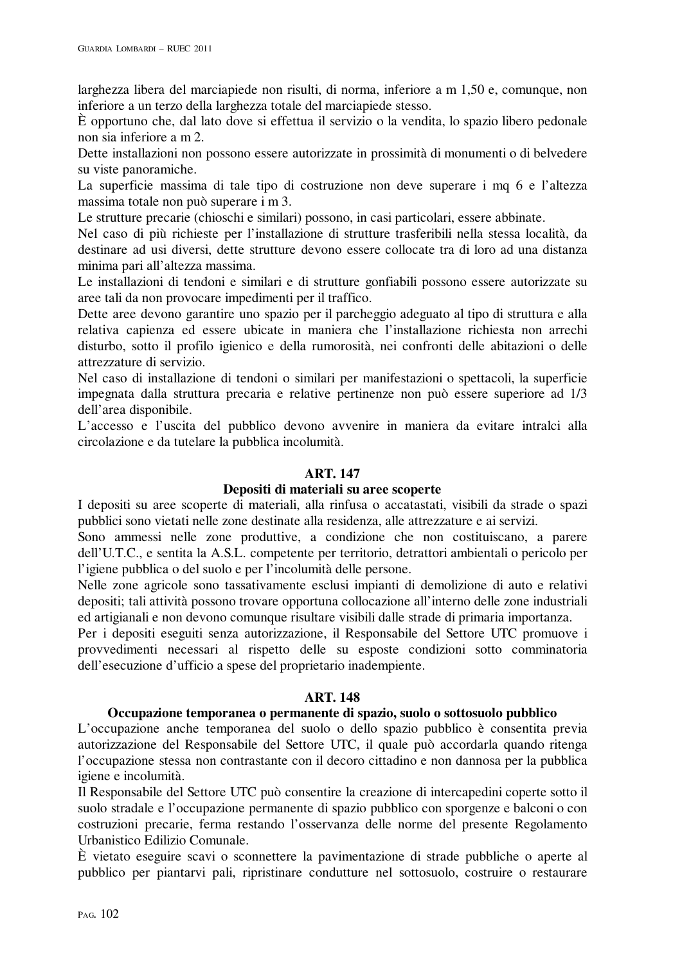larghezza libera del marciapiede non risulti, di norma, inferiore a m 1,50 e, comunque, non inferiore a un terzo della larghezza totale del marciapiede stesso.

È opportuno che, dal lato dove si effettua il servizio o la vendita, lo spazio libero pedonale non sia inferiore a m 2.

Dette installazioni non possono essere autorizzate in prossimità di monumenti o di belvedere su viste panoramiche.

La superficie massima di tale tipo di costruzione non deve superare i mq 6 e l'altezza massima totale non può superare i m 3.

Le strutture precarie (chioschi e similari) possono, in casi particolari, essere abbinate.

Nel caso di più richieste per l'installazione di strutture trasferibili nella stessa località, da destinare ad usi diversi, dette strutture devono essere collocate tra di loro ad una distanza minima pari all'altezza massima.

Le installazioni di tendoni e similari e di strutture gonfiabili possono essere autorizzate su aree tali da non provocare impedimenti per il traffico.

Dette aree devono garantire uno spazio per il parcheggio adeguato al tipo di struttura e alla relativa capienza ed essere ubicate in maniera che l'installazione richiesta non arrechi disturbo, sotto il profilo igienico e della rumorosità, nei confronti delle abitazioni o delle attrezzature di servizio.

Nel caso di installazione di tendoni o similari per manifestazioni o spettacoli, la superficie impegnata dalla struttura precaria e relative pertinenze non può essere superiore ad 1/3 dell'area disponibile.

L'accesso e l'uscita del pubblico devono avvenire in maniera da evitare intralci alla circolazione e da tutelare la pubblica incolumità.

### **ART. 147**

### **Depositi di materiali su aree scoperte**

I depositi su aree scoperte di materiali, alla rinfusa o accatastati, visibili da strade o spazi pubblici sono vietati nelle zone destinate alla residenza, alle attrezzature e ai servizi.

Sono ammessi nelle zone produttive, a condizione che non costituiscano, a parere dell'U.T.C., e sentita la A.S.L. competente per territorio, detrattori ambientali o pericolo per l'igiene pubblica o del suolo e per l'incolumità delle persone.

Nelle zone agricole sono tassativamente esclusi impianti di demolizione di auto e relativi depositi; tali attività possono trovare opportuna collocazione all'interno delle zone industriali ed artigianali e non devono comunque risultare visibili dalle strade di primaria importanza.

Per i depositi eseguiti senza autorizzazione, il Responsabile del Settore UTC promuove i provvedimenti necessari al rispetto delle su esposte condizioni sotto comminatoria dell'esecuzione d'ufficio a spese del proprietario inadempiente.

#### **ART. 148**

#### **Occupazione temporanea o permanente di spazio, suolo o sottosuolo pubblico**

L'occupazione anche temporanea del suolo o dello spazio pubblico è consentita previa autorizzazione del Responsabile del Settore UTC, il quale può accordarla quando ritenga l'occupazione stessa non contrastante con il decoro cittadino e non dannosa per la pubblica igiene e incolumità.

Il Responsabile del Settore UTC può consentire la creazione di intercapedini coperte sotto il suolo stradale e l'occupazione permanente di spazio pubblico con sporgenze e balconi o con costruzioni precarie, ferma restando l'osservanza delle norme del presente Regolamento Urbanistico Edilizio Comunale.

È vietato eseguire scavi o sconnettere la pavimentazione di strade pubbliche o aperte al pubblico per piantarvi pali, ripristinare condutture nel sottosuolo, costruire o restaurare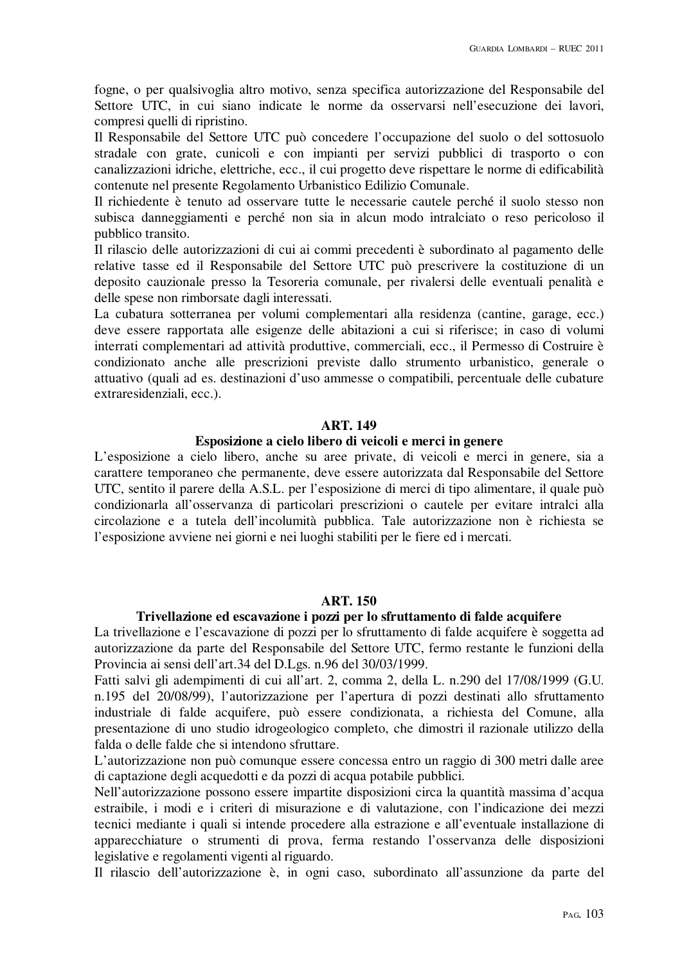fogne, o per qualsivoglia altro motivo, senza specifica autorizzazione del Responsabile del Settore UTC, in cui siano indicate le norme da osservarsi nell'esecuzione dei lavori, compresi quelli di ripristino.

Il Responsabile del Settore UTC può concedere l'occupazione del suolo o del sottosuolo stradale con grate, cunicoli e con impianti per servizi pubblici di trasporto o con canalizzazioni idriche, elettriche, ecc., il cui progetto deve rispettare le norme di edificabilità contenute nel presente Regolamento Urbanistico Edilizio Comunale.

Il richiedente è tenuto ad osservare tutte le necessarie cautele perché il suolo stesso non subisca danneggiamenti e perché non sia in alcun modo intralciato o reso pericoloso il pubblico transito.

Il rilascio delle autorizzazioni di cui ai commi precedenti è subordinato al pagamento delle relative tasse ed il Responsabile del Settore UTC può prescrivere la costituzione di un deposito cauzionale presso la Tesoreria comunale, per rivalersi delle eventuali penalità e delle spese non rimborsate dagli interessati.

La cubatura sotterranea per volumi complementari alla residenza (cantine, garage, ecc.) deve essere rapportata alle esigenze delle abitazioni a cui si riferisce; in caso di volumi interrati complementari ad attività produttive, commerciali, ecc., il Permesso di Costruire è condizionato anche alle prescrizioni previste dallo strumento urbanistico, generale o attuativo (quali ad es. destinazioni d'uso ammesse o compatibili, percentuale delle cubature extraresidenziali, ecc.).

#### **ART. 149**

#### **Esposizione a cielo libero di veicoli e merci in genere**

L'esposizione a cielo libero, anche su aree private, di veicoli e merci in genere, sia a carattere temporaneo che permanente, deve essere autorizzata dal Responsabile del Settore UTC, sentito il parere della A.S.L. per l'esposizione di merci di tipo alimentare, il quale può condizionarla all'osservanza di particolari prescrizioni o cautele per evitare intralci alla circolazione e a tutela dell'incolumità pubblica. Tale autorizzazione non è richiesta se l'esposizione avviene nei giorni e nei luoghi stabiliti per le fiere ed i mercati.

#### **ART. 150**

#### **Trivellazione ed escavazione i pozzi per lo sfruttamento di falde acquifere**

La trivellazione e l'escavazione di pozzi per lo sfruttamento di falde acquifere è soggetta ad autorizzazione da parte del Responsabile del Settore UTC, fermo restante le funzioni della Provincia ai sensi dell'art.34 del D.Lgs. n.96 del 30/03/1999.

Fatti salvi gli adempimenti di cui all'art. 2, comma 2, della L. n.290 del 17/08/1999 (G.U. n.195 del 20/08/99), l'autorizzazione per l'apertura di pozzi destinati allo sfruttamento industriale di falde acquifere, può essere condizionata, a richiesta del Comune, alla presentazione di uno studio idrogeologico completo, che dimostri il razionale utilizzo della falda o delle falde che si intendono sfruttare.

L'autorizzazione non può comunque essere concessa entro un raggio di 300 metri dalle aree di captazione degli acquedotti e da pozzi di acqua potabile pubblici.

Nell'autorizzazione possono essere impartite disposizioni circa la quantità massima d'acqua estraibile, i modi e i criteri di misurazione e di valutazione, con l'indicazione dei mezzi tecnici mediante i quali si intende procedere alla estrazione e all'eventuale installazione di apparecchiature o strumenti di prova, ferma restando l'osservanza delle disposizioni legislative e regolamenti vigenti al riguardo.

Il rilascio dell'autorizzazione è, in ogni caso, subordinato all'assunzione da parte del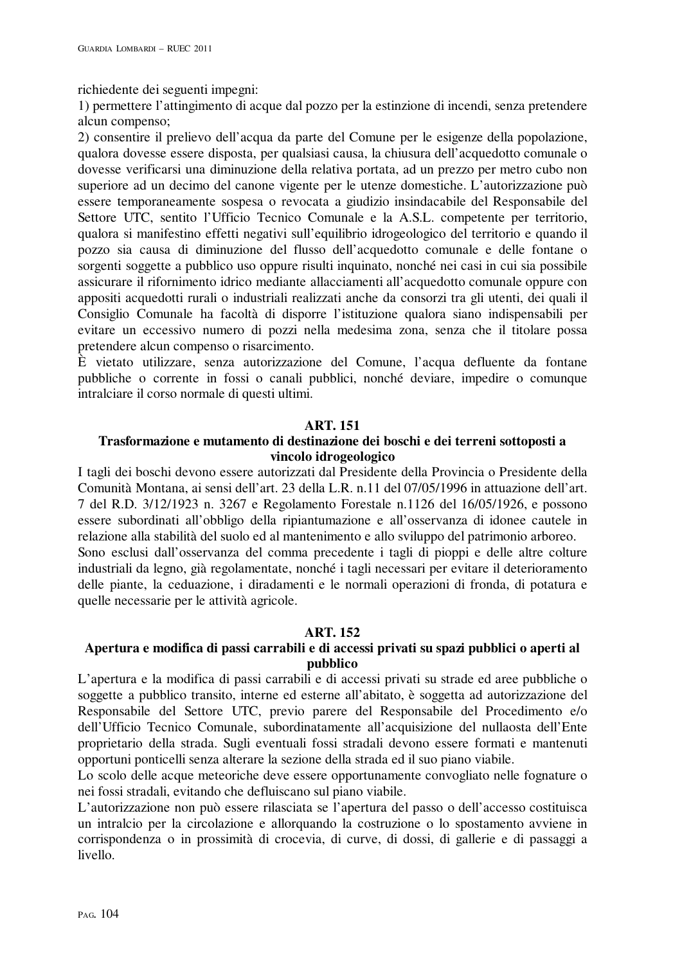richiedente dei seguenti impegni:

1) permettere l'attingimento di acque dal pozzo per la estinzione di incendi, senza pretendere alcun compenso;

2) consentire il prelievo dell'acqua da parte del Comune per le esigenze della popolazione, qualora dovesse essere disposta, per qualsiasi causa, la chiusura dell'acquedotto comunale o dovesse verificarsi una diminuzione della relativa portata, ad un prezzo per metro cubo non superiore ad un decimo del canone vigente per le utenze domestiche. L'autorizzazione può essere temporaneamente sospesa o revocata a giudizio insindacabile del Responsabile del Settore UTC, sentito l'Ufficio Tecnico Comunale e la A.S.L. competente per territorio, qualora si manifestino effetti negativi sull'equilibrio idrogeologico del territorio e quando il pozzo sia causa di diminuzione del flusso dell'acquedotto comunale e delle fontane o sorgenti soggette a pubblico uso oppure risulti inquinato, nonché nei casi in cui sia possibile assicurare il rifornimento idrico mediante allacciamenti all'acquedotto comunale oppure con appositi acquedotti rurali o industriali realizzati anche da consorzi tra gli utenti, dei quali il Consiglio Comunale ha facoltà di disporre l'istituzione qualora siano indispensabili per evitare un eccessivo numero di pozzi nella medesima zona, senza che il titolare possa pretendere alcun compenso o risarcimento.

È vietato utilizzare, senza autorizzazione del Comune, l'acqua defluente da fontane pubbliche o corrente in fossi o canali pubblici, nonché deviare, impedire o comunque intralciare il corso normale di questi ultimi.

### **ART. 151**

# **Trasformazione e mutamento di destinazione dei boschi e dei terreni sottoposti a vincolo idrogeologico**

I tagli dei boschi devono essere autorizzati dal Presidente della Provincia o Presidente della Comunità Montana, ai sensi dell'art. 23 della L.R. n.11 del 07/05/1996 in attuazione dell'art. 7 del R.D. 3/12/1923 n. 3267 e Regolamento Forestale n.1126 del 16/05/1926, e possono essere subordinati all'obbligo della ripiantumazione e all'osservanza di idonee cautele in relazione alla stabilità del suolo ed al mantenimento e allo sviluppo del patrimonio arboreo. Sono esclusi dall'osservanza del comma precedente i tagli di pioppi e delle altre colture industriali da legno, già regolamentate, nonché i tagli necessari per evitare il deterioramento delle piante, la ceduazione, i diradamenti e le normali operazioni di fronda, di potatura e quelle necessarie per le attività agricole.

# **ART. 152**

# **Apertura e modifica di passi carrabili e di accessi privati su spazi pubblici o aperti al pubblico**

L'apertura e la modifica di passi carrabili e di accessi privati su strade ed aree pubbliche o soggette a pubblico transito, interne ed esterne all'abitato, è soggetta ad autorizzazione del Responsabile del Settore UTC, previo parere del Responsabile del Procedimento e/o dell'Ufficio Tecnico Comunale, subordinatamente all'acquisizione del nullaosta dell'Ente proprietario della strada. Sugli eventuali fossi stradali devono essere formati e mantenuti opportuni ponticelli senza alterare la sezione della strada ed il suo piano viabile.

Lo scolo delle acque meteoriche deve essere opportunamente convogliato nelle fognature o nei fossi stradali, evitando che defluiscano sul piano viabile.

L'autorizzazione non può essere rilasciata se l'apertura del passo o dell'accesso costituisca un intralcio per la circolazione e allorquando la costruzione o lo spostamento avviene in corrispondenza o in prossimità di crocevia, di curve, di dossi, di gallerie e di passaggi a livello.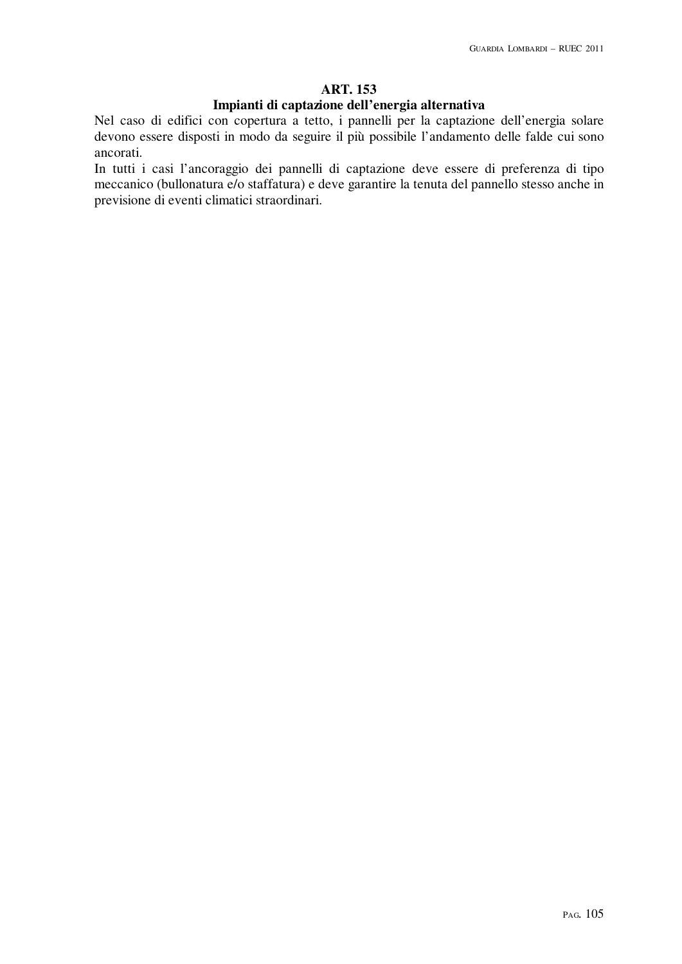# **ART. 153**

### **Impianti di captazione dell'energia alternativa**

Nel caso di edifici con copertura a tetto, i pannelli per la captazione dell'energia solare devono essere disposti in modo da seguire il più possibile l'andamento delle falde cui sono ancorati.

In tutti i casi l'ancoraggio dei pannelli di captazione deve essere di preferenza di tipo meccanico (bullonatura e/o staffatura) e deve garantire la tenuta del pannello stesso anche in previsione di eventi climatici straordinari.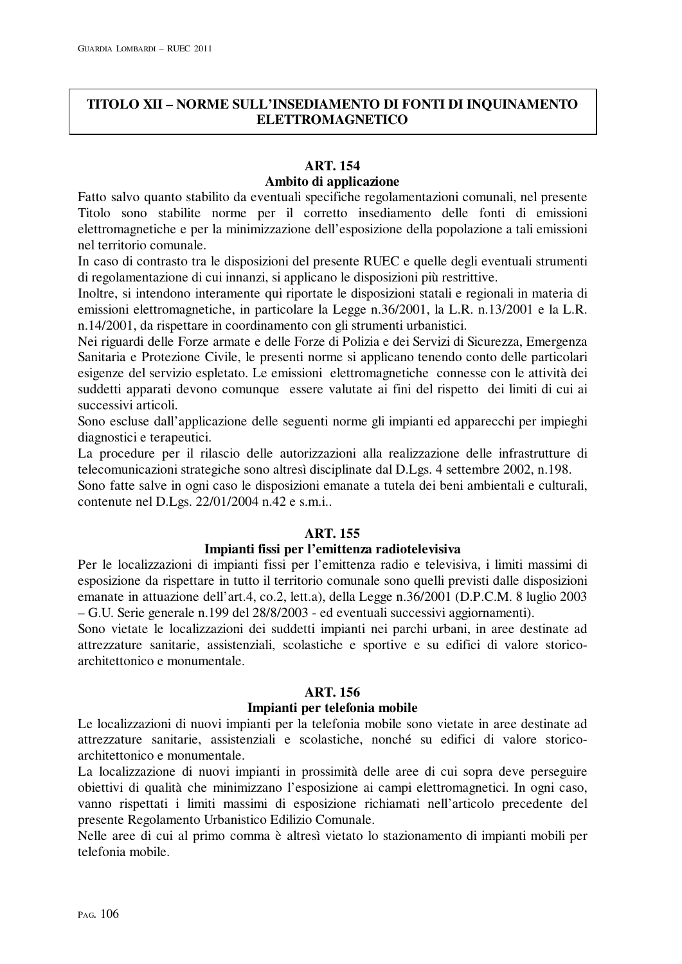# **TITOLO XII – NORME SULL'INSEDIAMENTO DI FONTI DI INQUINAMENTO ELETTROMAGNETICO**

# **ART. 154**

# **Ambito di applicazione**

Fatto salvo quanto stabilito da eventuali specifiche regolamentazioni comunali, nel presente Titolo sono stabilite norme per il corretto insediamento delle fonti di emissioni elettromagnetiche e per la minimizzazione dell'esposizione della popolazione a tali emissioni nel territorio comunale.

In caso di contrasto tra le disposizioni del presente RUEC e quelle degli eventuali strumenti di regolamentazione di cui innanzi, si applicano le disposizioni più restrittive.

Inoltre, si intendono interamente qui riportate le disposizioni statali e regionali in materia di emissioni elettromagnetiche, in particolare la Legge n.36/2001, la L.R. n.13/2001 e la L.R. n.14/2001, da rispettare in coordinamento con gli strumenti urbanistici.

Nei riguardi delle Forze armate e delle Forze di Polizia e dei Servizi di Sicurezza, Emergenza Sanitaria e Protezione Civile, le presenti norme si applicano tenendo conto delle particolari esigenze del servizio espletato. Le emissioni elettromagnetiche connesse con le attività dei suddetti apparati devono comunque essere valutate ai fini del rispetto dei limiti di cui ai successivi articoli.

Sono escluse dall'applicazione delle seguenti norme gli impianti ed apparecchi per impieghi diagnostici e terapeutici.

La procedure per il rilascio delle autorizzazioni alla realizzazione delle infrastrutture di telecomunicazioni strategiche sono altresì disciplinate dal D.Lgs. 4 settembre 2002, n.198.

Sono fatte salve in ogni caso le disposizioni emanate a tutela dei beni ambientali e culturali, contenute nel D.Lgs. 22/01/2004 n.42 e s.m.i..

# **ART. 155**

# **Impianti fissi per l'emittenza radiotelevisiva**

Per le localizzazioni di impianti fissi per l'emittenza radio e televisiva, i limiti massimi di esposizione da rispettare in tutto il territorio comunale sono quelli previsti dalle disposizioni emanate in attuazione dell'art.4, co.2, lett.a), della Legge n.36/2001 (D.P.C.M. 8 luglio 2003 – G.U. Serie generale n.199 del 28/8/2003 - ed eventuali successivi aggiornamenti).

Sono vietate le localizzazioni dei suddetti impianti nei parchi urbani, in aree destinate ad attrezzature sanitarie, assistenziali, scolastiche e sportive e su edifici di valore storicoarchitettonico e monumentale.

# **ART. 156**

# **Impianti per telefonia mobile**

Le localizzazioni di nuovi impianti per la telefonia mobile sono vietate in aree destinate ad attrezzature sanitarie, assistenziali e scolastiche, nonché su edifici di valore storicoarchitettonico e monumentale.

La localizzazione di nuovi impianti in prossimità delle aree di cui sopra deve perseguire obiettivi di qualità che minimizzano l'esposizione ai campi elettromagnetici. In ogni caso, vanno rispettati i limiti massimi di esposizione richiamati nell'articolo precedente del presente Regolamento Urbanistico Edilizio Comunale.

Nelle aree di cui al primo comma è altresì vietato lo stazionamento di impianti mobili per telefonia mobile.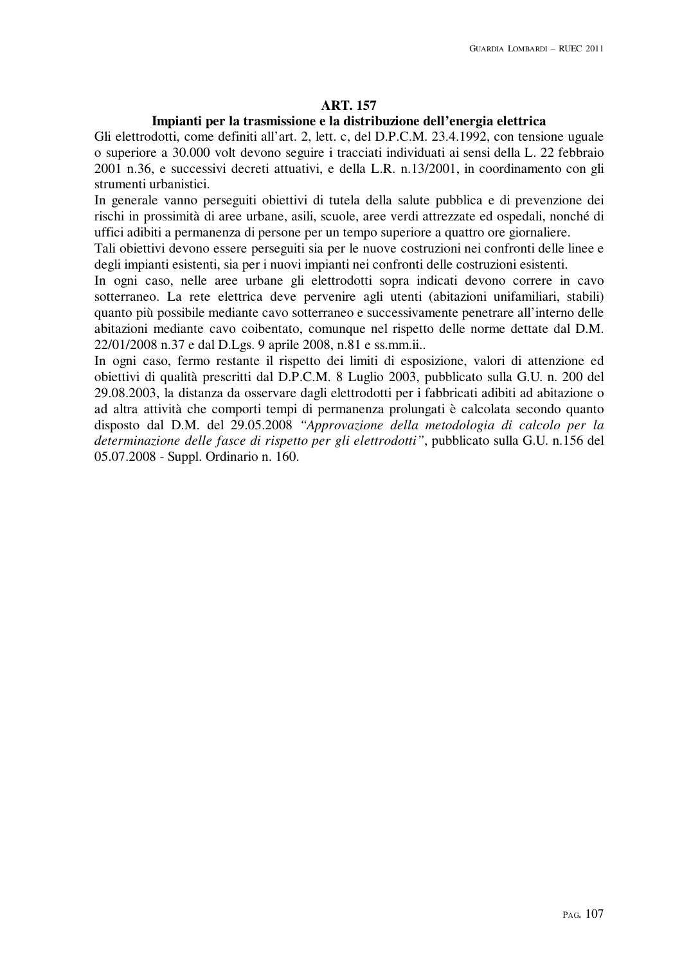### **ART. 157**

#### **Impianti per la trasmissione e la distribuzione dell'energia elettrica**

Gli elettrodotti, come definiti all'art. 2, lett. c, del D.P.C.M. 23.4.1992, con tensione uguale o superiore a 30.000 volt devono seguire i tracciati individuati ai sensi della L. 22 febbraio 2001 n.36, e successivi decreti attuativi, e della L.R. n.13/2001, in coordinamento con gli strumenti urbanistici.

In generale vanno perseguiti obiettivi di tutela della salute pubblica e di prevenzione dei rischi in prossimità di aree urbane, asili, scuole, aree verdi attrezzate ed ospedali, nonché di uffici adibiti a permanenza di persone per un tempo superiore a quattro ore giornaliere.

Tali obiettivi devono essere perseguiti sia per le nuove costruzioni nei confronti delle linee e degli impianti esistenti, sia per i nuovi impianti nei confronti delle costruzioni esistenti.

In ogni caso, nelle aree urbane gli elettrodotti sopra indicati devono correre in cavo sotterraneo. La rete elettrica deve pervenire agli utenti (abitazioni unifamiliari, stabili) quanto più possibile mediante cavo sotterraneo e successivamente penetrare all'interno delle abitazioni mediante cavo coibentato, comunque nel rispetto delle norme dettate dal D.M. 22/01/2008 n.37 e dal D.Lgs. 9 aprile 2008, n.81 e ss.mm.ii..

In ogni caso, fermo restante il rispetto dei limiti di esposizione, valori di attenzione ed obiettivi di qualità prescritti dal D.P.C.M. 8 Luglio 2003, pubblicato sulla G.U. n. 200 del 29.08.2003, la distanza da osservare dagli elettrodotti per i fabbricati adibiti ad abitazione o ad altra attività che comporti tempi di permanenza prolungati è calcolata secondo quanto disposto dal D.M. del 29.05.2008 *"Approvazione della metodologia di calcolo per la determinazione delle fasce di rispetto per gli elettrodotti"*, pubblicato sulla G.U. n.156 del 05.07.2008 - Suppl. Ordinario n. 160.